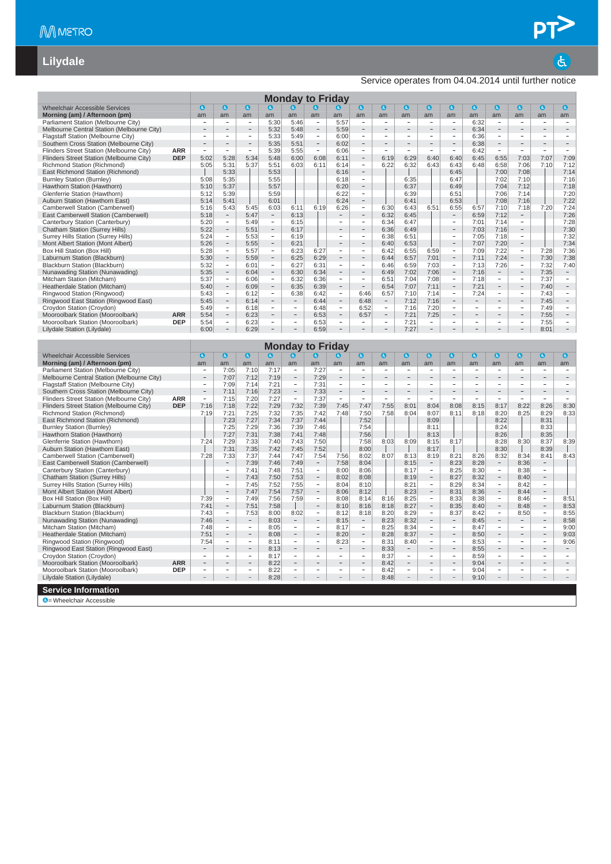$\overline{a}$ 

#### **Lilydale**

#### Service operates from 04.04.2014 until further notice

|                                                                               |            |                                |                                               |                          |                                                      |                                   | <b>Monday to Friday</b>                              |                                |                                               |                                |                                |                                                      |                                |                          |                                    |                                            |                                                      |                                            |
|-------------------------------------------------------------------------------|------------|--------------------------------|-----------------------------------------------|--------------------------|------------------------------------------------------|-----------------------------------|------------------------------------------------------|--------------------------------|-----------------------------------------------|--------------------------------|--------------------------------|------------------------------------------------------|--------------------------------|--------------------------|------------------------------------|--------------------------------------------|------------------------------------------------------|--------------------------------------------|
| <b>Wheelchair Accessible Services</b>                                         |            | $\bullet$                      | $\bullet$                                     | $\bullet$                | $\bullet$                                            | $\boldsymbol{a}$                  | a                                                    | O                              | $\bullet$                                     | $\bullet$                      | $\bullet$                      | $\bullet$                                            | $\bullet$                      | $\bullet$                | $\bullet$                          | $\bullet$                                  | $\bullet$                                            | $\bullet$                                  |
| Morning (am) / Afternoon (pm)                                                 |            | am                             | am                                            | am                       | am                                                   | am                                | am                                                   | am                             | am                                            | am                             | am                             | am                                                   | am                             | am                       | am                                 | am                                         | am                                                   | am                                         |
| Parliament Station (Melbourne City)                                           |            |                                | $\overline{\phantom{a}}$                      | $\overline{\phantom{a}}$ | 5:30                                                 | 5:46                              |                                                      | 5:57                           | $\qquad \qquad -$                             | $\overline{\phantom{a}}$       | $\overline{\phantom{a}}$       | $\overline{\phantom{a}}$                             |                                | 6:32                     | $\overline{\phantom{0}}$           | $\overline{a}$                             | $\overline{\phantom{a}}$                             | $\overline{\phantom{0}}$                   |
| Melbourne Central Station (Melbourne City)                                    |            | ÷                              |                                               | $\qquad \qquad -$<br>÷   | 5:32                                                 | 5:48                              | $\sim$                                               | 5:59                           | ÷                                             | $\overline{a}$                 |                                | ÷                                                    |                                | 6:34                     | ÷                                  | $\overline{a}$                             | $\qquad \qquad -$<br>$\overline{a}$                  | $\overline{\phantom{a}}$<br>$\overline{a}$ |
| Flagstaff Station (Melbourne City)<br>Southern Cross Station (Melbourne City) |            |                                | i.                                            | $\qquad \qquad -$        | 5:33<br>5:35                                         | 5:49<br>5:51                      | $\overline{\phantom{a}}$                             | 6:00<br>6:02                   | $\overline{\phantom{0}}$                      | $\qquad \qquad -$              | ÷                              | $\overline{\phantom{0}}$                             |                                | 6:36<br>6:38             | $\overline{\phantom{0}}$           | $\qquad \qquad -$                          | $\overline{\phantom{0}}$                             |                                            |
| Flinders Street Station (Melbourne City)                                      | <b>ARR</b> | $\overline{a}$                 |                                               |                          | 5:39                                                 | 5:55                              | $\overline{\phantom{a}}$                             | 6:06                           | $\overline{a}$                                |                                | $\overline{\phantom{0}}$       |                                                      |                                | 6:42                     | $\equiv$                           |                                            |                                                      | $\overline{\phantom{m}}$                   |
| Flinders Street Station (Melbourne City)                                      | <b>DEP</b> | 5:02                           | 5:28                                          | 5:34                     | 5:48                                                 | 6:00                              | 6:08                                                 | 6:11                           | $\overline{\phantom{0}}$                      | 6:19                           | 6:29                           | 6:40                                                 | 6:40                           | 6:45                     | 6:55                               | 7:03                                       | 7:07                                                 | 7:09                                       |
| Richmond Station (Richmond)                                                   |            | 5:05                           | 5:31                                          | 5:37                     | 5:51                                                 | 6:03                              | 6:11                                                 | 6:14                           | $\overline{\phantom{a}}$                      | 6:22                           | 6:32                           | 6:43                                                 | 6:43                           | 6:48                     | 6:58                               | 7:06                                       | 7:10                                                 | 7:12                                       |
| East Richmond Station (Richmond)                                              |            |                                | 5:33                                          |                          | 5:53                                                 |                                   |                                                      | 6:16                           | $\overline{\phantom{0}}$                      |                                |                                |                                                      | 6:45                           |                          | 7:00                               | 7:08                                       |                                                      | 7:14                                       |
| <b>Burnley Station (Burnley)</b>                                              |            | 5:08                           | 5:35                                          |                          | 5:55                                                 |                                   |                                                      | 6:18                           | $\overline{\phantom{a}}$                      |                                | 6:35                           |                                                      | 6:47                           |                          | 7:02                               | 7:10                                       |                                                      | 7:16                                       |
| Hawthorn Station (Hawthorn)<br>Glenferrie Station (Hawthorn)                  |            | 5:10<br>5:12                   | 5:37<br>5:39                                  |                          | 5:57<br>5:59                                         |                                   |                                                      | 6:20<br>6:22                   | $\qquad \qquad -$<br>$\overline{\phantom{m}}$ |                                | 6:37<br>6:39                   |                                                      | 6:49<br>6:51                   |                          | 7:04<br>7:06                       | 7:12<br>7:14                               |                                                      | 7:18<br>7:20                               |
| Auburn Station (Hawthorn East)                                                |            | 5:14                           | 5:41                                          |                          | 6:01                                                 |                                   |                                                      | 6:24                           | $\qquad \qquad -$                             |                                | 6:41                           |                                                      | 6:53                           |                          | 7:08                               | 7:16                                       |                                                      | 7:22                                       |
| Camberwell Station (Camberwell)                                               |            | 5:16                           | 5:43                                          | 5:45                     | 6:03                                                 | 6:11                              | 6:19                                                 | 6:26                           | $\qquad \qquad -$                             | 6:30                           | 6:43                           | 6:51                                                 | 6:55                           | 6:57                     | 7:10                               | 7:18                                       | 7:20                                                 | 7:24                                       |
| East Camberwell Station (Camberwell)                                          |            | 5:18                           | $\overline{\phantom{0}}$                      | 5:47                     |                                                      | 6:13                              |                                                      |                                | $\overline{\phantom{a}}$                      | 6:32                           | 6:45                           |                                                      |                                | 6:59                     | 7:12                               | $\qquad \qquad -$                          |                                                      | 7:26                                       |
| Canterbury Station (Canterbury)                                               |            | 5:20                           | $\overline{a}$                                | 5:49                     | $\overline{\phantom{a}}$                             | 6:15                              |                                                      | $\frac{1}{2}$                  | $\frac{1}{2}$                                 | 6:34                           | 6:47                           |                                                      | ÷,                             | 7:01                     | 7:14                               | $\overline{\phantom{a}}$                   |                                                      | 7:28                                       |
| Chatham Station (Surrey Hills)                                                |            | 5:22                           | $\frac{1}{2}$<br>$\overline{\phantom{m}}$     | 5:51                     | $\overline{\phantom{a}}$<br>$\overline{\phantom{a}}$ | 6:17                              |                                                      | $\overline{a}$                 | $\overline{\phantom{a}}$                      | 6:36                           | 6:49                           |                                                      | $\overline{a}$                 | 7:03                     | 7:16                               | $\blacksquare$<br>$\overline{\phantom{a}}$ |                                                      | 7:30                                       |
| Surrey Hills Station (Surrey Hills)<br>Mont Albert Station (Mont Albert)      |            | 5:24<br>5:26                   | $\qquad \qquad -$                             | 5:53<br>5:55             | $\overline{\phantom{a}}$                             | 6:19<br>6:21                      |                                                      |                                |                                               | 6:38<br>6:40                   | 6:51<br>6:53                   |                                                      |                                | 7:05<br>7:07             | 7:18<br>7:20                       | $\overline{\phantom{a}}$                   |                                                      | 7:32<br>7:34                               |
| Box Hill Station (Box Hill)                                                   |            | 5:28                           | $\overline{a}$                                | 5:57                     | $\sim$                                               | 6:23                              | 6:27                                                 | $\sim$                         | ÷.                                            | 6:42                           | 6:55                           | 6:59                                                 | $\sim$                         | 7:09                     | 7:22                               | $\bar{ }$                                  | 7:28                                                 | 7:36                                       |
| Laburnum Station (Blackburn)                                                  |            | 5:30                           | $\qquad \qquad -$                             | 5:59                     | $\qquad \qquad -$                                    | 6:25                              | 6:29                                                 |                                |                                               | 6:44                           | 6:57                           | 7:01                                                 |                                | 7:11                     | 7:24                               | $\overline{\phantom{a}}$                   | 7:30                                                 | 7:38                                       |
| Blackburn Station (Blackburn)                                                 |            | 5:32                           | $\overline{\phantom{a}}$                      | 6:01                     | $\sim$                                               | 6:27                              | 6:31                                                 | $\sim$                         | ÷.                                            | 6:46                           | 6:59                           | 7:03                                                 | ÷,                             | 7:13                     | 7:26                               | $\sim$                                     | 7:32                                                 | 7:40                                       |
| Nunawading Station (Nunawading)                                               |            | 5:35                           | $\qquad \qquad -$                             | 6:04                     | $\overline{\phantom{0}}$                             | 6:30                              | 6:34                                                 |                                |                                               | 6:49                           | 7:02                           | 7:06                                                 |                                | 7:16                     |                                    |                                            | 7:35                                                 |                                            |
| Mitcham Station (Mitcham)                                                     |            | 5:37                           | $\qquad \qquad -$<br>$\overline{a}$           | 6:06                     | ÷                                                    | 6:32                              | 6:36                                                 | $\overline{\phantom{a}}$       | ÷,                                            | 6:51                           | 7:04                           | 7:08                                                 | ÷                              | 7:18                     | $\overline{\phantom{a}}$           | $\overline{\phantom{a}}$                   | 7:37                                                 | $\overline{\phantom{a}}$                   |
| Heatherdale Station (Mitcham)<br>Ringwood Station (Ringwood)                  |            | 5:40<br>5:43                   | $\overline{\phantom{a}}$                      | 6:09<br>6:12             | $\overline{\phantom{a}}$                             | 6:35<br>6:38                      | 6:39<br>6:42                                         | $\overline{\phantom{a}}$       | 6:46                                          | 6:54<br>6:57                   | 7:07<br>7:10                   | 7:11<br>7:14                                         | $\overline{\phantom{a}}$       | 7:21<br>7:24             | $\overline{\phantom{a}}$           | $\overline{\phantom{a}}$                   | 7:40<br>7:43                                         | $\overline{\phantom{a}}$                   |
| Ringwood East Station (Ringwood East)                                         |            | 5:45                           | $\overline{\phantom{0}}$                      | 6:14                     | $\qquad \qquad -$                                    |                                   | 6:44                                                 | $\overline{\phantom{a}}$       | 6:48                                          | $\overline{\phantom{a}}$       | 7:12                           | 7:16                                                 |                                |                          |                                    |                                            | 7:45                                                 | $\qquad \qquad -$                          |
| Croydon Station (Croydon)                                                     |            | 5:49                           | $\overline{\phantom{a}}$                      | 6:18                     | $\overline{\phantom{a}}$                             | $\overline{\phantom{a}}$          | 6:48                                                 | $\sim$                         | 6:52                                          | $\overline{\phantom{a}}$       | 7:16                           | 7:20                                                 | $\sim$                         | $\overline{\phantom{m}}$ | $\overline{\phantom{a}}$           | $\overline{\phantom{a}}$                   | 7:49                                                 | $\sim$                                     |
| Mooroolbark Station (Mooroolbark)                                             | <b>ARR</b> | 5:54                           | $\overline{\phantom{a}}$                      | 6:23                     | $\hspace{1.0cm} - \hspace{1.0cm}$                    |                                   | 6:53                                                 | $\overline{\phantom{a}}$       | 6:57                                          | $\qquad \qquad -$              | 7:21                           | 7:25                                                 |                                |                          |                                    |                                            | 7:55                                                 | $\overline{\phantom{a}}$                   |
| Mooroolbark Station (Mooroolbark)                                             | <b>DEP</b> | 5:54                           | $\overline{\phantom{a}}$                      | 6:23                     | $\overline{\phantom{a}}$                             | $\overline{\phantom{a}}$          | 6:53                                                 | à.                             | $\overline{\phantom{a}}$                      | $\sim$                         | 7:21                           | $\overline{\phantom{a}}$                             | $\overline{\phantom{a}}$       | $\overline{\phantom{a}}$ | $\overline{\phantom{a}}$           | $\overline{\phantom{a}}$                   | 7:55                                                 | $\overline{\phantom{a}}$                   |
| Lilydale Station (Lilydale)                                                   |            | 6:00                           |                                               | 6:29                     | $\bar{ }$                                            | $\hspace{1.0cm} - \hspace{1.0cm}$ | 6:59                                                 |                                |                                               | $\overline{\phantom{a}}$       | 7:27                           | $\overline{\phantom{a}}$                             |                                |                          |                                    |                                            | 8:01                                                 | $\overline{\phantom{a}}$                   |
|                                                                               |            |                                |                                               |                          |                                                      |                                   |                                                      |                                |                                               |                                |                                |                                                      |                                |                          |                                    |                                            |                                                      |                                            |
|                                                                               |            |                                |                                               |                          |                                                      |                                   | <b>Monday to Friday</b>                              |                                |                                               |                                |                                |                                                      |                                |                          |                                    |                                            |                                                      |                                            |
| <b>Wheelchair Accessible Services</b>                                         |            | $\bullet$                      | $\bullet$                                     | $\bullet$                |                                                      | $\bullet$                         | 0                                                    | G.                             | O                                             | $\bullet$                      | $\bullet$                      | $\bullet$                                            | $\bullet$                      | $\bullet$                | $\bullet$                          | $\bullet$                                  | $\bullet$                                            | O                                          |
| Morning (am) / Afternoon (pm)<br>Parliament Station (Melbourne City)          |            | am<br>$\overline{\phantom{a}}$ | am<br>7:05                                    | am<br>7:10               | am<br>7:17                                           | am<br>$\overline{\phantom{a}}$    | am<br>7:27                                           | am<br>$\overline{\phantom{a}}$ | am<br>$\overline{\phantom{a}}$                | am<br>$\overline{\phantom{a}}$ | am<br>$\overline{\phantom{a}}$ | am<br>$\overline{\phantom{a}}$                       | am<br>$\overline{\phantom{a}}$ | am<br>٠                  | am<br>-                            | am<br>$\overline{\phantom{a}}$             | am<br>$\overline{\phantom{a}}$                       | am<br>$\overline{\phantom{a}}$             |
| Melbourne Central Station (Melbourne City)                                    |            |                                | 7:07                                          | 7:12                     | 7:19                                                 | $\overline{a}$                    | 7:29                                                 |                                |                                               |                                |                                | $=$                                                  |                                |                          |                                    |                                            | $\qquad \qquad -$                                    |                                            |
| Flagstaff Station (Melbourne City)                                            |            | $\sim$                         | 7:09                                          | 7:14                     | 7:21                                                 | $\overline{\phantom{a}}$          | 7:31                                                 | $\overline{\phantom{a}}$       | $\overline{\phantom{a}}$                      | $\sim$                         | $\overline{\phantom{a}}$       | $\sim$                                               | $\sim$                         | $\overline{\phantom{a}}$ | $\overline{\phantom{a}}$           | $\sim$                                     | $\sim$                                               | $\sim$                                     |
| Southern Cross Station (Melbourne City)                                       |            | $\overline{\phantom{a}}$       | 7:11                                          | 7:16                     | 7:23                                                 | $\frac{1}{2}$                     | 7:33                                                 | $\overline{\phantom{a}}$       | $\qquad \qquad -$                             | $\overline{\phantom{a}}$       | $\overline{\phantom{m}}$       | $\qquad \qquad -$                                    |                                |                          | $\overline{a}$                     |                                            | $\qquad \qquad -$                                    | $\overline{\phantom{a}}$                   |
| Flinders Street Station (Melbourne City)                                      | <b>ARR</b> | $\sim$                         | 7:15                                          | 7:20                     | 7:27                                                 | $\overline{\phantom{a}}$          | 7:37                                                 | $\overline{a}$                 | $\overline{\phantom{a}}$                      | $\sim$                         |                                | $\overline{\phantom{a}}$                             | $\overline{\phantom{a}}$       | $\overline{a}$           | $\overline{\phantom{a}}$           | $\overline{\phantom{a}}$                   | $\overline{\phantom{a}}$                             | $\overline{\phantom{a}}$                   |
| Flinders Street Station (Melbourne City)                                      | <b>DEP</b> | 7:16<br>7:19                   | 7:18<br>7:21                                  | 7:22<br>7:25             | 7:29<br>7:32                                         | 7:32                              | 7:39<br>7:42                                         | 7:45<br>7:48                   | 7:47                                          | 7:55<br>7:58                   | 8:01<br>8:04                   | 8:04<br>8:07                                         | 8:08<br>8:11                   | 8:15<br>8:18             | 8:17                               | 8:22<br>8:25                               | 8:26<br>8:29                                         | 8:30<br>8:33                               |
| Richmond Station (Richmond)<br>East Richmond Station (Richmond)               |            |                                | 7:23                                          | 7:27                     | 7:34                                                 | 7:35<br>7:37                      | 7:44                                                 |                                | 7:50<br>7:52                                  |                                |                                | 8:09                                                 |                                |                          | 8:20<br>8:22                       |                                            | 8:31                                                 |                                            |
| <b>Burnley Station (Burnley)</b>                                              |            |                                | 7:25                                          | 7:29                     | 7:36                                                 | 7:39                              | 7:46                                                 |                                | 7:54                                          |                                |                                | 8:11                                                 |                                |                          | 8:24                               |                                            | 8:33                                                 |                                            |
| Hawthorn Station (Hawthorn)                                                   |            |                                | 7:27                                          | 7:31                     | 7:38                                                 | 7:41                              | 7:48                                                 |                                | 7:56                                          |                                |                                | 8:13                                                 |                                |                          | 8:26                               |                                            | 8:35                                                 |                                            |
| Glenferrie Station (Hawthorn)                                                 |            | 7:24                           | 7:29                                          | 7:33                     | 7:40                                                 | 7:43                              | 7:50                                                 |                                | 7:58                                          | 8:03                           | 8:09                           | 8:15                                                 | 8:17                           |                          | 8:28                               | 8:30                                       | 8:37                                                 | 8:39                                       |
| Auburn Station (Hawthorn East)                                                |            |                                | 7:31                                          | 7:35                     | 7:42                                                 | 7:45                              | 7:52                                                 |                                | 8:00                                          |                                |                                | 8:17                                                 |                                |                          | 8:30                               |                                            | 8:39                                                 |                                            |
| Camberwell Station (Camberwell)<br>East Camberwell Station (Camberwell)       |            | 7:28                           | 7:33                                          | 7:37<br>7:39             | 7:44<br>7:46                                         | 7:47<br>7:49                      | 7:54<br>$\overline{\phantom{0}}$                     | 7:56<br>7:58                   | 8:02<br>8:04                                  | 8:07                           | 8:13<br>8:15                   | 8:19<br>$\overline{\phantom{a}}$                     | 8:21<br>8:23                   | 8:26<br>8:28             | 8:32<br>$\overline{\phantom{a}}$   | 8:34<br>8:36                               | 8:41<br>$\overline{\phantom{a}}$                     | 8:43                                       |
| Canterbury Station (Canterbury)                                               |            |                                |                                               | 7:41                     | 7:48                                                 | 7:51                              | $\qquad \qquad -$                                    | 8:00                           | 8:06                                          |                                | 8:17                           | $\overline{\phantom{0}}$                             | 8:25                           | 8:30                     | $\overline{\phantom{0}}$           | 8:38                                       | $\overline{\phantom{m}}$                             |                                            |
| Chatham Station (Surrey Hills)                                                |            |                                | $\overline{a}$                                | 7:43                     | 7:50                                                 | 7:53                              | $\overline{\phantom{m}}$                             | 8:02                           | 8:08                                          |                                | 8:19                           | $\qquad \qquad -$                                    | 8:27                           | 8:32                     | $\overline{\phantom{0}}$           | 8:40                                       | $\overline{\phantom{0}}$                             |                                            |
| Surrey Hills Station (Surrey Hills)                                           |            |                                | ٠                                             | 7:45                     | 7:52                                                 | 7:55                              | $\overline{\phantom{a}}$                             | 8:04                           | 8:10                                          |                                | 8:21                           | $\overline{a}$                                       | 8:29                           | 8:34                     | $\overline{\phantom{a}}$           | 8:42                                       | $\overline{\phantom{m}}$                             |                                            |
| Mont Albert Station (Mont Albert)                                             |            |                                | $\qquad \qquad -$                             | 7:47                     | 7:54                                                 | 7:57                              | $\qquad \qquad -$                                    | 8:06                           | 8:12                                          |                                | 8:23                           | $\overline{\phantom{0}}$                             | 8:31                           | 8:36                     | $\overline{\phantom{0}}$           | 8:44                                       | $\overline{\phantom{0}}$                             |                                            |
| Box Hill Station (Box Hill)                                                   |            | 7:39                           | $\overline{\phantom{a}}$                      | 7:49                     | 7:56                                                 | 7:59                              | $\overline{\phantom{a}}$<br>$\overline{\phantom{a}}$ | 8:08                           | 8:14                                          | 8:16                           | 8:25                           | $\overline{\phantom{a}}$<br>$\overline{\phantom{a}}$ | 8:33                           | 8:38                     | $\sim$<br>$\overline{\phantom{a}}$ | 8:46                                       | $\overline{\phantom{a}}$                             | 8:51                                       |
| Laburnum Station (Blackburn)<br>Blackburn Station (Blackburn)                 |            | 7:41<br>7:43                   | $\qquad \qquad -$<br>$\overline{\phantom{a}}$ | 7:51<br>7:53             | 7:58<br>8:00                                         | 8:02                              | $\overline{\phantom{a}}$                             | 8:10<br>8:12                   | 8:16<br>8:18                                  | 8:18<br>8:20                   | 8:27<br>8:29                   | $\overline{\phantom{a}}$                             | 8:35<br>8:37                   | 8:40<br>8:42             | $\overline{\phantom{a}}$           | 8:48<br>8:50                               | $\overline{\phantom{0}}$<br>$\overline{\phantom{a}}$ | 8:53<br>8:55                               |
| Nunawading Station (Nunawading)                                               |            | 7:46                           | $\qquad \qquad -$                             | $\overline{\phantom{0}}$ | 8:03                                                 | $\overline{\phantom{a}}$          | $\overline{\phantom{m}}$                             | 8:15                           |                                               | 8:23                           | 8:32                           | $\qquad \qquad -$                                    |                                | 8:45                     | $\overline{\phantom{a}}$           | $\overline{\phantom{0}}$                   | $\overline{\phantom{a}}$                             | 8:58                                       |
| Mitcham Station (Mitcham)                                                     |            | 7:48                           | $\qquad \qquad -$                             | $\overline{\phantom{a}}$ | 8:05                                                 | $\qquad \qquad -$                 | $\qquad \qquad -$                                    | 8:17                           | $\overline{\phantom{a}}$                      | 8:25                           | 8:34                           | $\overline{\phantom{a}}$                             | $\overline{\phantom{a}}$       | 8:47                     | $\qquad \qquad -$                  | $\overline{\phantom{a}}$                   | $\overline{\phantom{a}}$                             | 9:00                                       |
| Heatherdale Station (Mitcham)                                                 |            | 7:51                           | $\overline{\phantom{a}}$                      | $\overline{\phantom{a}}$ | 8:08                                                 | $\overline{\phantom{m}}$          | $\overline{a}$                                       | 8:20                           | $\overline{\phantom{a}}$                      | 8:28                           | 8:37                           | $\qquad \qquad -$                                    |                                | 8:50                     | $\overline{\phantom{0}}$           |                                            | $\overline{\phantom{m}}$                             | 9:03                                       |
| Ringwood Station (Ringwood)                                                   |            | 7:54                           | $\qquad \qquad -$                             | $\overline{a}$           | 8:11                                                 | $\qquad \qquad -$                 | $\frac{1}{2}$                                        | 8:23                           | $\frac{1}{2}$                                 | 8:31                           | 8:40                           | $\qquad \qquad -$                                    | $\overline{a}$                 | 8:53                     | $\overline{\phantom{a}}$           | $\overline{a}$                             | $\overline{a}$                                       | 9:06                                       |
| Ringwood East Station (Ringwood East)                                         |            | $\overline{\phantom{a}}$       | $\overline{a}$                                | $\sim$                   | 8:13                                                 | $\overline{\phantom{a}}$          | $\bar{a}$                                            | $\equiv$                       | $\bar{a}$                                     | 8:33                           | $\overline{\phantom{a}}$       | $\overline{\phantom{a}}$                             | $\overline{a}$                 | 8:55                     | $\overline{\phantom{a}}$           | $\sim$                                     | $\bar{a}$                                            | $\sim$                                     |
| Croydon Station (Croydon)<br>Mooroolbark Station (Mooroolbark)                | <b>ARR</b> |                                |                                               |                          | 8:17<br>8:22                                         |                                   |                                                      |                                |                                               | 8:37<br>8:42                   | $\overline{\phantom{0}}$       |                                                      |                                | 8:59<br>9:04             |                                    |                                            |                                                      |                                            |
| Mooroolbark Station (Mooroolbark)                                             | <b>DEP</b> | $\overline{a}$                 | $\sim$                                        | ÷                        | 8:22                                                 | $\overline{\phantom{a}}$          | ä,                                                   | i.                             | $\sim$                                        | 8:42                           | $\equiv$                       | $\sim$                                               | ÷,                             | 9:04                     | $\overline{\phantom{a}}$           | ÷,                                         | $\overline{\phantom{a}}$                             | $\overline{\phantom{a}}$                   |
| Lilydale Station (Lilydale)                                                   |            | $\overline{\phantom{0}}$       | $\qquad \qquad -$                             | $\overline{a}$           | 8:28                                                 | $\overline{\phantom{a}}$          | $\qquad \qquad -$                                    | $\qquad \qquad -$              | $\overline{\phantom{a}}$                      | 8:48                           | $\overline{\phantom{a}}$       | $\overline{a}$                                       | $\overline{\phantom{0}}$       | 9:10                     | $\overline{\phantom{0}}$           |                                            | $\qquad \qquad -$                                    | $\qquad \qquad -$                          |
|                                                                               |            |                                |                                               |                          |                                                      |                                   |                                                      |                                |                                               |                                |                                |                                                      |                                |                          |                                    |                                            |                                                      |                                            |
| <b>Service Information</b>                                                    |            |                                |                                               |                          |                                                      |                                   |                                                      |                                |                                               |                                |                                |                                                      |                                |                          |                                    |                                            |                                                      |                                            |
| C = Wheelchair Accessible                                                     |            |                                |                                               |                          |                                                      |                                   |                                                      |                                |                                               |                                |                                |                                                      |                                |                          |                                    |                                            |                                                      |                                            |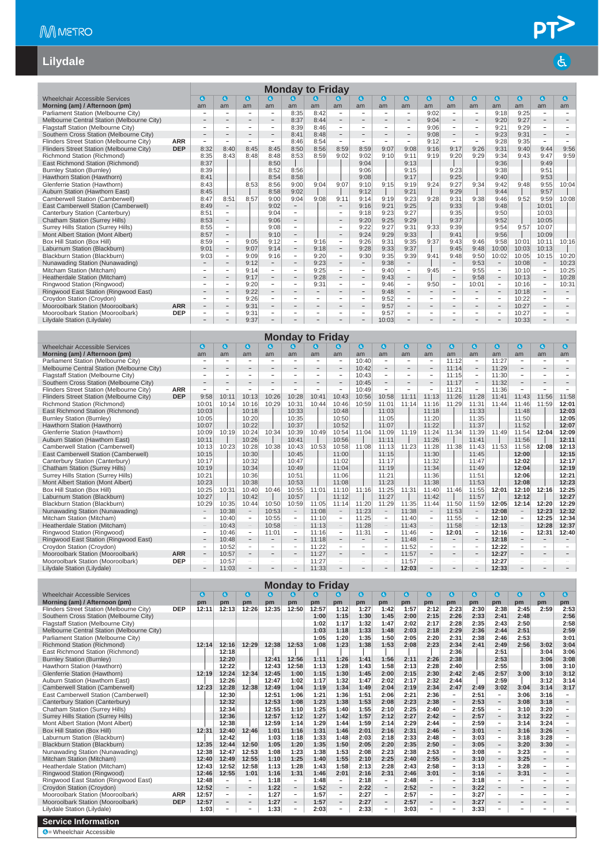$\overline{d}$ 

#### **Lilydale**

|                                            |            |                          |                          |                          |                          |                          | <b>Monday to Friday</b>  |                          |                          |                          |                          |                          |                          |                          |                          |           |                          |            |
|--------------------------------------------|------------|--------------------------|--------------------------|--------------------------|--------------------------|--------------------------|--------------------------|--------------------------|--------------------------|--------------------------|--------------------------|--------------------------|--------------------------|--------------------------|--------------------------|-----------|--------------------------|------------|
| <b>Wheelchair Accessible Services</b>      |            | $\mathbf{G}$             | $\epsilon$               | $\mathbf{a}$             | $\mathbf{a}$             | $\mathbf{a}$             | Q                        | G                        | $\bullet$                | $\bullet$                | $\mathbf{G}$             | $\mathbf a$              | $\mathbf a$              | $\bullet$                | <b>G</b>                 | $\bullet$ | $\bullet$                | $\epsilon$ |
| Morning (am) / Afternoon (pm)              |            | am                       | am                       | am                       | am                       | am                       | am                       | am                       | am                       | am                       | am                       | am                       | am                       | am                       | am                       | am        | am                       | am         |
| Parliament Station (Melbourne City)        |            | ۰                        | $\sim$                   | ۰                        | $\overline{\phantom{a}}$ | 8:35                     | 8:42                     | $\overline{\phantom{a}}$ |                          | ۰                        | $\sim$                   | 9:02                     | $\overline{\phantom{a}}$ | $\overline{\phantom{a}}$ | 9:18                     | 9:25      | $\sim$                   |            |
| Melbourne Central Station (Melbourne City) |            |                          |                          |                          | $\overline{\phantom{a}}$ | 8:37                     | 8:44                     |                          |                          | $\qquad \qquad$          | $\overline{\phantom{0}}$ | 9:04                     |                          |                          | 9:20                     | 9:27      | $\overline{\phantom{a}}$ |            |
| Flagstaff Station (Melbourne City)         |            | ٠                        | $\overline{\phantom{a}}$ | -                        | $\overline{\phantom{a}}$ | 8:39                     | 8:46                     | $\overline{\phantom{a}}$ | ٠                        | $\overline{\phantom{a}}$ | Ξ.                       | 9:06                     | $\overline{\phantom{0}}$ | $\overline{\phantom{a}}$ | 9:21                     | 9:29      | $\overline{\phantom{a}}$ |            |
| Southern Cross Station (Melbourne City)    |            |                          | $\overline{\phantom{a}}$ | $\overline{\phantom{0}}$ | $\overline{\phantom{a}}$ | 8:41                     | 8:48                     | $\overline{\phantom{0}}$ | $\qquad \qquad$          | $\overline{\phantom{m}}$ | $\qquad \qquad -$        | 9:08                     | $\overline{\phantom{0}}$ | $\overline{\phantom{0}}$ | 9:23                     | 9:31      | $\overline{\phantom{a}}$ |            |
| Flinders Street Station (Melbourne City)   | <b>ARR</b> | $\overline{\phantom{a}}$ | $\overline{\phantom{a}}$ | Ξ.                       | $\overline{\phantom{a}}$ | 8:46                     | 8:54                     | $\overline{\phantom{0}}$ | $\sim$                   | $\overline{\phantom{a}}$ | Ξ.                       | 9:12                     | Ξ.                       | $\sim$                   | 9:28                     | 9:35      | $\sim$                   |            |
| Flinders Street Station (Melbourne City)   | <b>DEP</b> | 8:32                     | 8:40                     | 8:45                     | 8:45                     | 8:50                     | 8:56                     | 8:59                     | 8:59                     | 9:07                     | 9:08                     | 9:16                     | 9:17                     | 9:26                     | 9:31                     | 9:40      | 9:44                     | 9:56       |
| Richmond Station (Richmond)                |            | 8:35                     | 8:43                     | 8:48                     | 8:48                     | 8:53                     | 8:59                     | 9:02                     | 9:02                     | 9:10                     | 9:11                     | 9:19                     | 9:20                     | 9:29                     | 9:34                     | 9:43      | 9:47                     | 9:59       |
| East Richmond Station (Richmond)           |            | 8:37                     |                          |                          | 8:50                     |                          |                          |                          | 9:04                     |                          | 9:13                     |                          |                          |                          | 9:36                     |           | 9:49                     |            |
| <b>Burnley Station (Burnley)</b>           |            | 8:39                     |                          |                          | 8:52                     | 8:56                     |                          |                          | 9:06                     |                          | 9:15                     |                          | 9:23                     |                          | 9:38                     |           | 9:51                     |            |
| Hawthorn Station (Hawthorn)                |            | 8:41                     |                          |                          | 8:54                     | 8:58                     |                          |                          | 9:08                     |                          | 9:17                     |                          | 9:25                     |                          | 9:40                     |           | 9:53                     |            |
| Glenferrie Station (Hawthorn)              |            | 8:43                     |                          | 8:53                     | 8:56                     | 9:00                     | 9:04                     | 9:07                     | 9:10                     | 9:15                     | 9:19                     | 9:24                     | 9:27                     | 9:34                     | 9:42                     | 9:48      | 9:55                     | 10:04      |
| Auburn Station (Hawthorn East)             |            | 8:45                     |                          |                          | 8:58                     | 9:02                     |                          |                          | 9:12                     |                          | 9:21                     |                          | 9:29                     |                          | 9:44                     |           | 9:57                     |            |
| Camberwell Station (Camberwell)            |            | 8:47                     | 8:51                     | 8:57                     | 9:00                     | 9:04                     | 9:08                     | 9:11                     | 9:14                     | 9:19                     | 9:23                     | 9:28                     | 9:31                     | 9:38                     | 9:46                     | 9:52      | 9:59                     | 10:08      |
| East Camberwell Station (Camberwell)       |            | 8:49                     | $\overline{\phantom{a}}$ |                          | 9:02                     | $\overline{\phantom{a}}$ |                          | $\overline{\phantom{m}}$ | 9:16                     | 9:21                     | 9:25                     |                          | 9:33                     |                          | 9:48                     |           | 10:01                    |            |
| Canterbury Station (Canterbury)            |            | 8:51                     | $\overline{\phantom{a}}$ |                          | 9:04                     | $\overline{\phantom{a}}$ |                          | $\overline{\phantom{a}}$ | 9:18                     | 9:23                     | 9:27                     |                          | 9:35                     |                          | 9:50                     |           | 10:03                    |            |
| <b>Chatham Station (Surrey Hills)</b>      |            | 8:53                     | $\overline{\phantom{a}}$ |                          | 9:06                     | $\overline{\phantom{a}}$ |                          |                          | 9:20                     | 9:25                     | 9:29                     |                          | 9:37                     |                          | 9:52                     |           | 10:05                    |            |
| Surrey Hills Station (Surrey Hills)        |            | 8:55                     | $\equiv$                 |                          | 9:08                     | $\overline{\phantom{a}}$ |                          | $\overline{\phantom{a}}$ | 9:22                     | 9:27                     | 9:31                     | 9:33                     | 9:39                     |                          | 9:54                     | 9:57      | 10:07                    |            |
| Mont Albert Station (Mont Albert)          |            | 8:57                     | $\overline{\phantom{a}}$ |                          | 9:10                     | $\overline{\phantom{m}}$ |                          | $\overline{\phantom{a}}$ | 9:24                     | 9:29                     | 9:33                     |                          | 9:41                     |                          | 9:56                     |           | 10:09                    |            |
| Box Hill Station (Box Hill)                |            | 8:59                     | $\overline{\phantom{a}}$ | 9:05                     | 9:12                     | $\overline{\phantom{a}}$ | 9:16                     | $\overline{\phantom{a}}$ | 9:26                     | 9:31                     | 9:35                     | 9:37                     | 9:43                     | 9:46                     | 9:58                     | 10:01     | 10:11                    | 10:16      |
| Laburnum Station (Blackburn)               |            | 9:01                     | $\overline{\phantom{a}}$ | 9:07                     | 9:14                     | $\overline{\phantom{a}}$ | 9:18                     | $\overline{\phantom{a}}$ | 9:28                     | 9:33                     | 9:37                     |                          | 9:45                     | 9:48                     | 10:00                    | 10:03     | 10:13                    |            |
| Blackburn Station (Blackburn)              |            | 9:03                     | $\sim$                   | 9:09                     | 9:16                     | $\overline{\phantom{a}}$ | 9:20                     | $\sim$                   | 9:30                     | 9:35                     | 9:39                     | 9:41                     | 9:48                     | 9:50                     | 10:02                    | 10:05     | 10:15                    | 10:20      |
| Nunawading Station (Nunawading)            |            |                          | $\overline{\phantom{a}}$ | 9:12                     | $\equiv$                 | $\overline{\phantom{m}}$ | 9:23                     | $\sim$                   | $\qquad \qquad -$        | 9:38                     | $\sim$                   |                          | -                        | 9:53                     | $\overline{\phantom{a}}$ | 10:08     | $\overline{\phantom{a}}$ | 10:23      |
| Mitcham Station (Mitcham)                  |            |                          | $\overline{\phantom{a}}$ | 9:14                     | $\sim$                   | $\sim$                   | 9:25                     | -                        | $\sim$                   | 9:40                     | $\sim$                   | 9:45                     | $\sim$                   | 9:55                     | $\overline{\phantom{a}}$ | 10:10     | $\sim$                   | 10:25      |
| Heatherdale Station (Mitcham)              |            |                          | $\overline{\phantom{a}}$ | 9:17                     | $\overline{\phantom{a}}$ | $\overline{\phantom{a}}$ | 9:28                     | $-$                      | $\overline{\phantom{m}}$ | 9:43                     | $\overline{\phantom{a}}$ |                          | $-$                      | 9:58                     | $\overline{\phantom{a}}$ | 10:13     | $\overline{\phantom{a}}$ | 10:28      |
| Ringwood Station (Ringwood)                |            | $\overline{\phantom{a}}$ | $\equiv$                 | 9:20                     | $\overline{\phantom{0}}$ | $\overline{\phantom{a}}$ | 9:31                     | ٠                        | $\overline{\phantom{a}}$ | 9:46                     | $\overline{\phantom{a}}$ | 9:50                     | $\overline{\phantom{a}}$ | 10:01                    | $\overline{\phantom{a}}$ | 10:16     | $\sim$                   | 10:31      |
| Ringwood East Station (Ringwood East)      |            | -                        | $\qquad \qquad -$        | 9:22                     | $\qquad \qquad -$        | $\overline{\phantom{a}}$ |                          | $\overline{\phantom{0}}$ | $\overline{\phantom{a}}$ | 9:48                     | $\overline{\phantom{a}}$ | $\qquad \qquad -$        |                          | $-$                      | $\overline{\phantom{m}}$ | 10:18     | $\overline{\phantom{a}}$ |            |
| Croydon Station (Croydon)                  |            | $\overline{\phantom{0}}$ | $\overline{\phantom{a}}$ | 9:26                     | $\overline{\phantom{a}}$ |                          | $\overline{\phantom{a}}$ | $\overline{\phantom{a}}$ | $\sim$                   | 9:52                     | $\overline{\phantom{a}}$ | $\overline{\phantom{a}}$ | $\overline{\phantom{0}}$ | -                        | $\overline{a}$           | 10:22     | $\sim$                   |            |
| Mooroolbark Station (Mooroolbark)          | <b>ARR</b> | $\overline{\phantom{0}}$ | $\overline{\phantom{a}}$ | 9:31                     | $\overline{\phantom{a}}$ | $\sim$                   |                          | $\overline{\phantom{0}}$ | $\overline{\phantom{a}}$ | 9:57                     | $-$                      | $\overline{\phantom{a}}$ |                          |                          | $\overline{\phantom{a}}$ | 10:27     | $\overline{\phantom{a}}$ |            |
| Mooroolbark Station (Mooroolbark)          | <b>DEP</b> | $\overline{\phantom{0}}$ | $\qquad \qquad -$        | 9:31                     | Ξ.                       | $\sim$                   | ۰                        | $\equiv$                 | $\overline{\phantom{a}}$ | 9:57                     | $\sim$                   | $\overline{\phantom{a}}$ | -                        | ۰                        | $\overline{\phantom{m}}$ | 10:27     | $\sim$                   |            |
| Lilydale Station (Lilydale)                |            |                          |                          | 9:37                     | $\overline{\phantom{a}}$ |                          |                          |                          |                          | 10:03                    |                          |                          |                          |                          |                          | 10:33     |                          |            |

|                                            |            |                          |                          |                          |                          |                          | <b>Monday to Friday</b>  |                          |                                                                                                                                                                                                                                                                                                                                                                                                                                                                            |                          |                          |                          |                          |                          |          |                          |                          |              |
|--------------------------------------------|------------|--------------------------|--------------------------|--------------------------|--------------------------|--------------------------|--------------------------|--------------------------|----------------------------------------------------------------------------------------------------------------------------------------------------------------------------------------------------------------------------------------------------------------------------------------------------------------------------------------------------------------------------------------------------------------------------------------------------------------------------|--------------------------|--------------------------|--------------------------|--------------------------|--------------------------|----------|--------------------------|--------------------------|--------------|
| Wheelchair Accessible Services             |            | $\epsilon$               | $\mathbf{G}$             | $\mathbf{a}$             | $\bullet$                | k.                       | k.                       | l al                     | $\bullet$                                                                                                                                                                                                                                                                                                                                                                                                                                                                  | <b>(d)</b>               | $\mathbf{G}$             | $\mathbf{G}$             | $\mathbf{a}$             | $\mathbf{c}$             | <b>G</b> | G)                       | 0                        | $\mathbf{G}$ |
| Morning (am) / Afternoon (pm)              |            | am                       | am                       | am                       | am                       | am                       | am                       | am                       | am                                                                                                                                                                                                                                                                                                                                                                                                                                                                         | am                       | am                       | am                       | am                       | am                       | am       | am                       | am                       | am           |
| Parliament Station (Melbourne City)        |            | $\overline{a}$           |                          |                          | $\overline{\phantom{0}}$ |                          |                          | $\overline{\phantom{0}}$ | 10:40                                                                                                                                                                                                                                                                                                                                                                                                                                                                      | $\overline{\phantom{a}}$ | $\overline{\phantom{0}}$ | $\overline{\phantom{a}}$ | 11:12                    | $\overline{\phantom{a}}$ | 11:27    | $\overline{\phantom{a}}$ | $\overline{\phantom{a}}$ |              |
| Melbourne Central Station (Melbourne City) |            |                          |                          |                          | $\overline{\phantom{a}}$ |                          |                          | $\overline{\phantom{a}}$ | 10:42                                                                                                                                                                                                                                                                                                                                                                                                                                                                      | $\qquad \qquad -$        | $-$                      | $\qquad \qquad$          | 11:14                    | $\overline{\phantom{0}}$ | 11:29    |                          | $\overline{\phantom{a}}$ |              |
| Flagstaff Station (Melbourne City)         |            |                          | $\equiv$                 |                          | ۰                        |                          |                          | $\overline{\phantom{a}}$ | 10:43                                                                                                                                                                                                                                                                                                                                                                                                                                                                      | $\overline{\phantom{0}}$ | $\overline{\phantom{0}}$ | $\overline{\phantom{a}}$ | 11:15                    | ۰                        | 11:30    | $\overline{\phantom{a}}$ | $\overline{\phantom{a}}$ |              |
| Southern Cross Station (Melbourne City)    |            | $\overline{\phantom{a}}$ | $\overline{\phantom{a}}$ | $\overline{\phantom{a}}$ | $\overline{\phantom{0}}$ |                          |                          | $\overline{\phantom{a}}$ | 10:45                                                                                                                                                                                                                                                                                                                                                                                                                                                                      | $\overline{\phantom{m}}$ | $\overline{\phantom{0}}$ | $\overline{a}$           | 11:17                    | $\overline{\phantom{0}}$ | 11:32    | $\overline{\phantom{a}}$ | $\overline{\phantom{a}}$ |              |
| Flinders Street Station (Melbourne City)   | <b>ARR</b> | ÷                        | ÷,                       | $\equiv$                 | ÷.                       |                          | $\overline{\phantom{0}}$ | ÷.                       | 10:49                                                                                                                                                                                                                                                                                                                                                                                                                                                                      | $\overline{\phantom{a}}$ | $\equiv$                 |                          | 11:21                    | $\overline{\phantom{0}}$ | 11:36    | $\overline{\phantom{a}}$ | $\equiv$                 |              |
| Flinders Street Station (Melbourne City)   | <b>DEP</b> | 9:58                     | 10:11                    | 10:13                    | 10:26                    | 10:28                    | 10:41                    | 10:43                    | 10:56                                                                                                                                                                                                                                                                                                                                                                                                                                                                      | 10:58                    | 11:11                    | 11:13                    | 11:26                    | 11:28                    | 11:41    | 11:43                    | 11:56                    | 11:58        |
| Richmond Station (Richmond)                |            | 10:01                    | 10:14                    | 10:16                    | 10:29                    | 10:31                    | 10:44                    | 10:46                    | 10:59                                                                                                                                                                                                                                                                                                                                                                                                                                                                      | 11:01                    | 11:14                    | 11:16                    | 11:29                    | 11:31                    | 11:44    | 11:46                    | 11:59                    | 12:01        |
| East Richmond Station (Richmond)           |            | 10:03                    |                          | 10:18                    |                          | 10:33                    |                          | 10:48                    |                                                                                                                                                                                                                                                                                                                                                                                                                                                                            | 11:03                    |                          | 11:18                    |                          | 11:33                    |          | 11:48                    |                          | 12:03        |
| <b>Burnley Station (Burnley)</b>           |            | 10:05                    |                          | 10:20                    |                          | 10:35                    |                          | 10:50                    |                                                                                                                                                                                                                                                                                                                                                                                                                                                                            | 11:05                    |                          | 11:20                    |                          | 11:35                    |          | 11:50                    |                          | 12:05        |
| Hawthorn Station (Hawthorn)                |            | 10:07                    |                          | 10:22                    |                          | 10:37                    |                          | 10:52                    |                                                                                                                                                                                                                                                                                                                                                                                                                                                                            | 11:07                    |                          | 11:22                    |                          | 11:37                    |          | 11:52                    |                          | 12:07        |
| Glenferrie Station (Hawthorn)              |            | 10:09                    | 10:19                    | 10:24                    | 10:34                    | 10:39                    | 10:49                    | 10:54                    | 11:04                                                                                                                                                                                                                                                                                                                                                                                                                                                                      | 11:09                    | 11:19                    | 11:24                    | 11:34                    | 11:39                    | 11:49    | 11:54                    | 12:04                    | 12:09        |
| Auburn Station (Hawthorn East)             |            | 10:11                    |                          | 10:26                    |                          | 10:41                    |                          | 10:56                    |                                                                                                                                                                                                                                                                                                                                                                                                                                                                            | 11:11                    |                          | 11:26                    |                          | 11:41                    |          | 11:56                    |                          | 12:11        |
| Camberwell Station (Camberwell)            |            | 10:13                    | 10:23                    | 10:28                    | 10:38                    | 10:43                    | 10:53                    | 10:58                    | 11:08                                                                                                                                                                                                                                                                                                                                                                                                                                                                      | 11:13                    | 11:23                    | 11:28                    | 11:38                    | 11:43                    | 11:53    | 11:58                    | 12:08                    | 12:13        |
| East Camberwell Station (Camberwell)       |            | 10:15                    |                          | 10:30                    |                          | 10:45                    |                          | 11:00                    |                                                                                                                                                                                                                                                                                                                                                                                                                                                                            | 11:15                    |                          | 11:30                    |                          | 11:45                    |          | 12:00                    |                          | 12:15        |
| Canterbury Station (Canterbury)            |            | 10:17                    |                          | 10:32                    |                          | 10:47                    |                          | 11:02                    |                                                                                                                                                                                                                                                                                                                                                                                                                                                                            | 11:17                    |                          | 11:32                    |                          | 11:47                    |          | 12:02                    |                          | 12:17        |
| <b>Chatham Station (Surrey Hills)</b>      |            | 10:19                    |                          | 10:34                    |                          | 10:49                    |                          | 11:04                    |                                                                                                                                                                                                                                                                                                                                                                                                                                                                            | 11:19                    |                          | 11:34                    |                          | 11:49                    |          | 12:04                    |                          | 12:19        |
| Surrey Hills Station (Surrey Hills)        |            | 10:21                    |                          | 10:36                    |                          | 10:51                    |                          | 11:06                    |                                                                                                                                                                                                                                                                                                                                                                                                                                                                            | 11:21                    |                          | 11:36                    |                          | 11:51                    |          | 12:06                    |                          | 12:21        |
| Mont Albert Station (Mont Albert)          |            | 10:23                    |                          | 10:38                    |                          | 10:53                    |                          | 11:08                    |                                                                                                                                                                                                                                                                                                                                                                                                                                                                            | 11:23                    |                          | 11:38                    |                          | 11:53                    |          | 12:08                    |                          | 12:23        |
| Box Hill Station (Box Hill)                |            | 10:25                    | 10:31                    | 10:40                    | 10:46                    | 10:55                    | 11:01                    | 11:10                    | 11:16                                                                                                                                                                                                                                                                                                                                                                                                                                                                      | 11:25                    | 11:31                    | 11:40                    | 11:46                    | 11:55                    | 12:01    | 12:10                    | 12:16                    | 12:25        |
| Laburnum Station (Blackburn)               |            | 10:27                    |                          | 10:42                    |                          | 10:57                    |                          | 11:12                    |                                                                                                                                                                                                                                                                                                                                                                                                                                                                            | 11:27                    |                          | 11:42                    |                          | 11:57                    |          | 12:12                    |                          | 12:27        |
| Blackburn Station (Blackburn)              |            | 10:29                    | 10:35                    | 10:44                    | 10:50                    | 10:59                    | 11:05                    | 11:14                    | 11:20                                                                                                                                                                                                                                                                                                                                                                                                                                                                      | 11:29                    | 11:35                    | 11:44                    | 11:50                    | 11:59                    | 12:05    | 12:14                    | 12:20                    | 12:29        |
| Nunawading Station (Nunawading)            |            | $\qquad \qquad =$        | 10:38                    | $\overline{\phantom{a}}$ | 10:53                    | $\overline{\phantom{a}}$ | 11:08                    | $\overline{\phantom{a}}$ | 11:23                                                                                                                                                                                                                                                                                                                                                                                                                                                                      | $\overline{\phantom{a}}$ | 11:38                    | $\overline{\phantom{a}}$ | 11:53                    | $\sim$                   | 12:08    | $\overline{\phantom{a}}$ | 12:23                    | 12:32        |
| Mitcham Station (Mitcham)                  |            | $\overline{\phantom{0}}$ | 10:40                    | $\overline{\phantom{a}}$ | 10:55                    | $\overline{\phantom{a}}$ | 11:10                    | $\overline{\phantom{a}}$ | 11:25                                                                                                                                                                                                                                                                                                                                                                                                                                                                      | $\overline{\phantom{a}}$ | 11:40                    | $\overline{\phantom{a}}$ | 11:55                    | ۰                        | 12:10    | $\overline{\phantom{a}}$ | 12:25                    | 12:34        |
| Heatherdale Station (Mitcham)              |            | $\overline{\phantom{a}}$ | 10:43                    | $\overline{\phantom{a}}$ | 10:58                    | $\overline{\phantom{a}}$ | 11:13                    | $\overline{\phantom{a}}$ | 11:28                                                                                                                                                                                                                                                                                                                                                                                                                                                                      | $\overline{\phantom{a}}$ | 11:43                    | $\overline{\phantom{a}}$ | 11:58                    | $\overline{\phantom{a}}$ | 12:13    | $\overline{\phantom{a}}$ | 12:28                    | 12:37        |
| Ringwood Station (Ringwood)                |            | -                        | 10:46                    | $\overline{\phantom{a}}$ | 11:01                    | $\overline{\phantom{a}}$ | 11:16                    | $\overline{\phantom{a}}$ | 11:31                                                                                                                                                                                                                                                                                                                                                                                                                                                                      | $\overline{\phantom{a}}$ | 11:46                    | $\overline{\phantom{a}}$ | 12:01                    | $\overline{\phantom{a}}$ | 12:16    | $\overline{\phantom{a}}$ | 12:31                    | 12:40        |
| Ringwood East Station (Ringwood East)      |            | $\overline{\phantom{a}}$ | 10:48                    | $\overline{\phantom{a}}$ | $\overline{\phantom{m}}$ | $\qquad \qquad -$        | 11:18                    | $\overline{\phantom{a}}$ | $\frac{1}{2} \left( \frac{1}{2} \right) \left( \frac{1}{2} \right) \left( \frac{1}{2} \right) \left( \frac{1}{2} \right) \left( \frac{1}{2} \right) \left( \frac{1}{2} \right) \left( \frac{1}{2} \right) \left( \frac{1}{2} \right) \left( \frac{1}{2} \right) \left( \frac{1}{2} \right) \left( \frac{1}{2} \right) \left( \frac{1}{2} \right) \left( \frac{1}{2} \right) \left( \frac{1}{2} \right) \left( \frac{1}{2} \right) \left( \frac{1}{2} \right) \left( \frac$ | $\overline{\phantom{a}}$ | 11:48                    | $\overline{\phantom{a}}$ | $\overline{\phantom{0}}$ | $\overline{\phantom{a}}$ | 12:18    | $\overline{\phantom{a}}$ | $\overline{\phantom{a}}$ |              |
| Croydon Station (Croydon)                  |            | $\overline{\phantom{a}}$ | 10:52                    | $\sim$                   | $\sim$                   | $\sim$                   | 11:22                    | $\sim$                   | $\sim$                                                                                                                                                                                                                                                                                                                                                                                                                                                                     | $\sim$                   | 11:52                    | $\sim$                   | $\sim$                   | ÷                        | 12:22    | $\sim$                   | $\sim$                   |              |
| Mooroolbark Station (Mooroolbark)          | <b>ARR</b> | $\overline{\phantom{a}}$ | 10:57                    | $\qquad \qquad =$        | $\qquad \qquad =$        | $\sim$                   | 11:27                    | $\qquad \qquad -$        | $\overline{\phantom{a}}$                                                                                                                                                                                                                                                                                                                                                                                                                                                   | $\overline{\phantom{a}}$ | 11:57                    | $\overline{\phantom{0}}$ | $\overline{\phantom{a}}$ | $-$                      | 12:27    | $\overline{\phantom{m}}$ | $\sim$                   |              |
| Mooroolbark Station (Mooroolbark)          | <b>DEP</b> | $\sim$                   | 10:57                    | $\overline{\phantom{a}}$ | -                        | ÷                        | 11:27                    | $\sim$                   | $\sim$                                                                                                                                                                                                                                                                                                                                                                                                                                                                     | $\overline{\phantom{a}}$ | 11:57                    | $\overline{\phantom{a}}$ | $\sim$                   | $\overline{\phantom{a}}$ | 12:27    | $\sim$                   | $\sim$                   |              |
| Lilvdale Station (Lilvdale)                |            | -                        | 11:03                    |                          | $\qquad \qquad -$        |                          | 11:33                    | $\overline{\phantom{0}}$ |                                                                                                                                                                                                                                                                                                                                                                                                                                                                            | $\qquad \qquad -$        | 12:03                    |                          |                          | $\overline{\phantom{0}}$ | 12:33    |                          | $\qquad \qquad -$        |              |

|                                                                                                                                                                                                                                                                    |            |       |                          |                          |           |                          | <b>Monday to Friday</b> |                          |              |                          |           |                          |                          |          |                          |                          |                          |                          |
|--------------------------------------------------------------------------------------------------------------------------------------------------------------------------------------------------------------------------------------------------------------------|------------|-------|--------------------------|--------------------------|-----------|--------------------------|-------------------------|--------------------------|--------------|--------------------------|-----------|--------------------------|--------------------------|----------|--------------------------|--------------------------|--------------------------|--------------------------|
| <b>Wheelchair Accessible Services</b>                                                                                                                                                                                                                              |            | G     | $\mathbf{d}$             | $\bullet$                | $\bullet$ | k.                       | $\bullet$               | G.                       | $\mathbf{G}$ | $\bullet$                | $\bullet$ | $\bullet$                | $\mathbf{a}$             | $\bf{a}$ | $\bullet$                | $\bullet$                | $\bullet$                | $\mathbf{G}$             |
| Morning (am) / Afternoon (pm)                                                                                                                                                                                                                                      |            | pm    | pm                       | pm                       | pm        | pm                       | pm                      | pm                       | pm           | pm                       | pm        | pm                       | pm                       | pm       | pm                       | pm                       | pm                       | pm                       |
| Flinders Street Station (Melbourne City)                                                                                                                                                                                                                           | <b>DEP</b> | 12:11 | 12:13                    | 12:26                    | 12:35     | 12:50                    | 12:57                   | 1:12                     | 1:27         | 1:42                     | 1:57      | 2:12                     | 2:23                     | 2:30     | 2:38                     | 2:45                     | 2:59                     | 2:53                     |
| Southern Cross Station (Melbourne City)                                                                                                                                                                                                                            |            |       |                          |                          |           |                          | 1:00                    | 1:15                     | 1:30         | 1:45                     | 2:00      | 2:15                     | 2:26                     | 2:33     | 2:41                     | 2:48                     |                          | 2:56                     |
| Flagstaff Station (Melbourne City)                                                                                                                                                                                                                                 |            |       |                          |                          |           |                          | 1:02                    | 1:17                     | 1:32         | 1:47                     | 2:02      | 2:17                     | 2:28                     | 2:35     | 2:43                     | 2:50                     |                          | 2:58                     |
| Melbourne Central Station (Melbourne City)                                                                                                                                                                                                                         |            |       |                          |                          |           |                          | 1:03                    | 1:18                     | 1:33         | 1:48                     | 2:03      | 2:18                     | 2:29                     | 2:36     | 2:44                     | 2:51                     |                          | 2:59                     |
| Parliament Station (Melbourne City)                                                                                                                                                                                                                                |            |       |                          |                          |           |                          | 1:05                    | 1:20                     | 1:35         | 1:50                     | 2:05      | 2:20                     | 2:31                     | 2:38     | 2:46                     | 2:53                     |                          | 3:01                     |
| Richmond Station (Richmond)                                                                                                                                                                                                                                        |            | 12:14 | 12:16                    | 12:29                    | 12:38     | 12:53                    | 1:08                    | 1:23                     | 1:38         | 1:53                     | 2:08      | 2:23                     | 2:34                     | 2:41     | 2:49                     | 2:56                     | 3:02                     | 3:04                     |
| East Richmond Station (Richmond)                                                                                                                                                                                                                                   |            |       | 12:18                    |                          |           |                          |                         |                          |              |                          |           |                          | 2:36                     |          | 2:51                     |                          | 3:04                     | 3:06                     |
| <b>Burnley Station (Burnley)</b>                                                                                                                                                                                                                                   |            |       | 12:20                    |                          | 12:41     | 12:56                    | 1:11                    | 1:26                     | 1:41         | 1:56                     | 2:11      | 2:26                     | 2:38                     |          | 2:53                     |                          | 3:06                     | 3:08                     |
| 12:22<br>1:28<br>1:58<br>2:13<br>2:28<br>2:40<br>Hawthorn Station (Hawthorn)<br>12:43<br>12:58<br>1:13<br>1:43<br>2:55<br>3:08<br>12:24<br>2:15<br>2:30<br>2:42<br>2:57<br>12:34<br>12:45<br>1:00<br>1:15<br>1:30<br>1:45<br>2:00<br>3:00<br>3:10<br>12:19<br>2:45 |            |       |                          |                          |           |                          |                         |                          |              |                          |           |                          |                          |          | 3:10                     |                          |                          |                          |
| Glenferrie Station (Hawthorn)                                                                                                                                                                                                                                      |            |       |                          |                          |           |                          |                         |                          |              |                          |           |                          |                          |          | 3:12                     |                          |                          |                          |
| Auburn Station (Hawthorn East)                                                                                                                                                                                                                                     |            |       | 12:26                    |                          | 12:47     | 1:02                     | 1:17                    | 1:32                     | 1:47         | 2:02                     | 2:17      | 2:32                     | 2:44                     |          | 2:59                     |                          | 3:12                     | 3:14                     |
| Camberwell Station (Camberwell)                                                                                                                                                                                                                                    |            | 12:23 | 12:28                    | 12:38                    | 12:49     | 1:04                     | 1:19                    | 1:34                     | 1:49         | 2:04                     | 2:19      | 2:34                     | 2:47                     | 2:49     | 3:02                     | 3:04                     | 3:14                     | 3:17                     |
| East Camberwell Station (Camberwell)                                                                                                                                                                                                                               |            |       | 12:30                    |                          | 12:51     | 1:06                     | 1:21                    | 1:36                     | 1:51         | 2:06                     | 2:21      | 2:36                     | $\overline{\phantom{0}}$ | 2:51     | $\overline{\phantom{a}}$ | 3:06                     | 3:16                     | $\overline{\phantom{a}}$ |
| Canterbury Station (Canterbury)                                                                                                                                                                                                                                    |            |       | 12:32                    |                          | 12:53     | 1:08                     | 1:23                    | 1:38                     | 1:53         | 2:08                     | 2:23      | 2:38                     | $\overline{\phantom{0}}$ | 2:53     | $\overline{\phantom{a}}$ | 3:08                     | 3:18                     | $\sim$                   |
| Chatham Station (Surrey Hills)                                                                                                                                                                                                                                     |            |       | 12:34                    |                          | 12:55     | 1:10                     | 1:25                    | 1:40                     | 1:55         | 2:10                     | 2:25      | 2:40                     | $\sim$                   | 2:55     | $\overline{\phantom{a}}$ | 3:10                     | 3:20                     | $\overline{\phantom{a}}$ |
| Surrey Hills Station (Surrey Hills)                                                                                                                                                                                                                                |            |       | 12:36                    |                          | 12:57     | 1:12                     | 1:27                    | 1:42                     | 1:57         | 2:12                     | 2:27      | 2:42                     | $-$                      | 2:57     | $\overline{\phantom{a}}$ | 3:12                     | 3:22                     |                          |
| Mont Albert Station (Mont Albert)                                                                                                                                                                                                                                  |            |       | 12:38                    |                          | 12:59     | 1:14                     | 1:29                    | 1:44                     | 1:59         | 2:14                     | 2:29      | 2:44                     | -                        | 2:59     | $\sim$                   | 3:14                     | 3:24                     | ٠                        |
| Box Hill Station (Box Hill)                                                                                                                                                                                                                                        |            | 12:31 | 12:40                    | 12:46                    | 1:01      | 1:16                     | 1:31                    | 1:46                     | 2:01         | 2:16                     | 2:31      | 2:46                     | $-$                      | 3:01     | $\overline{\phantom{a}}$ | 3:16                     | 3:26                     |                          |
| Laburnum Station (Blackburn)                                                                                                                                                                                                                                       |            |       | 12:42                    |                          | 1:03      | 1:18                     | 1:33                    | 1:48                     | 2:03         | 2:18                     | 2:33      | 2:48                     | $\overline{\phantom{a}}$ | 3:03     | $\sim$                   | 3:18                     | 3:28                     |                          |
| <b>Blackburn Station (Blackburn)</b>                                                                                                                                                                                                                               |            | 12:35 | 12:44                    | 12:50                    | 1:05      | 1:20                     | 1:35                    | 1:50                     | 2:05         | 2:20                     | 2:35      | 2:50                     |                          | 3:05     | $\overline{\phantom{a}}$ | 3:20                     | 3:30                     |                          |
| Nunawading Station (Nunawading)                                                                                                                                                                                                                                    |            | 12:38 | 12:47                    | 12:53                    | 1:08      | 1:23                     | 1:38                    | 1:53                     | 2:08         | 2:23                     | 2:38      | 2:53                     | $\overline{\phantom{0}}$ | 3:08     | $\overline{\phantom{a}}$ | 3:23                     | $\overline{\phantom{0}}$ |                          |
| Mitcham Station (Mitcham)                                                                                                                                                                                                                                          |            | 12:40 | 12:49                    | 12:55                    | 1:10      | 1:25                     | 1:40                    | 1:55                     | 2:10         | 2:25                     | 2:40      | 2:55                     | $\overline{\phantom{0}}$ | 3:10     | $\overline{\phantom{a}}$ | 3:25                     | $\overline{\phantom{a}}$ |                          |
| Heatherdale Station (Mitcham)                                                                                                                                                                                                                                      |            | 12:43 | 12:52                    | 12:58                    | 1:13      | 1:28                     | 1:43                    | 1:58                     | 2:13         | 2:28                     | 2:43      | 2:58                     | -                        | 3:13     | $\sim$                   | 3:28                     | -                        |                          |
| Ringwood Station (Ringwood)                                                                                                                                                                                                                                        |            | 12:46 | 12:55                    | 1:01                     | 1:16      | 1:31                     | 1:46                    | 2:01                     | 2:16         | 2:31                     | 2:46      | 3:01                     | $\qquad \qquad -$        | 3:16     | $\overline{\phantom{a}}$ | 3:31                     | $\overline{\phantom{a}}$ |                          |
| Ringwood East Station (Ringwood East)                                                                                                                                                                                                                              |            | 12:48 | $\overline{\phantom{a}}$ | $\equiv$                 | 1:18      | $\equiv$                 | 1:48                    | $\sim$                   | 2:18         | $\overline{\phantom{a}}$ | 2:48      | $\equiv$                 | $\equiv$                 | 3:18     | $\overline{\phantom{a}}$ |                          | ۰                        |                          |
| Croydon Station (Croydon)                                                                                                                                                                                                                                          |            | 12:52 | $\overline{\phantom{a}}$ | $\sim$                   | 1:22      | $\overline{\phantom{m}}$ | 1:52                    | $\overline{\phantom{a}}$ | 2:22         | $\overline{\phantom{a}}$ | 2:52      | $\overline{\phantom{m}}$ |                          | 3:22     | $\overline{\phantom{a}}$ | $\sim$                   | $\sim$                   |                          |
| Mooroolbark Station (Mooroolbark)                                                                                                                                                                                                                                  | <b>ARR</b> | 12:57 | $\overline{\phantom{a}}$ | $\overline{\phantom{a}}$ | 1:27      | $\overline{\phantom{a}}$ | 1:57                    | $\overline{\phantom{a}}$ | 2:27         | $\overline{\phantom{a}}$ | 2:57      | $\overline{\phantom{a}}$ | -                        | 3:27     | $\overline{\phantom{a}}$ | $\sim$                   | $\overline{\phantom{a}}$ |                          |
| Mooroolbark Station (Mooroolbark)                                                                                                                                                                                                                                  | <b>DEP</b> | 12:57 | $\overline{\phantom{a}}$ | $\overline{\phantom{a}}$ | 1:27      | $\overline{\phantom{a}}$ | 1:57                    | $\overline{\phantom{a}}$ | 2:27         | $\overline{\phantom{a}}$ | 2:57      | $\overline{\phantom{m}}$ | $\overline{\phantom{0}}$ | 3:27     | $\overline{\phantom{a}}$ | $\overline{\phantom{a}}$ | $\overline{\phantom{a}}$ |                          |
| Lilydale Station (Lilydale)                                                                                                                                                                                                                                        |            | 1:03  | -                        | -                        | 1:33      | $\overline{\phantom{a}}$ | 2:03                    | $\overline{\phantom{0}}$ | 2:33         | -                        | 3:03      | $\overline{\phantom{a}}$ | $\overline{\phantom{0}}$ | 3:33     | $\overline{\phantom{m}}$ | $\overline{\phantom{m}}$ | -                        |                          |
| <b>Service Information</b>                                                                                                                                                                                                                                         |            |       |                          |                          |           |                          |                         |                          |              |                          |           |                          |                          |          |                          |                          |                          |                          |

 $\bullet$  = Wheelchair Accessible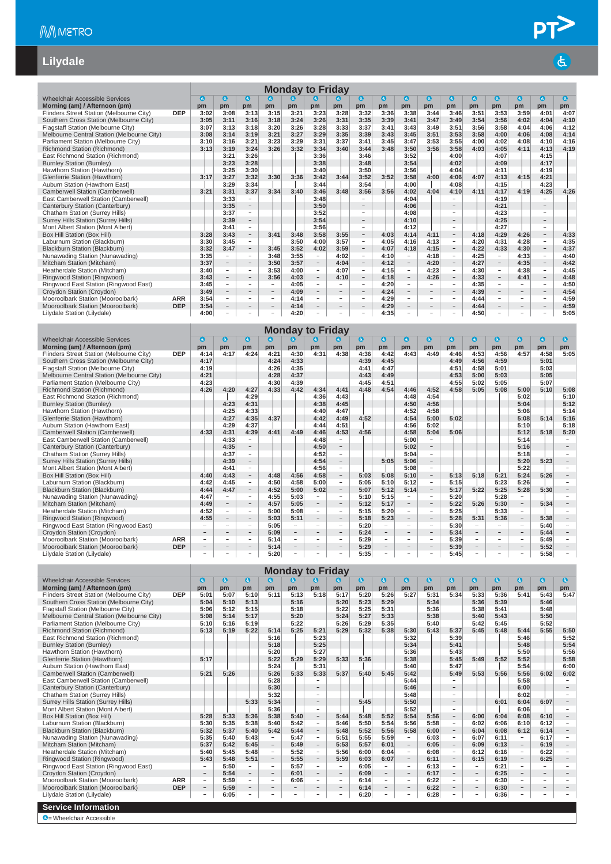$\overline{d}$ 

#### **Lilydale**

|                                            |            |                                                                                                                                                                      |                          |                          |                          |                              | <b>Monday to Friday</b>  |                          |                          |           |                          |                          |                          |           |                          |                          |                          |           |
|--------------------------------------------|------------|----------------------------------------------------------------------------------------------------------------------------------------------------------------------|--------------------------|--------------------------|--------------------------|------------------------------|--------------------------|--------------------------|--------------------------|-----------|--------------------------|--------------------------|--------------------------|-----------|--------------------------|--------------------------|--------------------------|-----------|
|                                            |            |                                                                                                                                                                      |                          |                          |                          |                              | Q                        |                          |                          |           |                          |                          |                          |           |                          |                          |                          |           |
| Wheelchair Accessible Services             |            | G                                                                                                                                                                    | $\bullet$                | $\bullet$                | $\bullet$                | <b>a</b>                     |                          | G)                       | $\bullet$                | $\bullet$ | $\bullet$                | $\mathbf{G}$             | $\bullet$                | $\bullet$ | $\bullet$                | Θ                        | $\bullet$                | $\bullet$ |
| Morning (am) / Afternoon (pm)              | <b>DEP</b> | pm                                                                                                                                                                   | pm                       | pm                       | pm                       | pm                           | pm                       | pm                       | pm                       | pm        | pm                       | pm                       | pm                       | pm        | pm                       | pm                       | pm                       | pm        |
| Flinders Street Station (Melbourne City)   |            | 3:02                                                                                                                                                                 | 3:08                     | 3:13                     | 3:15                     | 3:21                         | 3:23                     | 3:28                     | 3:32                     | 3:36      | 3:38                     | 3:44                     | 3:46                     | 3:51      | 3:53                     | 3:59                     | 4:01                     | 4:07      |
| Southern Cross Station (Melbourne City)    |            | 3:05                                                                                                                                                                 | 3:11                     | 3:16                     | 3:18                     | 3:24                         | 3:26                     | 3:31                     | 3:35                     | 3:39      | 3:41                     | 3:47                     | 3:49                     | 3:54      | 3:56                     | 4:02                     | 4:04                     | 4:10      |
| Flagstaff Station (Melbourne City)         |            | 3:07                                                                                                                                                                 | 3:13                     | 3:18                     | 3:20                     | 3:26                         | 3:28                     | 3:33                     | 3:37                     | 3:41      | 3:43                     | 3:49                     | 3:51                     | 3:56      | 3:58                     | 4:04                     | 4:06                     | 4:12      |
| Melbourne Central Station (Melbourne City) |            | 3:08                                                                                                                                                                 | 3:14                     | 3:19                     | 3:21                     | 3:27                         | 3:29                     | 3:35                     | 3:39                     | 3:43      | 3:45                     | 3:51                     | 3:53                     | 3:58      | 4:00                     | 4:06                     | 4:08                     | 4:14      |
| Parliament Station (Melbourne City)        |            | 3:10                                                                                                                                                                 | 3:16                     | 3:21                     | 3:23                     | 3:29                         | 3:31                     | 3:37                     | 3:41                     | 3:45      | 3:47                     | 3:53                     | 3:55                     | 4:00      | 4:02                     | 4:08                     | 4:10                     | 4:16      |
| Richmond Station (Richmond)                |            | 3:13                                                                                                                                                                 | 3:19                     | 3:24                     | 3:26                     | 3:32                         | 3:34                     | 3:40                     | 3:44                     | 3:48      | 3:50                     | 3:56                     | 3:58                     | 4:03      | 4:05                     | 4:11                     | 4:13                     | 4:19      |
| East Richmond Station (Richmond)           |            | 3:52<br>3:26<br>3:36<br>4:00<br>4:07<br>3:21<br>3:46<br>3:28<br>3:54<br>3:38<br>3:48<br>4:02<br>3:23<br>4:09<br>3:56<br>3:25<br>3:30<br>3:40<br>3:50<br>4:04<br>4:11 |                          |                          |                          |                              |                          |                          |                          |           |                          |                          |                          |           |                          |                          | 4:15                     |           |
| <b>Burnley Station (Burnley)</b>           |            |                                                                                                                                                                      |                          |                          |                          |                              |                          |                          |                          |           |                          |                          |                          |           |                          |                          | 4:17                     |           |
| Hawthorn Station (Hawthorn)                |            | 3:52<br>3:58<br>3:32<br>3:30<br>3:42<br>4:06<br>4:13<br>3:17<br>3:27<br>3:36<br>3:44<br>3:52<br>4:00<br>4:07<br>4:15                                                 |                          |                          |                          |                              |                          |                          |                          |           |                          |                          |                          |           |                          |                          | 4:19                     |           |
| Glenferrie Station (Hawthorn)              |            |                                                                                                                                                                      |                          |                          |                          |                              |                          |                          |                          |           |                          |                          |                          |           |                          |                          | 4:21                     |           |
| Auburn Station (Hawthorn East)             |            |                                                                                                                                                                      | 3:29                     | 3:34                     |                          |                              | 3:44                     |                          | 3:54                     |           | 4:00                     |                          | 4:08                     |           | 4:15                     |                          | 4:23                     |           |
| Camberwell Station (Camberwell)            |            | 3:21                                                                                                                                                                 | 3:31                     | 3:37                     | 3:34                     | 3:40                         | 3:46                     | 3:48                     | 3:56                     | 3:56      | 4:02                     | 4:04                     | 4:10                     | 4:11      | 4:17                     | 4:19                     | 4:25                     | 4:26      |
| East Camberwell Station (Camberwell)       |            |                                                                                                                                                                      | 3:33                     | ÷                        |                          |                              | 3:48                     |                          | $\overline{\phantom{a}}$ |           | 4:04                     |                          |                          |           | 4:19                     |                          |                          |           |
| Canterbury Station (Canterbury)            |            |                                                                                                                                                                      | 3:35                     |                          |                          |                              | 3:50                     |                          |                          |           | 4:06                     |                          |                          |           | 4:21                     |                          |                          |           |
| Chatham Station (Surrey Hills)             |            |                                                                                                                                                                      | 3:37                     | ÷.                       |                          |                              | 3:52                     |                          | $\overline{\phantom{a}}$ |           | 4:08                     |                          |                          |           | 4:23                     |                          | $\overline{\phantom{a}}$ |           |
| Surrey Hills Station (Surrey Hills)        |            |                                                                                                                                                                      | 3:39                     | $\overline{\phantom{0}}$ |                          |                              | 3:54                     |                          | $\overline{\phantom{a}}$ |           | 4:10                     |                          |                          |           | 4:25                     |                          | $\overline{\phantom{a}}$ |           |
| Mont Albert Station (Mont Albert)          |            |                                                                                                                                                                      | 3:41                     | $\overline{\phantom{0}}$ |                          |                              | 3:56                     |                          | $\overline{\phantom{a}}$ |           | 4:12                     |                          | $\overline{\phantom{0}}$ |           | 4:27                     |                          | $\overline{\phantom{a}}$ |           |
| Box Hill Station (Box Hill)                |            | 3:28                                                                                                                                                                 | 3:43                     | $\overline{\phantom{0}}$ | 3:41                     | 3:48                         | 3:58                     | 3:55                     | $\overline{\phantom{a}}$ | 4:03      | 4:14                     | 4:11                     | $\overline{\phantom{a}}$ | 4:18      | 4:29                     | 4:26                     | $\overline{\phantom{a}}$ | 4:33      |
| Laburnum Station (Blackburn)               |            | 3:30                                                                                                                                                                 | 3:45                     | $\overline{\phantom{a}}$ |                          | 3:50                         | 4:00                     | 3:57                     | $\overline{\phantom{a}}$ | 4:05      | 4:16                     | 4:13                     | $\overline{\phantom{a}}$ | 4:20      | 4:31                     | 4:28                     | $\overline{\phantom{a}}$ | 4:35      |
| Blackburn Station (Blackburn)              |            | 3:32                                                                                                                                                                 | 3:47                     | $-$                      | 3:45                     | 3:52                         | 4:02                     | 3:59                     | $\overline{\phantom{a}}$ | 4:07      | 4:18                     | 4:15                     | $\overline{\phantom{0}}$ | 4:22      | 4:33                     | 4:30                     | $\overline{\phantom{a}}$ | 4:37      |
| Nunawading Station (Nunawading)            |            | 3:35                                                                                                                                                                 | $\overline{\phantom{a}}$ | $\overline{\phantom{a}}$ | 3:48                     | 3:55                         | $\overline{\phantom{a}}$ | 4:02                     | $\overline{\phantom{a}}$ | 4:10      | $\sim$                   | 4:18                     | $\overline{\phantom{a}}$ | 4:25      | $\overline{\phantom{a}}$ | 4:33                     | $\sim$                   | 4:40      |
| Mitcham Station (Mitcham)                  |            | 3:37                                                                                                                                                                 | $\overline{\phantom{a}}$ | $-$                      | 3:50                     | 3:57                         | $\overline{\phantom{0}}$ | 4:04                     | $\overline{\phantom{a}}$ | 4:12      | $\overline{\phantom{a}}$ | 4:20                     | $\qquad \qquad -$        | 4:27      | $\overline{\phantom{a}}$ | 4:35                     | $\overline{\phantom{a}}$ | 4:42      |
| Heatherdale Station (Mitcham)              |            | 3:40                                                                                                                                                                 | $\sim$                   | Ξ.                       | 3:53                     | 4:00                         | -                        | 4:07                     | $\sim$                   | 4:15      | $\sim$                   | 4:23                     | $\sim$                   | 4:30      | $\sim$                   | 4:38                     | $\overline{\phantom{a}}$ | 4:45      |
| Ringwood Station (Ringwood)                |            | 3:43                                                                                                                                                                 | $\overline{\phantom{a}}$ | $-$                      | 3:56                     | 4:03                         | $\overline{\phantom{0}}$ | 4:10                     | $\overline{\phantom{a}}$ | 4:18      | $\overline{\phantom{a}}$ | 4:26                     | $\overline{\phantom{m}}$ | 4:33      | $\overline{\phantom{a}}$ | 4:41                     | $\overline{\phantom{a}}$ | 4:48      |
| Ringwood East Station (Ringwood East)      |            | 3:45                                                                                                                                                                 | $\overline{\phantom{a}}$ | $\overline{\phantom{a}}$ | $\overline{\phantom{a}}$ | 4:05                         | $\overline{\phantom{0}}$ | a.                       | $\sim$                   | 4:20      | $\overline{\phantom{a}}$ | $\overline{\phantom{a}}$ | $\overline{\phantom{0}}$ | 4:35      | $\overline{\phantom{a}}$ | $\sim$                   | $\sim$                   | 4:50      |
| Croydon Station (Croydon)                  |            | 3:49                                                                                                                                                                 | $\overline{\phantom{a}}$ | $-$                      | $\overline{\phantom{a}}$ | 4:09                         | $\overline{\phantom{0}}$ | $-$                      | $\overline{\phantom{a}}$ | 4:24      | $\overline{\phantom{a}}$ | $\overline{\phantom{a}}$ | $\overline{\phantom{0}}$ | 4:39      | $\overline{\phantom{a}}$ | $\overline{\phantom{0}}$ | $\overline{\phantom{a}}$ | 4:54      |
| Mooroolbark Station (Mooroolbark)          | <b>ARR</b> | 3:54                                                                                                                                                                 | $\overline{\phantom{a}}$ | $\overline{\phantom{0}}$ | $\sim$                   | 4:14                         | $\overline{\phantom{0}}$ | $\overline{\phantom{a}}$ | $\overline{\phantom{a}}$ | 4:29      | $\sim$                   | $\overline{\phantom{a}}$ | $\overline{\phantom{a}}$ | 4:44      | $\overline{a}$           | $\overline{\phantom{a}}$ | $\sim$                   | 4:59      |
| Mooroolbark Station (Mooroolbark)          | <b>DEP</b> | 3:54                                                                                                                                                                 | $\overline{\phantom{a}}$ | $\overline{\phantom{0}}$ | $\overline{\phantom{a}}$ | 4:14                         |                          | $\overline{\phantom{0}}$ | $\overline{\phantom{a}}$ | 4:29      | $\sim$                   | $\overline{\phantom{a}}$ | $\overline{\phantom{a}}$ | 4:44      | $\overline{\phantom{a}}$ | $\overline{\phantom{a}}$ | $\overline{\phantom{a}}$ | 4:59      |
| Lilvdale Station (Lilvdale)                |            | 4:00                                                                                                                                                                 | $\overline{\phantom{a}}$ |                          | $\equiv$                 | 4:20                         |                          | $\equiv$                 | ÷                        | 4:35      | $\overline{a}$           | ۰                        | $\overline{\phantom{m}}$ | 4:50      | $\overline{\phantom{m}}$ | $\overline{\phantom{0}}$ | $\overline{\phantom{a}}$ | 5:05      |
|                                            |            |                                                                                                                                                                      |                          |                          |                          | <b>Billian Andrew Artist</b> | アーバー けいし                 |                          |                          |           |                          |                          |                          |           |                          |                          |                          |           |

|                                            |            |            |                          |                          |      | <b>Monday to Friday</b>  |      |                          |           |                          |                          |                          |      |                          |                          |                          |      |           |
|--------------------------------------------|------------|------------|--------------------------|--------------------------|------|--------------------------|------|--------------------------|-----------|--------------------------|--------------------------|--------------------------|------|--------------------------|--------------------------|--------------------------|------|-----------|
| Wheelchair Accessible Services             |            | $\epsilon$ | $\bullet$                | G)                       | G)   | G)                       | G.   | l G                      | $\bullet$ | $\mathbf{d}$             | $\mathbf{G}$             | $\mathbf{G}$             | Œ    | $\bullet$                | $\bullet$                | $\bullet$                | O    | $\bullet$ |
| Morning (am) / Afternoon (pm)              |            | pm         | pm                       | pm                       | pm   | pm                       | pm   | pm                       | pm        | pm                       | pm                       | pm                       | pm   | pm                       | pm                       | pm                       | pm   | pm        |
| Flinders Street Station (Melbourne City)   | <b>DEP</b> | 4:14       | 4:17                     | 4:24                     | 4:21 | 4:30                     | 4:31 | 4:38                     | 4:36      | 4:42                     | 4:43                     | 4:49                     | 4:46 | 4:53                     | 4:56                     | 4:57                     | 4:58 | 5:05      |
| Southern Cross Station (Melbourne City)    |            | 4:17       |                          |                          | 4:24 | 4:33                     |      |                          | 4:39      | 4:45                     |                          |                          | 4:49 | 4:56                     | 4:59                     |                          | 5:01 |           |
| Flagstaff Station (Melbourne City)         |            | 4:19       |                          |                          | 4:26 | 4:35                     |      |                          | 4:41      | 4:47                     |                          |                          | 4:51 | 4:58                     | 5:01                     |                          | 5:03 |           |
| Melbourne Central Station (Melbourne City) |            | 4:21       |                          |                          | 4:28 | 4:37                     |      |                          | 4:43      | 4:49                     |                          |                          | 4:53 | 5:00                     | 5:03                     |                          | 5:05 |           |
| Parliament Station (Melbourne City)        |            | 4:23       |                          |                          | 4:30 | 4:39                     |      |                          | 4:45      | 4:51                     |                          |                          | 4:55 | 5:02                     | 5:05                     |                          | 5:07 |           |
| Richmond Station (Richmond)                |            | 4:26       | 4:20                     | 4:27                     | 4:33 | 4:42                     | 4:34 | 4:41                     | 4:48      | 4:54                     | 4:46                     | 4:52                     | 4:58 | 5:05                     | 5:08                     | 5:00                     | 5:10 | 5:08      |
| East Richmond Station (Richmond)           |            |            |                          | 4:29                     |      |                          | 4:36 | 4:43                     |           |                          | 4:48                     | 4:54                     |      |                          |                          | 5:02                     |      | 5:10      |
| <b>Burnley Station (Burnley)</b>           |            |            | 4:23                     | 4:31                     |      |                          | 4:38 | 4:45                     |           |                          | 4:50                     | 4:56                     |      |                          |                          | 5:04                     |      | 5:12      |
| Hawthorn Station (Hawthorn)                |            |            | 4:25                     | 4:33                     |      |                          | 4:40 | 4:47                     |           |                          | 4:52                     | 4:58                     |      |                          |                          | 5:06                     |      | 5:14      |
| Glenferrie Station (Hawthorn)              |            |            | 4:27                     | 4:35                     | 4:37 |                          | 4:42 | 4:49                     | 4:52      |                          | 4:54                     | 5:00                     | 5:02 |                          |                          | 5:08                     | 5:14 | 5:16      |
| Auburn Station (Hawthorn East)             |            |            | 4:29                     | 4:37                     |      |                          | 4:44 | 4:51                     |           |                          | 4:56                     | 5:02                     |      |                          |                          | 5:10                     |      | 5:18      |
| Camberwell Station (Camberwell)            |            | 4:33       | 4:31                     | 4:39                     | 4:41 | 4:49                     | 4:46 | 4:53                     | 4:56      |                          | 4:58                     | 5:04                     | 5:06 |                          |                          | 5:12                     | 5:18 | 5:20      |
| East Camberwell Station (Camberwell)       |            |            | 4:33                     | $\overline{\phantom{a}}$ |      |                          | 4:48 | ÷                        |           |                          | 5:00                     |                          |      |                          |                          | 5:14                     |      |           |
| Canterbury Station (Canterbury)            |            |            | 4:35                     |                          |      |                          | 4:50 | $\overline{\phantom{0}}$ |           |                          | 5:02                     |                          |      |                          |                          | 5:16                     |      |           |
| Chatham Station (Surrey Hills)             |            |            | 4:37                     | $\equiv$                 |      |                          | 4:52 | ÷.                       |           |                          | 5:04                     |                          |      |                          |                          | 5:18                     |      |           |
| Surrey Hills Station (Surrey Hills)        |            |            | 4:39                     | Ξ.                       |      |                          | 4:54 | $\overline{\phantom{a}}$ |           | 5:05                     | 5:06                     | $\overline{\phantom{a}}$ |      |                          |                          | 5:20                     | 5:23 |           |
| Mont Albert Station (Mont Albert)          |            |            | 4:41                     | $\overline{\phantom{a}}$ |      |                          | 4:56 | $\overline{\phantom{a}}$ |           |                          | 5:08                     | $\overline{\phantom{a}}$ |      |                          |                          | 5:22                     |      |           |
| Box Hill Station (Box Hill)                |            | 4:40       | 4:43                     | $\overline{\phantom{a}}$ | 4:48 | 4:56                     | 4:58 | $\overline{\phantom{a}}$ | 5:03      | 5:08                     | 5:10                     | $\overline{\phantom{a}}$ | 5:13 | 5:18                     | 5:21                     | 5:24                     | 5:26 |           |
| Laburnum Station (Blackburn)               |            | 4:42       | 4:45                     | $\sim$                   | 4:50 | 4:58                     | 5:00 | $\overline{\phantom{a}}$ | 5:05      | 5:10                     | 5:12                     | $\overline{\phantom{a}}$ | 5:15 |                          | 5:23                     | 5:26                     |      |           |
| Blackburn Station (Blackburn)              |            | 4:44       | 4:47                     | $\qquad \qquad -$        | 4:52 | 5:00                     | 5:02 | $\overline{\phantom{a}}$ | 5:07      | 5:12                     | 5:14                     | $\overline{\phantom{m}}$ | 5:17 | 5:22                     | 5:25                     | 5:28                     | 5:30 |           |
| Nunawading Station (Nunawading)            |            | 4:47       | $\sim$                   | $\overline{\phantom{a}}$ | 4:55 | 5:03                     |      | $\sim$                   | 5:10      | 5:15                     | -                        | $\sim$                   | 5:20 |                          | 5:28                     |                          |      |           |
| Mitcham Station (Mitcham)                  |            | 4:49       | $\overline{\phantom{a}}$ | $\qquad \qquad -$        | 4:57 | 5:05                     |      | $\qquad \qquad -$        | 5:12      | 5:17                     | $\qquad \qquad -$        | $\qquad \qquad -$        | 5:22 | 5:26                     | 5:30                     | $\overline{\phantom{m}}$ | 5:34 |           |
| Heatherdale Station (Mitcham)              |            | 4:52       | $\equiv$                 | $\overline{\phantom{a}}$ | 5:00 | 5:08                     |      | $\overline{\phantom{a}}$ | 5:15      | 5:20                     | $\overline{\phantom{a}}$ | $\overline{\phantom{a}}$ | 5:25 |                          | 5:33                     | $\overline{\phantom{a}}$ |      |           |
| Ringwood Station (Ringwood)                |            | 4:55       | $\overline{\phantom{a}}$ | $\overline{\phantom{a}}$ | 5:03 | 5:11                     |      | $\overline{\phantom{a}}$ | 5:18      | 5:23                     | $\overline{\phantom{a}}$ | $\overline{\phantom{a}}$ | 5:28 | 5:31                     | 5:36                     | $\overline{\phantom{a}}$ | 5:38 |           |
| Ringwood East Station (Ringwood East)      |            |            | $\equiv$                 | $\overline{\phantom{a}}$ | 5:05 | $\overline{\phantom{a}}$ |      | $\overline{\phantom{a}}$ | 5:20      | $\overline{\phantom{a}}$ | $\overline{\phantom{0}}$ | $\overline{\phantom{a}}$ | 5:30 | $\overline{a}$           | $\overline{\phantom{a}}$ | $\overline{\phantom{a}}$ | 5:40 |           |
| Croydon Station (Croydon)                  |            | $-$        | $\qquad \qquad -$        | $\qquad \qquad -$        | 5:09 | $\overline{\phantom{a}}$ |      | $\overline{\phantom{a}}$ | 5:24      | $\overline{\phantom{0}}$ | $\qquad \qquad -$        | $\overline{\phantom{a}}$ | 5:34 | $\overline{\phantom{0}}$ | $\overline{\phantom{a}}$ | $\overline{\phantom{m}}$ | 5:44 |           |
| Mooroolbark Station (Mooroolbark)          | <b>ARR</b> | ÷          | ۰                        | $\overline{\phantom{a}}$ | 5:14 | $\overline{\phantom{a}}$ |      | $\overline{\phantom{a}}$ | 5:29      | $\overline{\phantom{a}}$ | ÷                        | $\overline{\phantom{a}}$ | 5:39 | ÷.                       | $\overline{\phantom{a}}$ | $\overline{\phantom{a}}$ | 5:49 |           |
| Mooroolbark Station (Mooroolbark)          | <b>DEP</b> |            | $\overline{\phantom{a}}$ |                          | 5:14 |                          |      | $\overline{\phantom{a}}$ | 5:29      | $\overline{\phantom{a}}$ | $\overline{\phantom{a}}$ | $\qquad \qquad =$        | 5:39 |                          | $\overline{\phantom{a}}$ |                          | 5:52 |           |
| Lilydale Station (Lilydale)                |            |            |                          |                          | 5:20 |                          |      | ۰                        | 5:35      | $\overline{\phantom{a}}$ | $\overline{\phantom{0}}$ | $\overline{\phantom{a}}$ | 5:45 |                          | $\sim$                   |                          | 5:58 |           |

|                                            |            |                          |              |                          |                          | <b>Monday to Friday</b> |                          |                          |           |                          |                          |           |                          |                          |      |                          |                          |                          |
|--------------------------------------------|------------|--------------------------|--------------|--------------------------|--------------------------|-------------------------|--------------------------|--------------------------|-----------|--------------------------|--------------------------|-----------|--------------------------|--------------------------|------|--------------------------|--------------------------|--------------------------|
| <b>Wheelchair Accessible Services</b>      |            | a                        | $\mathbf{G}$ | $\bullet$                | $\mathbf{a}$             | G.                      | a                        | <b>G)</b>                | $\bullet$ | $\bullet$                | $\mathbf{G}$             | $\bullet$ | $\bullet$                | $\bullet$                | ◎    | $\bullet$                | $\bullet$                | $\epsilon$               |
| Morning (am) / Afternoon (pm)              |            | pm                       | pm           | pm                       | pm                       | pm                      | pm                       | pm                       | pm        | pm                       | pm                       | pm        | pm                       | pm                       | pm   | pm                       | pm                       | pm                       |
| Flinders Street Station (Melbourne City)   | <b>DEP</b> | 5:01                     | 5:07         | 5:10                     | 5:11                     | 5:13                    | 5:18                     | 5:17                     | 5:20      | 5:26                     | 5:27                     | 5:31      | 5:34                     | 5:33                     | 5:36 | 5:41                     | 5:43                     | 5:47                     |
| Southern Cross Station (Melbourne City)    |            | 5:04                     | 5:10         | 5:13                     |                          | 5:16                    |                          | 5:20                     | 5:23      | 5:29                     |                          | 5:34      |                          | 5:36                     | 5:39 |                          | 5:46                     |                          |
| Flagstaff Station (Melbourne City)         |            | 5:06                     | 5:12         | 5:15                     |                          | 5:18                    |                          | 5:22                     | 5:25      | 5:31                     |                          | 5:36      |                          | 5:38                     | 5:41 |                          | 5:48                     |                          |
| Melbourne Central Station (Melbourne City) |            | 5:08                     | 5:14         | 5:17                     |                          | 5:20                    |                          | 5:24                     | 5:27      | 5:33                     |                          | 5:38      |                          | 5:40                     | 5:43 |                          | 5:50                     |                          |
| Parliament Station (Melbourne City)        |            | 5:10                     | 5:16         | 5:19                     |                          | 5:22                    |                          | 5:26                     | 5:29      | 5:35                     |                          | 5:40      |                          | 5:42                     | 5:45 |                          | 5:52                     |                          |
| Richmond Station (Richmond)                |            | 5:13                     | 5:19         | 5:22                     | 5:14                     | 5:25                    | 5:21                     | 5:29                     | 5:32      | 5:38                     | 5:30                     | 5:43      | 5:37                     | 5:45                     | 5:48 | 5:44                     | 5:55                     | 5:50                     |
| East Richmond Station (Richmond)           |            |                          |              |                          | 5:16                     |                         | 5:23                     |                          |           |                          | 5:32                     |           | 5:39                     |                          |      | 5:46                     |                          | 5:52                     |
| <b>Burnley Station (Burnley)</b>           |            |                          |              |                          | 5:18                     |                         | 5:25                     |                          |           |                          | 5:34                     |           | 5:41                     |                          |      | 5:48                     |                          | 5:54                     |
| Hawthorn Station (Hawthorn)                |            |                          |              |                          | 5:20                     |                         | 5:27                     |                          |           |                          | 5:36                     |           | 5:43                     |                          |      | 5:50                     |                          | 5:56                     |
| Glenferrie Station (Hawthorn)              |            | 5:17                     |              |                          | 5:22                     | 5:29                    | 5:29                     | 5:33                     | 5:36      |                          | 5:38                     |           | 5:45                     | 5:49                     | 5:52 | 5:52                     |                          | 5:58                     |
| Auburn Station (Hawthorn East)             |            |                          |              |                          | 5:24                     |                         | 5:31                     |                          |           |                          | 5:40                     |           | 5:47                     |                          |      | 5:54                     |                          | 6:00                     |
| Camberwell Station (Camberwell)            |            | 5:21                     | 5:26         |                          | 5:26                     | 5:33                    | 5:33                     | 5:37                     | 5:40      | 5:45                     | 5:42                     |           | 5:49                     | 5:53                     | 5:56 | 5:56                     | 6:02                     | 6:02                     |
| East Camberwell Station (Camberwell)       |            |                          |              |                          | 5:28                     |                         |                          |                          |           |                          | 5:44                     |           |                          |                          |      | 5:58                     |                          |                          |
| Canterbury Station (Canterbury)            |            |                          |              |                          | 5:30                     |                         |                          |                          |           |                          | 5:46                     |           |                          |                          |      | 6:00                     |                          |                          |
| Chatham Station (Surrey Hills)             |            |                          |              |                          | 5:32                     |                         | ٠                        |                          |           |                          | 5:48                     |           |                          |                          |      | 6:02                     |                          |                          |
| <b>Surrey Hills Station (Surrey Hills)</b> |            |                          |              | 5:33                     | 5:34                     |                         | $\overline{\phantom{a}}$ |                          | 5:45      |                          | 5:50                     |           |                          |                          | 6:01 | 6:04                     | 6:07                     |                          |
| Mont Albert Station (Mont Albert)          |            |                          |              |                          | 5:36                     |                         | ÷.                       |                          |           |                          | 5:52                     |           | ۰                        |                          |      | 6:06                     |                          |                          |
| Box Hill Station (Box Hill)                |            | 5:28                     | 5:33         | 5:36                     | 5:38                     | 5:40                    | $-$                      | 5:44                     | 5:48      | 5:52                     | 5:54                     | 5:56      | $\overline{\phantom{m}}$ | 6:00                     | 6:04 | 6:08                     | 6:10                     |                          |
| Laburnum Station (Blackburn)               |            | 5:30                     | 5:35         | 5:38                     | 5:40                     | 5:42                    | $\sim$                   | 5:46                     | 5:50      | 5:54                     | 5:56                     | 5:58      | $\sim$                   | 6:02                     | 6:06 | 6:10                     | 6:12                     |                          |
| Blackburn Station (Blackburn)              |            | 5:32                     | 5:37         | 5:40                     | 5:42                     | 5:44                    | $\overline{\phantom{a}}$ | 5:48                     | 5:52      | 5:56                     | 5:58                     | 6:00      | $\qquad \qquad -$        | 6:04                     | 6:08 | 6:12                     | 6:14                     |                          |
| Nunawading Station (Nunawading)            |            | 5:35                     | 5:40         | 5:43                     | $\overline{\phantom{a}}$ | 5:47                    | $\overline{\phantom{a}}$ | 5:51                     | 5:55      | 5:59                     | $\sim$                   | 6:03      | $\sim$                   | 6:07                     | 6:11 | $\overline{\phantom{a}}$ | 6:17                     | $\overline{\phantom{a}}$ |
| Mitcham Station (Mitcham)                  |            | 5:37                     | 5:42         | 5:45                     | $\overline{\phantom{a}}$ | 5:49                    | $\overline{\phantom{a}}$ | 5:53                     | 5:57      | 6:01                     | $\overline{\phantom{a}}$ | 6:05      | $\overline{\phantom{a}}$ | 6:09                     | 6:13 | $\overline{\phantom{a}}$ | 6:19                     |                          |
| Heatherdale Station (Mitcham)              |            | 5:40                     | 5:45         | 5:48                     | $\overline{\phantom{a}}$ | 5:52                    | $\overline{\phantom{a}}$ | 5:56                     | 6:00      | 6:04                     | $\overline{\phantom{a}}$ | 6:08      | $\sim$                   | 6:12                     | 6:16 | $\overline{\phantom{a}}$ | 6:22                     |                          |
| Ringwood Station (Ringwood)                |            | 5:43                     | 5:48         | 5:51                     | $\overline{\phantom{a}}$ | 5:55                    | $\overline{\phantom{a}}$ | 5:59                     | 6:03      | 6:07                     | $\overline{\phantom{a}}$ | 6:11      | $\qquad \qquad -$        | 6:15                     | 6:19 | $\overline{\phantom{a}}$ | 6:25                     |                          |
| Ringwood East Station (Ringwood East)      |            | $\overline{\phantom{a}}$ | 5:50         | $\sim$                   | $\overline{\phantom{m}}$ | 5:57                    | $\sim$                   | $\overline{\phantom{a}}$ | 6:05      | $\sim$                   | $\overline{\phantom{a}}$ | 6:13      | $\equiv$                 | $\overline{\phantom{m}}$ | 6:21 | $\overline{\phantom{0}}$ |                          |                          |
| Croydon Station (Croydon)                  |            | $\overline{\phantom{a}}$ | 5:54         | $ \,$                    | $\overline{\phantom{a}}$ | 6:01                    | $\overline{\phantom{a}}$ | $\overline{\phantom{a}}$ | 6:09      | $\overline{\phantom{a}}$ | $\qquad \qquad -$        | 6:17      | $\qquad \qquad -$        | $\overline{\phantom{a}}$ | 6:25 | $\overline{\phantom{a}}$ | $\qquad \qquad$          |                          |
| Mooroolbark Station (Mooroolbark)          | <b>ARR</b> | $\overline{\phantom{a}}$ | 5:59         | $\sim$                   | $\overline{a}$           | 6:06                    | $\sim$                   | $\equiv$                 | 6:14      | $\sim$                   | $\equiv$                 | 6:22      | $\sim$                   | $\overline{\phantom{m}}$ | 6:30 | $\sim$                   | $\overline{\phantom{a}}$ |                          |
| Mooroolbark Station (Mooroolbark)          | <b>DEP</b> | $\overline{\phantom{a}}$ | 5:59         | $\overline{\phantom{a}}$ | $\qquad \qquad -$        | $\qquad \qquad$         | $\overline{\phantom{a}}$ | $\overline{\phantom{a}}$ | 6:14      | $\overline{\phantom{a}}$ | $\overline{\phantom{a}}$ | 6:22      | $\sim$                   | $\overline{\phantom{a}}$ | 6:30 | $\overline{\phantom{a}}$ | $\qquad \qquad$          |                          |
| Lilvdale Station (Lilvdale)                |            | $\overline{\phantom{a}}$ | 6:05         | $\overline{\phantom{0}}$ | ٠                        | $\qquad \qquad =$       |                          | $\overline{\phantom{a}}$ | 6:20      | $\overline{\phantom{a}}$ | $\overline{\phantom{a}}$ | 6:28      |                          | ٠                        | 6:36 | -                        | $\overline{\phantom{a}}$ |                          |
| <b>Service Information</b>                 |            |                          |              |                          |                          |                         |                          |                          |           |                          |                          |           |                          |                          |      |                          |                          |                          |
| <b>G</b> = Wheelchair Accessible           |            |                          |              |                          |                          |                         |                          |                          |           |                          |                          |           |                          |                          |      |                          |                          |                          |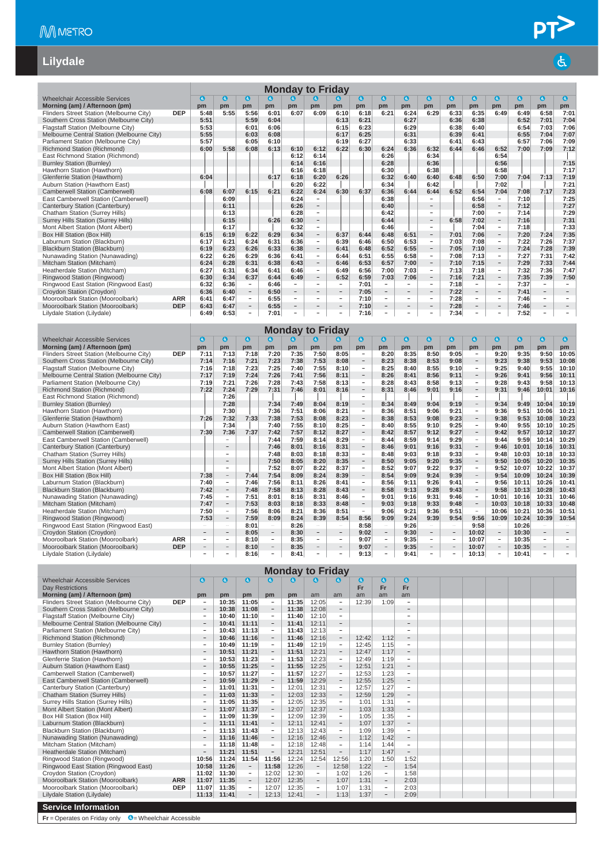# PT<sup>></sup>

 $\mathbf{d}$ 

#### **Lilydale**

|                                            |            |           |                                |                          |           | <b>Monday to Friday</b>  |                          |                          |           |                          |                          |                          |           |                          |                          |           |                          |                          |
|--------------------------------------------|------------|-----------|--------------------------------|--------------------------|-----------|--------------------------|--------------------------|--------------------------|-----------|--------------------------|--------------------------|--------------------------|-----------|--------------------------|--------------------------|-----------|--------------------------|--------------------------|
| <b>Wheelchair Accessible Services</b>      |            | $\bullet$ | $\left( \mathbf{d}_{i}\right)$ | $\mathbf{G}$             | $\bullet$ | a)                       | $\bullet$                | $\bullet$                | $\bullet$ | $\bullet$                | $\mathbf{G}$             | $\bullet$                | $\bullet$ | $\bullet$                | $\bullet$                | $\bullet$ | 0                        | $\bullet$                |
| Morning (am) / Afternoon (pm)              |            | pm        | pm                             | pm                       | pm        | pm                       | pm                       | pm                       | pm        | pm                       | pm                       | pm                       | pm        | pm                       | pm                       | pm        | pm                       | pm                       |
| Flinders Street Station (Melbourne City)   | <b>DEP</b> | 5:48      | 5:55                           | 5:56                     | 6:01      | 6:07                     | 6:09                     | 6:10                     | 6:18      | 6:21                     | 6:24                     | 6:29                     | 6:33      | 6:35                     | 6:49                     | 6:49      | 6:58                     | 7:01                     |
| Southern Cross Station (Melbourne City)    |            | 5:51      |                                | 5:59                     | 6:04      |                          |                          | 6:13                     | 6:21      |                          | 6:27                     |                          | 6:36      | 6:38                     |                          | 6:52      | 7:01                     | 7:04                     |
| Flagstaff Station (Melbourne City)         |            | 5:53      |                                | 6:01                     | 6:06      |                          |                          | 6:15                     | 6:23      |                          | 6:29                     |                          | 6:38      | 6:40                     |                          | 6:54      | 7:03                     | 7:06                     |
| Melbourne Central Station (Melbourne City) |            | 5:55      |                                | 6:03                     | 6:08      |                          |                          | 6:17                     | 6:25      |                          | 6:31                     |                          | 6:39      | 6:41                     |                          | 6:55      | 7:04                     | 7:07                     |
| Parliament Station (Melbourne City)        |            | 5:57      |                                | 6:05                     | 6:10      |                          |                          | 6:19                     | 6:27      |                          | 6:33                     |                          | 6:41      | 6:43                     |                          | 6:57      | 7:06                     | 7:09                     |
| Richmond Station (Richmond)                |            | 6:00      | 5:58                           | 6:08                     | 6:13      | 6:10                     | 6:12                     | 6:22                     | 6:30      | 6:24                     | 6:36                     | 6:32                     | 6:44      | 6:46                     | 6:52                     | 7:00      | 7:09                     | 7:12                     |
| East Richmond Station (Richmond)           |            |           |                                |                          |           | 6:12                     | 6:14                     |                          |           | 6:26                     |                          | 6:34                     |           |                          | 6:54                     |           |                          |                          |
| <b>Burnley Station (Burnley)</b>           |            |           |                                |                          |           | 6:14                     | 6:16                     |                          |           | 6:28                     |                          | 6:36                     |           |                          | 6:56                     |           |                          | 7:15                     |
| Hawthorn Station (Hawthorn)                |            |           |                                |                          |           | 6:16                     | 6:18                     |                          |           | 6:30                     |                          | 6:38                     |           |                          | 6:58                     |           |                          | 7:17                     |
| Glenferrie Station (Hawthorn)              |            | 6:04      |                                |                          | 6:17      | 6:18                     | 6:20                     | 6:26                     |           | 6:32                     | 6:40                     | 6:40                     | 6:48      | 6:50                     | 7:00                     | 7:04      | 7:13                     | 7:19                     |
| Auburn Station (Hawthorn East)             |            |           |                                |                          |           | 6:20                     | 6:22                     |                          |           | 6:34                     |                          | 6:42                     |           |                          | 7:02                     |           |                          | 7:21                     |
| Camberwell Station (Camberwell)            |            | 6:08      | 6:07                           | 6:15                     | 6:21      | 6:22                     | 6:24                     | 6:30                     | 6:37      | 6:36                     | 6:44                     | 6:44                     | 6:52      | 6:54                     | 7:04                     | 7:08      | 7:17                     | 7:23                     |
| East Camberwell Station (Camberwell)       |            |           | 6:09                           |                          |           | 6:24                     | $\overline{\phantom{a}}$ |                          |           | 6:38                     |                          | $\equiv$                 |           | 6:56                     | $\sim$                   | 7:10      |                          | 7:25                     |
| Canterbury Station (Canterbury)            |            |           | 6:11                           |                          |           | 6:26                     |                          |                          |           | 6:40                     |                          | $\qquad \qquad -$        |           | 6:58                     | $\overline{\phantom{a}}$ | 7:12      |                          | 7:27                     |
| Chatham Station (Surrey Hills)             |            |           | 6:13                           |                          |           | 6:28                     | $\overline{\phantom{a}}$ |                          |           | 6:42                     |                          | $\overline{\phantom{a}}$ |           | 7:00                     | $\overline{\phantom{a}}$ | 7:14      |                          | 7:29                     |
| <b>Surrey Hills Station (Surrey Hills)</b> |            |           | 6:15                           |                          | 6:26      | 6:30                     | $\overline{\phantom{a}}$ |                          |           | 6:44                     |                          | $\overline{\phantom{a}}$ | 6:58      | 7:02                     | $\overline{\phantom{a}}$ | 7:16      |                          | 7:31                     |
| Mont Albert Station (Mont Albert)          |            |           | 6:17                           |                          |           | 6:32                     | $\overline{\phantom{a}}$ |                          |           | 6:46                     |                          | ÷                        |           | 7:04                     | $\overline{\phantom{a}}$ | 7:18      |                          | 7:33                     |
| Box Hill Station (Box Hill)                |            | 6:15      | 6:19                           | 6:22                     | 6:29      | 6:34                     | $\overline{\phantom{a}}$ | 6:37                     | 6:44      | 6:48                     | 6:51                     | $\overline{\phantom{a}}$ | 7:01      | 7:06                     | $\overline{\phantom{0}}$ | 7:20      | 7:24                     | 7:35                     |
| Laburnum Station (Blackburn)               |            | 6:17      | 6:21                           | 6:24                     | 6:31      | 6:36                     | $\overline{\phantom{a}}$ | 6:39                     | 6:46      | 6:50                     | 6:53                     | $\overline{\phantom{a}}$ | 7:03      | 7:08                     | $\overline{\phantom{a}}$ | 7:22      | 7:26                     | 7:37                     |
| Blackburn Station (Blackburn)              |            | 6:19      | 6:23                           | 6:26                     | 6:33      | 6:38                     | $\overline{\phantom{a}}$ | 6:41                     | 6:48      | 6:52                     | 6:55                     | $\overline{\phantom{a}}$ | 7:05      | 7:10                     | $\overline{\phantom{a}}$ | 7:24      | 7:28                     | 7:39                     |
| Nunawading Station (Nunawading)            |            | 6:22      | 6:26                           | 6:29                     | 6:36      | 6:41                     | $\overline{\phantom{a}}$ | 6:44                     | 6:51      | 6:55                     | 6:58                     | $\overline{\phantom{a}}$ | 7:08      | 7:13                     | $\overline{\phantom{a}}$ | 7:27      | 7:31                     | 7:42                     |
| Mitcham Station (Mitcham)                  |            | 6:24      | 6:28                           | 6:31                     | 6:38      | 6:43                     | $\overline{\phantom{a}}$ | 6:46                     | 6:53      | 6:57                     | 7:00                     | $\overline{\phantom{a}}$ | 7:10      | 7:15                     | $\overline{\phantom{a}}$ | 7:29      | 7:33                     | 7:44                     |
| Heatherdale Station (Mitcham)              |            | 6:27      | 6:31                           | 6:34                     | 6:41      | 6:46                     | $\sim$                   | 6:49                     | 6:56      | 7:00                     | 7:03                     | $\overline{\phantom{a}}$ | 7:13      | 7:18                     | $\overline{\phantom{a}}$ | 7:32      | 7:36                     | 7:47                     |
| Ringwood Station (Ringwood)                |            | 6:30      | 6:34                           | 6:37                     | 6:44      | 6:49                     | $\overline{\phantom{a}}$ | 6:52                     | 6:59      | 7:03                     | 7:06                     | $\overline{\phantom{a}}$ | 7:16      | 7:21                     | $\qquad \qquad -$        | 7:35      | 7:39                     | 7:50                     |
| Ringwood East Station (Ringwood East)      |            | 6:32      | 6:36                           | $\overline{\phantom{a}}$ | 6:46      | $\overline{\phantom{a}}$ | $\overline{\phantom{a}}$ | $\overline{\phantom{a}}$ | 7:01      | $\sim$                   | $\overline{\phantom{a}}$ | $\overline{\phantom{a}}$ | 7:18      | $\overline{\phantom{a}}$ | $\sim$                   | 7:37      | $\overline{\phantom{a}}$ | $\sim$                   |
| Croydon Station (Croydon)                  |            | 6:36      | 6:40                           | $\overline{\phantom{a}}$ | 6:50      | $\overline{\phantom{a}}$ | $\qquad \qquad -$        | $\overline{\phantom{0}}$ | 7:05      | $\overline{\phantom{a}}$ | $-$                      | $\overline{\phantom{a}}$ | 7:22      | $\overline{\phantom{m}}$ | $\overline{\phantom{a}}$ | 7:41      | $\overline{\phantom{a}}$ | $\overline{\phantom{a}}$ |
| Mooroolbark Station (Mooroolbark)          | <b>ARR</b> | 6:41      | 6:47                           | $\overline{\phantom{a}}$ | 6:55      | $\overline{\phantom{0}}$ | $\overline{\phantom{a}}$ | $\overline{\phantom{a}}$ | 7:10      | $\sim$                   | $\sim$                   | $\overline{\phantom{a}}$ | 7:28      | $\overline{\phantom{a}}$ | $\overline{\phantom{a}}$ | 7:46      | $\overline{\phantom{a}}$ | $\overline{\phantom{a}}$ |
| Mooroolbark Station (Mooroolbark)          | <b>DEP</b> | 6:43      | 6:47                           | $\overline{\phantom{a}}$ | 6:55      | $\overline{\phantom{a}}$ | $\overline{\phantom{a}}$ | $\overline{\phantom{a}}$ | 7:10      | $\overline{\phantom{a}}$ | $\qquad \qquad -$        | $\overline{\phantom{a}}$ | 7:28      | $\overline{\phantom{a}}$ | $\overline{\phantom{a}}$ | 7:46      | $\overline{\phantom{a}}$ | $\overline{\phantom{a}}$ |
| Lilydale Station (Lilydale)                |            | 6:49      | 6:53                           | ÷                        | 7:01      | $\overline{\phantom{m}}$ | $\overline{\phantom{a}}$ | $\overline{a}$           | 7:16      | -                        | $\overline{\phantom{0}}$ | $\qquad \qquad -$        | 7:34      | $\overline{\phantom{0}}$ | $\qquad \qquad -$        | 7:52      | $\overline{\phantom{a}}$ |                          |
|                                            |            |           |                                |                          |           | <b>Monday to Friday</b>  |                          |                          |           |                          |                          |                          |           |                          |                          |           |                          |                          |
| <b>Wheelchair Accessible Services</b>      |            | a         | a                              | $\bullet$                | $\bullet$ | a                        | a                        | $\bullet$                | a         | $\mathbf{a}$             | 0                        | $\mathbf{a}$             | $\bullet$ | $\bullet$                | O                        | $\bullet$ | $\bullet$                | $\bullet$                |
| Morning (am) / Afternoon (pm)              |            | pm        | pm                             | pm                       | pm        | pm                       | pm                       | pm                       | pm        | pm                       | pm                       | pm                       | pm        | pm                       | pm                       | pm        | pm                       | pm                       |
| Flinders Street Station (Melhourne City)   | <b>DEP</b> | 7.11      | 7.13                           | 7.18                     | 7.20      | 7.35                     | 7.50                     | 8.05                     |           | 8.20                     | 8.35                     | $8 - 50$                 | 9.05      | ٠                        | 9.20                     | 9.35      | $9 - 50$                 | 10:05                    |

| Morning (am) / Afternoon (pm)              |            | pm   | pm                       | pm   | pm                       | pm   | pm                       | pm                       | pm                       | pm                       | pm   | pm                       | pm                       | pm                       | pm                       | pm    | pm                       | pm    |
|--------------------------------------------|------------|------|--------------------------|------|--------------------------|------|--------------------------|--------------------------|--------------------------|--------------------------|------|--------------------------|--------------------------|--------------------------|--------------------------|-------|--------------------------|-------|
| Flinders Street Station (Melbourne City)   | <b>DEP</b> | 7:11 | 7:13                     | 7:18 | 7:20                     | 7:35 | 7:50                     | 8:05                     | $\overline{\phantom{m}}$ | 8:20                     | 8:35 | 8:50                     | 9:05                     |                          | 9:20                     | 9:35  | 9:50                     | 10:05 |
| Southern Cross Station (Melbourne City)    |            | 7:14 | 7:16                     | 7:21 | 7:23                     | 7:38 | 7:53                     | 8:08                     | $\overline{\phantom{a}}$ | 8:23                     | 8:38 | 8:53                     | 9:08                     | $\overline{\phantom{0}}$ | 9:23                     | 9:38  | 9:53                     | 10:08 |
| Flagstaff Station (Melbourne City)         |            | 7:16 | 7:18                     | 7:23 | 7:25                     | 7:40 | 7:55                     | 8:10                     | $\overline{\phantom{a}}$ | 8:25                     | 8:40 | 8:55                     | 9:10                     | $\overline{\phantom{a}}$ | 9:25                     | 9:40  | 9:55                     | 10:10 |
| Melbourne Central Station (Melbourne City) |            | 7:17 | 7:19                     | 7:24 | 7:26                     | 7:41 | 7:56                     | 8:11                     | $\overline{\phantom{a}}$ | 8:26                     | 8:41 | 8:56                     | 9:11                     | $\overline{\phantom{0}}$ | 9:26                     | 9:41  | 9:56                     | 10:11 |
| Parliament Station (Melbourne City)        |            | 7:19 | 7:21                     | 7:26 | 7:28                     | 7:43 | 7:58                     | 8:13                     | $\sim$                   | 8:28                     | 8:43 | 8:58                     | 9:13                     | $\sim$                   | 9:28                     | 9:43  | 9:58                     | 10:13 |
| Richmond Station (Richmond)                |            | 7:22 | 7:24                     | 7:29 | 7:31                     | 7:46 | 8:01                     | 8:16                     | $\overline{\phantom{a}}$ | 8:31                     | 8:46 | 9:01                     | 9:16                     |                          | 9:31                     | 9:46  | 10:01                    | 10:16 |
| East Richmond Station (Richmond)           |            |      | 7:26                     |      |                          |      |                          |                          |                          |                          |      |                          |                          |                          |                          |       |                          |       |
| <b>Burnley Station (Burnley)</b>           |            |      | 7:28                     |      | 7:34                     | 7:49 | 8:04                     | 8:19                     | $\overline{\phantom{a}}$ | 8:34                     | 8:49 | 9:04                     | 9:19                     | $-$                      | 9:34                     | 9:49  | 10:04                    | 10:19 |
| Hawthorn Station (Hawthorn)                |            |      | 7:30                     |      | 7:36                     | 7:51 | 8:06                     | 8:21                     | $\overline{\phantom{a}}$ | 8:36                     | 8:51 | 9:06                     | 9:21                     | $\overline{a}$           | 9:36                     | 9:51  | 10:06                    | 10:21 |
| Glenferrie Station (Hawthorn)              |            | 7:26 | 7:32                     | 7:33 | 7:38                     | 7:53 | 8:08                     | 8:23                     | $\overline{\phantom{a}}$ | 8:38                     | 8:53 | 9:08                     | 9:23                     | $\overline{\phantom{0}}$ | 9:38                     | 9:53  | 10:08                    | 10:23 |
| Auburn Station (Hawthorn East)             |            |      | 7:34                     |      | 7:40                     | 7:55 | 8:10                     | 8:25                     | $\overline{\phantom{a}}$ | 8:40                     | 8:55 | 9:10                     | 9:25                     |                          | 9:40                     | 9:55  | 10:10                    | 10:25 |
| Camberwell Station (Camberwell)            |            | 7:30 | 7:36                     | 7:37 | 7:42                     | 7:57 | 8:12                     | 8:27                     | $\overline{\phantom{a}}$ | 8:42                     | 8:57 | 9:12                     | 9:27                     | $\overline{\phantom{m}}$ | 9:42                     | 9:57  | 10:12                    | 10:27 |
| East Camberwell Station (Camberwell)       |            |      |                          |      | 7:44                     | 7:59 | 8:14                     | 8:29                     | $\overline{\phantom{a}}$ | 8:44                     | 8:59 | 9:14                     | 9:29                     |                          | 9:44                     | 9:59  | 10:14                    | 10:29 |
| Canterbury Station (Canterbury)            |            |      | $\overline{\phantom{a}}$ |      | 7:46                     | 8:01 | 8:16                     | 8:31                     | $\overline{\phantom{a}}$ | 8:46                     | 9:01 | 9:16                     | 9:31                     | $\overline{\phantom{m}}$ | 9:46                     | 10:01 | 10:16                    | 10:31 |
| Chatham Station (Surrey Hills)             |            |      |                          |      | 7:48                     | 8:03 | 8:18                     | 8:33                     | $\overline{\phantom{a}}$ | 8:48                     | 9:03 | 9:18                     | 9:33                     | ÷                        | 9:48                     | 10:03 | 10:18                    | 10:33 |
| <b>Surrey Hills Station (Surrey Hills)</b> |            |      |                          |      | 7:50                     | 8:05 | 8:20                     | 8:35                     | $\overline{\phantom{a}}$ | 8:50                     | 9:05 | 9:20                     | 9:35                     | $\overline{\phantom{a}}$ | 9:50                     | 10:05 | 10:20                    | 10:35 |
| Mont Albert Station (Mont Albert)          |            |      | ۰                        |      | 7:52                     | 8:07 | 8:22                     | 8:37                     | $\overline{\phantom{a}}$ | 8:52                     | 9:07 | 9:22                     | 9:37                     | ÷.                       | 9:52                     | 10:07 | 10:22                    | 10:37 |
| Box Hill Station (Box Hill)                |            | 7:38 | $\overline{\phantom{m}}$ | 7:44 | 7:54                     | 8:09 | 8:24                     | 8:39                     | $\overline{\phantom{a}}$ | 8:54                     | 9:09 | 9:24                     | 9:39                     |                          | 9:54                     | 10:09 | 10:24                    | 10:39 |
| Laburnum Station (Blackburn)               |            | 7:40 | $\overline{\phantom{a}}$ | 7:46 | 7:56                     | 8:11 | 8:26                     | 8:41                     | $\sim$                   | 8:56                     | 9:11 | 9:26                     | 9:41                     |                          | 9:56                     | 10:11 | 10:26                    | 10:41 |
| Blackburn Station (Blackburn)              |            | 7:42 | $\qquad \qquad -$        | 7:48 | 7:58                     | 8:13 | 8:28                     | 8:43                     | $\overline{\phantom{a}}$ | 8:58                     | 9:13 | 9:28                     | 9:43                     |                          | 9:58                     | 10:13 | 10:28                    | 10:43 |
| Nunawading Station (Nunawading)            |            | 7:45 | -                        | 7:51 | 8:01                     | 8:16 | 8:31                     | 8:46                     | $\sim$                   | 9:01                     | 9:16 | 9:31                     | 9:46                     |                          | 10:01                    | 10:16 | 10:31                    | 10:46 |
| Mitcham Station (Mitcham)                  |            | 7:47 | $\qquad \qquad -$        | 7:53 | 8:03                     | 8:18 | 8:33                     | 8:48                     | $\overline{\phantom{m}}$ | 9:03                     | 9:18 | 9:33                     | 9:48                     |                          | 10:03                    | 10:18 | 10:33                    | 10:48 |
| Heatherdale Station (Mitcham)              |            | 7:50 | $\overline{\phantom{a}}$ | 7:56 | 8:06                     | 8:21 | 8:36                     | 8:51                     | $\sim$                   | 9:06                     | 9:21 | 9:36                     | 9:51                     |                          | 10:06                    | 10:21 | 10:36                    | 10:51 |
| Ringwood Station (Ringwood)                |            | 7:53 | $\overline{\phantom{m}}$ | 7:59 | 8:09                     | 8:24 | 8:39                     | 8:54                     | 8:56                     | 9:09                     | 9:24 | 9:39                     | 9:54                     | 9:56                     | 10:09                    | 10:24 | 10:39                    | 10:54 |
| Ringwood East Station (Ringwood East)      |            |      | $\overline{\phantom{a}}$ | 8:01 | $\overline{\phantom{0}}$ | 8:26 |                          | $\overline{\phantom{0}}$ | 8:58                     | $\overline{\phantom{a}}$ | 9:26 |                          | $\overline{\phantom{a}}$ | 9:58                     | $\overline{a}$           | 10:26 | $\sim$                   |       |
| Croydon Station (Croydon)                  |            |      | $\overline{\phantom{a}}$ | 8:05 | $\overline{\phantom{a}}$ | 8:30 | $\qquad \qquad$          |                          | 9:02                     | -                        | 9:30 | $\qquad \qquad -$        | $\qquad \qquad -$        | 10:02                    | $\overline{\phantom{a}}$ | 10:30 | $\overline{\phantom{a}}$ |       |
| Mooroolbark Station (Mooroolbark)          | <b>ARR</b> |      | $\qquad \qquad =$        | 8:10 | -                        | 8:35 | $\overline{\phantom{0}}$ | -                        | 9:07                     | $\overline{\phantom{0}}$ | 9:35 | $\overline{\phantom{a}}$ | $\overline{\phantom{0}}$ | 10:07                    | $\overline{\phantom{a}}$ | 10:35 | $\overline{\phantom{a}}$ |       |
| Mooroolbark Station (Mooroolbark)          | <b>DEP</b> |      | $\qquad \qquad =$        | 8:10 |                          | 8:35 |                          |                          | 9:07                     | $\qquad \qquad -$        | 9:35 | $\qquad \qquad$          |                          | 10:07                    |                          | 10:35 |                          |       |
| Lilydale Station (Lilydale)                |            |      |                          | 8:16 |                          | 8:41 |                          |                          | 9:13                     |                          | 9:41 |                          |                          | 10:13                    |                          | 10:41 |                          |       |

|                                                                                                                                                                                                                                                                                                                                                                                                    |            |                          |              |                          |                          | <b>Monday to Friday</b> |                          |                          |           |                          |                          |  |  |  |  |  |
|----------------------------------------------------------------------------------------------------------------------------------------------------------------------------------------------------------------------------------------------------------------------------------------------------------------------------------------------------------------------------------------------------|------------|--------------------------|--------------|--------------------------|--------------------------|-------------------------|--------------------------|--------------------------|-----------|--------------------------|--------------------------|--|--|--|--|--|
| Wheelchair Accessible Services                                                                                                                                                                                                                                                                                                                                                                     |            | $\mathbf{G}$             | $\mathbf{G}$ | $\bullet$                | G)                       | G.                      | G                        |                          | $\bullet$ | $\mathbf{G}$             | $\mathbf{G}$             |  |  |  |  |  |
| Day Restrictions                                                                                                                                                                                                                                                                                                                                                                                   |            |                          |              |                          |                          |                         |                          |                          | Fr        | Fr                       | Fr                       |  |  |  |  |  |
| Morning (am) / Afternoon (pm)                                                                                                                                                                                                                                                                                                                                                                      |            | pm                       | pm           | pm                       | pm                       | pm                      | am                       | am                       | am        | am                       | am                       |  |  |  |  |  |
| Flinders Street Station (Melbourne City)                                                                                                                                                                                                                                                                                                                                                           | <b>DEP</b> | ۰                        | 10:35        | 11:05                    | $\overline{\phantom{a}}$ | 11:35                   | 12:05                    | $\overline{a}$           | 12:39     | 1:09                     | ÷                        |  |  |  |  |  |
| Southern Cross Station (Melbourne City)                                                                                                                                                                                                                                                                                                                                                            |            | $\overline{\phantom{0}}$ | 10:38        | 11:08                    | $\overline{\phantom{a}}$ | 11:38                   | 12:08                    | $\overline{\phantom{a}}$ |           |                          | $\qquad \qquad -$        |  |  |  |  |  |
| Flagstaff Station (Melbourne City)                                                                                                                                                                                                                                                                                                                                                                 |            | $\overline{\phantom{a}}$ | 10:40        | 11:10                    | $\overline{\phantom{a}}$ | 11:40                   | 12:10                    | $\overline{\phantom{0}}$ |           |                          | $\overline{\phantom{a}}$ |  |  |  |  |  |
| Melbourne Central Station (Melbourne City)                                                                                                                                                                                                                                                                                                                                                         |            |                          | 10:41        | 11:11                    | $\overline{\phantom{a}}$ | 11:41                   | 12:11                    | $\overline{\phantom{m}}$ |           |                          | $\overline{\phantom{a}}$ |  |  |  |  |  |
| Parliament Station (Melbourne City)                                                                                                                                                                                                                                                                                                                                                                |            | $\overline{\phantom{a}}$ | 10:43        | 11:13                    | $\overline{\phantom{a}}$ | 11:43                   | 12:13                    | $\overline{\phantom{a}}$ |           |                          | $\overline{\phantom{0}}$ |  |  |  |  |  |
| Richmond Station (Richmond)                                                                                                                                                                                                                                                                                                                                                                        |            | $\overline{\phantom{m}}$ | 10:46        | 11:16                    | $\overline{\phantom{a}}$ | 11:46                   | 12:16                    | $\overline{\phantom{a}}$ | 12:42     | 1:12                     | $\overline{\phantom{0}}$ |  |  |  |  |  |
| <b>Burnley Station (Burnley)</b>                                                                                                                                                                                                                                                                                                                                                                   |            | $\overline{\phantom{0}}$ | 10:49        | 11:19                    | $\overline{\phantom{a}}$ | 11:49                   | 12:19                    | $\overline{\phantom{a}}$ | 12:45     | 1:15                     | $\equiv$                 |  |  |  |  |  |
| Hawthorn Station (Hawthorn)                                                                                                                                                                                                                                                                                                                                                                        |            | $\overline{\phantom{a}}$ | 10:51        | 11:21                    | $\overline{\phantom{a}}$ | 11:51                   | 12:21                    | $\overline{\phantom{a}}$ | 12:47     | 1:17                     | $\overline{\phantom{a}}$ |  |  |  |  |  |
| 1:19<br>Glenferrie Station (Hawthorn)<br>10:53<br>11:23<br>11:53<br>12:23<br>12:49<br>$\overline{\phantom{a}}$<br>$\overline{\phantom{a}}$<br>$\overline{\phantom{a}}$<br>$\overline{\phantom{a}}$<br>1:21<br>Auburn Station (Hawthorn East)<br>10:55<br>11:25<br>11:55<br>12:25<br>12:51<br>$\overline{\phantom{a}}$<br>$\overline{\phantom{a}}$<br>$\overline{\phantom{m}}$<br>$\qquad \qquad -$ |            |                          |              |                          |                          |                         |                          |                          |           |                          |                          |  |  |  |  |  |
| $\overline{\phantom{a}}$<br>$\sim$<br>$\overline{\phantom{a}}$<br>$\overline{\phantom{a}}$                                                                                                                                                                                                                                                                                                         |            |                          |              |                          |                          |                         |                          |                          |           |                          |                          |  |  |  |  |  |
| Camberwell Station (Camberwell)                                                                                                                                                                                                                                                                                                                                                                    |            |                          | 10:57        | 11:27                    |                          | 11:57                   | 12:27                    |                          | 12:53     | 1:23                     |                          |  |  |  |  |  |
| East Camberwell Station (Camberwell)                                                                                                                                                                                                                                                                                                                                                               |            | $\qquad \qquad =$        | 10:59        | 11:29                    | $\overline{\phantom{a}}$ | 11:59                   | 12:29                    | $\overline{\phantom{a}}$ | 12:55     | 1:25                     | $\qquad \qquad -$        |  |  |  |  |  |
| Canterbury Station (Canterbury)                                                                                                                                                                                                                                                                                                                                                                    |            | ۰                        | 11:01        | 11:31                    | $\overline{\phantom{a}}$ | 12:01                   | 12:31                    | $\overline{\phantom{a}}$ | 12:57     | 1:27                     | $\overline{\phantom{a}}$ |  |  |  |  |  |
| <b>Chatham Station (Surrey Hills)</b>                                                                                                                                                                                                                                                                                                                                                              |            | $\qquad \qquad =$        | 11:03        | 11:33                    | $\overline{\phantom{a}}$ | 12:03                   | 12:33                    | $\overline{\phantom{a}}$ | 12:59     | 1:29                     | $\overline{\phantom{a}}$ |  |  |  |  |  |
| Surrey Hills Station (Surrey Hills)                                                                                                                                                                                                                                                                                                                                                                |            | $\overline{\phantom{a}}$ | 11:05        | 11:35                    | $\overline{\phantom{a}}$ | 12:05                   | 12:35                    | $\overline{\phantom{a}}$ | 1:01      | 1:31                     | $\overline{\phantom{a}}$ |  |  |  |  |  |
| Mont Albert Station (Mont Albert)                                                                                                                                                                                                                                                                                                                                                                  |            |                          | 11:07        | 11:37                    | $\overline{\phantom{a}}$ | 12:07                   | 12:37                    | $\qquad \qquad -$        | 1:03      | 1:33                     | $\qquad \qquad -$        |  |  |  |  |  |
| Box Hill Station (Box Hill)                                                                                                                                                                                                                                                                                                                                                                        |            | ۰                        | 11:09        | 11:39                    | $\overline{\phantom{a}}$ | 12:09                   | 12:39                    | $\overline{\phantom{a}}$ | 1:05      | 1:35                     | $\overline{\phantom{a}}$ |  |  |  |  |  |
| Laburnum Station (Blackburn)                                                                                                                                                                                                                                                                                                                                                                       |            | $\overline{\phantom{a}}$ | 11:11        | 11:41                    | $\overline{\phantom{a}}$ | 12:11                   | 12:41                    | $\overline{\phantom{a}}$ | 1:07      | 1:37                     | $\overline{\phantom{a}}$ |  |  |  |  |  |
| Blackburn Station (Blackburn)                                                                                                                                                                                                                                                                                                                                                                      |            | $\overline{\phantom{a}}$ | 11:13        | 11:43                    | $\equiv$                 | 12:13                   | 12:43                    | $\overline{\phantom{a}}$ | 1:09      | 1:39                     | $\equiv$                 |  |  |  |  |  |
| Nunawading Station (Nunawading)                                                                                                                                                                                                                                                                                                                                                                    |            | $\qquad \qquad -$        | 11:16        | 11:46                    | $\overline{\phantom{a}}$ | 12:16                   | 12:46                    | $\overline{\phantom{a}}$ | 1:12      | 1:42                     | $\overline{\phantom{a}}$ |  |  |  |  |  |
| Mitcham Station (Mitcham)                                                                                                                                                                                                                                                                                                                                                                          |            | $\overline{\phantom{a}}$ | 11:18        | 11:48                    | $\overline{\phantom{a}}$ | 12:18                   | 12:48                    | $\overline{\phantom{a}}$ | 1:14      | 1:44                     | $\overline{\phantom{a}}$ |  |  |  |  |  |
| Heatherdale Station (Mitcham)                                                                                                                                                                                                                                                                                                                                                                      |            |                          | 11:21        | 11:51                    | $\overline{\phantom{a}}$ | 12:21                   | 12:51                    | $\overline{\phantom{a}}$ | 1:17      | 1:47                     | $\overline{\phantom{a}}$ |  |  |  |  |  |
| Ringwood Station (Ringwood)                                                                                                                                                                                                                                                                                                                                                                        |            | 10:56                    | 11:24        | 11:54                    | 11:56                    | 12:24                   | 12:54                    | 12:56                    | 1:20      | 1:50                     | 1:52                     |  |  |  |  |  |
| Ringwood East Station (Ringwood East)                                                                                                                                                                                                                                                                                                                                                              |            | 10:58                    | 11:26        | $\overline{\phantom{a}}$ | 11:58                    | 12:26                   | $ \,$                    | 12:58                    | 1:22      | $\overline{\phantom{a}}$ | 1:54                     |  |  |  |  |  |
| Croydon Station (Croydon)                                                                                                                                                                                                                                                                                                                                                                          |            | 11:02                    | 11:30        | $\overline{\phantom{a}}$ | 12:02                    | 12:30                   | $\sim$                   | 1:02                     | 1:26      | $\overline{\phantom{a}}$ | 1:58                     |  |  |  |  |  |
| Mooroolbark Station (Mooroolbark)                                                                                                                                                                                                                                                                                                                                                                  | <b>ARR</b> | 11:07                    | 11:35        | $\overline{\phantom{a}}$ | 12:07                    | 12:35                   | $\overline{\phantom{a}}$ | 1:07                     | 1:31      | $\overline{\phantom{0}}$ | 2:03                     |  |  |  |  |  |
| Mooroolbark Station (Mooroolbark)                                                                                                                                                                                                                                                                                                                                                                  | <b>DEP</b> | 11:07                    | 11:35        | $\overline{\phantom{a}}$ | 12:07                    | 12:35                   | ۰.                       | 1:07                     | 1:31      | $\overline{\phantom{a}}$ | 2:03                     |  |  |  |  |  |
| Lilydale Station (Lilydale)                                                                                                                                                                                                                                                                                                                                                                        |            | 11:13                    | 11:41        |                          | 12:13                    | 12:41                   |                          | 1:13                     | 1:37      |                          | 2:09                     |  |  |  |  |  |
| <b>Service Information</b>                                                                                                                                                                                                                                                                                                                                                                         |            |                          |              |                          |                          |                         |                          |                          |           |                          |                          |  |  |  |  |  |

**Fr** = Operates on Friday only **C** = Wheelchair Accessible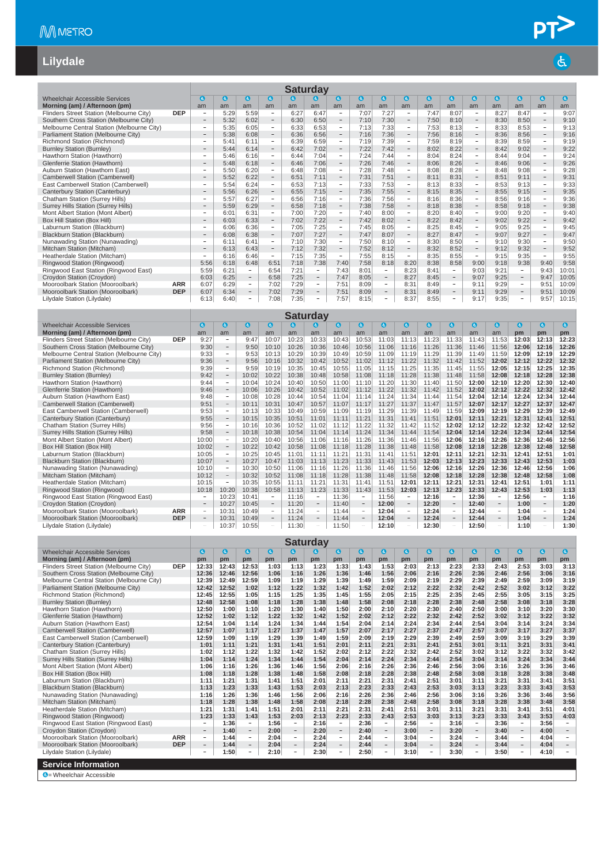# $\frac{\mathsf{PT}}{\mathsf{B}}$

#### **Lilydale**

|                                            |            |                          |            |                          |                                |            | <b>Saturday</b>          |                                |            |                          |                                |              |                          |                                |                  |                          |                                |            |
|--------------------------------------------|------------|--------------------------|------------|--------------------------|--------------------------------|------------|--------------------------|--------------------------------|------------|--------------------------|--------------------------------|--------------|--------------------------|--------------------------------|------------------|--------------------------|--------------------------------|------------|
| <b>Wheelchair Accessible Services</b>      |            | a                        | G          | G.                       | $\bullet$                      | æ          | G)                       | O                              | $\epsilon$ | $\mathbf{G}$             | $\bullet$                      | $\mathbf{a}$ | $\bullet$                | $\bullet$                      | $\boldsymbol{a}$ | $\bullet$                | Θ                              | $\epsilon$ |
| Morning (am) / Afternoon (pm)              |            |                          |            |                          |                                |            |                          |                                |            |                          |                                |              |                          |                                |                  |                          |                                |            |
| Flinders Street Station (Melbourne City)   | <b>DEP</b> | am                       | am<br>5:29 | am<br>5:59               | am<br>$\overline{\phantom{a}}$ | am<br>6:27 | am<br>6:47               | am<br>$\overline{\phantom{a}}$ | am<br>7:07 | am<br>7:27               | am<br>$\overline{\phantom{a}}$ | am<br>7:47   | am<br>8:07               | am<br>$\overline{\phantom{a}}$ | am<br>8:27       | am<br>8:47               | am<br>$\overline{\phantom{a}}$ | am<br>9:07 |
| Southern Cross Station (Melbourne City)    |            | $\overline{\phantom{a}}$ | 5:32       | 6:02                     | $\overline{\phantom{a}}$       | 6:30       | 6:50                     | $\overline{\phantom{a}}$       | 7:10       | 7:30                     | $\overline{\phantom{a}}$       | 7:50         | 8:10                     | $\sim$                         | 8:30             | 8:50                     | $\overline{\phantom{a}}$       | 9:10       |
| Melbourne Central Station (Melbourne City) |            | ٠                        | 5:35       | 6:05                     | $\overline{\phantom{0}}$       | 6:33       | 6:53                     | $\overline{\phantom{a}}$       | 7:13       | 7:33                     | $\overline{\phantom{a}}$       | 7:53         | 8:13                     | $\overline{\phantom{0}}$       | 8:33             | 8:53                     | $\overline{\phantom{a}}$       | 9:13       |
| Parliament Station (Melbourne City)        |            | $\overline{\phantom{0}}$ | 5:38       | 6:08                     | $\overline{\phantom{a}}$       | 6:36       | 6:56                     | $\overline{\phantom{a}}$       | 7:16       | 7:36                     | $\overline{\phantom{a}}$       | 7:56         | 8:16                     | $\sim$                         | 8:36             | 8:56                     | $\overline{\phantom{a}}$       | 9:16       |
| Richmond Station (Richmond)                |            | -                        | 5:41       | 6:11                     | -                              | 6:39       | 6:59                     | $\overline{\phantom{a}}$       | 7:19       | 7:39                     | $\overline{\phantom{a}}$       | 7:59         | 8:19                     | -                              | 8:39             | 8:59                     | $\overline{\phantom{a}}$       | 9:19       |
| <b>Burnley Station (Burnley)</b>           |            |                          | 5:44       | 6:14                     | $\overline{\phantom{a}}$       | 6:42       | 7:02                     | $\overline{\phantom{0}}$       | 7:22       | 7:42                     | $\overline{\phantom{a}}$       | 8:02         | 8:22                     |                                | 8:42             | 9:02                     | $\overline{\phantom{a}}$       | 9:22       |
| Hawthorn Station (Hawthorn)                |            | ٠                        | 5:46       | 6:16                     | $\overline{\phantom{a}}$       | 6:44       | 7:04                     | $\sim$                         | 7:24       | 7:44                     | $\sim$                         | 8:04         | 8:24                     | $\sim$                         | 8:44             | 9:04                     | $\overline{\phantom{a}}$       | 9:24       |
| Glenferrie Station (Hawthorn)              |            |                          | 5:48       | 6:18                     | $\overline{\phantom{a}}$       | 6:46       | 7:06                     | $\sim$                         | 7:26       | 7:46                     | $\overline{\phantom{a}}$       | 8:06         | 8:26                     | $\sim$                         | 8:46             | 9:06                     | $\overline{\phantom{a}}$       | 9:26       |
| Auburn Station (Hawthorn East)             |            | $\overline{\phantom{a}}$ | 5:50       | 6:20                     | $\sim$                         | 6:48       | 7:08                     | $\sim$                         | 7:28       | 7:48                     | $\sim$                         | 8:08         | 8:28                     | -                              | 8:48             | 9:08                     | $\sim$                         | 9:28       |
| Camberwell Station (Camberwell)            |            | $\overline{\phantom{m}}$ | 5:52       | 6:22                     | $\overline{\phantom{a}}$       | 6:51       | 7:11                     | $-$                            | 7:31       | 7:51                     | $\overline{\phantom{a}}$       | 8:11         | 8:31                     | $\overline{\phantom{a}}$       | 8:51             | 9:11                     | $\overline{\phantom{a}}$       | 9:31       |
| East Camberwell Station (Camberwell)       |            | $\overline{\phantom{0}}$ | 5:54       | 6:24                     | $\overline{\phantom{a}}$       | 6:53       | 7:13                     | $\overline{\phantom{a}}$       | 7:33       | 7:53                     | $\overline{\phantom{a}}$       | 8:13         | 8:33                     | $\overline{a}$                 | 8:53             | 9:13                     | $\sim$                         | 9:33       |
| Canterbury Station (Canterbury)            |            |                          | 5:56       | 6:26                     | $\overline{\phantom{a}}$       | 6:55       | 7:15                     | $\overline{\phantom{m}}$       | 7:35       | 7:55                     | $\qquad \qquad -$              | 8:15         | 8:35                     |                                | 8:55             | 9:15                     | $\overline{\phantom{a}}$       | 9:35       |
| Chatham Station (Surrey Hills)             |            | ۰                        | 5:57       | 6:27                     | -                              | 6:56       | 7:16                     | $\overline{\phantom{a}}$       | 7:36       | 7:56                     | $\sim$                         | 8:16         | 8:36                     | $\sim$                         | 8:56             | 9:16                     | $\overline{\phantom{a}}$       | 9:36       |
| Surrey Hills Station (Surrey Hills)        |            | $\overline{\phantom{0}}$ | 5:59       | 6:29                     | $\overline{\phantom{a}}$       | 6:58       | 7:18                     | $\overline{\phantom{a}}$       | 7:38       | 7:58                     | $\overline{\phantom{a}}$       | 8:18         | 8:38                     | $\overline{\phantom{m}}$       | 8:58             | 9:18                     | $\overline{\phantom{a}}$       | 9:38       |
| Mont Albert Station (Mont Albert)          |            | $\equiv$                 | 6:01       | 6:31                     | $\sim$                         | 7:00       | 7:20                     | $\sim$                         | 7:40       | 8:00                     | $\sim$                         | 8:20         | 8:40                     | $\sim$                         | 9:00             | 9:20                     | $\sim$                         | 9:40       |
| Box Hill Station (Box Hill)                |            | $\overline{\phantom{a}}$ | 6:03       | 6:33                     | $\overline{\phantom{a}}$       | 7:02       | 7:22                     | $\overline{\phantom{m}}$       | 7:42       | 8:02                     | $\overline{\phantom{a}}$       | 8:22         | 8:42                     | $\overline{\phantom{a}}$       | 9:02             | 9:22                     | $\overline{\phantom{a}}$       | 9:42       |
| Laburnum Station (Blackburn)               |            | ÷                        | 6:06       | 6:36                     | $\overline{\phantom{a}}$       | 7:05       | 7:25                     | $\overline{\phantom{a}}$       | 7:45       | 8:05                     | $\overline{\phantom{a}}$       | 8:25         | 8:45                     | $\overline{\phantom{a}}$       | 9:05             | 9:25                     | $\overline{\phantom{a}}$       | 9:45       |
| Blackburn Station (Blackburn)              |            | $\overline{\phantom{a}}$ | 6:08       | 6:38                     | $\overline{\phantom{a}}$       | 7:07       | 7:27                     | $\overline{\phantom{a}}$       | 7:47       | 8:07                     | $\overline{\phantom{a}}$       | 8:27         | 8:47                     | $\sim$                         | 9:07             | 9:27                     | $\overline{\phantom{a}}$       | 9:47       |
| Nunawading Station (Nunawading)            |            | ٠                        | 6:11       | 6:41                     | $\overline{\phantom{a}}$       | 7:10       | 7:30                     | $\overline{\phantom{a}}$       | 7:50       | 8:10                     | $\overline{\phantom{a}}$       | 8:30         | 8:50                     | $\overline{\phantom{0}}$       | 9:10             | 9:30                     | $\overline{\phantom{a}}$       | 9:50       |
| Mitcham Station (Mitcham)                  |            | $\qquad \qquad -$        | 6:13       | 6:43                     | $\overline{\phantom{a}}$       | 7:12       | 7:32                     | $-$                            | 7:52       | 8:12                     | $\overline{\phantom{a}}$       | 8:32         | 8:52                     | $-$                            | 9:12             | 9:32                     | $\overline{\phantom{a}}$       | 9:52       |
| Heatherdale Station (Mitcham)              |            | $\overline{\phantom{a}}$ | 6:16       | 6:46                     | $\sim$                         | 7:15       | 7:35                     | $\sim$                         | 7:55       | 8:15                     | $\sim$                         | 8:35         | 8:55                     | $\sim$                         | 9:15             | 9:35                     | $\sim$                         | 9:55       |
| Ringwood Station (Ringwood)                |            | 5:56                     | 6:18       | 6:48                     | 6:51                           | 7:18       | 7:38                     | 7:40                           | 7:58       | 8:18                     | 8:20                           | 8:38         | 8:58                     | 9:00                           | 9:18             | 9:38                     | 9:40                           | 9:58       |
| Ringwood East Station (Ringwood East)      |            | 5:59                     | 6:21       | ۰.                       | 6:54                           | 7:21       | $\sim$                   | 7:43                           | 8:01       | $\sim$                   | 8:23                           | 8:41         | $\overline{\phantom{a}}$ | 9:03                           | 9:21             | $\sim$                   | 9:43                           | 10:01      |
| Croydon Station (Croydon)                  |            | 6:03                     | 6:25       | $\overline{\phantom{a}}$ | 6:58                           | 7:25       | $-$                      | 7:47                           | 8:05       | Ξ.                       | 8:27                           | 8:45         | $\overline{\phantom{m}}$ | 9:07                           | 9:25             | $\overline{\phantom{a}}$ | 9:47                           | 10:05      |
| Mooroolbark Station (Mooroolbark)          | <b>ARR</b> | 6:07                     | 6:29       | -                        | 7:02                           | 7:29       | $\overline{\phantom{a}}$ | 7:51                           | 8:09       | $\overline{\phantom{a}}$ | 8:31                           | 8:49         | $\overline{\phantom{a}}$ | 9:11                           | 9:29             | $\overline{\phantom{a}}$ | 9:51                           | 10:09      |
| Mooroolbark Station (Mooroolbark)          | <b>DEP</b> | 6:07                     | 6:34       | $\overline{\phantom{a}}$ | 7:02                           | 7:29       | $\qquad \qquad -$        | 7:51                           | 8:09       | $\overline{\phantom{a}}$ | 8:31                           | 8:49         | $\overline{\phantom{a}}$ | 9:11                           | 9:29             | $\overline{\phantom{a}}$ | 9:51                           | 10:09      |
| Lilydale Station (Lilydale)                |            | 6:13                     | 6:40       |                          | 7:08                           | 7:35       | $\overline{\phantom{0}}$ | 7:57                           | 8:15       | Ξ.                       | 8:37                           | 8:55         |                          | 9:17                           | 9:35             |                          | 9:57                           | 10:15      |

|                                            |            |                          |                          |              |                          |       | <b>Saturday</b>          |           |                          |           |                          |              |                          |           |                          |           |                          |           |
|--------------------------------------------|------------|--------------------------|--------------------------|--------------|--------------------------|-------|--------------------------|-----------|--------------------------|-----------|--------------------------|--------------|--------------------------|-----------|--------------------------|-----------|--------------------------|-----------|
| <b>Wheelchair Accessible Services</b>      |            | $\mathbf{G}$             | $\mathbf{G}$             | $\mathbf{G}$ | $\boldsymbol{a}$         | a     | $\bullet$                | $\bullet$ | $\bullet$                | $\bullet$ | $\mathbf{G}$             | $\mathbf{G}$ | $\bullet$                | $\bullet$ | O                        | $\bullet$ | Θ                        | $\bullet$ |
| Morning (am) / Afternoon (pm)              |            | am                       | am                       | am           | am                       | am    | am                       | am        | am                       | am        | am                       | am           | am                       | am        | am                       | pm        | pm                       | pm        |
| Flinders Street Station (Melbourne City)   | <b>DEP</b> | 9:27                     | -                        | 9:47         | 10:07                    | 10:23 | 10:33                    | 10:43     | 10:53                    | 11:03     | 11:13                    | 11:23        | 11:33                    | 11:43     | 11:53                    | 12:03     | 12:13                    | 12:23     |
| Southern Cross Station (Melbourne City)    |            | 9:30                     | $\qquad \qquad -$        | 9:50         | 10:10                    | 10:26 | 10:36                    | 10:46     | 10:56                    | 11:06     | 11:16                    | 11:26        | 11:36                    | 11:46     | 11:56                    | 12:06     | 12:16                    | 12:26     |
| Melbourne Central Station (Melbourne City) |            | 9:33                     | $\overline{\phantom{0}}$ | 9:53         | 10:13                    | 10:29 | 10:39                    | 10:49     | 10:59                    | 11:09     | 11:19                    | 11:29        | 11:39                    | 11:49     | 11:59                    | 12:09     | 12:19                    | 12:29     |
| Parliament Station (Melbourne City)        |            | 9:36                     | $\overline{\phantom{0}}$ | 9:56         | 10:16                    | 10:32 | 10:42                    | 10:52     | 11:02                    | 11:12     | 11:22                    | 11:32        | 11:42                    | 11:52     | 12:02                    | 12:12     | 12:22                    | 12:32     |
| Richmond Station (Richmond)                |            | 9:39                     | $\equiv$                 | 9:59         | 10:19                    | 10:35 | 10:45                    | 10:55     | 11:05                    | 11:15     | 11:25                    | 11:35        | 11:45                    | 11:55     | 12:05                    | 12:15     | 12:25                    | 12:35     |
| <b>Burnley Station (Burnley)</b>           |            | 9:42                     | $\overline{\phantom{0}}$ | 10:02        | 10:22                    | 10:38 | 10:48                    | 10:58     | 11:08                    | 11:18     | 11:28                    | 11:38        | 11:48                    | 11:58     | 12:08                    | 12:18     | 12:28                    | 12:38     |
| Hawthorn Station (Hawthorn)                |            | 9:44                     | Ξ.                       | 10:04        | 10:24                    | 10:40 | 10:50                    | 11:00     | 11:10                    | 11:20     | 11:30                    | 11:40        | 11:50                    | 12:00     | 12:10                    | 12:20     | 12:30                    | 12:40     |
| Glenferrie Station (Hawthorn)              |            | 9:46                     | $\overline{\phantom{0}}$ | 10:06        | 10:26                    | 10:42 | 10:52                    | 11:02     | 11:12                    | 11:22     | 11:32                    | 11:42        | 11:52                    | 12:02     | 12:12                    | 12:22     | 12:32                    | 12:42     |
| Auburn Station (Hawthorn East)             |            | 9:48                     | $\overline{\phantom{a}}$ | 10:08        | 10:28                    | 10:44 | 10:54                    | 11:04     | 11:14                    | 11:24     | 11:34                    | 11:44        | 11:54                    | 12:04     | 12:14                    | 12:24     | 12:34                    | 12:44     |
| Camberwell Station (Camberwell)            |            | 9:51                     | $\qquad \qquad -$        | 10:11        | 10:31                    | 10:47 | 10:57                    | 11:07     | 11:17                    | 11:27     | 11:37                    | 11:47        | 11:57                    | 12:07     | 12:17                    | 12:27     | 12:37                    | 12:47     |
| East Camberwell Station (Camberwell)       |            | 9:53                     | -                        | 10:13        | 10:33                    | 10:49 | 10:59                    | 11:09     | 11:19                    | 11:29     | 11:39                    | 11:49        | 11:59                    | 12:09     | 12:19                    | 12:29     | 12:39                    | 12:49     |
| Canterbury Station (Canterbury)            |            | 9:55                     | $\overline{\phantom{0}}$ | 10:15        | 10:35                    | 10:51 | 11:01                    | 11:11     | 11:21                    | 11:31     | 11:41                    | 11:51        | 12:01                    | 12:11     | 12:21                    | 12:31     | 12:41                    | 12:51     |
| Chatham Station (Surrey Hills)             |            | 9:56                     | -                        | 10:16        | 10:36                    | 10:52 | 11:02                    | 11:12     | 11:22                    | 11:32     | 11:42                    | 11:52        | 12:02                    | 12:12     | 12:22                    | 12:32     | 12:42                    | 12:52     |
| Surrey Hills Station (Surrey Hills)        |            | 9:58                     | $\overline{\phantom{0}}$ | 10:18        | 10:38                    | 10:54 | 11:04                    | 11:14     | 11:24                    | 11:34     | 11:44                    | 11:54        | 12:04                    | 12:14     | 12:24                    | 12:34     | 12:44                    | 12:54     |
| Mont Albert Station (Mont Albert)          |            | 10:00                    | $\equiv$                 | 10:20        | 10:40                    | 10:56 | 11:06                    | 11:16     | 11:26                    | 11:36     | 11:46                    | 11:56        | 12:06                    | 12:16     | 12:26                    | 12:36     | 12:46                    | 12:56     |
| Box Hill Station (Box Hill)                |            | 10:02                    | $-$                      | 10:22        | 10:42                    | 10:58 | 11:08                    | 11:18     | 11:28                    | 11:38     | 11:48                    | 11:58        | 12:08                    | 12:18     | 12:28                    | 12:38     | 12:48                    | 12:58     |
| Laburnum Station (Blackburn)               |            | 10:05                    | $\overline{\phantom{m}}$ | 10:25        | 10:45                    | 11:01 | 11:11                    | 11:21     | 11:31                    | 11:41     | 11:51                    | 12:01        | 12:11                    | 12:21     | 12:31                    | 12:41     | 12:51                    | 1:01      |
| Blackburn Station (Blackburn)              |            | 10:07                    | $\overline{\phantom{0}}$ | 10:27        | 10:47                    | 11:03 | 11:13                    | 11:23     | 11:33                    | 11:43     | 11:53                    | 12:03        | 12:13                    | 12:23     | 12:33                    | 12:43     | 12:53                    | 1:03      |
| Nunawading Station (Nunawading)            |            | 10:10                    | $\overline{\phantom{0}}$ | 10:30        | 10:50                    | 11:06 | 11:16                    | 11:26     | 11:36                    | 11:46     | 11:56                    | 12:06        | 12:16                    | 12:26     | 12:36                    | 12:46     | 12:56                    | 1:06      |
| Mitcham Station (Mitcham)                  |            | 10:12                    | $\overline{\phantom{a}}$ | 10:32        | 10:52                    | 11:08 | 11:18                    | 11:28     | 11:38                    | 11:48     | 11:58                    | 12:08        | 12:18                    | 12:28     | 12:38                    | 12:48     | 12:58                    | 1:08      |
| Heatherdale Station (Mitcham)              |            | 10:15                    | $\overline{\phantom{0}}$ | 10:35        | 10:55                    | 11:11 | 11:21                    | 11:31     | 11:4                     | 11:51     | 12:01                    | 12:11        | 12:21                    | 12:31     | 12:41                    | 12:51     | 1:01                     | 1:11      |
| Ringwood Station (Ringwood)                |            | 10:18                    | 10:20                    | 10:38        | 10:58                    | 11:13 | 11:23                    | 11:33     | 11:43                    | 11:53     | 12:03                    | 12:13        | 12:23                    | 12:33     | 12:43                    | 12:53     | 1:03                     | 1:13      |
| Ringwood East Station (Ringwood East)      |            |                          | 10:23                    | 10:41        | $\sim$                   | 11:16 | $\sim$                   | 11:36     | $\overline{\phantom{a}}$ | 11:56     | -                        | 12:16        | $\overline{\phantom{a}}$ | 12:36     | $\overline{\phantom{a}}$ | 12:56     | $\sim$                   | 1:16      |
| Croydon Station (Croydon)                  |            |                          | 10:27                    | 10:45        | $\overline{\phantom{a}}$ | 11:20 |                          | 11:40     | $\overline{\phantom{m}}$ | 12:00     | $\overline{\phantom{a}}$ | 12:20        |                          | 12:40     | $\qquad \qquad -$        | 1:00      | $\overline{\phantom{a}}$ | 1:20      |
| Mooroolbark Station (Mooroolbark)          | <b>ARR</b> | $\overline{\phantom{a}}$ | 10:3                     | 10:49        | $\overline{\phantom{a}}$ | 11:24 | $\overline{\phantom{a}}$ | 11:44     | $\overline{\phantom{a}}$ | 12:04     | $\overline{\phantom{a}}$ | 12:24        | $\overline{\phantom{a}}$ | 12:44     | $\overline{\phantom{a}}$ | 1:04      | $\overline{\phantom{a}}$ | 1:24      |
| Mooroolbark Station (Mooroolbark)          | <b>DEP</b> |                          | 10:3                     | 10:49        | $\overline{\phantom{a}}$ | 11:24 |                          | 11:44     | $\overline{\phantom{a}}$ | 12:04     | $\overline{\phantom{a}}$ | 12:24        |                          | 12:44     | $\overline{\phantom{a}}$ | 1:04      | $\overline{\phantom{a}}$ | 1:24      |
| Lilvdale Station (Lilvdale)                |            |                          | 10:37                    | 10:55        | $\overline{a}$           | 11:30 |                          | 11:50     |                          | 12:10     |                          | 12:30        |                          | 12:50     |                          | 1:10      | -                        | 1:30      |

|                                            |            |                          |            |                          |           |                          | Saturday |                          |           |                          |           |                          |             |                          |                  |                          |           |                          |
|--------------------------------------------|------------|--------------------------|------------|--------------------------|-----------|--------------------------|----------|--------------------------|-----------|--------------------------|-----------|--------------------------|-------------|--------------------------|------------------|--------------------------|-----------|--------------------------|
| <b>Wheelchair Accessible Services</b>      |            | a                        | $\epsilon$ | $\mathbf{c}$             | $\bullet$ | $\mathbf{a}$             | G.       | $\bullet$                | $\bullet$ | $\mathbf{G}$             | $\bullet$ | $\bullet$                | $\mathbf a$ | $\bullet$                | $\boldsymbol{a}$ | 0                        | $\bullet$ | $\bullet$                |
| Morning (am) / Afternoon (pm)              |            | pm                       | pm         | pm                       | pm        | pm                       | pm       | pm                       | pm        | pm                       | pm        | pm                       | pm          | pm                       | pm               | pm                       | pm        | pm                       |
| Flinders Street Station (Melbourne City)   | <b>DEP</b> | 12:33                    | 12:43      | 12:53                    | 1:03      | 1:13                     | 1:23     | 1:33                     | 1:43      | 1:53                     | 2:03      | 2:13                     | 2:23        | 2:33                     | 2:43             | 2:53                     | 3:03      | 3:13                     |
| Southern Cross Station (Melbourne City)    |            | 12:36                    | 12:46      | 12:56                    | 1:06      | 1:16                     | 1:26     | 1:36                     | 1:46      | 1:56                     | 2:06      | 2:16                     | 2:26        | 2:36                     | 2:46             | 2:56                     | 3:06      | 3:16                     |
| Melbourne Central Station (Melbourne City) |            | 12:39                    | 12:49      | 12:59                    | 1:09      | 1:19                     | 1:29     | 1:39                     | 1:49      | 1:59                     | 2:09      | 2:19                     | 2:29        | 2:39                     | 2:49             | 2:59                     | 3:09      | 3:19                     |
| Parliament Station (Melbourne City)        |            | 12:42                    | 12:52      | 1:02                     | 1:12      | 1:22                     | 1:32     | 1:42                     | 1:52      | 2:02                     | 2:12      | 2:22                     | 2:32        | 2:42                     | 2:52             | 3:02                     | 3:12      | 3:22                     |
| Richmond Station (Richmond)                |            | 12:45                    | 12:55      | 1:05                     | 1:15      | 1:25                     | 1:35     | 1:45                     | 1:55      | 2:05                     | 2:15      | 2:25                     | 2:35        | 2:45                     | 2:55             | 3:05                     | 3:15      | 3:25                     |
| <b>Burnley Station (Burnley)</b>           |            | 12:48                    | 12:58      | 1:08                     | 1:18      | 1:28                     | 1:38     | 1:48                     | 1:58      | 2:08                     | 2:18      | 2:28                     | 2:38        | 2:48                     | 2:58             | 3:08                     | 3:18      | 3:28                     |
| Hawthorn Station (Hawthorn)                |            | 12:50                    | 1:00       | 1:10                     | 1:20      | 1:30                     | 1:40     | 1:50                     | 2:00      | 2:10                     | 2:20      | 2:30                     | 2:40        | 2:50                     | 3:00             | 3:10                     | 3:20      | 3:30                     |
| Glenferrie Station (Hawthorn)              |            | 12:52                    | 1:02       | 1:12                     | 1:22      | 1:32                     | 1:42     | 1:52                     | 2:02      | 2:12                     | 2:22      | 2:32                     | 2:42        | 2:52                     | 3:02             | 3:12                     | 3:22      | 3:32                     |
| Auburn Station (Hawthorn East)             |            | 12:54                    | 1:04       | 1:14                     | 1:24      | 1:34                     | 1:44     | 1:54                     | 2:04      | 2:14                     | 2:24      | 2:34                     | 2:44        | 2:54                     | 3:04             | 3:14                     | 3:24      | 3:34                     |
| <b>Camberwell Station (Camberwell)</b>     |            | 12:57                    | 1:07       | 1:17                     | 1:27      | 1:37                     | 1:47     | 1:57                     | 2:07      | 2:17                     | 2:27      | 2:37                     | 2:47        | 2:57                     | 3:07             | 3:17                     | 3:27      | 3:37                     |
| East Camberwell Station (Camberwell)       |            | 12:59                    | 1:09       | 1:19                     | 1:29      | 1:39                     | 1:49     | 1:59                     | 2:09      | 2:19                     | 2:29      | 2:39                     | 2:49        | 2:59                     | 3:09             | 3:19                     | 3:29      | 3:39                     |
| Canterbury Station (Canterbury)            |            | 1:01                     | 1:11       | 1:21                     | 1:31      | 1:41                     | 1:51     | 2:01                     | 2:11      | 2:21                     | 2:31      | 2:41                     | 2:51        | 3:01                     | 3:11             | 3:21                     | 3:31      | 3:41                     |
| Chatham Station (Surrey Hills)             |            | 1:02                     | 1:12       | 1:22                     | 1:32      | 1:42                     | 1:52     | 2:02                     | 2:12      | 2:22                     | 2:32      | 2:42                     | 2:52        | 3:02                     | 3:12             | 3:22                     | 3:32      | 3:42                     |
| <b>Surrey Hills Station (Surrey Hills)</b> |            | 1:04                     | 1:14       | 1:24                     | 1:34      | 1:44                     | 1:54     | 2:04                     | 2:14      | 2:24                     | 2:34      | 2:44                     | 2:54        | 3:04                     | 3:14             | 3:24                     | 3:34      | 3:44                     |
| Mont Albert Station (Mont Albert)          |            | 1:06                     | 1:16       | 1:26                     | 1:36      | 1:46                     | 1:56     | 2:06                     | 2:16      | 2:26                     | 2:36      | 2:46                     | 2:56        | 3:06                     | 3:16             | 3:26                     | 3:36      | 3:46                     |
| Box Hill Station (Box Hill)                |            | 1:08                     | 1:18       | 1:28                     | 1:38      | 1:48                     | 1:58     | 2:08                     | 2:18      | 2:28                     | 2:38      | 2:48                     | 2:58        | 3:08                     | 3:18             | 3:28                     | 3:38      | 3:48                     |
| Laburnum Station (Blackburn)               |            | 1:11                     | 1:21       | 1:31                     | 1:41      | 1:51                     | 2:01     | 2:11                     | 2:21      | 2:31                     | 2:41      | 2:51                     | 3:01        | 3:11                     | 3:21             | 3:31                     | 3:41      | 3:51                     |
| <b>Blackburn Station (Blackburn)</b>       |            | 1:13                     | 1:23       | 1:33                     | 1:43      | 1:53                     | 2:03     | 2:13                     | 2:23      | 2:33                     | 2:43      | 2:53                     | 3:03        | 3:13                     | 3:23             | 3:33                     | 3:43      | 3:53                     |
| Nunawading Station (Nunawading)            |            | 1:16                     | 1:26       | 1:36                     | 1:46      | 1:56                     | 2:06     | 2:16                     | 2:26      | 2:36                     | 2:46      | 2:56                     | 3:06        | 3:16                     | 3:26             | 3:36                     | 3:46      | 3:56                     |
| Mitcham Station (Mitcham)                  |            | 1:18                     | 1:28       | 1:38                     | 1:48      | 1:58                     | 2:08     | 2:18                     | 2:28      | 2:38                     | 2:48      | 2:58                     | 3:08        | 3:18                     | 3:28             | 3:38                     | 3:48      | 3:58                     |
| Heatherdale Station (Mitcham)              |            | 1:21                     | 1:31       | 1:41                     | 1:51      | 2:01                     | 2:11     | 2:21                     | 2:31      | 2:41                     | 2:51      | 3:01                     | 3:11        | 3:21                     | 3:31             | 3:41                     | 3:51      | 4:01                     |
| Ringwood Station (Ringwood)                |            | 1:23                     | 1:33       | 1:43                     | 1:53      | 2:03                     | 2:13     | 2:23                     | 2:33      | 2:43                     | 2:53      | 3:03                     | 3:13        | 3:23                     | 3:33             | 3:43                     | 3:53      | 4:03                     |
| Ringwood East Station (Ringwood East)      |            | $\overline{\phantom{a}}$ | 1:36       | ٠.                       | 1:56      | $\sim$                   | 2:16     | $\overline{\phantom{a}}$ | 2:36      | $\sim$                   | 2:56      | $\sim$                   | 3:16        | -                        | 3:36             | -                        | 3:56      | $\sim$                   |
| Croydon Station (Croydon)                  |            | $\qquad \qquad =$        | 1:40       | $\overline{\phantom{a}}$ | 2:00      | $\qquad \qquad -$        | 2:20     | $\overline{\phantom{a}}$ | 2:40      | $\overline{\phantom{a}}$ | 3:00      | $\overline{\phantom{a}}$ | 3:20        | $-$                      | 3:40             | $\overline{\phantom{a}}$ | 4:00      | $\overline{\phantom{a}}$ |
| Mooroolbark Station (Mooroolbark)          | <b>ARR</b> | $\overline{\phantom{a}}$ | 1:44       | $\sim$                   | 2:04      | $\sim$                   | 2:24     | $\overline{\phantom{a}}$ | 2:44      | $\sim$                   | 3:04      | $\overline{\phantom{a}}$ | 3:24        | -                        | 3:44             | $\overline{\phantom{0}}$ | 4:04      | ۰                        |
| Mooroolbark Station (Mooroolbark)          | <b>DEP</b> | $\qquad \qquad =$        | 1:44       | $\overline{\phantom{m}}$ | 2:04      | $\overline{\phantom{a}}$ | 2:24     | $-$                      | 2:44      | $\overline{\phantom{0}}$ | 3:04      | $\overline{\phantom{a}}$ | 3:24        | $\overline{\phantom{0}}$ | 3:44             | $\qquad \qquad =$        | 4:04      |                          |
| Lilydale Station (Lilydale)                |            | $\overline{\phantom{a}}$ | 1:50       | $\overline{\phantom{a}}$ | 2:10      | $\overline{\phantom{a}}$ | 2:30     | $\overline{\phantom{a}}$ | 2:50      | $\overline{\phantom{a}}$ | 3:10      | $\overline{\phantom{a}}$ | 3:30        | $\overline{\phantom{0}}$ | 3:50             | $\overline{\phantom{0}}$ | 4:10      |                          |
| <b>Service Information</b>                 |            |                          |            |                          |           |                          |          |                          |           |                          |           |                          |             |                          |                  |                          |           |                          |
| <b>A</b> - Wheelchair Accessible           |            |                          |            |                          |           |                          |          |                          |           |                          |           |                          |             |                          |                  |                          |           |                          |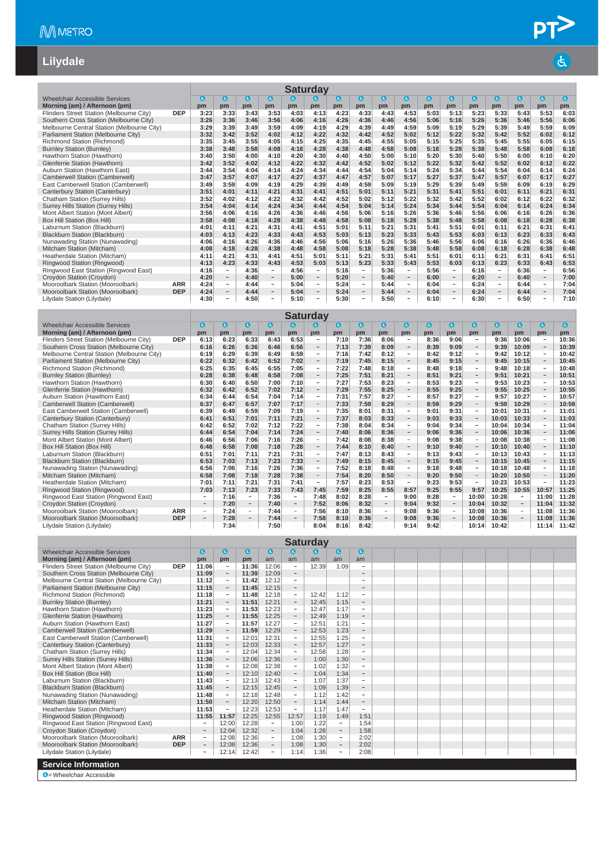#### **Lilydale**

|                                            |            |      |                          |              |                          |          | <b>Saturday</b>          |      |                          |           |                   |           |                          |           |                          |      |                          |            |
|--------------------------------------------|------------|------|--------------------------|--------------|--------------------------|----------|--------------------------|------|--------------------------|-----------|-------------------|-----------|--------------------------|-----------|--------------------------|------|--------------------------|------------|
| Wheelchair Accessible Services             |            | a    | <b>G</b>                 | $\mathbf{a}$ | $\mathbf a$              | <b>a</b> | G.                       | O    | $\bullet$                | $\bullet$ | $\mathbf{G}$      | $\bullet$ | $\mathbf{a}$             | $\bullet$ | $\bullet$                | Θ    | o                        | $\epsilon$ |
| Morning (am) / Afternoon (pm)              |            | pm   | pm                       | pm           | pm                       | pm       | pm                       | pm   | pm                       | pm        | pm                | pm        | pm                       | pm        | pm                       | pm   | pm                       | pm         |
| Flinders Street Station (Melbourne City)   | <b>DEP</b> | 3:23 | 3:33                     | 3:43         | 3:53                     | 4:03     | 4:13                     | 4:23 | 4:33                     | 4:43      | 4:53              | 5:03      | 5:13                     | 5:23      | 5:33                     | 5:43 | 5:53                     | 6:03       |
| Southern Cross Station (Melbourne City)    |            | 3:26 | 3:36                     | 3:46         | 3:56                     | 4:06     | 4:16                     | 4:26 | 4:36                     | 4:46      | 4:56              | 5:06      | 5:16                     | 5:26      | 5:36                     | 5:46 | 5:56                     | 6:06       |
| Melbourne Central Station (Melbourne City) |            | 3:29 | 3:39                     | 3:49         | 3:59                     | 4:09     | 4:19                     | 4:29 | 4:39                     | 4:49      | 4:59              | 5:09      | 5:19                     | 5:29      | 5:39                     | 5:49 | 5:59                     | 6:09       |
| Parliament Station (Melbourne City)        |            | 3:32 | 3:42                     | 3:52         | 4:02                     | 4:12     | 4:22                     | 4:32 | 4:42                     | 4:52      | 5:02              | 5:12      | 5:22                     | 5:32      | 5:42                     | 5:52 | 6:02                     | 6:12       |
| Richmond Station (Richmond)                |            | 3:35 | 3:45                     | 3:55         | 4:05                     | 4:15     | 4:25                     | 4:35 | 4:45                     | 4:55      | 5:05              | 5:15      | 5:25                     | 5:35      | 5:45                     | 5:55 | 6:05                     | 6:15       |
| <b>Burnley Station (Burnley)</b>           |            | 3:38 | 3:48                     | 3:58         | 4:08                     | 4:18     | 4:28                     | 4:38 | 4:48                     | 4:58      | 5:08              | 5:18      | 5:28                     | 5:38      | 5:48                     | 5:58 | 6:08                     | 6:18       |
| Hawthorn Station (Hawthorn)                |            | 3:40 | 3:50                     | 4:00         | 4:10                     | 4:20     | 4:30                     | 4:40 | 4:50                     | 5:00      | 5:10              | 5:20      | 5:30                     | 5:40      | 5:50                     | 6:00 | 6:10                     | 6:20       |
| Glenferrie Station (Hawthorn)              |            | 3:42 | 3:52                     | 4:02         | 4:12                     | 4:22     | 4:32                     | 4:42 | 4:52                     | 5:02      | 5:12              | 5:22      | 5:32                     | 5:42      | 5:52                     | 6:02 | 6:12                     | 6:22       |
| Auburn Station (Hawthorn East)             |            | 3:44 | 3:54                     | 4:04         | 4:14                     | 4:24     | 4:34                     | 4:44 | 4:54                     | 5:04      | 5:14              | 5:24      | 5:34                     | 5:44      | 5:54                     | 6:04 | 6:14                     | 6:24       |
| Camberwell Station (Camberwell)            |            | 3:47 | 3:57                     | 4:07         | 4:17                     | 4:27     | 4:37                     | 4:47 | 4:57                     | 5:07      | 5:17              | 5:27      | 5:37                     | 5:47      | 5:57                     | 6:07 | 6:17                     | 6:27       |
| East Camberwell Station (Camberwell)       |            | 3:49 | 3:59                     | 4:09         | 4:19                     | 4:29     | 4:39                     | 4:49 | 4:59                     | 5:09      | 5:19              | 5:29      | 5:39                     | 5:49      | 5:59                     | 6:09 | 6:19                     | 6:29       |
| Canterbury Station (Canterbury)            |            | 3:51 | 4:01                     | 4:11         | 4:21                     | 4:31     | 4:41                     | 4:51 | 5:01                     | 5:11      | 5:21              | 5:31      | 5:41                     | 5:51      | 6:01                     | 6:11 | 6:21                     | 6:31       |
| Chatham Station (Surrey Hills)             |            | 3:52 | 4:02                     | 4:12         | 4:22                     | 4:32     | 4:42                     | 4:52 | 5:02                     | 5:12      | 5:22              | 5:32      | 5:42                     | 5:52      | 6:02                     | 6:12 | 6:22                     | 6:32       |
| Surrey Hills Station (Surrey Hills)        |            | 3:54 | 4:04                     | 4:14         | 4:24                     | 4:34     | 4:44                     | 4:54 | 5:04                     | 5:14      | 5:24              | 5:34      | 5:44                     | 5:54      | 6:04                     | 6:14 | 6:24                     | 6:34       |
| Mont Albert Station (Mont Albert)          |            | 3:56 | 4:06                     | 4:16         | 4:26                     | 4:36     | 4:46                     | 4:56 | 5:06                     | 5:16      | 5:26              | 5:36      | 5:46                     | 5:56      | 6:06                     | 6:16 | 6:26                     | 6:36       |
| Box Hill Station (Box Hill)                |            | 3:58 | 4:08                     | 4:18         | 4:28                     | 4:38     | 4:48                     | 4:58 | 5:08                     | 5:18      | 5:28              | 5:38      | 5:48                     | 5:58      | 6:08                     | 6:18 | 6:28                     | 6:38       |
| Laburnum Station (Blackburn)               |            | 4:01 | 4:11                     | 4:21         | 4:31                     | 4:41     | 4:51                     | 5:01 | 5:11                     | 5:21      | 5:31              | 5:41      | 5:51                     | 6:01      | 6:11                     | 6:21 | 6:31                     | 6:41       |
| Blackburn Station (Blackburn)              |            | 4:03 | 4:13                     | 4:23         | 4:33                     | 4:43     | 4:53                     | 5:03 | 5:13                     | 5:23      | 5:33              | 5:43      | 5:53                     | 6:03      | 6:13                     | 6:23 | 6:33                     | 6:43       |
| Nunawading Station (Nunawading)            |            | 4:06 | 4:16                     | 4:26         | 4:36                     | 4:46     | 4:56                     | 5:06 | 5:16                     | 5:26      | 5:36              | 5:46      | 5:56                     | 6:06      | 6:16                     | 6:26 | 6:36                     | 6:46       |
| Mitcham Station (Mitcham)                  |            | 4:08 | 4:18                     | 4:28         | 4:38                     | 4:48     | 4:58                     | 5:08 | 5:18                     | 5:28      | 5:38              | 5:48      | 5:58                     | 6:08      | 6:18                     | 6:28 | 6:38                     | 6:48       |
| Heatherdale Station (Mitcham)              |            | 4:11 | 4:21                     | 4:31         | 4:41                     | 4:51     | 5:01                     | 5:11 | 5:21                     | 5:31      | 5:41              | 5:51      | 6:01                     | 6:11      | 6:21                     | 6:31 | 6:41                     | 6:51       |
| Ringwood Station (Ringwood)                |            | 4:13 | 4:23                     | 4:33         | 4:43                     | 4:53     | 5:03                     | 5:13 | 5:23                     | 5:33      | 5:43              | 5:53      | 6:03                     | 6:13      | 6:23                     | 6:33 | 6:43                     | 6:53       |
| Ringwood East Station (Ringwood East)      |            | 4:16 | $\sim$                   | 4:36         | $\overline{\phantom{a}}$ | 4:56     | $\sim$                   | 5:16 | $\sim$                   | 5:36      | $\sim$            | 5:56      | $\sim$                   | 6:16      | $\sim$                   | 6:36 | $\sim$                   | 6:56       |
| Croydon Station (Croydon)                  |            | 4:20 | $\overline{\phantom{a}}$ | 4:40         | $\qquad \qquad -$        | 5:00     | $\overline{\phantom{m}}$ | 5:20 | $\overline{\phantom{a}}$ | 5:40      | $\qquad \qquad -$ | 6:00      | $\qquad \qquad -$        | 6:20      | $\overline{\phantom{a}}$ | 6:40 | $\overline{\phantom{a}}$ | 7:00       |
| Mooroolbark Station (Mooroolbark)          | <b>ARR</b> | 4:24 | $\overline{\phantom{a}}$ | 4:44         | -                        | 5:04     | $\overline{\phantom{a}}$ | 5:24 | $\overline{\phantom{a}}$ | 5:44      | -                 | 6:04      | $\overline{\phantom{a}}$ | 6:24      | $\sim$                   | 6:44 | $\overline{\phantom{a}}$ | 7:04       |
| Mooroolbark Station (Mooroolbark)          | <b>DEP</b> | 4:24 | $\overline{\phantom{a}}$ | 4:44         | $-$                      | 5:04     |                          | 5:24 | $\overline{\phantom{a}}$ | 5:44      | $\qquad \qquad -$ | 6:04      |                          | 6:24      | $\overline{\phantom{a}}$ | 6:44 | $\overline{\phantom{a}}$ | 7:04       |
| Lilydale Station (Lilydale)                |            | 4:30 | $\overline{\phantom{0}}$ | 4:50         | $\overline{\phantom{0}}$ | 5:10     |                          | 5:30 | $\overline{a}$           | 5:50      | Ξ.                | 6:10      |                          | 6:30      | $\overline{\phantom{a}}$ | 6:50 | $\overline{\phantom{a}}$ | 7:10       |

|                                            |            |                          |      |                          |           | vatul ua y               |                          |           |      |           |                          |              |                          |                                                                                                                                                                                                                                                                                                                                                                                                                                                                            |             |                   |                          |           |
|--------------------------------------------|------------|--------------------------|------|--------------------------|-----------|--------------------------|--------------------------|-----------|------|-----------|--------------------------|--------------|--------------------------|----------------------------------------------------------------------------------------------------------------------------------------------------------------------------------------------------------------------------------------------------------------------------------------------------------------------------------------------------------------------------------------------------------------------------------------------------------------------------|-------------|-------------------|--------------------------|-----------|
| <b>Wheelchair Accessible Services</b>      |            | $\bullet$                | G.   | $\mathbf{a}$             | $\bullet$ | $\mathbf{a}$             | $\bullet$                | $\bullet$ | G.   | $\bullet$ | $\mathbf{G}$             | $\mathbf{G}$ | $\mathbf a$              | $\bullet$                                                                                                                                                                                                                                                                                                                                                                                                                                                                  | $\mathbf a$ | $\bullet$         | $\bullet$                | $\bullet$ |
| Morning (am) / Afternoon (pm)              |            | pm                       | pm   | pm                       | pm        | pm                       | pm                       | pm        | pm   | pm        | pm                       | pm           | pm                       | pm                                                                                                                                                                                                                                                                                                                                                                                                                                                                         | pm          | pm                | pm                       | pm        |
| Flinders Street Station (Melbourne City)   | <b>DEP</b> | 6:13                     | 6:23 | 6:33                     | 6:43      | 6:53                     | $\overline{\phantom{0}}$ | 7:10      | 7:36 | 8:06      | $\overline{\phantom{a}}$ | 8:36         | 9:06                     |                                                                                                                                                                                                                                                                                                                                                                                                                                                                            | 9:36        | 10:06             | $\overline{\phantom{a}}$ | 10:36     |
| Southern Cross Station (Melbourne City)    |            | 6:16                     | 6:26 | 6:36                     | 6:46      | 6:56                     | $\overline{\phantom{a}}$ | 7:13      | 7:39 | 8:09      | $\overline{\phantom{a}}$ | 8:39         | 9:09                     | $\frac{1}{2} \left( \frac{1}{2} \right) \left( \frac{1}{2} \right) \left( \frac{1}{2} \right) \left( \frac{1}{2} \right) \left( \frac{1}{2} \right) \left( \frac{1}{2} \right) \left( \frac{1}{2} \right) \left( \frac{1}{2} \right) \left( \frac{1}{2} \right) \left( \frac{1}{2} \right) \left( \frac{1}{2} \right) \left( \frac{1}{2} \right) \left( \frac{1}{2} \right) \left( \frac{1}{2} \right) \left( \frac{1}{2} \right) \left( \frac{1}{2} \right) \left( \frac$ | 9:39        | 10:09             | $\overline{\phantom{a}}$ | 10:39     |
| Melbourne Central Station (Melbourne City) |            | 6:19                     | 6:29 | 6:39                     | 6:49      | 6:59                     | $\overline{\phantom{a}}$ | 7:16      | 7:42 | 8:12      | $\overline{\phantom{a}}$ | 8:42         | 9:12                     | ÷                                                                                                                                                                                                                                                                                                                                                                                                                                                                          | 9:42        | 10:12             | $\overline{\phantom{a}}$ | 10:42     |
| Parliament Station (Melbourne City)        |            | 6:22                     | 6:32 | 6:42                     | 6:52      | 7:02                     | $\overline{\phantom{a}}$ | 7:19      | 7:45 | 8:15      | $\overline{\phantom{a}}$ | 8:45         | 9:15                     | $\overline{\phantom{0}}$                                                                                                                                                                                                                                                                                                                                                                                                                                                   | 9:45        | 10:15             | $\overline{\phantom{a}}$ | 10:45     |
| Richmond Station (Richmond)                |            | 6:25                     | 6:35 | 6:45                     | 6:55      | 7:05                     | $\overline{\phantom{a}}$ | 7:22      | 7:48 | 8:18      | $\overline{\phantom{a}}$ | 8:48         | 9:18                     |                                                                                                                                                                                                                                                                                                                                                                                                                                                                            | 9:48        | 10:18             | $\overline{\phantom{a}}$ | 10:48     |
| <b>Burnley Station (Burnley)</b>           |            | 6:28                     | 6:38 | 6:48                     | 6:58      | 7:08                     | $\overline{\phantom{a}}$ | 7:25      | 7:51 | 8:21      | $-$                      | 8:51         | 9:21                     | $\overline{\phantom{0}}$                                                                                                                                                                                                                                                                                                                                                                                                                                                   | 9:51        | 10:21             | $\overline{\phantom{a}}$ | 10:51     |
| Hawthorn Station (Hawthorn)                |            | 6:30                     | 6:40 | 6:50                     | 7:00      | 7:10                     | $\overline{\phantom{a}}$ | 7:27      | 7:53 | 8:23      | $\sim$                   | 8:53         | 9:23                     | $\sim$                                                                                                                                                                                                                                                                                                                                                                                                                                                                     | 9:53        | 10:23             | $\overline{\phantom{a}}$ | 10:53     |
| Glenferrie Station (Hawthorn)              |            | 6:32                     | 6:42 | 6:52                     | 7:02      | 7:12                     | $\qquad \qquad -$        | 7:29      | 7:55 | 8:25      | $\equiv$                 | 8:55         | 9:25                     | $\overline{\phantom{a}}$                                                                                                                                                                                                                                                                                                                                                                                                                                                   | 9:55        | 10:25             | $\overline{\phantom{a}}$ | 10:55     |
| Auburn Station (Hawthorn East)             |            | 6:34                     | 6:44 | 6:54                     | 7:04      | 7:14                     | $\overline{\phantom{a}}$ | 7:31      | 7:57 | 8:27      | Ξ.                       | 8:57         | 9:27                     | ÷                                                                                                                                                                                                                                                                                                                                                                                                                                                                          | 9:57        | 10:27             | $\overline{\phantom{a}}$ | 10:57     |
| Camberwell Station (Camberwell)            |            | 6:37                     | 6:47 | 6:57                     | 7:07      | 7:17                     | $\overline{\phantom{m}}$ | 7:33      | 7:59 | 8:29      | $\overline{\phantom{a}}$ | 8:59         | 9:29                     | $\overline{\phantom{0}}$                                                                                                                                                                                                                                                                                                                                                                                                                                                   | 9:59        | 10:29             | $\overline{\phantom{a}}$ | 10:59     |
| East Camberwell Station (Camberwell)       |            | 6:39                     | 6:49 | 6:59                     | 7:09      | 7:19                     | -                        | 7:35      | 8:01 | 8:31      | Ξ.                       | 9:01         | 9:31                     |                                                                                                                                                                                                                                                                                                                                                                                                                                                                            | 10:01       | 10:31             | $\overline{\phantom{a}}$ | 11:01     |
| Canterbury Station (Canterbury)            |            | 6:41                     | 6:51 | 7:01                     | 7:11      | 7:21                     | $\overline{\phantom{m}}$ | 7:37      | 8:03 | 8:33      | $\qquad \qquad -$        | 9:03         | 9:33                     |                                                                                                                                                                                                                                                                                                                                                                                                                                                                            | 10:03       | 10:33             | $\overline{\phantom{a}}$ | 11:03     |
| Chatham Station (Surrey Hills)             |            | 6:42                     | 6:52 | 7:02                     | 7:12      | 7:22                     | $\overline{\phantom{0}}$ | 7:38      | 8:04 | 8:34      | $\overline{\phantom{0}}$ | 9:04         | 9:34                     |                                                                                                                                                                                                                                                                                                                                                                                                                                                                            | 10:04       | 10:34             | $\overline{\phantom{a}}$ | 11:04     |
| Surrey Hills Station (Surrey Hills)        |            | 6:44                     | 6:54 | 7:04                     | 7:14      | 7:24                     | $\overline{\phantom{a}}$ | 7:40      | 8:06 | 8:36      | $\qquad \qquad -$        | 9:06         | 9:36                     |                                                                                                                                                                                                                                                                                                                                                                                                                                                                            | 10:06       | 10:36             | $\overline{\phantom{a}}$ | 11:06     |
| Mont Albert Station (Mont Albert)          |            | 6:46                     | 6:56 | 7:06                     | 7:16      | 7:26                     | $\equiv$                 | 7:42      | 8:08 | 8:38      | $\overline{\phantom{a}}$ | 9:08         | 9:38                     |                                                                                                                                                                                                                                                                                                                                                                                                                                                                            | 10:08       | 10:38             | $\sim$                   | 11:08     |
| Box Hill Station (Box Hill)                |            | 6:48                     | 6:58 | 7:08                     | 7:18      | 7:28                     | $\sim$                   | 7:44      | 8:10 | 8:40      | $\overline{\phantom{a}}$ | 9:10         | 9:40                     |                                                                                                                                                                                                                                                                                                                                                                                                                                                                            | 10:10       | 10:40             | $\overline{\phantom{a}}$ | 11:10     |
| Laburnum Station (Blackburn)               |            | 6:51                     | 7:01 | 7:11                     | 7:21      | 7:31                     | $\overline{\phantom{0}}$ | 7:47      | 8:13 | 8:43      | $\overline{\phantom{a}}$ | 9:13         | 9:43                     |                                                                                                                                                                                                                                                                                                                                                                                                                                                                            | 10:13       | 10:43             | $\overline{\phantom{a}}$ | 11:13     |
| Blackburn Station (Blackburn)              |            | 6:53                     | 7:03 | 7:13                     | 7:23      | 7:33                     | $\overline{\phantom{0}}$ | 7:49      | 8:15 | 8:45      | $\overline{\phantom{a}}$ | 9:15         | 9:45                     |                                                                                                                                                                                                                                                                                                                                                                                                                                                                            | 10:15       | 10:45             | $\overline{\phantom{a}}$ | 11:15     |
| Nunawading Station (Nunawading)            |            | 6:56                     | 7:06 | 7:16                     | 7:26      | 7:36                     | $\overline{\phantom{0}}$ | 7:52      | 8:18 | 8:48      | $\overline{\phantom{a}}$ | 9:18         | 9:48                     |                                                                                                                                                                                                                                                                                                                                                                                                                                                                            | 10:18       | 10:48             | $\overline{\phantom{a}}$ | 11:18     |
| Mitcham Station (Mitcham)                  |            | 6:58                     | 7:08 | 7:18                     | 7:28      | 7:38                     |                          | 7:54      | 8:20 | 8:50      | $\overline{\phantom{0}}$ | 9:20         | 9:50                     |                                                                                                                                                                                                                                                                                                                                                                                                                                                                            | 10:20       | 10:50             | $\overline{\phantom{a}}$ | 11:20     |
| Heatherdale Station (Mitcham)              |            | 7:01                     | 7:11 | 7:21                     | 7:31      | 7:41                     | $\overline{\phantom{a}}$ | 7:57      | 8:23 | 8:53      | $\overline{\phantom{a}}$ | 9:23         | 9:53                     |                                                                                                                                                                                                                                                                                                                                                                                                                                                                            | 10:23       | 10:53             | $\overline{\phantom{a}}$ | 11:23     |
| Ringwood Station (Ringwood)                |            | 7:03                     | 7:13 | 7:23                     | 7:33      | 7:43                     | 7:45                     | 7:59      | 8:25 | 8:55      | 8:57                     | 9:25         | 9:55                     | 9:57                                                                                                                                                                                                                                                                                                                                                                                                                                                                       | 10:25       | 10:55             | 10:57                    | 11:25     |
| Ringwood East Station (Ringwood East)      |            |                          | 7:16 | $\overline{\phantom{a}}$ | 7:36      | $\overline{\phantom{a}}$ | 7:48                     | 8:02      | 8:28 | ۰.        | 9:00                     | 9:28         | $\sim$                   | 10:00                                                                                                                                                                                                                                                                                                                                                                                                                                                                      | 10:28       | -                 | 11:00                    | 11:28     |
| Croydon Station (Croydon)                  |            |                          | 7:20 | $\qquad \qquad -$        | 7:40      | $\overline{\phantom{m}}$ | 7:52                     | 8:06      | 8:32 | -         | 9:04                     | 9:32         | $\qquad \qquad -$        | 10:04                                                                                                                                                                                                                                                                                                                                                                                                                                                                      | 10:32       | $\qquad \qquad -$ | 11:04                    | 11:32     |
| Mooroolbark Station (Mooroolbark)          | <b>ARR</b> | $\overline{\phantom{a}}$ | 7:24 | $\overline{\phantom{0}}$ | 7:44      | $\overline{\phantom{a}}$ | 7:56                     | 8:10      | 8:36 | $\sim$    | 9:08                     | 9:36         | $\overline{\phantom{a}}$ | 10:08                                                                                                                                                                                                                                                                                                                                                                                                                                                                      | 10:36       | $\sim$            | 11:08                    | 11:36     |
| Mooroolbark Station (Mooroolbark)          | <b>DEP</b> | $-$                      | 7:28 |                          | 7:44      |                          | 7:58                     | 8:10      | 8:36 | -         | 9:08                     | 9:36         |                          | 10:08                                                                                                                                                                                                                                                                                                                                                                                                                                                                      | 10:36       | $\qquad \qquad -$ | 11:08                    | 11:36     |
| Lilydale Station (Lilydale)                |            |                          | 7:34 |                          | 7:50      |                          | 8:04                     | 8:16      | 8:42 |           | 9:14                     | 9:42         |                          | 10:14                                                                                                                                                                                                                                                                                                                                                                                                                                                                      | 10:42       |                   | 11:14                    | 11:42     |

**Saturday**

|                                            |            |                          |                          |              |                          |                          | <b>Saturday</b> |                          |                          |  |  |  |  |
|--------------------------------------------|------------|--------------------------|--------------------------|--------------|--------------------------|--------------------------|-----------------|--------------------------|--------------------------|--|--|--|--|
| Wheelchair Accessible Services             |            | a                        | $\bullet$                | $\mathbf{c}$ | $\bullet$                | $\mathbf{a}$             | a               | G                        | $\bullet$                |  |  |  |  |
| Morning (am) / Afternoon (pm)              |            | pm                       | pm                       | pm           | am                       | am                       | am              | am                       | am                       |  |  |  |  |
| Flinders Street Station (Melbourne City)   | <b>DEP</b> | 11:06                    | $\overline{\phantom{a}}$ | 11:36        | 12:06                    | $\overline{\phantom{0}}$ | 12:39           | 1:09                     | $\overline{\phantom{a}}$ |  |  |  |  |
| Southern Cross Station (Melbourne City)    |            | 11:09                    | $\overline{\phantom{a}}$ | 11:39        | 12:09                    |                          |                 |                          |                          |  |  |  |  |
| Melbourne Central Station (Melbourne City) |            | 11:12                    | $\overline{\phantom{a}}$ | 11:42        | 12:12                    | $\overline{\phantom{a}}$ |                 |                          | ٠                        |  |  |  |  |
| Parliament Station (Melbourne City)        |            | 11:15                    | $\overline{\phantom{a}}$ | 11:45        | 12:15                    | $\overline{\phantom{a}}$ |                 |                          | $\overline{\phantom{a}}$ |  |  |  |  |
| Richmond Station (Richmond)                |            | 11:18                    | $\overline{\phantom{a}}$ | 11:48        | 12:18                    | $\overline{\phantom{a}}$ | 12:42           | 1:12                     | $\sim$                   |  |  |  |  |
| <b>Burnley Station (Burnley)</b>           |            | 11:21                    | $\overline{\phantom{a}}$ | 11:51        | 12:21                    |                          | 12:45           | 1:15                     | $\overline{\phantom{a}}$ |  |  |  |  |
| Hawthorn Station (Hawthorn)                |            | 11:23                    | $\sim$                   | 11:53        | 12:23                    | $\sim$                   | 12:47           | 1:17                     | $\sim$                   |  |  |  |  |
| Glenferrie Station (Hawthorn)              |            | 11:25                    | $\overline{\phantom{a}}$ | 11:55        | 12:25                    | $\overline{\phantom{a}}$ | 12:49           | 1:19                     | $\overline{\phantom{a}}$ |  |  |  |  |
| Auburn Station (Hawthorn East)             |            | 11:27                    | $\sim$                   | 11:57        | 12:27                    | $\overline{\phantom{a}}$ | 12:51           | 1:21                     | ٠                        |  |  |  |  |
| Camberwell Station (Camberwell)            |            | 11:29                    | $\overline{\phantom{m}}$ | 11:59        | 12:29                    |                          | 12:53           | 1:23                     | $\overline{\phantom{a}}$ |  |  |  |  |
| East Camberwell Station (Camberwell)       |            | 11:31                    | $\sim$                   | 12:01        | 12:31                    | $\overline{\phantom{a}}$ | 12:55           | 1:25                     | $\overline{\phantom{a}}$ |  |  |  |  |
| Canterbury Station (Canterbury)            |            | 11:33                    | $\overline{\phantom{a}}$ | 12:03        | 12:33                    | $\overline{\phantom{a}}$ | 12:57           | 1:27                     | $\overline{\phantom{a}}$ |  |  |  |  |
| Chatham Station (Surrey Hills)             |            | 11:34                    | $\overline{\phantom{a}}$ | 12:04        | 12:34                    | $\overline{\phantom{a}}$ | 12:58           | 1:28                     | $\overline{a}$           |  |  |  |  |
| Surrey Hills Station (Surrey Hills)        |            | 11:36                    | $\overline{\phantom{a}}$ | 12:06        | 12:36                    |                          | 1:00            | 1:30                     | $\overline{\phantom{a}}$ |  |  |  |  |
| Mont Albert Station (Mont Albert)          |            | 11:38                    | $\sim$                   | 12:08        | 12:38                    | $\overline{\phantom{a}}$ | 1:02            | 1:32                     | $\sim$                   |  |  |  |  |
| Box Hill Station (Box Hill)                |            | 11:40                    | $\overline{\phantom{a}}$ | 12:10        | 12:40                    | $\overline{\phantom{a}}$ | 1:04            | 1:34                     | $\overline{\phantom{a}}$ |  |  |  |  |
| Laburnum Station (Blackburn)               |            | 11:43                    | $\overline{\phantom{a}}$ | 12:13        | 12:43                    | $\overline{\phantom{a}}$ | 1:07            | 1:37                     | $\equiv$                 |  |  |  |  |
| Blackburn Station (Blackburn)              |            | 11:45                    | $\qquad \qquad -$        | 12:15        | 12:45                    |                          | 1:09            | 1:39                     | $\overline{\phantom{a}}$ |  |  |  |  |
| Nunawading Station (Nunawading)            |            | 11:48                    | $\sim$                   | 12:18        | 12:48                    | $\overline{\phantom{a}}$ | 1:12            | 1:42                     | $\sim$                   |  |  |  |  |
| Mitcham Station (Mitcham)                  |            | 11:50                    | $\overline{\phantom{a}}$ | 12:20        | 12:50                    | $\overline{\phantom{a}}$ | 1:14            | 1:44                     | $\overline{\phantom{a}}$ |  |  |  |  |
| Heatherdale Station (Mitcham)              |            | 11:53                    | $\overline{\phantom{a}}$ | 12:23        | 12:53                    | $\overline{\phantom{a}}$ | 1:17            | 1:47                     | $\sim$                   |  |  |  |  |
| Ringwood Station (Ringwood)                |            | 11:55                    | 11:57                    | 12:25        | 12:55                    | 12:57                    | 1:19            | 1:49                     | 1:51                     |  |  |  |  |
| Ringwood East Station (Ringwood East)      |            | $\overline{\phantom{a}}$ | 12:00                    | 12:28        | $\overline{\phantom{a}}$ | 1:00                     | 1:22            | $\sim$                   | 1:54                     |  |  |  |  |
| Croydon Station (Croydon)                  |            | $\overline{\phantom{m}}$ | 12:04                    | 12:32        | $\overline{\phantom{a}}$ | 1:04                     | 1:26            | $\equiv$                 | 1:58                     |  |  |  |  |
| Mooroolbark Station (Mooroolbark)          | <b>ARR</b> | $\overline{\phantom{a}}$ | 12:08                    | 12:36        | $\overline{\phantom{a}}$ | 1:08                     | 1:30            | $\sim$                   | 2:02                     |  |  |  |  |
| Mooroolbark Station (Mooroolbark)          | <b>DEP</b> | $\qquad \qquad -$        | 12:08                    | 12:36        | $\overline{\phantom{a}}$ | 1:08                     | 1:30            | $\overline{\phantom{a}}$ | 2:02                     |  |  |  |  |
| Lilydale Station (Lilydale)                |            | $\overline{\phantom{a}}$ | 12:14                    | 12:42        | $\overline{\phantom{0}}$ | 1:14                     | 1:36            | $\overline{\phantom{a}}$ | 2:08                     |  |  |  |  |
| <b>Service Information</b>                 |            |                          |                          |              |                          |                          |                 |                          |                          |  |  |  |  |
| A Whooloboir Accoocible                    |            |                          |                          |              |                          |                          |                 |                          |                          |  |  |  |  |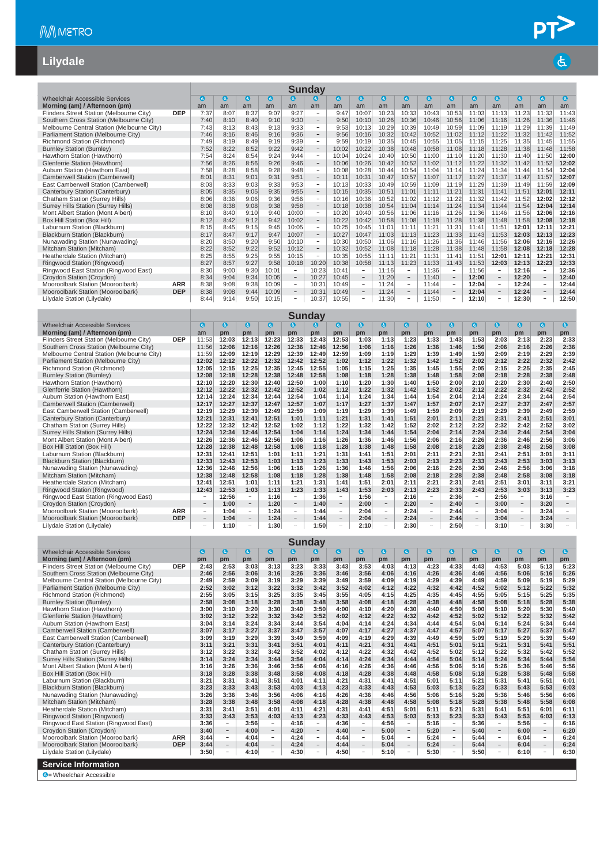#### **Lilydale**

|                                            |            |              |              |                            |           |                          | <b>Sunday</b>            |       |                          |           |                          |              |                          |           |                          |           |                          |           |
|--------------------------------------------|------------|--------------|--------------|----------------------------|-----------|--------------------------|--------------------------|-------|--------------------------|-----------|--------------------------|--------------|--------------------------|-----------|--------------------------|-----------|--------------------------|-----------|
| <b>Wheelchair Accessible Services</b>      |            | $\mathbf{G}$ | $\mathbf{G}$ | $\left( \mathbf{d}\right)$ | $\bullet$ | $\bullet$                | $\bullet$                | O     | $\bullet$                | $\bullet$ | $\bullet$                | $\mathbf{G}$ | $\bullet$                | $\bullet$ | $\boldsymbol{a}$         | $\bullet$ | o                        | $\bullet$ |
| Morning (am) / Afternoon (pm)              |            | am           | am           | am                         | am        | am                       | am                       | am    | am                       | am        | am                       | am           | am                       | am        | am                       | am        | am                       | am        |
| Flinders Street Station (Melbourne City)   | <b>DEP</b> | 7:37         | 8:07         | 8:37                       | 9:07      | 9:27                     | $\overline{\phantom{a}}$ | 9:47  | 10:07                    | 10:23     | 10:33                    | 10:43        | 10:53                    | 11:03     | 11:13                    | 11:23     | 11:33                    | 11:43     |
| Southern Cross Station (Melbourne City)    |            | 7:40         | 8:10         | 8:40                       | 9:10      | 9:30                     | $\qquad \qquad$          | 9:50  | 10:10                    | 10:26     | 10:36                    | 10:46        | 10:56                    | 11:06     | 11:16                    | 11:26     | 11:36                    | 11:46     |
| Melbourne Central Station (Melbourne City) |            | 7:43         | 8:13         | 8:43                       | 9:13      | 9:33                     | $\overline{\phantom{0}}$ | 9:53  | 10:13                    | 10:29     | 10:39                    | 10:49        | 10:59                    | 11:09     | 11:19                    | 11:29     | 11:39                    | 11:49     |
| Parliament Station (Melbourne City)        |            | 7:46         | 8:16         | 8:46                       | 9:16      | 9:36                     | $\qquad \qquad -$        | 9:56  | 10:16                    | 10:32     | 10:42                    | 10:52        | 11:02                    | 11:12     | 11:22                    | 11:32     | 11:42                    | 11:52     |
| Richmond Station (Richmond)                |            | 7:49         | 8:19         | 8:49                       | 9:19      | 9:39                     | $\overline{\phantom{a}}$ | 9:59  | 10:19                    | 10:35     | 10:45                    | 10:55        | 11:05                    | 11:15     | 11:25                    | 11:35     | 11:45                    | 11:55     |
| <b>Burnley Station (Burnley)</b>           |            | 7:52         | 8:22         | 8:52                       | 9:22      | 9:42                     | $\overline{\phantom{0}}$ | 10:02 | 10:22                    | 10:38     | 10:48                    | 10:58        | 11:08                    | 11:18     | 11:28                    | 11:38     | 11:48                    | 11:58     |
| Hawthorn Station (Hawthorn)                |            | 7:54         | 8:24         | 8:54                       | 9:24      | 9:44                     | $\overline{\phantom{a}}$ | 10:04 | 10:24                    | 10:40     | 10:50                    | 11:00        | 11:10                    | 11:20     | 11:30                    | 11:40     | 11:50                    | 12:00     |
| Glenferrie Station (Hawthorn)              |            | 7:56         | 8:26         | 8:56                       | 9:26      | 9:46                     | $\overline{\phantom{a}}$ | 10:06 | 10:26                    | 10:42     | 10:52                    | 11:02        | 11:12                    | 11:22     | 11:32                    | 11:42     | 11:52                    | 12:02     |
| Auburn Station (Hawthorn East)             |            | 7:58         | 8:28         | 8:58                       | 9:28      | 9:48                     | $\overline{\phantom{a}}$ | 10:08 | 10:28                    | 10:44     | 10:54                    | 11:04        | 11:14                    | 11:24     | 11:34                    | 11:44     | 11:54                    | 12:04     |
| Camberwell Station (Camberwell)            |            | 8:01         | 8:31         | 9:01                       | 9:31      | 9:51                     | $\qquad \qquad -$        | 10:11 | 10:31                    | 10:47     | 10:57                    | 11:07        | 11:17                    | 11:27     | 11:37                    | 11:47     | 11:57                    | 12:07     |
| East Camberwell Station (Camberwell)       |            | 8:03         | 8:33         | 9:03                       | 9:33      | 9:53                     | $\overline{\phantom{0}}$ | 10:13 | 10:33                    | 10:49     | 10:59                    | 11:09        | 11:19                    | 11:29     | 11:39                    | 11:49     | 11:59                    | 12:09     |
| Canterbury Station (Canterbury)            |            | 8:05         | 8:35         | 9:05                       | 9:35      | 9:55                     | $\overline{\phantom{a}}$ | 10:15 | 10:35                    | 10:51     | 11:01                    | 11:11        | 11:21                    | 11:31     | 11:41                    | 11:51     | 12:01                    | 12:11     |
| Chatham Station (Surrey Hills)             |            | 8:06         | 8:36         | 9:06                       | 9:36      | 9:56                     | $\overline{\phantom{a}}$ | 10:16 | 10:36                    | 10:52     | 11:02                    | 11:12        | 11:22                    | 11:32     | 11:42                    | 11:52     | 12:02                    | 12:12     |
| Surrey Hills Station (Surrey Hills)        |            | 8:08         | 8:38         | 9:08                       | 9:38      | 9:58                     | $\overline{\phantom{a}}$ | 10:18 | 10:38                    | 10:54     | 11:04                    | 11:14        | 11:24                    | 11:34     | 11:44                    | 11:54     | 12:04                    | 12:14     |
| Mont Albert Station (Mont Albert)          |            | 8:10         | 8:40         | 9:10                       | 9:40      | 10:00                    | $\qquad \qquad -$        | 10:20 | 10:40                    | 10:56     | 11:06                    | 11:16        | 11:26                    | 11:36     | 11:46                    | 11:56     | 12:06                    | 12:16     |
| Box Hill Station (Box Hill)                |            | 8:12         | 8:42         | 9:12                       | 9:42      | 10:02                    |                          | 10:22 | 10:42                    | 10:58     | 11:08                    | 11:18        | 11:28                    | 11:38     | 11:48                    | 11:58     | 12:08                    | 12:18     |
| Laburnum Station (Blackburn)               |            | 8:15         | 8:45         | 9:15                       | 9:45      | 10:05                    | $\overline{\phantom{a}}$ | 10:25 | 10:45                    | 11:01     | 11:11                    | 11:21        | 11:31                    | 11:41     | 11:51                    | 12:01     | 12:11                    | 12:21     |
| Blackburn Station (Blackburn)              |            | 8:17         | 8:47         | 9:17                       | 9:47      | 10:07                    | $\overline{\phantom{0}}$ | 10:27 | 10:47                    | 11:03     | 11:13                    | 11:23        | 11:33                    | 11:43     | 11:53                    | 12:03     | 12:13                    | 12:23     |
| Nunawading Station (Nunawading)            |            | 8:20         | 8:50         | 9:20                       | 9:50      | 10:10                    | $\overline{\phantom{m}}$ | 10:30 | 10:50                    | 11:06     | 11:16                    | 11:26        | 11:36                    | 11:46     | 11:56                    | 12:06     | 12:16                    | 12:26     |
| Mitcham Station (Mitcham)                  |            | 8:22         | 8:52         | 9:22                       | 9:52      | 10:12                    | $\overline{\phantom{a}}$ | 10:32 | 10:52                    | 11:08     | 11:18                    | 11:28        | 11:38                    | 11:48     | 11:58                    | 12:08     | 12:18                    | 12:28     |
| Heatherdale Station (Mitcham)              |            | 8:25         | 8:55         | 9:25                       | 9:55      | 10:15                    | $\overline{\phantom{a}}$ | 10:35 | 10:55                    | 11:11     | 11:21                    | 11:31        | 11:41                    | 11:51     | 12:01                    | 12:11     | 12:21                    | 12:31     |
| Ringwood Station (Ringwood)                |            | 8:27         | 8:57         | 9:27                       | 9:58      | 10:18                    | 10:20                    | 10:38 | 10:58                    | 11:13     | 11:23                    | 11:33        | 11:43                    | 11:53     | 12:03                    | 12:13     | 12:23                    | 12:33     |
| Ringwood East Station (Ringwood East)      |            | 8:30         | 9:00         | 9:30                       | 10:01     | $\overline{\phantom{a}}$ | 10:23                    | 10:41 | $\sim$                   | 11:16     | -                        | 11:36        | -                        | 11:56     | $\sim$                   | 12:16     | $\overline{\phantom{a}}$ | 12:36     |
| Croydon Station (Croydon)                  |            | 8:34         | 9:04         | 9:34                       | 10:05     | $\overline{\phantom{m}}$ | 10:27                    | 10:45 | $\overline{\phantom{a}}$ | 11:20     | $\overline{\phantom{a}}$ | 11:40        | $\qquad \qquad -$        | 12:00     | $\overline{\phantom{a}}$ | 12:20     | $\overline{\phantom{a}}$ | 12:40     |
| Mooroolbark Station (Mooroolbark)          | <b>ARR</b> | 8:38         | 9:08         | 9:38                       | 10:09     | $\overline{\phantom{a}}$ | 10:31                    | 10:49 | $\overline{\phantom{a}}$ | 11:24     | $\overline{\phantom{a}}$ | 11:44        | $\overline{a}$           | 12:04     | $\overline{\phantom{a}}$ | 12:24     | $\overline{\phantom{a}}$ | 12:44     |
| Mooroolbark Station (Mooroolbark)          | <b>DEP</b> | 8:38         | 9:08         | 9:44                       | 10:09     | $\overline{\phantom{a}}$ | 10:31                    | 10:49 | $\overline{\phantom{a}}$ | 11:24     | $\overline{\phantom{a}}$ | 11:44        | $\overline{\phantom{m}}$ | 12:04     | $\overline{\phantom{a}}$ | 12:24     | $\overline{\phantom{a}}$ | 12:44     |
| Lilydale Station (Lilydale)                |            | 8:44         | 9:14         | 9:50                       | 10:15     | $\overline{\phantom{a}}$ | 10:37                    | 10:55 | $\overline{a}$           | 11:30     | $\qquad \qquad -$        | 11:50        | $\overline{\phantom{0}}$ | 12:10     | $\overline{\phantom{a}}$ | 12:30     | $\overline{\phantom{0}}$ | 12:50     |

|                                            |            |                          |              |                          |           |                          | <b>Sunday</b>    |                          |           |                          |              |                          |           |                          |           |                          |           |           |
|--------------------------------------------|------------|--------------------------|--------------|--------------------------|-----------|--------------------------|------------------|--------------------------|-----------|--------------------------|--------------|--------------------------|-----------|--------------------------|-----------|--------------------------|-----------|-----------|
| <b>Wheelchair Accessible Services</b>      |            | $\epsilon$               | $\mathbf{G}$ | $\mathbf a$              | $\bullet$ | G.                       | $\boldsymbol{c}$ | $\bullet$                | $\bullet$ | $\bullet$                | $\mathbf{G}$ | $\mathbf{G}$             | $\bullet$ | $\bullet$                | $\bullet$ | $\bullet$                | $\bullet$ | $\bullet$ |
| Morning (am) / Afternoon (pm)              |            | am                       | pm           | pm                       | pm        | pm                       | pm               | pm                       | pm        | pm                       | pm           | pm                       | pm        | pm                       | pm        | pm                       | pm        | pm        |
| Flinders Street Station (Melbourne City)   | <b>DEP</b> | 11:53                    | 12:03        | 12:13                    | 12:23     | 12:33                    | 12:43            | 12:53                    | 1:03      | 1:13                     | 1:23         | 1:33                     | 1:43      | 1:53                     | 2:03      | 2:13                     | 2:23      | 2:33      |
| Southern Cross Station (Melbourne City)    |            | 11:56                    | 12:06        | 12:16                    | 12:26     | 12:36                    | 12:46            | 12:56                    | 1:06      | 1:16                     | 1:26         | 1:36                     | 1:46      | 1:56                     | 2:06      | 2:16                     | 2:26      | 2:36      |
| Melbourne Central Station (Melbourne City) |            | 11:59                    | 12:09        | 12:19                    | 12:29     | 12:39                    | 12:49            | 12:59                    | 1:09      | 1:19                     | 1:29         | 1:39                     | 1:49      | 1:59                     | 2:09      | 2:19                     | 2:29      | 2:39      |
| Parliament Station (Melbourne City)        |            | 12:02                    | 12:12        | 12:22                    | 12:32     | 12:42                    | 12:52            | 1:02                     | 1:12      | 1:22                     | 1:32         | 1:42                     | 1:52      | 2:02                     | 2:12      | 2:22                     | 2:32      | 2:42      |
| Richmond Station (Richmond)                |            | 12:05                    | 12:15        | 12:25                    | 12:35     | 12:45                    | 12:55            | 1:05                     | 1:15      | 1:25                     | 1:35         | 1:45                     | 1:55      | 2:05                     | 2:15      | 2:25                     | 2:35      | 2:45      |
| <b>Burnley Station (Burnley)</b>           |            | 12:08                    | 12:18        | 12:28                    | 12:38     | 12:48                    | 12:58            | 1:08                     | 1:18      | 1:28                     | 1:38         | 1:48                     | 1:58      | 2:08                     | 2:18      | 2:28                     | 2:38      | 2:48      |
| Hawthorn Station (Hawthorn)                |            | 12:10                    | 12:20        | 12:30                    | 12:40     | 12:50                    | 1:00             | 1:10                     | 1:20      | 1:30                     | 1:40         | 1:50                     | 2:00      | 2:10                     | 2:20      | 2:30                     | 2:40      | 2:50      |
| Glenferrie Station (Hawthorn)              |            | 12:12                    | 12:22        | 12:32                    | 12:42     | 12:52                    | 1:02             | 1:12                     | 1:22      | 1:32                     | 1:42         | 1:52                     | 2:02      | 2:12                     | 2:22      | 2:32                     | 2:42      | 2:52      |
| Auburn Station (Hawthorn East)             |            | 12:14                    | 12:24        | 12:34                    | 12:44     | 12:54                    | 1:04             | 1:14                     | 1:24      | 1:34                     | 1:44         | 1:54                     | 2:04      | 2:14                     | 2:24      | 2:34                     | 2:44      | 2:54      |
| Camberwell Station (Camberwell)            |            | 12:17                    | 12:27        | 12:37                    | 12:47     | 12:57                    | 1:07             | 1:17                     | 1:27      | 1:37                     | 1:47         | 1:57                     | 2:07      | 2:17                     | 2:27      | 2:37                     | 2:47      | 2:57      |
| East Camberwell Station (Camberwell)       |            | 12:19                    | 12:29        | 12:39                    | 12:49     | 12:59                    | 1:09             | 1:19                     | 1:29      | 1:39                     | 1:49         | 1:59                     | 2:09      | 2:19                     | 2:29      | 2:39                     | 2:49      | 2:59      |
| Canterbury Station (Canterbury)            |            | 12:21                    | 12:31        | 12:41                    | 12:51     | 1:01                     | 1:11             | 1:21                     | 1:31      | 1:41                     | 1:51         | 2:01                     | 2:11      | 2:21                     | 2:31      | 2:41                     | 2:51      | 3:01      |
| Chatham Station (Surrey Hills)             |            | 12:22                    | 12:32        | 12:42                    | 12:52     | 1:02                     | 1:12             | 1:22                     | 1:32      | 1:42                     | 1:52         | 2:02                     | 2:12      | 2:22                     | 2:32      | 2:42                     | 2:52      | 3:02      |
| Surrey Hills Station (Surrey Hills)        |            | 12:24                    | 12:34        | 12:44                    | 12:54     | 1:04                     | 1:14             | 1:24                     | 1:34      | 1:44                     | 1:54         | 2:04                     | 2:14      | 2:24                     | 2:34      | 2:44                     | 2:54      | 3:04      |
| Mont Albert Station (Mont Albert)          |            | 12:26                    | 12:36        | 12:46                    | 12:56     | 1:06                     | 1:16             | 1:26                     | 1:36      | 1:46                     | 1:56         | 2:06                     | 2:16      | 2:26                     | 2:36      | 2:46                     | 2:56      | 3:06      |
| Box Hill Station (Box Hill)                |            | 12:28                    | 12:38        | 12:48                    | 12:58     | 1:08                     | 1:18             | 1:28                     | 1:38      | 1:48                     | 1:58         | 2:08                     | 2:18      | 2:28                     | 2:38      | 2:48                     | 2:58      | 3:08      |
| Laburnum Station (Blackburn)               |            | 12:31                    | 12:41        | 12:51                    | 1:01      | 1:11                     | 1:21             | 1:31                     | 1:41      | 1:51                     | 2:01         | 2:11                     | 2:21      | 2:31                     | 2:41      | 2:51                     | 3:01      | 3:11      |
| Blackburn Station (Blackburn)              |            | 12:33                    | 12:43        | 12:53                    | 1:03      | 1:13                     | 1:23             | 1:33                     | 1:43      | 1:53                     | 2:03         | 2:13                     | 2:23      | 2:33                     | 2:43      | 2:53                     | 3:03      | 3:13      |
| Nunawading Station (Nunawading)            |            | 12:36                    | 12:46        | 12:56                    | 1:06      | 1:16                     | 1:26             | 1:36                     | 1:46      | 1:56                     | 2:06         | 2:16                     | 2:26      | 2:36                     | 2:46      | 2:56                     | 3:06      | 3:16      |
| Mitcham Station (Mitcham)                  |            | 12:38                    | 12:48        | 12:58                    | 1:08      | 1:18                     | 1:28             | 1:38                     | 1:48      | 1:58                     | 2:08         | 2:18                     | 2:28      | 2:38                     | 2:48      | 2:58                     | 3:08      | 3:18      |
| Heatherdale Station (Mitcham)              |            | 12:41                    | 12:51        | 1:01                     | 1:11      | 1:21                     | 1:31             | 1:41                     | 1:51      | 2:01                     | 2:11         | 2:21                     | 2:31      | 2:41                     | 2:51      | 3:01                     | 3:11      | 3:21      |
| Ringwood Station (Ringwood)                |            | 12:43                    | 12:53        | 1:03                     | 1:13      | 1:23                     | 1:33             | 1:43                     | 1:53      | 2:03                     | 2:13         | 2:23                     | 2:33      | 2:43                     | 2:53      | 3:03                     | 3:13      | 3:23      |
| Ringwood East Station (Ringwood East)      |            |                          | 12:56        | ٠.                       | 1:16      | $\sim$                   | 1:36             | $\sim$                   | 1:56      | $\sim$                   | 2:16         | $\overline{\phantom{a}}$ | 2:36      | $\overline{\phantom{a}}$ | 2:56      | $\sim$                   | 3:16      |           |
| Croydon Station (Croydon)                  |            |                          | 1:00         | $\qquad \qquad -$        | 1:20      | $\qquad \qquad -$        | 1:40             | $\overline{\phantom{a}}$ | 2:00      | $\overline{\phantom{a}}$ | 2:20         | $\qquad \qquad -$        | 2:40      |                          | 3:00      | $\qquad \qquad -$        | 3:20      |           |
| Mooroolbark Station (Mooroolbark)          | <b>ARR</b> | $\overline{\phantom{a}}$ | 1:04         | ۰.                       | 1:24      | $\overline{\phantom{a}}$ | 1:44             | $\overline{\phantom{a}}$ | 2:04      | $\sim$                   | 2:24         | $\qquad \qquad =$        | 2:44      | $\overline{\phantom{a}}$ | 3:04      | $\overline{\phantom{a}}$ | 3:24      |           |
| Mooroolbark Station (Mooroolbark)          | <b>DEP</b> |                          | 1:04         | $\qquad \qquad -$        | 1:24      |                          | 1:44             |                          | 2:04      | $\qquad \qquad -$        | 2:24         |                          | 2:44      |                          | 3:04      | $\overline{\phantom{a}}$ | 3:24      |           |
| Lilvdale Station (Lilvdale)                |            |                          | 1:10         | $\overline{\phantom{0}}$ | 1:30      |                          | 1:50             |                          | 2:10      | $\overline{a}$           | 2:30         |                          | 2:50      |                          | 3:10      |                          | 3:30      |           |

|                                            |            |      |                          |           |                          |              | <b>Sunday</b>            |           |                          |           |                          |           |                          |           |                          |      |                          |           |
|--------------------------------------------|------------|------|--------------------------|-----------|--------------------------|--------------|--------------------------|-----------|--------------------------|-----------|--------------------------|-----------|--------------------------|-----------|--------------------------|------|--------------------------|-----------|
| <b>Wheelchair Accessible Services</b>      |            | G    | $\bullet$                | $\bullet$ | $\bullet$                | $\mathbf{a}$ | G.                       | $\bullet$ | $\bullet$                | $\bullet$ | $\bullet$                | $\bullet$ | $\mathbf a$              | $\bullet$ | $\bullet$                | 0    | $\bullet$                | $\bullet$ |
| Morning (am) / Afternoon (pm)              |            | pm   | pm                       | pm        | pm                       | pm           | pm                       | pm        | pm                       | pm        | pm                       | pm        | pm                       | pm        | pm                       | pm   | pm                       | pm        |
| Flinders Street Station (Melbourne City)   | <b>DEP</b> | 2:43 | 2:53                     | 3:03      | 3:13                     | 3:23         | 3:33                     | 3:43      | 3:53                     | 4:03      | 4:13                     | 4:23      | 4:33                     | 4:43      | 4:53                     | 5:03 | 5:13                     | 5:23      |
| Southern Cross Station (Melbourne City)    |            | 2:46 | 2:56                     | 3:06      | 3:16                     | 3:26         | 3:36                     | 3:46      | 3:56                     | 4:06      | 4:16                     | 4:26      | 4:36                     | 4:46      | 4:56                     | 5:06 | 5:16                     | 5:26      |
| Melbourne Central Station (Melbourne City) |            | 2:49 | 2:59                     | 3:09      | 3:19                     | 3:29         | 3:39                     | 3:49      | 3:59                     | 4:09      | 4:19                     | 4:29      | 4:39                     | 4:49      | 4:59                     | 5:09 | 5:19                     | 5:29      |
| Parliament Station (Melbourne City)        |            | 2:52 | 3:02                     | 3:12      | 3:22                     | 3:32         | 3:42                     | 3:52      | 4:02                     | 4:12      | 4:22                     | 4:32      | 4:42                     | 4:52      | 5:02                     | 5:12 | 5:22                     | 5:32      |
| Richmond Station (Richmond)                |            | 2:55 | 3:05                     | 3:15      | 3:25                     | 3:35         | 3:45                     | 3:55      | 4:05                     | 4:15      | 4:25                     | 4:35      | 4:45                     | 4:55      | 5:05                     | 5:15 | 5:25                     | 5:35      |
| <b>Burnley Station (Burnley)</b>           |            | 2:58 | 3:08                     | 3:18      | 3:28                     | 3:38         | 3:48                     | 3:58      | 4:08                     | 4:18      | 4:28                     | 4:38      | 4:48                     | 4:58      | 5:08                     | 5:18 | 5:28                     | 5:38      |
| Hawthorn Station (Hawthorn)                |            | 3:00 | 3:10                     | 3:20      | 3:30                     | 3:40         | 3:50                     | 4:00      | 4:10                     | 4:20      | 4:30                     | 4:40      | 4:50                     | 5:00      | 5:10                     | 5:20 | 5:30                     | 5:40      |
| Glenferrie Station (Hawthorn)              |            | 3:02 | 3:12                     | 3:22      | 3:32                     | 3:42         | 3:52                     | 4:02      | 4:12                     | 4:22      | 4:32                     | 4:42      | 4:52                     | 5:02      | 5:12                     | 5:22 | 5:32                     | 5:42      |
| Auburn Station (Hawthorn East)             |            | 3:04 | 3:14                     | 3:24      | 3:34                     | 3:44         | 3:54                     | 4:04      | 4:14                     | 4:24      | 4:34                     | 4:44      | 4:54                     | 5:04      | 5:14                     | 5:24 | 5:34                     | 5:44      |
| Camberwell Station (Camberwell)            |            | 3:07 | 3:17                     | 3:27      | 3:37                     | 3:47         | 3:57                     | 4:07      | 4:17                     | 4:27      | 4:37                     | 4:47      | 4:57                     | 5:07      | 5:17                     | 5:27 | 5:37                     | 5:47      |
| East Camberwell Station (Camberwell)       |            | 3:09 | 3:19                     | 3:29      | 3:39                     | 3:49         | 3:59                     | 4:09      | 4:19                     | 4:29      | 4:39                     | 4:49      | 4:59                     | 5:09      | 5:19                     | 5:29 | 5:39                     | 5:49      |
| Canterbury Station (Canterbury)            |            | 3:11 | 3:21                     | 3:31      | 3:41                     | 3:51         | 4:01                     | 4:11      | 4:21                     | 4:31      | 4:41                     | 4:51      | 5:01                     | 5:11      | 5:21                     | 5:31 | 5:41                     | 5:51      |
| Chatham Station (Surrey Hills)             |            | 3:12 | 3:22                     | 3:32      | 3:42                     | 3:52         | 4:02                     | 4:12      | 4:22                     | 4:32      | 4:42                     | 4:52      | 5:02                     | 5:12      | 5:22                     | 5:32 | 5:42                     | 5:52      |
| <b>Surrey Hills Station (Surrey Hills)</b> |            | 3:14 | 3:24                     | 3:34      | 3:44                     | 3:54         | 4:04                     | 4:14      | 4:24                     | 4:34      | 4:44                     | 4:54      | 5:04                     | 5:14      | 5:24                     | 5:34 | 5:44                     | 5:54      |
| Mont Albert Station (Mont Albert)          |            | 3:16 | 3:26                     | 3:36      | 3:46                     | 3:56         | 4:06                     | 4:16      | 4:26                     | 4:36      | 4:46                     | 4:56      | 5:06                     | 5:16      | 5:26                     | 5:36 | 5:46                     | 5:56      |
| Box Hill Station (Box Hill)                |            | 3:18 | 3:28                     | 3:38      | 3:48                     | 3:58         | 4:08                     | 4:18      | 4:28                     | 4:38      | 4:48                     | 4:58      | 5:08                     | 5:18      | 5:28                     | 5:38 | 5:48                     | 5:58      |
| Laburnum Station (Blackburn)               |            | 3:21 | 3:31                     | 3:41      | 3:51                     | 4:01         | 4:11                     | 4:21      | 4:31                     | 4:41      | 4:51                     | 5:01      | 5:11                     | 5:21      | 5:31                     | 5:41 | 5:51                     | 6:01      |
| <b>Blackburn Station (Blackburn)</b>       |            | 3:23 | 3:33                     | 3:43      | 3:53                     | 4:03         | 4:13                     | 4:23      | 4:33                     | 4:43      | 4:53                     | 5:03      | 5:13                     | 5:23      | 5:33                     | 5:43 | 5:53                     | 6:03      |
| Nunawading Station (Nunawading)            |            | 3:26 | 3:36                     | 3:46      | 3:56                     | 4:06         | 4:16                     | 4:26      | 4:36                     | 4:46      | 4:56                     | 5:06      | 5:16                     | 5:26      | 5:36                     | 5:46 | 5:56                     | 6:06      |
| Mitcham Station (Mitcham)                  |            | 3:28 | 3:38                     | 3:48      | 3:58                     | 4:08         | 4:18                     | 4:28      | 4:38                     | 4:48      | 4:58                     | 5:08      | 5:18                     | 5:28      | 5:38                     | 5:48 | 5:58                     | 6:08      |
| Heatherdale Station (Mitcham)              |            | 3:31 | 3:41                     | 3:51      | 4:01                     | 4:11         | 4:21                     | 4:31      | 4:41                     | 4:51      | 5:01                     | 5:11      | 5:21                     | 5:31      | 5:41                     | 5:51 | 6:01                     | 6:11      |
| Ringwood Station (Ringwood)                |            | 3:33 | 3:43                     | 3:53      | 4:03                     | 4:13         | 4:23                     | 4:33      | 4:43                     | 4:53      | 5:03                     | 5:13      | 5:23                     | 5:33      | 5:43                     | 5:53 | 6:03                     | 6:13      |
| Ringwood East Station (Ringwood East)      |            | 3:36 | $\sim$                   | 3:56      | $\overline{\phantom{a}}$ | 4:16         | $\sim$                   | 4:36      | $\sim$                   | 4:56      | -                        | 5:16      | -                        | 5:36      | $\sim$                   | 5:56 | $\sim$                   | 6:16      |
| Croydon Station (Croydon)                  |            | 3:40 | $\qquad \qquad =$        | 4:00      | $\overline{\phantom{a}}$ | 4:20         | $\overline{\phantom{a}}$ | 4:40      | $\overline{\phantom{a}}$ | 5:00      | $\overline{\phantom{a}}$ | 5:20      | $-$                      | 5:40      | $\overline{\phantom{a}}$ | 6:00 | $\overline{\phantom{a}}$ | 6:20      |
| Mooroolbark Station (Mooroolbark)          | <b>ARR</b> | 3:44 | $\sim$                   | 4:04      | $\overline{a}$           | 4:24         | $\sim$                   | 4:44      | $\sim$                   | 5:04      | $\overline{\phantom{a}}$ | 5:24      | $\overline{\phantom{0}}$ | 5:44      | $\sim$                   | 6:04 | $\overline{\phantom{a}}$ | 6:24      |
| Mooroolbark Station (Mooroolbark)          | <b>DEP</b> | 3:44 | $\overline{\phantom{a}}$ | 4:04      | $\qquad \qquad -$        | 4:24         | $\overline{\phantom{m}}$ | 4:44      | $\overline{\phantom{a}}$ | 5:04      | $\overline{\phantom{0}}$ | 5:24      | $\overline{\phantom{0}}$ | 5:44      | $\overline{\phantom{a}}$ | 6:04 | $\overline{\phantom{a}}$ | 6:24      |
| Lilydale Station (Lilydale)                |            | 3:50 | $\overline{\phantom{0}}$ | 4:10      | $\overline{\phantom{0}}$ | 4:30         | $\overline{\phantom{a}}$ | 4:50      | $\overline{\phantom{a}}$ | 5:10      | $\overline{\phantom{a}}$ | 5:30      | $\overline{\phantom{0}}$ | 5:50      | $\overline{\phantom{a}}$ | 6:10 | $\overline{\phantom{a}}$ | 6:30      |
| <b>Service Information</b>                 |            |      |                          |           |                          |              |                          |           |                          |           |                          |           |                          |           |                          |      |                          |           |
| <b>A</b> - Wheelchair Accessible           |            |      |                          |           |                          |              |                          |           |                          |           |                          |           |                          |           |                          |      |                          |           |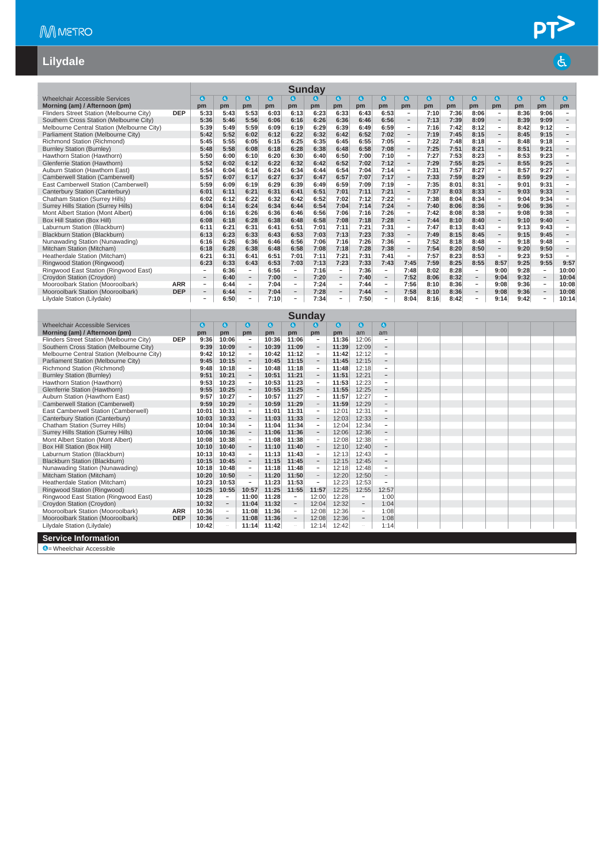#### **Lilydale**

|                                            |            |                          |              |                          |           |                          | <b>Sunday</b> |                          |           |                          |                          |           |           |                          |                          |      |                          |                          |
|--------------------------------------------|------------|--------------------------|--------------|--------------------------|-----------|--------------------------|---------------|--------------------------|-----------|--------------------------|--------------------------|-----------|-----------|--------------------------|--------------------------|------|--------------------------|--------------------------|
| Wheelchair Accessible Services             |            | a                        | $\mathbf{a}$ | $\mathbf{a}$             | $\bullet$ | $\mathbf{a}$             | G             | $\bullet$                | $\bullet$ | $\bullet$                | $\bullet$                | $\bullet$ | $\bullet$ | $\bullet$                | $\bullet$                | Θ    | $\bullet$                | $\epsilon$               |
| Morning (am) / Afternoon (pm)              |            | pm                       | pm           | pm                       | pm        | pm                       | pm            | pm                       | pm        | pm                       | pm                       | pm        | pm        | pm                       | pm                       | pm   | pm                       | pm                       |
| Flinders Street Station (Melbourne City)   | <b>DEP</b> | 5:33                     | 5:43         | 5:53                     | 6:03      | 6:13                     | 6:23          | 6:33                     | 6:43      | 6:53                     | $\overline{\phantom{m}}$ | 7:10      | 7:36      | 8:06                     | $\qquad \qquad -$        | 8:36 | 9:06                     | $\overline{\phantom{a}}$ |
| Southern Cross Station (Melbourne City)    |            | 5:36                     | 5:46         | 5:56                     | 6:06      | 6:16                     | 6:26          | 6:36                     | 6:46      | 6:56                     | $\overline{\phantom{a}}$ | 7:13      | 7:39      | 8:09                     | $\overline{\phantom{a}}$ | 8:39 | 9:09                     |                          |
| Melbourne Central Station (Melbourne City) |            | 5:39                     | 5:49         | 5:59                     | 6:09      | 6:19                     | 6:29          | 6:39                     | 6:49      | 6:59                     | $\overline{\phantom{0}}$ | 7:16      | 7:42      | 8:12                     | $\overline{\phantom{a}}$ | 8:42 | 9:12                     |                          |
| Parliament Station (Melbourne City)        |            | 5:42                     | 5:52         | 6:02                     | 6:12      | 6:22                     | 6:32          | 6:42                     | 6:52      | 7:02                     | $\overline{\phantom{a}}$ | 7:19      | 7:45      | 8:15                     | $\overline{\phantom{a}}$ | 8:45 | 9:15                     |                          |
| Richmond Station (Richmond)                |            | 5:45                     | 5:55         | 6:05                     | 6:15      | 6:25                     | 6:35          | 6:45                     | 6:55      | 7:05                     | $\overline{\phantom{a}}$ | 7:22      | 7:48      | 8:18                     | $\sim$                   | 8:48 | 9:18                     | ٠                        |
| <b>Burnley Station (Burnley)</b>           |            | 5:48                     | 5:58         | 6:08                     | 6:18      | 6:28                     | 6:38          | 6:48                     | 6:58      | 7:08                     | $\qquad \qquad -$        | 7:25      | 7:51      | 8:21                     | $\overline{\phantom{a}}$ | 8:51 | 9:21                     |                          |
| Hawthorn Station (Hawthorn)                |            | 5:50                     | 6:00         | 6:10                     | 6:20      | 6:30                     | 6:40          | 6:50                     | 7:00      | 7:10                     | $\sim$                   | 7:27      | 7:53      | 8:23                     | $\sim$                   | 8:53 | 9:23                     |                          |
| Glenferrie Station (Hawthorn)              |            | 5:52                     | 6:02         | 6:12                     | 6:22      | 6:32                     | 6:42          | 6:52                     | 7:02      | 7:12                     | $\overline{\phantom{a}}$ | 7:29      | 7:55      | 8:25                     | $\equiv$                 | 8:55 | 9:25                     |                          |
| Auburn Station (Hawthorn East)             |            | 5:54                     | 6:04         | 6:14                     | 6:24      | 6:34                     | 6:44          | 6:54                     | 7:04      | 7:14                     | $\overline{\phantom{a}}$ | 7:31      | 7:57      | 8:27                     | $\sim$                   | 8:57 | 9:27                     |                          |
| Camberwell Station (Camberwell)            |            | 5:57                     | 6:07         | 6:17                     | 6:27      | 6:37                     | 6:47          | 6:57                     | 7:07      | 7:17                     | $\overline{\phantom{a}}$ | 7:33      | 7:59      | 8:29                     | $\overline{\phantom{a}}$ | 8:59 | 9:29                     |                          |
| East Camberwell Station (Camberwell)       |            | 5:59                     | 6:09         | 6:19                     | 6:29      | 6:39                     | 6:49          | 6:59                     | 7:09      | 7:19                     | $\overline{\phantom{a}}$ | 7:35      | 8:01      | 8:31                     | $\overline{\phantom{a}}$ | 9:01 | 9:31                     | $\sim$                   |
| Canterbury Station (Canterbury)            |            | 6:01                     | 6:11         | 6:21                     | 6:31      | 6:41                     | 6:51          | 7:01                     | 7:11      | 7:21                     | $\overline{\phantom{a}}$ | 7:37      | 8:03      | 8:33                     | $\overline{\phantom{a}}$ | 9:03 | 9:33                     |                          |
| Chatham Station (Surrey Hills)             |            | 6:02                     | 6:12         | 6:22                     | 6:32      | 6:42                     | 6:52          | 7:02                     | 7:12      | 7:22                     | $\overline{\phantom{0}}$ | 7:38      | 8:04      | 8:34                     | $\overline{\phantom{a}}$ | 9:04 | 9:34                     |                          |
| Surrey Hills Station (Surrey Hills)        |            | 6:04                     | 6:14         | 6:24                     | 6:34      | 6:44                     | 6:54          | 7:04                     | 7:14      | 7:24                     | $\overline{\phantom{a}}$ | 7:40      | 8:06      | 8:36                     | $\overline{\phantom{a}}$ | 9:06 | 9:36                     |                          |
| Mont Albert Station (Mont Albert)          |            | 6:06                     | 6:16         | 6:26                     | 6:36      | 6:46                     | 6:56          | 7:06                     | 7:16      | 7:26                     | $\equiv$                 | 7:42      | 8:08      | 8:38                     | $\equiv$                 | 9:08 | 9:38                     |                          |
| Box Hill Station (Box Hill)                |            | 6:08                     | 6:18         | 6:28                     | 6:38      | 6:48                     | 6:58          | 7:08                     | 7:18      | 7:28                     | $\overline{\phantom{a}}$ | 7:44      | 8:10      | 8:40                     | $\overline{\phantom{a}}$ | 9:10 | 9:40                     |                          |
| Laburnum Station (Blackburn)               |            | 6:11                     | 6:21         | 6:31                     | 6:41      | 6:51                     | 7:01          | 7:11                     | 7:21      | 7:31                     | $\overline{\phantom{0}}$ | 7:47      | 8:13      | 8:43                     | $\sim$                   | 9:13 | 9:43                     | $\overline{\phantom{a}}$ |
| Blackburn Station (Blackburn)              |            | 6:13                     | 6:23         | 6:33                     | 6:43      | 6:53                     | 7:03          | 7:13                     | 7:23      | 7:33                     | $\overline{\phantom{a}}$ | 7:49      | 8:15      | 8:45                     | $\overline{\phantom{a}}$ | 9:15 | 9:45                     |                          |
| Nunawading Station (Nunawading)            |            | 6:16                     | 6:26         | 6:36                     | 6:46      | 6:56                     | 7:06          | 7:16                     | 7:26      | 7:36                     | $\overline{\phantom{a}}$ | 7:52      | 8:18      | 8:48                     | $\overline{\phantom{a}}$ | 9:18 | 9:48                     |                          |
| Mitcham Station (Mitcham)                  |            | 6:18                     | 6:28         | 6:38                     | 6:48      | 6:58                     | 7:08          | 7:18                     | 7:28      | 7:38                     | $\overline{\phantom{a}}$ | 7:54      | 8:20      | 8:50                     | $\overline{\phantom{a}}$ | 9:20 | 9:50                     |                          |
| Heatherdale Station (Mitcham)              |            | 6:21                     | 6:31         | 6:41                     | 6:51      | 7:01                     | 7:11          | 7:21                     | 7:31      | 7:41                     | $\overline{\phantom{a}}$ | 7:57      | 8:23      | 8:53                     | $\sim$                   | 9:23 | 9:53                     |                          |
| Ringwood Station (Ringwood)                |            | 6:23                     | 6:33         | 6:43                     | 6:53      | 7:03                     | 7:13          | 7:23                     | 7:33      | 7:43                     | 7:45                     | 7:59      | 8:25      | 8:55                     | 8:57                     | 9:25 | 9:55                     | 9:57                     |
| Ringwood East Station (Ringwood East)      |            | -                        | 6:36         | ۰.                       | 6:56      | $\sim$                   | 7:16          | $\overline{\phantom{a}}$ | 7:36      | $\overline{\phantom{a}}$ | 7:48                     | 8:02      | 8:28      | ۰.                       | 9:00                     | 9:28 | $\overline{\phantom{a}}$ | 10:00                    |
| Croydon Station (Croydon)                  |            | $\qquad \qquad -$        | 6:40         | $\overline{\phantom{a}}$ | 7:00      | $\overline{\phantom{a}}$ | 7:20          | $\overline{\phantom{a}}$ | 7:40      | $\overline{\phantom{a}}$ | 7:52                     | 8:06      | 8:32      | $-$                      | 9:04                     | 9:32 | $\overline{\phantom{a}}$ | 10:04                    |
| Mooroolbark Station (Mooroolbark)          | <b>ARR</b> | $\overline{\phantom{a}}$ | 6:44         | $\sim$                   | 7:04      | $\sim$                   | 7:24          | $\sim$                   | 7:44      | $\sim$                   | 7:56                     | 8:10      | 8:36      | $\sim$                   | 9:08                     | 9:36 | $\overline{\phantom{a}}$ | 10:08                    |
| Mooroolbark Station (Mooroolbark)          | <b>DEP</b> | $\qquad \qquad -$        | 6:44         | $\overline{\phantom{a}}$ | 7:04      | $\overline{\phantom{a}}$ | 7:28          | $-$                      | 7:44      | $\qquad \qquad -$        | 7:58                     | 8:10      | 8:36      | $\overline{\phantom{0}}$ | 9:08                     | 9:36 | $\overline{\phantom{a}}$ | 10:08                    |
| Lilvdale Station (Lilvdale)                |            | $\overline{\phantom{0}}$ | 6:50         |                          | 7:10      | $\overline{\phantom{a}}$ | 7:34          | $\overline{\phantom{a}}$ | 7:50      | $\overline{\phantom{a}}$ | 8:04                     | 8:16      | 8:42      |                          | 9:14                     | 9:42 | $\overline{\phantom{a}}$ | 10:14                    |

|                                                                                                                                                                                                                                                                                                                                                                                                                         |            |           |                          |                          |           |                          | <b>Sunday</b>            |           |                          |                          |  |  |  |  |  |
|-------------------------------------------------------------------------------------------------------------------------------------------------------------------------------------------------------------------------------------------------------------------------------------------------------------------------------------------------------------------------------------------------------------------------|------------|-----------|--------------------------|--------------------------|-----------|--------------------------|--------------------------|-----------|--------------------------|--------------------------|--|--|--|--|--|
| Wheelchair Accessible Services                                                                                                                                                                                                                                                                                                                                                                                          |            | $\bullet$ | $\bullet$                | $\mathbf{c}$             | $\bullet$ | $\mathbf{a}$             | $\bullet$                | $\bullet$ | G                        | $\bullet$                |  |  |  |  |  |
| Morning (am) / Afternoon (pm)                                                                                                                                                                                                                                                                                                                                                                                           |            | pm        | pm                       | pm                       | pm        | pm                       | pm                       | pm        | am                       | am                       |  |  |  |  |  |
| Flinders Street Station (Melbourne City)                                                                                                                                                                                                                                                                                                                                                                                | <b>DEP</b> | 9:36      | 10:06                    | $\overline{\phantom{a}}$ | 10:36     | 11:06                    | $\overline{\phantom{a}}$ | 11:36     | 12:06                    | -                        |  |  |  |  |  |
| Southern Cross Station (Melbourne City)                                                                                                                                                                                                                                                                                                                                                                                 |            | 9:39      | 10:09                    | $\overline{\phantom{a}}$ | 10:39     | 11:09                    |                          | 11:39     | 12:09                    | $\overline{\phantom{a}}$ |  |  |  |  |  |
| Melbourne Central Station (Melbourne City)                                                                                                                                                                                                                                                                                                                                                                              |            | 9:42      | 10:12                    | $\overline{\phantom{0}}$ | 10:42     | 11:12                    | $\overline{\phantom{a}}$ | 11:42     | 12:12                    | $\overline{\phantom{a}}$ |  |  |  |  |  |
| Parliament Station (Melbourne City)                                                                                                                                                                                                                                                                                                                                                                                     |            | 9:45      | 10:15                    | $\overline{\phantom{0}}$ | 10:45     | 11:15                    | $\overline{\phantom{a}}$ | 11:45     | 12:15                    | $\overline{\phantom{a}}$ |  |  |  |  |  |
| Richmond Station (Richmond)                                                                                                                                                                                                                                                                                                                                                                                             |            | 9:48      | 10:18                    | $\overline{\phantom{0}}$ | 10:48     | 11:18                    | $\overline{\phantom{a}}$ | 11:48     | 12:18                    | $\overline{\phantom{a}}$ |  |  |  |  |  |
| <b>Burnley Station (Burnley)</b>                                                                                                                                                                                                                                                                                                                                                                                        |            | 9:51      | 10:21                    | $\overline{\phantom{a}}$ | 10:51     | 11:21                    |                          | 11:51     | 12:21                    | $\overline{\phantom{a}}$ |  |  |  |  |  |
| Hawthorn Station (Hawthorn)                                                                                                                                                                                                                                                                                                                                                                                             |            | 9:53      | 10:23                    | -                        | 10:53     | 11:23                    | $\sim$                   | 11:53     | 12:23                    | $\sim$                   |  |  |  |  |  |
| Glenferrie Station (Hawthorn)                                                                                                                                                                                                                                                                                                                                                                                           |            | 9:55      | 10:25                    | $\overline{\phantom{0}}$ | 10:55     | 11:25                    | $\overline{\phantom{a}}$ | 11:55     | 12:25                    | $\overline{\phantom{a}}$ |  |  |  |  |  |
| 9:57<br>11:27<br>11:57<br>12:27<br>Auburn Station (Hawthorn East)<br>10:27<br>10:57<br>$\overline{\phantom{0}}$<br>$\overline{\phantom{a}}$<br>$\overline{\phantom{a}}$<br>9:59<br>10:29<br>11:29<br>12:29<br>10:59<br>11:59<br>$\overline{\phantom{a}}$<br>$\qquad \qquad -$<br>12:31<br>10:01<br>10:31<br>11:01<br>11:31<br>12:01<br>$\overline{\phantom{a}}$<br>$\overline{\phantom{0}}$<br>$\overline{\phantom{a}}$ |            |           |                          |                          |           |                          |                          |           |                          |                          |  |  |  |  |  |
| Camberwell Station (Camberwell)                                                                                                                                                                                                                                                                                                                                                                                         |            |           |                          |                          |           |                          |                          |           |                          |                          |  |  |  |  |  |
| East Camberwell Station (Camberwell)                                                                                                                                                                                                                                                                                                                                                                                    |            |           |                          |                          |           |                          |                          |           |                          |                          |  |  |  |  |  |
| Canterbury Station (Canterbury)                                                                                                                                                                                                                                                                                                                                                                                         |            | 10:03     | 10:33                    | $\overline{\phantom{0}}$ | 11:03     | 11:33                    | $\overline{\phantom{a}}$ | 12:03     | 12:33                    | $\overline{\phantom{a}}$ |  |  |  |  |  |
| Chatham Station (Surrey Hills)                                                                                                                                                                                                                                                                                                                                                                                          |            | 10:04     | 10:34                    | $\overline{\phantom{0}}$ | 11:04     | 11:34                    | $\overline{\phantom{a}}$ | 12:04     | 12:34                    | $\overline{\phantom{0}}$ |  |  |  |  |  |
| Surrey Hills Station (Surrey Hills)                                                                                                                                                                                                                                                                                                                                                                                     |            | 10:06     | 10:36                    | $\qquad \qquad -$        | 11:06     | 11:36                    |                          | 12:06     | 12:36                    | $\overline{\phantom{a}}$ |  |  |  |  |  |
| Mont Albert Station (Mont Albert)                                                                                                                                                                                                                                                                                                                                                                                       |            | 10:08     | 10:38                    | $\overline{\phantom{a}}$ | 11:08     | 11:38                    | $\sim$                   | 12:08     | 12:38                    | $\overline{\phantom{a}}$ |  |  |  |  |  |
| Box Hill Station (Box Hill)                                                                                                                                                                                                                                                                                                                                                                                             |            | 10:10     | 10:40                    | $\overline{\phantom{0}}$ | 11:10     | 11:40                    |                          | 12:10     | 12:40                    | $\qquad \qquad -$        |  |  |  |  |  |
| Laburnum Station (Blackburn)                                                                                                                                                                                                                                                                                                                                                                                            |            | 10:13     | 10:43                    | $\overline{\phantom{0}}$ | 11:13     | 11:43                    | $\overline{\phantom{m}}$ | 12:13     | 12:43                    | $\overline{\phantom{a}}$ |  |  |  |  |  |
| Blackburn Station (Blackburn)                                                                                                                                                                                                                                                                                                                                                                                           |            | 10:15     | 10:45                    | $\overline{\phantom{a}}$ | 11:15     | 11:45                    |                          | 12:15     | 12:45                    | $\overline{\phantom{a}}$ |  |  |  |  |  |
| Nunawading Station (Nunawading)                                                                                                                                                                                                                                                                                                                                                                                         |            | 10:18     | 10:48                    | $\overline{\phantom{0}}$ | 11:18     | 11:48                    | $\overline{\phantom{a}}$ | 12:18     | 12:48                    | $\overline{\phantom{a}}$ |  |  |  |  |  |
| Mitcham Station (Mitcham)                                                                                                                                                                                                                                                                                                                                                                                               |            | 10:20     | 10:50                    | $\overline{\phantom{0}}$ | 11:20     | 11:50                    | $\overline{\phantom{a}}$ | 12:20     | 12:50                    | $\overline{\phantom{a}}$ |  |  |  |  |  |
| Heatherdale Station (Mitcham)                                                                                                                                                                                                                                                                                                                                                                                           |            | 10:23     | 10:53                    | $\qquad \qquad -$        | 11:23     | 11:53                    | $\overline{\phantom{a}}$ | 12:23     | 12:53                    | $\overline{\phantom{a}}$ |  |  |  |  |  |
| Ringwood Station (Ringwood)                                                                                                                                                                                                                                                                                                                                                                                             |            | 10:25     | 10:55                    | 10:57                    | 11:25     | 11:55                    | 11:57                    | 12:25     | 12:55                    | 12:57                    |  |  |  |  |  |
| Ringwood East Station (Ringwood East)                                                                                                                                                                                                                                                                                                                                                                                   |            | 10:28     | $\overline{\phantom{a}}$ | 11:00                    | 11:28     | $\overline{\phantom{a}}$ | 12:00                    | 12:28     | $\overline{\phantom{a}}$ | 1:00                     |  |  |  |  |  |
| Croydon Station (Croydon)                                                                                                                                                                                                                                                                                                                                                                                               |            | 10:32     | $\overline{\phantom{a}}$ | 11:04                    | 11:32     | $\overline{\phantom{a}}$ | 12:04                    | 12:32     | $\overline{\phantom{a}}$ | 1:04                     |  |  |  |  |  |
| Mooroolbark Station (Mooroolbark)                                                                                                                                                                                                                                                                                                                                                                                       | <b>ARR</b> | 10:36     | $\overline{\phantom{a}}$ | 11:08                    | 11:36     | $\overline{\phantom{a}}$ | 12:08                    | 12:36     | $\overline{\phantom{a}}$ | 1:08                     |  |  |  |  |  |
| Mooroolbark Station (Mooroolbark)                                                                                                                                                                                                                                                                                                                                                                                       | <b>DEP</b> | 10:36     | $\overline{\phantom{a}}$ | 11:08                    | 11:36     | $\overline{\phantom{a}}$ | 12:08                    | 12:36     | $\overline{\phantom{a}}$ | 1:08                     |  |  |  |  |  |
| Lilydale Station (Lilydale)                                                                                                                                                                                                                                                                                                                                                                                             |            | 10:42     | $\overline{\phantom{a}}$ | 11:14                    | 11:42     | $\overline{\phantom{a}}$ | 12:14                    | 12:42     | $\overline{\phantom{a}}$ | 1:14                     |  |  |  |  |  |
| <b>Service Information</b>                                                                                                                                                                                                                                                                                                                                                                                              |            |           |                          |                          |           |                          |                          |           |                          |                          |  |  |  |  |  |
| A Whooloboir Accoooible                                                                                                                                                                                                                                                                                                                                                                                                 |            |           |                          |                          |           |                          |                          |           |                          |                          |  |  |  |  |  |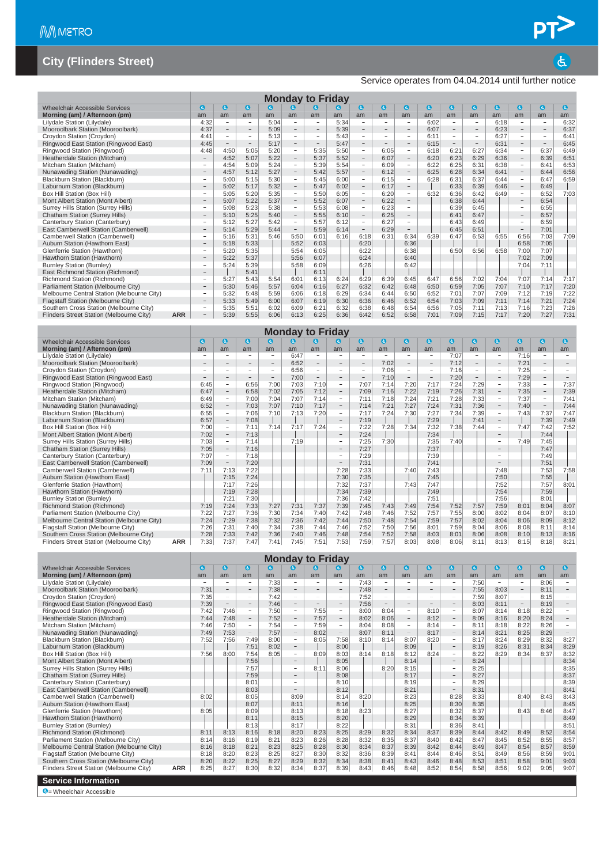#### Service operates from 04.04.2014 until further notice

|                                            |            |                          |                          |                          |      |                          | <b>Monday to Friday</b>         |      |                              |                          |                          |              |                          |                          |           |                          |                          |          |
|--------------------------------------------|------------|--------------------------|--------------------------|--------------------------|------|--------------------------|---------------------------------|------|------------------------------|--------------------------|--------------------------|--------------|--------------------------|--------------------------|-----------|--------------------------|--------------------------|----------|
| <b>Wheelchair Accessible Services</b>      |            | G                        | G                        | $\mathbf{a}$             | G    | ίđ.                      | a                               | [&]  | a                            | $\bullet$                | G)                       | $\mathbf{a}$ | $\mathbf{a}$             | $\mathbf a$              | $\bullet$ | $\mathbf{c}$             | $\bullet$                | <b>a</b> |
| Morning (am) / Afternoon (pm)              |            | am                       | am                       | am                       | am   | am                       | am                              | am   | am                           | am                       | am                       | am           | am                       | am                       | am        | am                       | am                       | am       |
| Lilydale Station (Lilydale)                |            | 4:32                     | $\overline{\phantom{a}}$ | $\overline{\phantom{0}}$ | 5:04 | $\overline{\phantom{a}}$ |                                 | 5:34 | $\overline{\phantom{a}}$     | $\overline{\phantom{a}}$ | $\overline{\phantom{0}}$ | 6:02         | $\overline{\phantom{a}}$ | -                        | 6:18      | $\overline{\phantom{a}}$ | $\overline{\phantom{a}}$ | 6:32     |
| Mooroolbark Station (Mooroolbark)          |            | 4:37                     | $-$                      | $\qquad \qquad -$        | 5:09 | $\qquad \qquad =$        | $\hspace{0.1mm}-\hspace{0.1mm}$ | 5:39 | $\qquad \qquad \blacksquare$ | $\overline{\phantom{a}}$ | $\qquad \qquad$          | 6:07         | $\qquad \qquad -$        | $\overline{\phantom{a}}$ | 6:23      | $\overline{\phantom{a}}$ | $\overline{\phantom{a}}$ | 6:37     |
| Croydon Station (Croydon)                  |            | 4:41                     | ۰                        | $\overline{\phantom{0}}$ | 5:13 | $\qquad \qquad -$        | $\overline{\phantom{a}}$        | 5:43 | Ξ.                           | $\overline{\phantom{0}}$ | $\overline{\phantom{0}}$ | 6:11         | $\overline{\phantom{a}}$ | -                        | 6:27      | $\overline{\phantom{a}}$ | ۰                        | 6:41     |
| Ringwood East Station (Ringwood East)      |            | 4:45                     | $-$                      | $\qquad \qquad =$        | 5:17 | $\overline{\phantom{m}}$ | $\overline{\phantom{m}}$        | 5:47 | $\overline{\phantom{0}}$     | $\overline{\phantom{a}}$ | $\overline{\phantom{a}}$ | 6:15         | $\overline{\phantom{a}}$ | $\overline{\phantom{m}}$ | 6:31      | $\overline{\phantom{a}}$ | $\overline{\phantom{a}}$ | 6:45     |
| Ringwood Station (Ringwood)                |            | 4:48                     | 4:50                     | 5:05                     | 5:20 | $\overline{\phantom{a}}$ | 5:35                            | 5:50 | $\overline{\phantom{a}}$     | 6:05                     | -                        | 6:18         | 6:21                     | 6:27                     | 6:34      | $\overline{\phantom{a}}$ | 6:37                     | 6:49     |
| Heatherdale Station (Mitcham)              |            |                          | 4:52                     | 5:07                     | 5:22 | $\qquad \qquad -$        | 5:37                            | 5:52 | $\overline{\phantom{a}}$     | 6:07                     | $\qquad \qquad -$        | 6:20         | 6:23                     | 6:29                     | 6:36      | $\overline{\phantom{a}}$ | 6:39                     | 6:51     |
| Mitcham Station (Mitcham)                  |            |                          | 4:54                     | 5:09                     | 5:24 | $\overline{\phantom{m}}$ | 5:39                            | 5:54 | ٠                            | 6:09                     | $\qquad \qquad -$        | 6:22         | 6:25                     | 6:31                     | 6:38      | $\overline{\phantom{a}}$ | 6:41                     | 6:53     |
| Nunawading Station (Nunawading)            |            | $\overline{\phantom{a}}$ | 4:57                     | 5:12                     | 5:27 | $\overline{\phantom{a}}$ | 5:42                            | 5:57 | $\overline{\phantom{a}}$     | 6:12                     | $\overline{\phantom{a}}$ | 6:25         | 6:28                     | 6:34                     | 6:41      | $\overline{\phantom{a}}$ | 6:44                     | 6:56     |
| Blackburn Station (Blackburn)              |            | $\overline{\phantom{0}}$ | 5:00                     | 5:15                     | 5:30 | -                        | 5:45                            | 6:00 | $\overline{\phantom{a}}$     | 6:15                     | $\overline{\phantom{0}}$ | 6:28         | 6:31                     | 6:37                     | 6:44      | $\overline{\phantom{a}}$ | 6:47                     | 6:59     |
| Laburnum Station (Blackburn)               |            |                          | 5:02                     | 5:17                     | 5:32 | $\qquad \qquad -$        | 5:47                            | 6:02 | Ξ.                           | 6:17                     | $\qquad \qquad -$        |              | 6:33                     | 6:39                     | 6:46      | $\overline{\phantom{a}}$ | 6:49                     |          |
| Box Hill Station (Box Hill)                |            | $\overline{\phantom{a}}$ | 5:05                     | 5:20                     | 5:35 | $\overline{\phantom{a}}$ | 5:50                            | 6:05 | $\sim$                       | 6:20                     | $\overline{\phantom{a}}$ | 6:32         | 6:36                     | 6:42                     | 6:49      | $\overline{\phantom{a}}$ | 6:52                     | 7:03     |
| Mont Albert Station (Mont Albert)          |            | $\qquad \qquad =$        | 5:07                     | 5:22                     | 5:37 | $\overline{\phantom{a}}$ | 5:52                            | 6:07 | $\overline{\phantom{m}}$     | 6:22                     | $\overline{\phantom{0}}$ |              | 6:38                     | 6:44                     |           | $\overline{\phantom{a}}$ | 6:54                     |          |
| Surrey Hills Station (Surrey Hills)        |            | $\sim$                   | 5:08                     | 5:23                     | 5:38 | ÷                        | 5:53                            | 6:08 | ÷.                           | 6:23                     | $\overline{\phantom{a}}$ |              | 6:39                     | 6:45                     |           | $\sim$                   | 6:55                     |          |
| Chatham Station (Surrey Hills)             |            | $\qquad \qquad -$        | 5:10                     | 5:25                     | 5:40 | $\qquad \qquad -$        | 5:55                            | 6:10 | $\overline{\phantom{m}}$     | 6:25                     | $\overline{\phantom{0}}$ |              | 6:41                     | 6:47                     |           | $\overline{\phantom{a}}$ | 6:57                     |          |
| Canterbury Station (Canterbury)            |            |                          | 5:12                     | 5:27                     | 5:42 | $\overline{\phantom{a}}$ | 5:57                            | 6:12 | $\overline{\phantom{a}}$     | 6:27                     | $\overline{\phantom{a}}$ |              | 6:43                     | 6:49                     |           | $\overline{\phantom{a}}$ | 6:59                     |          |
| East Camberwell Station (Camberwell)       |            | $\qquad \qquad -$        | 5:14                     | 5:29                     | 5:44 | $\qquad \qquad -$        | 5:59                            | 6:14 | $\overline{\phantom{a}}$     | 6:29                     | $\overline{\phantom{0}}$ |              | 6:45                     | 6:51                     |           | $\overline{\phantom{a}}$ | 7:01                     |          |
| Camberwell Station (Camberwell)            |            | ÷                        | 5:16                     | 5:31                     | 5:46 | 5:50                     | 6:01                            | 6:16 | 6:18                         | 6:31                     | 6:34                     | 6:39         | 6:47                     | 6:53                     | 6:55      | 6:56                     | 7:03                     | 7:09     |
| Auburn Station (Hawthorn East)             |            | $\qquad \qquad -$        | 5:18                     | 5:33                     |      | 5:52                     | 6:03                            |      | 6:20                         |                          | 6:36                     |              |                          |                          |           | 6:58                     | 7:05                     |          |
| Glenferrie Station (Hawthorn)              |            | -                        | 5:20                     | 5:35                     |      | 5:54                     | 6:05                            |      | 6:22                         |                          | 6:38                     |              | 6:50                     | 6:56                     | 6:58      | 7:00                     | 7:07                     |          |
| Hawthorn Station (Hawthorn)                |            |                          | 5:22                     | 5:37                     |      | 5:56                     | 6:07                            |      | 6:24                         |                          | 6:40                     |              |                          |                          |           | 7:02                     | 7:09                     |          |
| <b>Burnley Station (Burnley)</b>           |            |                          | 5:24                     | 5:39                     |      | 5:58                     | 6:09                            |      | 6:26                         |                          | 6:42                     |              |                          |                          |           | 7:04                     | 7:11                     |          |
| East Richmond Station (Richmond)           |            | $\qquad \qquad =$        |                          | 5:41                     |      |                          | 6:11                            |      |                              |                          |                          |              |                          |                          |           |                          |                          |          |
| Richmond Station (Richmond)                |            | -                        | 5:27                     | 5:43                     | 5:54 | 6:01                     | 6:13                            | 6:24 | 6:29                         | 6:39                     | 6:45                     | 6:47         | 6:56                     | 7:02                     | 7:04      | 7:07                     | 7:14                     | 7:17     |
| Parliament Station (Melbourne City)        |            |                          | 5:30                     | 5:46                     | 5:57 | 6:04                     | 6:16                            | 6:27 | 6:32                         | 6:42                     | 6:48                     | 6:50         | 6:59                     | 7:05                     | 7:07      | 7:10                     | 7:17                     | 7:20     |
| Melbourne Central Station (Melbourne City) |            | $\overline{\phantom{a}}$ | 5:32                     | 5:48                     | 5:59 | 6:06                     | 6:18                            | 6:29 | 6:34                         | 6:44                     | 6:50                     | 6:52         | 7:01                     | 7:07                     | 7:09      | 7:12                     | 7:19                     | 7:22     |
| Flagstaff Station (Melbourne City)         |            |                          | 5:33                     | 5:49                     | 6:00 | 6:07                     | 6:19                            | 6:30 | 6:36                         | 6:46                     | 6:52                     | 6:54         | 7:03                     | 7:09                     | 7:11      | 7:14                     | 7:21                     | 7:24     |
| Southern Cross Station (Melbourne City)    |            | $\overline{\phantom{a}}$ | 5:35                     | 5:51                     | 6:02 | 6:09                     | 6:21                            | 6:32 | 6:38                         | 6:48                     | 6:54                     | 6:56         | 7:05                     | 7:11                     | 7:13      | 7:16                     | 7:23                     | 7:26     |
| Flinders Street Station (Melbourne City)   | <b>ARR</b> | $\qquad \qquad =$        | 5:39                     | 5:55                     | 6:06 | 6:13                     | 6:25                            | 6:36 | 6:42                         | 6:52                     | 6:58                     | 7:01         | 7:09                     | 7:15                     | 7:17      | 7:20                     | 7:27                     | 7:31     |

|                                            |            |      |                          |                          |                   | <b>Monday to Friday</b> |                          |                          |                          |                          |                          |                   |           |                          |                          |           |                          |                          |
|--------------------------------------------|------------|------|--------------------------|--------------------------|-------------------|-------------------------|--------------------------|--------------------------|--------------------------|--------------------------|--------------------------|-------------------|-----------|--------------------------|--------------------------|-----------|--------------------------|--------------------------|
| Wheelchair Accessible Services             |            | a    | a                        | $\mathbf{a}$             | $\bullet$         | ld.                     | a                        | G                        | a                        | $\epsilon$               | $\mathbf{G}$             | $\mathbf{G}$      | $\bullet$ | $\bullet$                | $\bullet$                | $\bullet$ | $\bullet$                | $\epsilon$               |
| Morning (am) / Afternoon (pm)              |            | am   | am                       | am                       | am                | am                      | am                       | am                       | am                       | am                       | am                       | am                | am        | am                       | am                       | am        | am                       | am                       |
| Lilydale Station (Lilydale)                |            | ۰    |                          | -                        | ٠                 | 6:47                    | $\overline{\phantom{a}}$ |                          | $\overline{\phantom{a}}$ | $\overline{\phantom{0}}$ | $\overline{\phantom{a}}$ | -                 | 7:07      | $\overline{\phantom{a}}$ | $\overline{\phantom{a}}$ | 7:16      | $\overline{\phantom{a}}$ | $\overline{\phantom{a}}$ |
| Mooroolbark Station (Mooroolbark)          |            |      | -                        | -                        | $\qquad \qquad -$ | 6:52                    | $\qquad \qquad$          |                          | $\qquad \qquad -$        | 7:02                     | $\qquad \qquad -$        | $\qquad \qquad -$ | 7:12      |                          |                          | 7:21      | $\overline{\phantom{a}}$ | $\overline{\phantom{a}}$ |
| Croydon Station (Croydon)                  |            |      | $\overline{\phantom{a}}$ | -                        | $\sim$            | 6:56                    | $\sim$                   |                          | $\sim$                   | 7:06                     | $\overline{\phantom{a}}$ | -                 | 7:16      | $\sim$                   | $\overline{\phantom{a}}$ | 7:25      | $\sim$                   | $\overline{\phantom{a}}$ |
| Ringwood East Station (Ringwood East)      |            |      | $\overline{\phantom{a}}$ | $\overline{\phantom{a}}$ | $\qquad \qquad =$ | 7:00                    | $\qquad \qquad -$        | $\overline{\phantom{m}}$ | $\overline{\phantom{m}}$ | 7:10                     | $\equiv$                 | -                 | 7:20      |                          | $-$                      | 7:29      | $\overline{\phantom{m}}$ | $\qquad \qquad =$        |
| Ringwood Station (Ringwood)                |            | 6:45 | $\overline{\phantom{a}}$ | 6:56                     | 7:00              | 7:03                    | 7:10                     | $\sim$                   | 7:07                     | 7:14                     | 7:20                     | 7:17              | 7:24      | 7:29                     | $\overline{\phantom{a}}$ | 7:33      | $\sim$                   | 7:37                     |
| Heatherdale Station (Mitcham)              |            | 6:47 | $\overline{\phantom{a}}$ | 6:58                     | 7:02              | 7:05                    | 7:12                     | $\overline{\phantom{a}}$ | 7:09                     | 7:16                     | 7:22                     | 7:19              | 7:26      | 7:31                     | $\qquad \qquad -$        | 7:35      | $\overline{\phantom{a}}$ | 7:39                     |
| Mitcham Station (Mitcham)                  |            | 6:49 | $\overline{\phantom{a}}$ | 7:00                     | 7:04              | 7:07                    | 7:14                     | $\overline{\phantom{a}}$ | 7:11                     | 7:18                     | 7:24                     | 7:21              | 7:28      | 7:33                     | $\overline{\phantom{a}}$ | 7:37      | $\overline{\phantom{a}}$ | 7:41                     |
| Nunawading Station (Nunawading)            |            | 6:52 | $\qquad \qquad -$        | 7:03                     | 7:07              | 7:10                    | 7:17                     | $\overline{\phantom{a}}$ | 7:14                     | 7:21                     | 7:27                     | 7:24              | 7:31      | 7:36                     | $\overline{\phantom{a}}$ | 7:40      | $\overline{\phantom{a}}$ | 7:44                     |
| Blackburn Station (Blackburn)              |            | 6:55 | $\overline{\phantom{a}}$ | 7:06                     | 7:10              | 7:13                    | 7:20                     | $\overline{\phantom{a}}$ | 7:17                     | 7:24                     | 7:30                     | 7:27              | 7:34      | 7:39                     | $\qquad \qquad -$        | 7:43      | 7:37                     | 7:47                     |
| Laburnum Station (Blackburn)               |            | 6:57 | $\qquad \qquad -$        | 7:08                     |                   |                         |                          | $\overline{\phantom{a}}$ | 7:19                     |                          |                          | 7:29              |           | 7:41                     | $\overline{\phantom{0}}$ |           | 7:39                     | 7:49                     |
| Box Hill Station (Box Hill)                |            | 7:00 | $\qquad \qquad =$        | 7:11                     | 7:14              | 7:17                    | 7:24                     | $\overline{\phantom{0}}$ | 7:22                     | 7:28                     | 7:34                     | 7:32              | 7:38      | 7:44                     | $\equiv$                 | 7:47      | 7:42                     | 7:52                     |
| Mont Albert Station (Mont Albert)          |            | 7:02 | $\overline{\phantom{a}}$ | 7:13                     |                   |                         |                          | $\qquad \qquad -$        | 7:24                     |                          |                          | 7:34              |           |                          | $\overline{\phantom{m}}$ |           | 7:44                     |                          |
| Surrey Hills Station (Surrey Hills)        |            | 7:03 | $\overline{\phantom{a}}$ | 7:14                     |                   | 7:19                    |                          |                          | 7:25                     | 7:30                     |                          | 7:35              | 7:40      |                          | $\overline{\phantom{0}}$ | 7:49      | 7:45                     |                          |
| Chatham Station (Surrey Hills)             |            | 7:05 | $\overline{\phantom{a}}$ | 7:16                     |                   |                         |                          | $\overline{\phantom{a}}$ | 7:27                     |                          |                          | 7:37              |           |                          | $\qquad \qquad$          |           | 7:47                     |                          |
| Canterbury Station (Canterbury)            |            | 7:07 | $\overline{\phantom{a}}$ | 7:18                     |                   |                         |                          | $\overline{\phantom{0}}$ | 7:29                     |                          |                          | 7:39              |           |                          | $\sim$                   |           | 7:49                     |                          |
| East Camberwell Station (Camberwell)       |            | 7:09 | $\overline{\phantom{a}}$ | 7:20                     |                   |                         |                          | $\overline{\phantom{a}}$ | 7:31                     |                          |                          | 7:41              |           |                          | $\overline{\phantom{0}}$ |           | 7:51                     |                          |
| Camberwell Station (Camberwell)            |            | 7:11 | 7:13                     | 7:22                     |                   |                         |                          | 7:28                     | 7:33                     |                          | 7:40                     | 7:43              |           |                          | 7:48                     |           | 7:53                     | 7:58                     |
| Auburn Station (Hawthorn East)             |            |      | 7:15                     | 7:24                     |                   |                         |                          | 7:30                     | 7:35                     |                          |                          | 7:45              |           |                          | 7:50                     |           | 7:55                     |                          |
| Glenferrie Station (Hawthorn)              |            |      | 7:17                     | 7:26                     |                   |                         |                          | 7:32                     | 7:37                     |                          | 7:43                     | 7:47              |           |                          | 7:52                     |           | 7:57                     | 8:01                     |
| Hawthorn Station (Hawthorn)                |            |      | 7:19                     | 7:28                     |                   |                         |                          | 7:34                     | 7:39                     |                          |                          | 7:49              |           |                          | 7:54                     |           | 7:59                     |                          |
| <b>Burnley Station (Burnley)</b>           |            |      | 7:21                     | 7:30                     |                   |                         |                          | 7:36                     | 7:42                     |                          |                          | 7:51              |           |                          | 7:56                     |           | 8:01                     |                          |
| Richmond Station (Richmond)                |            | 7:19 | 7:24                     | 7:33                     | 7:27              | 7:31                    | 7:37                     | 7:39                     | 7:45                     | 7:43                     | 7:49                     | 7:54              | 7:52      | 7:57                     | 7:59                     | 8:01      | 8:04                     | 8:07                     |
| Parliament Station (Melbourne City)        |            | 7:22 | 7:27                     | 7:36                     | 7:30              | 7:34                    | 7:40                     | 7:42                     | 7:48                     | 7:46                     | 7:52                     | 7:57              | 7:55      | 8:00                     | 8:02                     | 8:04      | 8:07                     | 8:10                     |
| Melbourne Central Station (Melbourne City) |            | 7:24 | 7:29                     | 7:38                     | 7:32              | 7:36                    | 7:42                     | 7:44                     | 7:50                     | 7:48                     | 7:54                     | 7:59              | 7:57      | 8:02                     | 8:04                     | 8:06      | 8:09                     | 8:12                     |
| Flagstaff Station (Melbourne City)         |            | 7:26 | 7:31                     | 7:40                     | 7:34              | 7:38                    | 7:44                     | 7:46                     | 7:52                     | 7:50                     | 7:56                     | 8:01              | 7:59      | 8:04                     | 8:06                     | 8:08      | 8:11                     | 8:14                     |
| Southern Cross Station (Melbourne City)    |            | 7:28 | 7:33                     | 7:42                     | 7:36              | 7:40                    | 7:46                     | 7:48                     | 7:54                     | 7:52                     | 7:58                     | 8:03              | 8:01      | 8:06                     | 8:08                     | 8:10      | 8:13                     | 8:16                     |
| Flinders Street Station (Melbourne City)   | <b>ARR</b> | 7:33 | 7:37                     | 7:47                     | 7:41              | 7:45                    | 7:51                     | 7:53                     | 7:59                     | 7:57                     | 8:03                     | 8:08              | 8:06      | 8:11                     | 8:13                     | 8:15      | 8:18                     | 8:21                     |

|                                            |            |                          |                          |                          |      |                          | <b>Monday to Friday</b>  |                          |           |                          |                          |                          |                          |           |                          |                          |      |            |
|--------------------------------------------|------------|--------------------------|--------------------------|--------------------------|------|--------------------------|--------------------------|--------------------------|-----------|--------------------------|--------------------------|--------------------------|--------------------------|-----------|--------------------------|--------------------------|------|------------|
| Wheelchair Accessible Services             |            | G                        | $\mathbf{G}$             | $\mathbf{a}$             | a    | K.                       | a                        | G.                       | $\bullet$ | $\mathbf{d}$             | $\mathbf{G}$             | $\mathbf a$              | $\mathbf a$              | $\bullet$ | $\mathbf a$              | $\bullet$                | ⊌    | $\epsilon$ |
| Morning (am) / Afternoon (pm)              |            | am                       | am                       | am                       | am   | am                       | am                       | am                       | am        | am                       | am                       | am                       | am                       | am        | am                       | am                       | am   | am         |
| Lilydale Station (Lilydale)                |            | $\overline{\phantom{a}}$ |                          | ۰                        | 7:33 | $\overline{\phantom{a}}$ |                          | $\overline{\phantom{0}}$ | 7:43      | $\qquad \qquad$          | ٠                        | $\overline{\phantom{a}}$ | $\overline{\phantom{0}}$ | 7:50      | $\overline{\phantom{a}}$ | $\overline{\phantom{a}}$ | 8:06 |            |
| Mooroolbark Station (Mooroolbark)          |            | 7:31                     | $\overline{\phantom{a}}$ | $\overline{\phantom{0}}$ | 7:38 | $\overline{\phantom{a}}$ |                          | $\overline{\phantom{0}}$ | 7:48      | $\overline{\phantom{m}}$ |                          | $\overline{\phantom{a}}$ |                          | 7:55      | 8:03                     | $\overline{\phantom{a}}$ | 8:11 |            |
| Croydon Station (Croydon)                  |            | 7:35                     | $\overline{\phantom{a}}$ | $\overline{\phantom{a}}$ | 7:42 | $\overline{\phantom{a}}$ | $\overline{\phantom{a}}$ | ÷.                       | 7:52      | $\overline{\phantom{a}}$ | $\overline{\phantom{0}}$ | $\overline{\phantom{a}}$ | $\equiv$                 | 7:59      | 8:07                     | $\overline{\phantom{a}}$ | 8:15 |            |
| Ringwood East Station (Ringwood East)      |            | 7:39                     | $\overline{\phantom{a}}$ | $\overline{\phantom{0}}$ | 7:46 | $\sim$                   | $\overline{\phantom{0}}$ | $\overline{\phantom{0}}$ | 7:56      | $\overline{\phantom{a}}$ | н.                       | $\overline{\phantom{a}}$ | -                        | 8:03      | 8:11                     | $\overline{\phantom{0}}$ | 8:19 |            |
| Ringwood Station (Ringwood)                |            | 7:42                     | 7:46                     | -                        | 7:50 | $\sim$                   | 7:55                     | -                        | 8:00      | 8:04                     | $\sim$                   | 8:10                     | $\overline{\phantom{a}}$ | 8:07      | 8:14                     | 8:18                     | 8:22 |            |
| Heatherdale Station (Mitcham)              |            | 7:44                     | 7:48                     | $\overline{\phantom{0}}$ | 7:52 | $\overline{\phantom{m}}$ | 7:57                     | $\overline{\phantom{m}}$ | 8:02      | 8:06                     | $\overline{\phantom{a}}$ | 8:12                     | $\qquad \qquad -$        | 8:09      | 8:16                     | 8:20                     | 8:24 |            |
| Mitcham Station (Mitcham)                  |            | 7:46                     | 7:50                     | $\overline{\phantom{0}}$ | 7:54 | $\overline{\phantom{a}}$ | 7:59                     | $\overline{\phantom{a}}$ | 8:04      | 8:08                     | $\sim$                   | 8:14                     | $\overline{\phantom{a}}$ | 8:11      | 8:18                     | 8:22                     | 8:26 |            |
| Nunawading Station (Nunawading)            |            | 7:49                     | 7:53                     | $\qquad \qquad -$        | 7:57 | $\overline{\phantom{a}}$ | 8:02                     | $-$                      | 8:07      | 8:11                     | $\overline{\phantom{a}}$ | 8:17                     | $\qquad \qquad -$        | 8:14      | 8:21                     | 8:25                     | 8:29 | $-$        |
| Blackburn Station (Blackburn)              |            | 7:52                     | 7:56                     | 7:49                     | 8:00 | $\overline{\phantom{a}}$ | 8:05                     | 7:58                     | 8:10      | 8:14                     | 8:07                     | 8:20                     | $\overline{\phantom{0}}$ | 8:17      | 8:24                     | 8:29                     | 8:32 | 8:27       |
| Laburnum Station (Blackburn)               |            |                          |                          | 7:51                     | 8:02 | $\overline{\phantom{a}}$ |                          | 8:00                     |           |                          | 8:09                     |                          | $\overline{\phantom{0}}$ | 8:19      | 8:26                     | 8:31                     | 8:34 | 8:29       |
| Box Hill Station (Box Hill)                |            | 7:56                     | 8:00                     | 7:54                     | 8:05 | $\sim$                   | 8:09                     | 8:03                     | 8:14      | 8:18                     | 8:12                     | 8:24                     | $\overline{\phantom{m}}$ | 8:22      | 8:29                     | 8:34                     | 8:37 | 8:32       |
| Mont Albert Station (Mont Albert)          |            |                          |                          | 7:56                     |      | $\overline{\phantom{a}}$ |                          | 8:05                     |           |                          | 8:14                     |                          |                          | 8:24      |                          |                          |      | 8:34       |
| Surrey Hills Station (Surrey Hills)        |            |                          |                          | 7:57                     |      | $\overline{\phantom{a}}$ | 8:11                     | 8:06                     |           | 8:20                     | 8:15                     |                          | $\overline{\phantom{0}}$ | 8:25      |                          |                          |      | 8:35       |
| <b>Chatham Station (Surrey Hills)</b>      |            |                          |                          | 7:59                     |      | $\sim$                   |                          | 8:08                     |           |                          | 8:17                     |                          | $\overline{\phantom{0}}$ | 8:27      |                          |                          |      | 8:37       |
| Canterbury Station (Canterbury)            |            |                          |                          | 8:01                     |      |                          |                          | 8:10                     |           |                          | 8:19                     |                          | $\overline{\phantom{0}}$ | 8:29      |                          |                          |      | 8:39       |
| East Camberwell Station (Camberwell)       |            |                          |                          | 8:03                     |      |                          |                          | 8:12                     |           |                          | 8:21                     |                          | $\overline{\phantom{0}}$ | 8:31      |                          |                          |      | 8:41       |
| Camberwell Station (Camberwell)            |            | 8:02                     |                          | 8:05                     |      | 8:09                     |                          | 8:14                     | 8:20      |                          | 8:23                     |                          | 8:28                     | 8:33      |                          | 8:40                     | 8:43 | 8:43       |
| Auburn Station (Hawthorn East)             |            |                          |                          | 8:07                     |      | 8:11                     |                          | 8:16                     |           |                          | 8:25                     |                          | 8:30                     | 8:35      |                          |                          |      | 8:45       |
| Glenferrie Station (Hawthorn)              |            | 8:05                     |                          | 8:09                     |      | 8:13                     |                          | 8:18                     | 8:23      |                          | 8:27                     |                          | 8:32                     | 8:37      |                          | 8:43                     | 8:46 | 8:47       |
| Hawthorn Station (Hawthorn)                |            |                          |                          | 8:11                     |      | 8:15                     |                          | 8:20                     |           |                          | 8:29                     |                          | 8:34                     | 8:39      |                          |                          |      | 8:49       |
| <b>Burnley Station (Burnley)</b>           |            |                          |                          | 8:13                     |      | 8:17                     |                          | 8:22                     |           |                          | 8:31                     |                          | 8:36                     | 8:41      |                          |                          |      | 8:51       |
| Richmond Station (Richmond)                |            | 8:11                     | 8:13                     | 8:16                     | 8:18 | 8:20                     | 8:23                     | 8:25                     | 8:29      | 8:32                     | 8:34                     | 8:37                     | 8:39                     | 8:44      | 8:42                     | 8:49                     | 8:52 | 8:54       |
| Parliament Station (Melbourne City)        |            | 8:14                     | 8:16                     | 8:19                     | 8:21 | 8:23                     | 8:26                     | 8:28                     | 8:32      | 8:35                     | 8:37                     | 8:40                     | 8:42                     | 8:47      | 8:45                     | 8:52                     | 8:55 | 8:57       |
| Melbourne Central Station (Melbourne City) |            | 8:16                     | 8:18                     | 8:21                     | 8:23 | 8:25                     | 8:28                     | 8:30                     | 8:34      | 8:37                     | 8:39                     | 8:42                     | 8:44                     | 8:49      | 8:47                     | 8:54                     | 8:57 | 8:59       |
| Flagstaff Station (Melbourne City)         |            | 8:18                     | 8:20                     | 8:23                     | 8:25 | 8:27                     | 8:30                     | 8:32                     | 8:36      | 8:39                     | 8:41                     | 8:44                     | 8:46                     | 8:51      | 8:49                     | 8:56                     | 8:59 | 9:01       |
| Southern Cross Station (Melbourne City)    |            | 8:20                     | 8:22                     | 8:25                     | 8:27 | 8:29                     | 8:32                     | 8:34                     | 8:38      | 8:41                     | 8:43                     | 8:46                     | 8:48                     | 8:53      | 8:51                     | 8:58                     | 9:01 | 9:03       |
| Flinders Street Station (Melbourne City)   | <b>ARR</b> | 8:25                     | 8:27                     | 8:30                     | 8:32 | 8:34                     | 8:37                     | 8:39                     | 8:43      | 8:46                     | 8:48                     | 8:52                     | 8:54                     | 8:58      | 8:56                     | 9:02                     | 9:05 | 9:07       |
| <b>Service Information</b>                 |            |                          |                          |                          |      |                          |                          |                          |           |                          |                          |                          |                          |           |                          |                          |      |            |
| $\bigcirc$ = Wheelchair Accessible         |            |                          |                          |                          |      |                          |                          |                          |           |                          |                          |                          |                          |           |                          |                          |      |            |

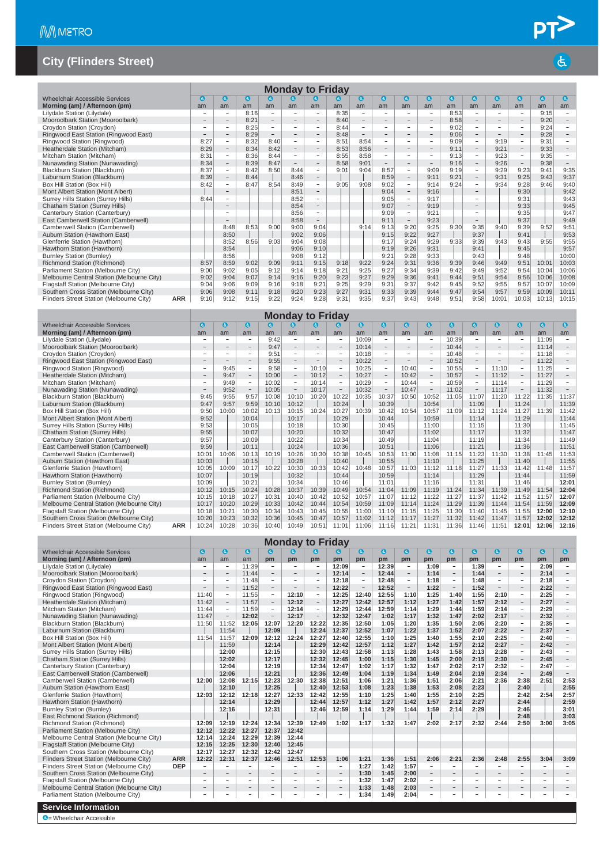|                                            |            |                          |                          |              |                          |                          | <b>Monday to Friday</b>  |      |                          |                          |                          |                          |           |                          |                          |                          |           |                          |
|--------------------------------------------|------------|--------------------------|--------------------------|--------------|--------------------------|--------------------------|--------------------------|------|--------------------------|--------------------------|--------------------------|--------------------------|-----------|--------------------------|--------------------------|--------------------------|-----------|--------------------------|
| Wheelchair Accessible Services             |            | $\mathbf{G}$             | $\mathbf{G}$             | $\mathbf{a}$ | $\boldsymbol{c}$         | $\bullet$                | G.                       | lė.  | $\bullet$                | $\mathbf{G}$             | $\mathbf{G}$             | $\mathbf{a}$             | $\bullet$ | $\bullet$                | $\bullet$                | $\bullet$                | $\bullet$ | $\epsilon$               |
| Morning (am) / Afternoon (pm)              |            | am                       | am                       | am           | am                       | am                       | am                       | am   | am                       | am                       | am                       | am                       | am        | am                       | am                       | am                       | am        | am                       |
| Lilydale Station (Lilydale)                |            |                          | $\overline{\phantom{a}}$ | 8:16         | ۰                        |                          |                          | 8:35 | ÷                        | $\overline{\phantom{0}}$ | ۰                        | ۰                        | 8:53      |                          |                          | $\overline{a}$           | 9:15      |                          |
| Mooroolbark Station (Mooroolbark)          |            |                          | $\qquad \qquad$          | 8:21         | $\overline{\phantom{a}}$ |                          |                          | 8:40 | $\overline{\phantom{a}}$ | $\sim$                   | $\overline{\phantom{0}}$ | $\overline{\phantom{a}}$ | 8:58      |                          | $\sim$                   | $\qquad \qquad$          | 9:20      |                          |
| Croydon Station (Croydon)                  |            |                          | $\overline{\phantom{a}}$ | 8:25         | ۰                        | $\sim$                   | $\overline{\phantom{a}}$ | 8:44 | $\sim$                   | $\overline{\phantom{a}}$ | ۰                        | $\overline{\phantom{a}}$ | 9:02      | -                        | $\overline{\phantom{a}}$ | $\overline{\phantom{0}}$ | 9:24      |                          |
| Ringwood East Station (Ringwood East)      |            | $\overline{\phantom{0}}$ | $\overline{\phantom{a}}$ | 8:29         | $\overline{\phantom{0}}$ |                          | $\overline{\phantom{a}}$ | 8:48 | $\overline{\phantom{a}}$ | $\overline{\phantom{a}}$ | $\overline{\phantom{a}}$ | $\overline{\phantom{a}}$ | 9:06      |                          | $\overline{\phantom{a}}$ | $\overline{\phantom{0}}$ | 9:28      |                          |
| Ringwood Station (Ringwood)                |            | 8:27                     | $\overline{\phantom{a}}$ | 8:32         | 8:40                     | $\overline{\phantom{a}}$ | $\overline{\phantom{a}}$ | 8:51 | 8:54                     | $\overline{\phantom{a}}$ | -                        | $\overline{\phantom{a}}$ | 9:09      | -                        | 9:19                     | $\overline{\phantom{a}}$ | 9:31      |                          |
| Heatherdale Station (Mitcham)              |            | 8:29                     | $\overline{\phantom{a}}$ | 8:34         | 8:42                     | $\overline{\phantom{0}}$ | $\overline{\phantom{m}}$ | 8:53 | 8:56                     | $-$                      | $\overline{\phantom{a}}$ | $\overline{\phantom{a}}$ | 9:11      | $\overline{\phantom{a}}$ | 9:21                     | $-$                      | 9:33      |                          |
| Mitcham Station (Mitcham)                  |            | 8:31                     | ٠.                       | 8:36         | 8:44                     | $\sim$                   | $\sim$                   | 8:55 | 8:58                     | $\sim$                   | ٠                        | $\overline{\phantom{a}}$ | 9:13      | -                        | 9:23                     | $\overline{\phantom{a}}$ | 9:35      |                          |
| Nunawading Station (Nunawading)            |            | 8:34                     | $\overline{\phantom{a}}$ | 8:39         | 8:47                     | $\overline{\phantom{m}}$ | $-$                      | 8:58 | 9:01                     | $\qquad \qquad -$        | $-$                      | $\overline{\phantom{a}}$ | 9:16      |                          | 9:26                     | $\overline{\phantom{a}}$ | 9:38      | $\overline{\phantom{a}}$ |
| Blackburn Station (Blackburn)              |            | 8:37                     | $\sim$                   | 8:42         | 8:50                     | 8:44                     | $\overline{\phantom{a}}$ | 9:01 | 9:04                     | 8:57                     | ۰.                       | 9:09                     | 9:19      | $\overline{\phantom{a}}$ | 9:29                     | 9:23                     | 9:41      | 9:35                     |
| Laburnum Station (Blackburn)               |            | 8:39                     | $\overline{\phantom{a}}$ | 8:44         |                          | 8:46                     |                          |      |                          | 8:59                     | $\qquad \qquad -$        | 9:11                     | 9:21      | $\overline{\phantom{0}}$ | 9:31                     | 9:25                     | 9:43      | 9:37                     |
| Box Hill Station (Box Hill)                |            | 8:42                     | $\overline{\phantom{0}}$ | 8:47         | 8:54                     | 8:49                     | $\overline{\phantom{a}}$ | 9:05 | 9:08                     | 9:02                     | $\overline{\phantom{a}}$ | 9:14                     | 9:24      | $\overline{\phantom{a}}$ | 9:34                     | 9:28                     | 9:46      | 9:40                     |
| Mont Albert Station (Mont Albert)          |            |                          | $\qquad \qquad -$        |              |                          | 8:51                     | $\overline{\phantom{a}}$ |      |                          | 9:04                     | $\overline{\phantom{a}}$ | 9:16                     |           | $\overline{\phantom{0}}$ |                          | 9:30                     |           | 9:42                     |
| Surrey Hills Station (Surrey Hills)        |            | 8:44                     | $\overline{\phantom{0}}$ |              |                          | 8:52                     |                          |      |                          | 9:05                     | $\sim$                   | 9:17                     |           |                          |                          | 9:31                     |           | 9:43                     |
| Chatham Station (Surrey Hills)             |            |                          | $\qquad \qquad =$        |              |                          | 8:54                     | $\overline{\phantom{a}}$ |      |                          | 9:07                     | $\overline{\phantom{a}}$ | 9:19                     |           | $\overline{\phantom{m}}$ |                          | 9:33                     |           | 9:45                     |
| Canterbury Station (Canterbury)            |            |                          |                          |              |                          | 8:56                     |                          |      |                          | 9:09                     | $\equiv$                 | 9:21                     |           |                          |                          | 9:35                     |           | 9:47                     |
| East Camberwell Station (Camberwell)       |            |                          | $\qquad \qquad =$        |              |                          | 8:58                     |                          |      |                          | 9:11                     | $\overline{\phantom{a}}$ | 9:23                     |           | $\overline{\phantom{a}}$ |                          | 9:37                     |           | 9:49                     |
| Camberwell Station (Camberwell)            |            |                          | 8:48                     | 8:53         | 9:00                     | 9:00                     | 9:04                     |      | 9:14                     | 9:13                     | 9:20                     | 9:25                     | 9:30      | 9:35                     | 9:40                     | 9:39                     | 9:52      | 9:5'                     |
| Auburn Station (Hawthorn East)             |            |                          | 8:50                     |              |                          | 9:02                     | 9:06                     |      |                          | 9:15                     | 9:22                     | 9:27                     |           | 9:37                     |                          | 9:41                     |           | 9:53                     |
| Glenferrie Station (Hawthorn)              |            |                          | 8:52                     | 8:56         | 9:03                     | 9:04                     | 9:08                     |      |                          | 9:17                     | 9:24                     | 9:29                     | 9:33      | 9:39                     | 9:43                     | 9:43                     | 9:55      | 9:55                     |
| Hawthorn Station (Hawthorn)                |            |                          | 8:54                     |              |                          | 9:06                     | 9:10                     |      |                          | 9:19                     | 9:26                     | 9:31                     |           | 9:41                     |                          | 9:45                     |           | 9:57                     |
| <b>Burnley Station (Burnley)</b>           |            |                          | 8:56                     |              |                          | 9:08                     | 9:12                     |      |                          | 9:21                     | 9:28                     | 9:33                     |           | 9:43                     |                          | 9:48                     |           | 10:00                    |
| Richmond Station (Richmond)                |            | 8:57                     | 8:59                     | 9:02         | 9:09                     | 9:11                     | 9:15                     | 9:18 | 9:22                     | 9:24                     | 9:31                     | 9:36                     | 9:39      | 9:46                     | 9:49                     | 9:51                     | 10:01     | 10:03                    |
| Parliament Station (Melbourne City)        |            | 9:00                     | 9:02                     | 9:05         | 9:12                     | 9:14                     | 9:18                     | 9:21 | 9:25                     | 9:27                     | 9:34                     | 9:39                     | 9:42      | 9:49                     | 9:52                     | 9:54                     | 10:04     | 10:06                    |
| Melbourne Central Station (Melbourne City) |            | 9:02                     | 9:04                     | 9:07         | 9:14                     | 9:16                     | 9:20                     | 9:23 | 9:27                     | 9:29                     | 9:36                     | 9:41                     | 9:44      | 9:51                     | 9:54                     | 9:56                     | 10:06     | 10:08                    |
| Flagstaff Station (Melbourne City)         |            | 9:04                     | 9:06                     | 9:09         | 9:16                     | 9:18                     | 9:21                     | 9:25 | 9:29                     | 9:31                     | 9:37                     | 9:42                     | 9:45      | 9:52                     | 9:55                     | 9:57                     | 10:07     | 10:09                    |
| Southern Cross Station (Melbourne City)    |            | 9:06                     | 9:08                     | 9:11         | 9:18                     | 9:20                     | 9:23                     | 9:27 | 9:31                     | 9:33                     | 9:39                     | 9:44                     | 9:47      | 9:54                     | 9:57                     | 9:59                     | 10:09     | 10:11                    |
| Flinders Street Station (Melbourne City)   | <b>ARR</b> | 9:10                     | 9:12                     | 9:15         | 9:22                     | 9:24                     | 9:28                     | 9:31 | 9:35                     | 9:37                     | 9:43                     | 9:48                     | 9:51      | 9:58                     | 10:01                    | 10:03                    | 10:13     | 10:15                    |

|                                            |            |              |              |                          |           | <b>Monday to Friday</b>  |                 |                          |       |                          |              |                          |           |           |                          |                          |       |            |
|--------------------------------------------|------------|--------------|--------------|--------------------------|-----------|--------------------------|-----------------|--------------------------|-------|--------------------------|--------------|--------------------------|-----------|-----------|--------------------------|--------------------------|-------|------------|
| Wheelchair Accessible Services             |            | $\mathbf{G}$ | $\mathbf{G}$ | $\mathbf a$              | $\bullet$ | G.                       | $\mathbf a$     | Œ                        | G     | $\bullet$                | $\mathbf{G}$ | $\mathbf{G}$             | $\bullet$ | $\bullet$ | $\bullet$                | $\bullet$                | ⊌     | $\epsilon$ |
| Morning (am) / Afternoon (pm)              |            | am           | am           | am                       | am        | am                       | am              | am                       | am    | am                       | am           | am                       | am        | am        | am                       | am                       | am    | am         |
| Lilvdale Station (Lilvdale)                |            |              |              | -                        | 9:42      | $\overline{\phantom{m}}$ |                 |                          | 10:09 | $\overline{\phantom{a}}$ |              | $\overline{\phantom{a}}$ | 10:39     |           |                          | $\overline{\phantom{m}}$ | 11:09 |            |
| Mooroolbark Station (Mooroolbark)          |            |              |              | $\overline{\phantom{0}}$ | 9:47      |                          | $\qquad \qquad$ |                          | 10:14 | $\overline{\phantom{a}}$ | $\sim$       | $\qquad \qquad -$        | 10:44     |           | $\overline{\phantom{a}}$ | $\overline{\phantom{m}}$ | 11:14 |            |
| Croydon Station (Croydon)                  |            |              |              | ÷                        | 9:51      | $\overline{\phantom{m}}$ | -               |                          | 10:18 | $\overline{\phantom{a}}$ | ۰            | $\overline{\phantom{a}}$ | 10:48     |           | $\overline{a}$           | $\overline{\phantom{a}}$ | 11:18 |            |
| Ringwood East Station (Ringwood East)      |            |              |              | $\overline{\phantom{0}}$ | 9:55      | $\overline{\phantom{a}}$ |                 |                          | 10:22 | $\overline{\phantom{a}}$ |              | $\overline{\phantom{a}}$ | 10:52     |           |                          | $\overline{\phantom{a}}$ | 11:22 |            |
| Ringwood Station (Ringwood)                |            |              | 9:45         | $\overline{\phantom{a}}$ | 9:58      | $\overline{\phantom{a}}$ | 10:10           | $\overline{\phantom{a}}$ | 10:25 | $\sim$                   | 10:40        | $\overline{\phantom{a}}$ | 10:55     | -         | 11:10                    | $\overline{\phantom{a}}$ | 11:25 |            |
| Heatherdale Station (Mitcham)              |            |              | 9:47         | $-$                      | 10:00     | $\overline{\phantom{a}}$ | 10:12           |                          | 10:27 | $\overline{\phantom{a}}$ | 10:42        | $\overline{\phantom{a}}$ | 10:57     |           | 11:12                    | $\overline{\phantom{a}}$ | 11:27 |            |
| Mitcham Station (Mitcham)                  |            | -            | 9:49         | $\overline{\phantom{a}}$ | 10:02     | $\overline{\phantom{a}}$ | 10:14           | $\sim$                   | 10:29 | $\overline{\phantom{a}}$ | 10:44        | $\overline{\phantom{a}}$ | 10:59     | $\sim$    | 11:14                    | $\sim$                   | 11:29 |            |
| Nunawading Station (Nunawading)            |            | $-$          | 9:52         | $\equiv$                 | 10:05     | $\qquad \qquad -$        | 10:17           | $\overline{\phantom{a}}$ | 10:32 | $\overline{\phantom{a}}$ | 10:47        | $\equiv$                 | 11:02     | $\equiv$  | 11:17                    | $\overline{\phantom{a}}$ | 11:32 |            |
| Blackburn Station (Blackburn)              |            | 9:45         | 9:55         | 9:57                     | 10:08     | 10:10                    | 10:20           | 10:22                    | 10:35 | 10:37                    | 10:50        | 10:52                    | 11:05     | 11:07     | 11:20                    | 11:22                    | 11:35 | 11:37      |
| Laburnum Station (Blackburn)               |            | 9:47         | 9:57         | 9:59                     | 10:10     | 10:12                    |                 | 10:24                    |       | 10:39                    |              | 10:54                    |           | 11:09     |                          | 11:24                    |       | 11:39      |
| Box Hill Station (Box Hill)                |            | 9:50         | 10:00        | 10:02                    | 10:13     | 10:15                    | 10:24           | 10:27                    | 10:39 | 10:42                    | 10:54        | 10:57                    | 11:09     | 11:12     | 11:24                    | 11:27                    | 11:39 | 11:42      |
| Mont Albert Station (Mont Albert)          |            | 9:52         |              | 10:04                    |           | 10:17                    |                 | 10:29                    |       | 10:44                    |              | 10:59                    |           | 11:14     |                          | 11:29                    |       | 11:44      |
| Surrey Hills Station (Surrey Hills)        |            | 9:53         |              | 10:05                    |           | 10:18                    |                 | 10:30                    |       | 10:45                    |              | 11:00                    |           | 11:15     |                          | 11:30                    |       | 11:45      |
| Chatham Station (Surrey Hills)             |            | 9:55         |              | 10:07                    |           | 10:20                    |                 | 10:32                    |       | 10:47                    |              | 11:02                    |           | 11:17     |                          | 11:32                    |       | 11:47      |
| Canterbury Station (Canterbury)            |            | 9:57         |              | 10:09                    |           | 10:22                    |                 | 10:34                    |       | 10:49                    |              | 11:04                    |           | 11:19     |                          | 11:34                    |       | 11:49      |
| East Camberwell Station (Camberwell)       |            | 9:59         |              | 10:11                    |           | 10:24                    |                 | 10:36                    |       | 10:51                    |              | 11:06                    |           | 11:21     |                          | 11:36                    |       | 11:51      |
| Camberwell Station (Camberwell)            |            | 10:01        | 10:06        | 10:13                    | 10:19     | 10:26                    | 10:30           | 10:38                    | 10:45 | 10:53                    | 11:00        | 11:08                    | 11:15     | 11:23     | 11:30                    | 11:38                    | 11:45 | 11:53      |
| Auburn Station (Hawthorn East)             |            | 10:03        |              | 10:15                    |           | 10:28                    |                 | 10:40                    |       | 10:55                    |              | 11:10                    |           | 11:25     |                          | 11:40                    |       | 11:55      |
| Glenferrie Station (Hawthorn)              |            | 10:05        | 10:09        | 10:17                    | 10:22     | 10:30                    | 10:33           | 10:42                    | 10:48 | 10:57                    | 11:03        | 11:12                    | 11:18     | 11:27     | 11:33                    | 11:42                    | 11:48 | 11:57      |
| Hawthorn Station (Hawthorn)                |            | 10:07        |              | 10:19                    |           | 10:32                    |                 | 10:44                    |       | 10:59                    |              | 11:14                    |           | 11:29     |                          | 11:44                    |       | 11:59      |
| <b>Burnley Station (Burnley)</b>           |            | 10:09        |              | 10:21                    |           | 10:34                    |                 | 10:46                    |       | 11:01                    |              | 11:16                    |           | 11:31     |                          | 11:46                    |       | 12:01      |
| Richmond Station (Richmond)                |            | 10:12        | 10:15        | 10:24                    | 10:28     | 10:37                    | 10:39           | 10:49                    | 10:54 | 11:04                    | 11:09        | 11:19                    | 11:24     | 11:34     | 11:39                    | 11:49                    | 11:54 | 12:04      |
| Parliament Station (Melbourne City)        |            | 10:15        | 10:18        | 10:27                    | 10:31     | 10:40                    | 10:42           | 10:52                    | 10:57 | 11:07                    | 11:12        | 11:22                    | 11:27     | 11:37     | 11:42                    | 11:52                    | 11:57 | 12:07      |
| Melbourne Central Station (Melbourne City) |            | 10:17        | 10:20        | 10:29                    | 10:33     | 10:42                    | 10:44           | 10:54                    | 10:59 | 11:09                    | 11:14        | 11:24                    | 11:29     | 11:39     | 11:44                    | 11:54                    | 11:59 | 12:09      |
| Flagstaff Station (Melbourne City)         |            | 10:18        | 10:21        | 10:30                    | 10:34     | 10:43                    | 10:45           | 10:55                    | 11:00 | 11:10                    | 11:15        | 11:25                    | 11:30     | 11:40     | 11:45                    | 11:55                    | 12:00 | 12:10      |
| Southern Cross Station (Melbourne City)    |            | 10:20        | 10:23        | 10:32                    | 10:36     | 10:45                    | 10:47           | 10:57                    | 11:02 | 11:12                    | 11:17        | 11:27                    | 11:32     | 11:42     | 11:47                    | 11:57                    | 12:02 | 12:12      |
| Flinders Street Station (Melbourne City)   | <b>ARR</b> | 10:24        | 10:28        | 10:36                    | 10:40     | 10:49                    | 10:51           | 11:01                    | 11:06 | 11:16                    | 11:21        | 11:31                    | 11:36     | 11:46     | 11:51                    | 12:01                    | 12:06 | 12:16      |

|                                            |            |                          |                          |                          |                          |                          | <b>Monday to Friday</b>  |                          |                          |           |                          |                                 |                          |                          |                          |                          |                          |                          |
|--------------------------------------------|------------|--------------------------|--------------------------|--------------------------|--------------------------|--------------------------|--------------------------|--------------------------|--------------------------|-----------|--------------------------|---------------------------------|--------------------------|--------------------------|--------------------------|--------------------------|--------------------------|--------------------------|
| <b>Wheelchair Accessible Services</b>      |            | $\bullet$                | $\bullet$                | $\bullet$                | $\mathbf{a}$             | $\mathbf{a}$             | a                        | $\bullet$                | $\bullet$                | $\bullet$ | $\bullet$                | $\bullet$                       | $\mathbf a$              | $\bullet$                | <b>G</b>                 | O                        | $\bullet$                | $\bullet$                |
| Morning (am) / Afternoon (pm)              |            | am                       | am                       | am                       | pm                       | pm                       | pm                       | pm                       | pm                       | pm        | pm                       | pm                              | pm                       | pm                       | pm                       | pm                       | pm                       | pm                       |
| Lilydale Station (Lilydale)                |            | -                        | $\overline{\phantom{a}}$ | 11:39                    | $\overline{\phantom{a}}$ | $\overline{\phantom{a}}$ | $\overline{\phantom{m}}$ | 12:09                    | $\overline{\phantom{a}}$ | 12:39     | $\overline{\phantom{a}}$ | 1:09                            | $\overline{\phantom{a}}$ | 1:39                     | $\equiv$                 | $\overline{\phantom{a}}$ | 2:09                     | $\overline{\phantom{a}}$ |
| Mooroolbark Station (Mooroolbark)          |            | $\overline{\phantom{0}}$ | $\overline{\phantom{a}}$ | 11:44                    | $\overline{a}$           | $\sim$                   |                          | 12:14                    | $\overline{\phantom{a}}$ | 12:44     | $\overline{\phantom{a}}$ | 1:14                            | $\overline{\phantom{a}}$ | 1:44                     | $\overline{\phantom{a}}$ | $\overline{\phantom{a}}$ | 2:14                     |                          |
| Croydon Station (Croydon)                  |            | $\overline{\phantom{0}}$ | $\overline{\phantom{a}}$ | 11:48                    | $\bar{ }$                | $\overline{\phantom{a}}$ | $\overline{\phantom{m}}$ | 12:18                    | $\overline{\phantom{a}}$ | 12:48     | $\overline{\phantom{a}}$ | 1:18                            | $\overline{\phantom{a}}$ | 1:48                     | $\overline{\phantom{a}}$ | $\overline{\phantom{a}}$ | 2:18                     |                          |
| Ringwood East Station (Ringwood East)      |            | $\overline{\phantom{0}}$ | $\overline{\phantom{a}}$ | 11:52                    | $\sim$                   | $\sim$                   |                          | 12:22                    | $\overline{\phantom{a}}$ | 12:52     | $\sim$                   | 1:22                            | $\overline{\phantom{a}}$ | 1:52                     | $\overline{\phantom{a}}$ | $\overline{\phantom{a}}$ | 2:22                     |                          |
| Ringwood Station (Ringwood)                |            | 11:40                    | $\overline{\phantom{a}}$ | 11:55                    | $\overline{\phantom{a}}$ | 12:10                    | $\overline{\phantom{a}}$ | 12:25                    | 12:40                    | 12:55     | 1:10                     | 1:25                            | 1:40                     | 1:55                     | 2:10                     | $\overline{\phantom{a}}$ | 2:25                     |                          |
| Heatherdale Station (Mitcham)              |            | 11:42                    | $\overline{\phantom{a}}$ | 11:57                    | $\overline{\phantom{a}}$ | 12:12                    | $\overline{\phantom{a}}$ | 12:27                    | 12:42                    | 12:57     | 1:12                     | 1:27                            | 1:42                     | 1:57                     | 2:12                     | $\overline{\phantom{a}}$ | 2:27                     | $\overline{\phantom{a}}$ |
| Mitcham Station (Mitcham)                  |            | 11:44                    | $\sim$                   | 11:59                    | $\overline{\phantom{a}}$ | 12:14                    | $\overline{\phantom{a}}$ | 12:29                    | 12:44                    | 12:59     | 1:14                     | 1:29                            | 1:44                     | 1:59                     | 2:14                     | -                        | 2:29                     |                          |
| Nunawading Station (Nunawading)            |            | 11:47                    | $\overline{\phantom{a}}$ | 12:02                    | $\overline{\phantom{a}}$ | 12:17                    | $\overline{\phantom{m}}$ | 12:32                    | 12:47                    | 1:02      | 1:17                     | 1:32                            | 1:47                     | 2:02                     | 2:17                     | $\overline{\phantom{a}}$ | 2:32                     | $\overline{\phantom{a}}$ |
| Blackburn Station (Blackburn)              |            | 11:50                    | 11:52                    | 12:05                    | 12:07                    | 12:20                    | 12:22                    | 12:35                    | 12:50                    | 1:05      | 1:20                     | 1:35                            | 1:50                     | 2:05                     | 2:20                     | $\overline{\phantom{0}}$ | 2:35                     | $\overline{\phantom{a}}$ |
| Laburnum Station (Blackburn)               |            |                          | 11:54                    |                          | 12:09                    |                          | 12:24                    | 12:37                    | 12:52                    | 1:07      | 1:22                     | 1:37                            | 1:52                     | 2:07                     | 2:22                     | $\overline{\phantom{a}}$ | 2:37                     | $\overline{\phantom{a}}$ |
| Box Hill Station (Box Hill)                |            | 11:54                    | 11:57                    | 12:09                    | 12:12                    | 12:24                    | 12:27                    | 12:40                    | 12:55                    | 1:10      | 1:25                     | 1:40                            | 1:55                     | 2:10                     | 2:25                     | $\overline{\phantom{a}}$ | 2:40                     | $\overline{\phantom{a}}$ |
| Mont Albert Station (Mont Albert)          |            |                          | 11:59                    |                          | 12:14                    |                          | 12:29                    | 12:42                    | 12:57                    | 1:12      | 1:27                     | 1:42                            | 1:57                     | 2:12                     | 2:27                     | $\overline{\phantom{a}}$ | 2:42                     | $\overline{\phantom{a}}$ |
| Surrey Hills Station (Surrey Hills)        |            |                          | 12:00                    |                          | 12:15                    |                          | 12:30                    | 12:43                    | 12:58                    | 1:13      | 1:28                     | 1:43                            | 1:58                     | 2:13                     | 2:28                     | $\overline{\phantom{a}}$ | 2:43                     | $\overline{\phantom{a}}$ |
| <b>Chatham Station (Surrey Hills)</b>      |            |                          | 12:02                    |                          | 12:17                    |                          | 12:32                    | 12:45                    | 1:00                     | 1:15      | 1:30                     | 1:45                            | 2:00                     | 2:15                     | 2:30                     | $\overline{\phantom{a}}$ | 2:45                     | $\overline{\phantom{a}}$ |
| Canterbury Station (Canterbury)            |            |                          | 12:04                    |                          | 12:19                    |                          | 12:34                    | 12:47                    | 1:02                     | 1:17      | 1:32                     | 1:47                            | 2:02                     | 2:17                     | 2:32                     | $\overline{\phantom{a}}$ | 2:47                     | $\overline{\phantom{a}}$ |
| East Camberwell Station (Camberwell)       |            |                          | 12:06                    |                          | 12:21                    |                          | 12:36                    | 12:49                    | 1:04                     | 1:19      | 1:34                     | 1:49                            | 2:04                     | 2:19                     | 2:34                     | $\overline{\phantom{a}}$ | 2:49                     | $\overline{\phantom{a}}$ |
| Camberwell Station (Camberwell)            |            | 12:00                    | 12:08                    | 12:15                    | 12:23                    | 12:30                    | 12:38                    | 12:51                    | 1:06                     | 1:21      | 1:36                     | 1:51                            | 2:06                     | 2:21                     | 2:36                     | 2:38                     | 2:51                     | 2:53                     |
| Auburn Station (Hawthorn East)             |            |                          | 12:10                    |                          | 12:25                    |                          | 12:40                    | 12:53                    | 1:08                     | 1:23      | 1:38                     | 1:53                            | 2:08                     | 2:23                     |                          | 2:40                     |                          | 2:55                     |
| Glenferrie Station (Hawthorn)              |            | 12:03                    | 12:12                    | 12:18                    | 12:27                    | 12:33                    | 12:42                    | 12:55                    | 1:10                     | 1:25      | 1:40                     | 1:55                            | 2:10                     | 2:25                     |                          | 2:42                     | 2:54                     | 2:57                     |
| Hawthorn Station (Hawthorn)                |            |                          | 12:14                    |                          | 12:29                    |                          | 12:44                    | 12:57                    | 1:12                     | 1:27      | 1:42                     | 1:57                            | 2:12                     | 2:27                     |                          | 2:44                     |                          | 2:59                     |
| <b>Burnley Station (Burnley)</b>           |            |                          | 12:16                    |                          | 12:31                    |                          | 12:46                    | 12:59                    | 1:14                     | 1:29      | 1:44                     | 1:59                            | 2:14                     | 2:29                     |                          | 2:46                     |                          | 3:01                     |
| East Richmond Station (Richmond)           |            |                          |                          |                          |                          |                          |                          |                          |                          |           |                          |                                 |                          |                          |                          | 2:48                     |                          | 3:03                     |
| Richmond Station (Richmond)                |            | 12:09                    | 12:19                    | 12:24                    | 12:34                    | 12:39                    | 12:49                    | 1:02                     | 1:17                     | 1:32      | 1:47                     | 2:02                            | 2:17                     | 2:32                     | 2:44                     | 2:50                     | 3:00                     | 3:05                     |
| Parliament Station (Melbourne City)        |            | 12:12                    | 12:22                    | 12:27                    | 12:37                    | 12:42                    |                          |                          |                          |           |                          |                                 |                          |                          |                          |                          |                          |                          |
| Melbourne Central Station (Melbourne City) |            | 12:14                    | 12:24                    | 12:29                    | 12:39                    | 12:44                    |                          |                          |                          |           |                          |                                 |                          |                          |                          |                          |                          |                          |
| Flagstaff Station (Melbourne City)         |            | 12:15                    | 12:25                    | 12:30                    | 12:40                    | 12:45                    |                          |                          |                          |           |                          |                                 |                          |                          |                          |                          |                          |                          |
| Southern Cross Station (Melbourne City)    |            | 12:17                    | 12:27                    | 12:32                    | 12:42                    | 12:47                    |                          |                          |                          |           |                          |                                 |                          |                          |                          |                          |                          |                          |
| Flinders Street Station (Melbourne City)   | <b>ARR</b> | 12:22                    | 12:31                    | 12:37                    | 12:46                    | 12:51                    | 12:53                    | 1:06                     | 1:21                     | 1:36      | 1:51                     | 2:06                            | 2:21                     | 2:36                     | 2:48                     | 2:55                     | 3:04                     | 3:09                     |
| Flinders Street Station (Melbourne City)   | <b>DEP</b> | ۰                        | ۰                        | $\overline{\phantom{a}}$ |                          |                          |                          | $\overline{\phantom{a}}$ | 1:27                     | 1:42      | 1:57                     | $\overline{\phantom{a}}$        |                          |                          | $\overline{\phantom{a}}$ | ۰                        | $\overline{\phantom{a}}$ |                          |
| Southern Cross Station (Melbourne City)    |            | $\overline{\phantom{0}}$ | $\overline{\phantom{a}}$ | $\overline{\phantom{a}}$ | $\overline{\phantom{a}}$ |                          |                          | $\overline{\phantom{a}}$ | 1:30                     | 1:45      | 2:00                     | $\overline{\phantom{a}}$        |                          |                          | $\sim$                   | $\overline{\phantom{a}}$ | $\sim$                   |                          |
| Flagstaff Station (Melbourne City)         |            | ÷                        | $\sim$                   | $\equiv$                 | Ξ.                       | $\overline{\phantom{a}}$ | $\overline{\phantom{a}}$ | $\sim$                   | 1:32                     | 1:47      | 2:02                     | $\overline{\phantom{a}}$        | $\overline{\phantom{0}}$ | $\overline{\phantom{0}}$ | $\overline{\phantom{a}}$ | $\overline{\phantom{a}}$ | $\sim$                   |                          |
| Melbourne Central Station (Melbourne City) |            | $\overline{a}$           | $\overline{\phantom{a}}$ | $\qquad \qquad =$        | $\overline{\phantom{a}}$ | $\overline{\phantom{a}}$ |                          | $\overline{\phantom{a}}$ | 1:33                     | 1:48      | 2:03                     | $\hspace{0.1mm}-\hspace{0.1mm}$ | $\qquad \qquad$          | $\overline{\phantom{a}}$ | $\overline{\phantom{a}}$ | $\frac{1}{2}$            | $\overline{\phantom{a}}$ |                          |
| Parliament Station (Melbourne City)        |            |                          |                          |                          | ۳                        |                          |                          |                          | 1:34                     | 1:49      | 2:04                     | $\overline{\phantom{a}}$        |                          |                          |                          |                          |                          |                          |
| <b>Service Information</b>                 |            |                          |                          |                          |                          |                          |                          |                          |                          |           |                          |                                 |                          |                          |                          |                          |                          |                          |
| G = Wheelchair Accessible                  |            |                          |                          |                          |                          |                          |                          |                          |                          |           |                          |                                 |                          |                          |                          |                          |                          |                          |

PT>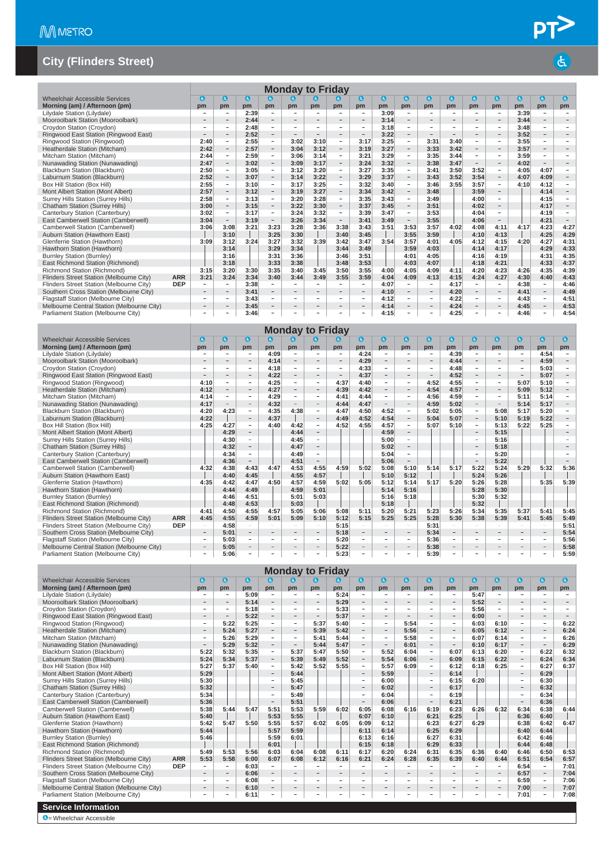|                                            |            |                          |                          |                          |                          |                          | <b>Monday to Friday</b>  |                          |                          |                          |                          |                          |                          |                          |                          |                          |                          |                          |
|--------------------------------------------|------------|--------------------------|--------------------------|--------------------------|--------------------------|--------------------------|--------------------------|--------------------------|--------------------------|--------------------------|--------------------------|--------------------------|--------------------------|--------------------------|--------------------------|--------------------------|--------------------------|--------------------------|
| <b>Wheelchair Accessible Services</b>      |            | $\bullet$                | $\bullet$                | $\bullet$                | $\bullet$                | $\mathbf{a}$             | $\bullet$                |                          | $\bullet$                | $\bullet$                | $\bullet$                | $\bullet$                | $\bullet$                | $\bullet$                | $\bullet$                | $\bullet$                | $\bullet$                | $\bullet$                |
| Morning (am) / Afternoon (pm)              |            | pm                       | pm                       | pm                       | pm                       | pm                       | pm                       | pm                       | pm                       | pm                       | pm                       | pm                       | pm                       | pm                       | pm                       | pm                       | pm                       | pm                       |
| Lilydale Station (Lilydale)                |            | -                        | $\overline{\phantom{a}}$ | 2:39                     | $\overline{\phantom{a}}$ | $\overline{\phantom{a}}$ | $\overline{\phantom{a}}$ | $\overline{\phantom{a}}$ | $\overline{\phantom{a}}$ | 3:09                     | $\overline{\phantom{a}}$ | $\overline{\phantom{a}}$ | $\qquad \qquad -$        | $\overline{\phantom{a}}$ | $\overline{\phantom{a}}$ | 3:39                     | $\overline{\phantom{a}}$ | $\overline{\phantom{a}}$ |
| Mooroolbark Station (Mooroolbark)          |            | $\overline{\phantom{a}}$ | $\overline{\phantom{a}}$ | 2:44                     | $\overline{a}$           |                          |                          | $\overline{a}$           | $\sim$                   | 3:14                     | $\overline{\phantom{a}}$ | ۰                        |                          | $\overline{a}$           | $\overline{\phantom{a}}$ | 3:44                     | $\overline{\phantom{a}}$ | $\overline{\phantom{a}}$ |
| Croydon Station (Croydon)                  |            | $\equiv$                 | $\overline{\phantom{a}}$ | 2:48                     | $\equiv$                 | $\overline{\phantom{a}}$ | $\sim$                   | $\equiv$                 | $\overline{\phantom{a}}$ | 3:18                     | $\overline{\phantom{a}}$ | $\sim$                   | $\sim$                   | $\overline{\phantom{a}}$ | $\sim$                   | 3:48                     | $\overline{\phantom{a}}$ | $\sim$                   |
| Ringwood East Station (Ringwood East)      |            | $\overline{\phantom{a}}$ | $\overline{\phantom{a}}$ | 2:52                     | $\overline{\phantom{m}}$ | $\overline{\phantom{a}}$ | $\overline{\phantom{a}}$ | $\overline{\phantom{0}}$ | $\overline{\phantom{a}}$ | 3:22                     | $\overline{\phantom{a}}$ | $\overline{\phantom{a}}$ | $\overline{\phantom{0}}$ |                          | $\overline{\phantom{a}}$ | 3:52                     | $\overline{\phantom{a}}$ | $\overline{\phantom{a}}$ |
| Ringwood Station (Ringwood)                |            | 2:40                     | $\overline{\phantom{a}}$ | 2:55                     | $\overline{\phantom{a}}$ | 3:02                     | 3:10                     | $\overline{\phantom{a}}$ | 3:17                     | 3:25                     | $\overline{\phantom{a}}$ | 3:31                     | 3:40                     | $\overline{\phantom{a}}$ | $\overline{\phantom{a}}$ | 3:55                     | $\overline{\phantom{a}}$ | $\overline{\phantom{a}}$ |
| Heatherdale Station (Mitcham)              |            | 2:42                     | $\equiv$                 | 2:57                     | $\overline{a}$           | 3:04                     | 3:12                     | $\equiv$                 | 3:19                     | 3:27                     | $\overline{\phantom{a}}$ | 3:33                     | 3:42                     | $\equiv$                 | $\equiv$                 | 3:57                     | $\equiv$                 |                          |
| Mitcham Station (Mitcham)                  |            | 2:44                     | $\overline{\phantom{a}}$ | 2:59                     | $\overline{\phantom{a}}$ | 3:06                     | 3:14                     | $\overline{\phantom{a}}$ | 3:21                     | 3:29                     | $\overline{\phantom{a}}$ | 3:35                     | 3:44                     | $\sim$                   | $\overline{\phantom{a}}$ | 3:59                     | $\overline{\phantom{a}}$ | $\overline{\phantom{a}}$ |
| Nunawading Station (Nunawading)            |            | 2:47                     | $\overline{\phantom{a}}$ | 3:02                     | $\overline{\phantom{a}}$ | 3:09                     | 3:17                     | $\overline{\phantom{a}}$ | 3:24                     | 3:32                     | $\overline{\phantom{a}}$ | 3:38                     | 3:47                     | $\equiv$                 | $\overline{\phantom{a}}$ | 4:02                     | $\sim$                   | $\overline{\phantom{a}}$ |
| Blackburn Station (Blackburn)              |            | 2:50                     | $\sim$                   | 3:05                     | $\overline{\phantom{a}}$ | 3:12                     | 3:20                     | $\sim$                   | 3:27                     | 3:35                     | $\sim$                   | 3:41                     | 3:50                     | 3:52                     | $\overline{\phantom{a}}$ | 4:05                     | 4:07                     | $\overline{\phantom{a}}$ |
| Laburnum Station (Blackburn)               |            | 2:52                     | $\overline{\phantom{a}}$ | 3:07                     | $\bar{ }$                | 3:14                     | 3:22                     | $\overline{\phantom{0}}$ | 3:29                     | 3:37                     | $\overline{\phantom{a}}$ | 3:43                     | 3:52                     | 3:54                     | $\overline{\phantom{a}}$ | 4:07                     | 4:09                     | $\overline{\phantom{a}}$ |
| Box Hill Station (Box Hill)                |            | 2:55                     | $\overline{\phantom{a}}$ | 3:10                     | $\overline{\phantom{a}}$ | 3:17                     | 3:25                     | $\overline{\phantom{a}}$ | 3:32                     | 3:40                     | $\overline{\phantom{a}}$ | 3:46                     | 3:55                     | 3:57                     | $\overline{\phantom{a}}$ | 4:10                     | 4:12                     | $\overline{\phantom{a}}$ |
| Mont Albert Station (Mont Albert)          |            | 2:57                     | $\overline{\phantom{a}}$ | 3:12                     | $\overline{\phantom{0}}$ | 3:19                     | 3:27                     | $\overline{\phantom{a}}$ | 3:34                     | 3:42                     | $\qquad \qquad -$        | 3:48                     |                          | 3:59                     | $\qquad \qquad -$        |                          | 4:14                     | $\overline{\phantom{0}}$ |
| Surrey Hills Station (Surrey Hills)        |            | 2:58                     | $\overline{\phantom{a}}$ | 3:13                     | $\overline{\phantom{a}}$ | 3:20                     | 3:28                     | $\overline{\phantom{a}}$ | 3:35                     | 3:43                     | $\overline{\phantom{a}}$ | 3:49                     |                          | 4:00                     | $\overline{\phantom{a}}$ |                          | 4:15                     | $\overline{\phantom{a}}$ |
| Chatham Station (Surrey Hills)             |            | 3:00                     | $\overline{\phantom{a}}$ | 3:15                     | $\overline{\phantom{0}}$ | 3:22                     | 3:30                     | $\overline{\phantom{a}}$ | 3:37                     | 3:45                     | $\overline{\phantom{a}}$ | 3:51                     |                          | 4:02                     | $\overline{\phantom{a}}$ |                          | 4:17                     | $\overline{\phantom{m}}$ |
| Canterbury Station (Canterbury)            |            | 3:02                     | $\equiv$                 | 3:17                     | $\equiv$                 | 3:24                     | 3:32                     | $\equiv$                 | 3:39                     | 3:47                     | $\equiv$                 | 3:53                     |                          | 4:04                     | $\equiv$                 |                          | 4:19                     | $\equiv$                 |
| East Camberwell Station (Camberwell)       |            | 3:04                     | $\overline{\phantom{a}}$ | 3:19                     | $\overline{\phantom{a}}$ | 3:26                     | 3:34                     | $\overline{\phantom{a}}$ | 3:41                     | 3:49                     | $\overline{\phantom{a}}$ | 3:55                     |                          | 4:06                     | $\overline{\phantom{a}}$ |                          | 4:21                     | $\overline{\phantom{a}}$ |
| Camberwell Station (Camberwell)            |            | 3:06                     | 3:08                     | 3:21                     | 3:23                     | 3:28                     | 3:36                     | 3:38                     | 3:43                     | 3:51                     | 3:53                     | 3:57                     | 4:02                     | 4:08                     | 4:11                     | 4:17                     | 4:23                     | 4:27                     |
| Auburn Station (Hawthorn East)             |            |                          | 3:10                     |                          | 3:25                     | 3:30                     |                          | 3:40                     | 3:45                     |                          | 3:55                     | 3:59                     |                          | 4:10                     | 4:13                     |                          | 4:25                     | 4:29                     |
| Glenferrie Station (Hawthorn)              |            | 3:09                     | 3:12                     | 3:24                     | 3:27                     | 3:32                     | 3:39                     | 3:42                     | 3:47                     | 3:54                     | 3:57                     | 4:01                     | 4:05                     | 4:12                     | 4:15                     | 4:20                     | 4:27                     | 4:31                     |
| Hawthorn Station (Hawthorn)                |            |                          | 3:14                     |                          | 3:29                     | 3:34                     |                          | 3:44                     | 3:49                     |                          | 3:59                     | 4:03                     |                          | 4:14                     | 4:17                     |                          | 4:29                     | 4:33                     |
| <b>Burnley Station (Burnley)</b>           |            |                          | 3:16                     |                          | 3:31                     | 3:36                     |                          | 3:46                     | 3:51                     |                          | 4:01                     | 4:05                     |                          | 4:16                     | 4:19                     |                          | 4:31                     | 4:35                     |
| East Richmond Station (Richmond)           |            |                          | 3:18                     |                          | 3:33                     | 3:38                     |                          | 3:48                     | 3:53                     |                          | 4:03                     | 4:07                     |                          | 4:18                     | 4:21                     |                          | 4:33                     | 4:37                     |
| Richmond Station (Richmond)                |            | 3:15                     | 3:20                     | 3:30                     | 3:35                     | 3:40                     | 3:45                     | 3:50                     | 3:55                     | 4:00                     | 4:05                     | 4:09                     | 4:11                     | 4:20                     | 4:23                     | 4:26                     | 4:35                     | 4:39                     |
| Flinders Street Station (Melbourne City)   | <b>ARR</b> | 3:21                     | 3:24                     | 3:34                     | 3:40                     | 3:44                     | 3:49                     | 3:55                     | 3:59                     | 4:04                     | 4:09                     | 4:13                     | 4:15                     | 4:24                     | 4:27                     | 4:30                     | 4:40                     | 4:43                     |
| Flinders Street Station (Melbourne City)   | <b>DEP</b> | $\overline{\phantom{a}}$ | $\sim$                   | 3:38                     | $\overline{\phantom{a}}$ | $\overline{\phantom{a}}$ | $\overline{\phantom{a}}$ | $\overline{\phantom{a}}$ | $\sim$                   | 4:07                     | $\sim$                   | $\overline{\phantom{a}}$ | 4:17                     | $\sim$                   | $\overline{\phantom{a}}$ | 4:38                     | $\sim$                   | 4:46                     |
| Southern Cross Station (Melbourne City)    |            | $\equiv$                 | $\overline{\phantom{a}}$ | 3:41                     | $\overline{\phantom{a}}$ | $\sim$                   |                          | $\equiv$                 | $\equiv$                 | 4:10                     | $\overline{\phantom{a}}$ | $\overline{\phantom{a}}$ | 4:20                     | $\equiv$                 | $\equiv$                 | 4:41                     | $\overline{\phantom{a}}$ | 4:49                     |
| Flagstaff Station (Melbourne City)         |            | $\overline{a}$           | $\overline{\phantom{a}}$ | 3:43                     | $\overline{\phantom{a}}$ | $\overline{\phantom{a}}$ | $\overline{a}$           | $\overline{\phantom{a}}$ | $\overline{\phantom{a}}$ | 4:12                     | $\overline{\phantom{a}}$ | $\overline{\phantom{a}}$ | 4:22                     | $\overline{\phantom{a}}$ | $\overline{\phantom{a}}$ | 4:43                     | $\overline{\phantom{a}}$ | 4:51                     |
| Melbourne Central Station (Melbourne City) |            |                          | $\bar{ }$                | 3:45                     | $\overline{\phantom{a}}$ |                          |                          |                          | $\overline{\phantom{a}}$ | 4:14                     | $\overline{\phantom{0}}$ | $\overline{\phantom{a}}$ | 4:24                     | $\overline{\phantom{0}}$ | $\overline{\phantom{a}}$ | 4:45                     | $\overline{\phantom{a}}$ | 4:53                     |
| Parliament Station (Melbourne City)        |            |                          | $\overline{\phantom{0}}$ | 3:46                     | $\qquad \qquad -$        |                          |                          |                          |                          | 4:15                     | $\qquad \qquad -$        | $\overline{\phantom{0}}$ | 4:25                     | $\overline{a}$           | $\overline{\phantom{a}}$ | 4:46                     | $\overline{\phantom{a}}$ | 4:54                     |
|                                            |            |                          |                          |                          |                          |                          | <b>Monday to Friday</b>  |                          |                          |                          |                          |                          |                          |                          |                          |                          |                          |                          |
| <b>Wheelchair Accessible Services</b>      |            | $\mathbf{G}$             | $\bullet$                | $\bullet$                | $\bf{c}$                 | $\mathbf{a}$             | $\bullet$                | $\bullet$                | $\bullet$                | $\bullet$                | $\bullet$                | $\bullet$                | $\bullet$                | $\bullet$                | $\bullet$                | $\bullet$                | $\bullet$                | $\bullet$                |
| Morning (am) / Afternoon (pm)              |            | pm                       | pm                       | pm                       | pm                       | pm                       | pm                       | pm                       | pm                       | pm                       | pm                       | pm                       | pm                       | pm                       | pm                       | pm                       | pm                       | pm                       |
| Lilydale Station (Lilydale)                |            | $\equiv$                 | $\overline{\phantom{a}}$ | $\overline{\phantom{a}}$ | 4:09                     | $\overline{\phantom{a}}$ | $\overline{\phantom{a}}$ | $\overline{\phantom{a}}$ | 4:24                     | $\overline{\phantom{a}}$ | $\overline{\phantom{a}}$ | $\overline{\phantom{a}}$ | 4:39                     | $\overline{\phantom{a}}$ | $\overline{\phantom{a}}$ | $\overline{\phantom{a}}$ | 4:54                     | $\overline{\phantom{a}}$ |
| Mooroolbark Station (Mooroolbark)          |            |                          | $\overline{\phantom{a}}$ | $\overline{a}$           | 4:14                     | $\overline{\phantom{a}}$ |                          | $\overline{\phantom{0}}$ | 4:29                     | $\overline{\phantom{0}}$ | $\overline{\phantom{0}}$ | $\overline{a}$           | 4:44                     | $\overline{a}$           | $\overline{\phantom{a}}$ | $\overline{a}$           | 4:59                     | $\qquad \qquad -$        |
| Croydon Station (Croydon)                  |            | $\overline{\phantom{a}}$ | $\overline{\phantom{a}}$ | $\overline{\phantom{a}}$ | 4:18                     | $\overline{\phantom{a}}$ | $\overline{\phantom{a}}$ | $\overline{\phantom{a}}$ | 4:33                     | $\overline{\phantom{a}}$ | $\overline{\phantom{a}}$ | $\overline{\phantom{a}}$ | 4:48                     | $\overline{\phantom{a}}$ | $\overline{\phantom{a}}$ | $\overline{\phantom{a}}$ | 5:03                     | $\overline{\phantom{a}}$ |
| Ringwood East Station (Ringwood East)      |            | $\overline{\phantom{0}}$ | $\overline{\phantom{a}}$ | $\overline{\phantom{a}}$ | 4:22                     | $\overline{\phantom{a}}$ | $\overline{\phantom{a}}$ | $\overline{\phantom{a}}$ | 4:37                     | $\overline{\phantom{a}}$ | $\overline{\phantom{m}}$ | $\overline{a}$           | 4:52                     | $\overline{\phantom{a}}$ | $\sim$                   | $\overline{\phantom{a}}$ | 5:07                     | $\overline{\phantom{a}}$ |
| Ringwood Station (Ringwood)                |            | 4:10                     | $\overline{\phantom{a}}$ | $\bar{ }$                | 4:25                     | $\overline{\phantom{a}}$ | $\overline{\phantom{a}}$ | 4:37                     | 4:40                     | $\overline{\phantom{a}}$ | $\overline{\phantom{a}}$ | 4:52                     | 4:55                     | $\overline{\phantom{a}}$ | $\overline{\phantom{a}}$ | 5:07                     | 5:10                     | $\overline{\phantom{a}}$ |
| Heatherdale Station (Mitcham)              |            | 4:12                     | $\equiv$                 | $\overline{a}$           | 4:27                     |                          |                          | 4:39                     | 4:42                     | $\bar{a}$                | $\overline{a}$           | 4:54                     | 4:57                     | $\overline{a}$           | $\overline{a}$           | 5:09                     | 5:12                     | $\overline{\phantom{a}}$ |
| Mitcham Station (Mitcham)                  |            | 4:14                     | $\overline{\phantom{a}}$ | $\overline{\phantom{a}}$ | 4:29                     | $\overline{\phantom{a}}$ | $\overline{\phantom{a}}$ | 4:41                     | 4:44                     | $\overline{\phantom{a}}$ | $\overline{\phantom{a}}$ | 4:56                     | 4:59                     | $\overline{\phantom{a}}$ | $\overline{\phantom{a}}$ | 5:11                     | 5:14                     | $\overline{\phantom{a}}$ |
| Nunawading Station (Nunawading)            |            | 4:17                     | $\overline{\phantom{a}}$ | $\overline{\phantom{a}}$ | 4:32                     | $\overline{\phantom{a}}$ | $\overline{\phantom{a}}$ | 4:44                     | 4:47                     | $\overline{\phantom{a}}$ | $\overline{\phantom{a}}$ | 4:59                     | 5:02                     | $\overline{\phantom{a}}$ | $\overline{\phantom{a}}$ | 5:14                     | 5:17                     | $\overline{\phantom{a}}$ |
| Blackburn Station (Blackburn)              |            | 4:20                     | 4:23                     | $\overline{\phantom{a}}$ | 4:35                     | 4:38                     | $\overline{\phantom{a}}$ | 4:47                     | 4:50                     | 4:52                     | $\overline{\phantom{a}}$ | 5:02                     | 5:05                     | $\overline{\phantom{a}}$ | 5:08                     | 5:17                     | 5:20                     | $\overline{\phantom{a}}$ |
| Laburnum Station (Blackburn)               |            | 4:22                     |                          | $\overline{\phantom{0}}$ | 4:37                     |                          |                          | 4:49                     | 4:52                     | 4:54                     | $\overline{\phantom{a}}$ | 5:04                     | 5:07                     |                          | 5:10                     | 5:19                     | 5:22                     | $\overline{\phantom{a}}$ |
| Box Hill Station (Box Hill)                |            | 4:25                     | 4:27                     | $\overline{\phantom{a}}$ | 4:40                     | 4:42                     | $\overline{\phantom{a}}$ | 4:52                     | 4:55                     | 4:57                     | $\overline{\phantom{a}}$ | 5:07                     | 5:10                     | $\overline{\phantom{a}}$ | 5:13                     | 5:22                     | 5:25                     | $\overline{\phantom{a}}$ |
| Mont Albert Station (Mont Albert)          |            |                          | 4:29                     | $\overline{\phantom{a}}$ |                          | 4:44                     | $\overline{\phantom{a}}$ |                          |                          | 4:59                     | $\overline{\phantom{a}}$ |                          |                          |                          | 5:15                     |                          |                          | $\overline{\phantom{a}}$ |
| Surrey Hills Station (Surrey Hills)        |            |                          | 4:30                     | $\equiv$                 |                          | 4:45                     | $\overline{\phantom{a}}$ |                          |                          | 5:00                     | $\equiv$                 |                          |                          | $\overline{\phantom{a}}$ | 5:16                     |                          |                          | $\overline{a}$           |
| Chatham Station (Surrey Hills)             |            |                          | 4:32                     | $\overline{\phantom{0}}$ |                          | 4:47                     |                          |                          |                          | 5:02                     | $\overline{\phantom{a}}$ |                          |                          | $\overline{a}$           | 5:18                     |                          |                          |                          |
| Canterbury Station (Canterbury)            |            |                          | 4:34                     | $\overline{\phantom{a}}$ |                          | 4:49                     | $\sim$                   |                          |                          | 5:04                     | $\equiv$                 |                          |                          | $\equiv$                 | 5:20                     |                          |                          | $\sim$                   |
| East Camberwell Station (Camberwell)       |            |                          | 4:36                     | $\overline{a}$           |                          | 4:51                     |                          |                          |                          | 5:06                     | $\qquad \qquad -$        |                          |                          | $\overline{a}$           | 5:22                     |                          |                          |                          |
| Camberwell Station (Camberwell)            |            | 4:32                     | 4:38                     | 4:43                     | 4:47                     | 4:53                     | 4:55                     | 4:59                     | 5:02                     | 5:08                     | 5:10                     | 5:14                     | 5:17                     | 5:22                     | 5:24                     | 5:29                     | 5:32                     | 5:36                     |
|                                            |            |                          |                          |                          |                          |                          |                          |                          |                          |                          |                          |                          |                          |                          |                          |                          |                          |                          |

| <b>Uditey I lills Utation (Uditey I lills)</b> |            |                          | $-1.99$ |      |                          | <b>T.TV</b>              |                          |      |      | v.vv                     |                          |      |      |      | <b></b>                  |                          |                          |      |
|------------------------------------------------|------------|--------------------------|---------|------|--------------------------|--------------------------|--------------------------|------|------|--------------------------|--------------------------|------|------|------|--------------------------|--------------------------|--------------------------|------|
| Chatham Station (Surrey Hills)                 |            |                          | 4:32    |      |                          | 4:47                     |                          |      |      | 5:02                     |                          |      |      |      | 5:18                     |                          |                          |      |
| Canterbury Station (Canterbury)                |            |                          | 4:34    |      |                          | 4:49                     |                          |      |      | 5:04                     |                          |      |      |      | 5:20                     |                          |                          |      |
| East Camberwell Station (Camberwell)           |            |                          | 4:36    |      |                          | 4:51                     |                          |      |      | 5:06                     |                          |      |      |      | 5:22                     |                          |                          |      |
| Camberwell Station (Camberwell)                |            | 4:32                     | 4:38    | 4:43 | 4:47                     | 4:53                     | 4:55                     | 4:59 | 5:02 | 5:08                     | 5:10                     | 5:14 | 5:17 | 5:22 | 5:24                     | 5:29                     | 5:32                     | 5:36 |
| Auburn Station (Hawthorn East)                 |            |                          | 4:40    | 4:45 |                          | 4:55                     | 4:57                     |      |      | 5:10                     | 5:12                     |      |      | 5:24 | 5:26                     |                          |                          |      |
| Glenferrie Station (Hawthorn)                  |            | 4:35                     | 4:42    | 4:47 | 4:50                     | 4:57                     | 4:59                     | 5:02 | 5:05 | 5:12                     | 5:14                     | 5:17 | 5:20 | 5:26 | 5:28                     |                          | 5:35                     | 5:39 |
| Hawthorn Station (Hawthorn)                    |            |                          | 4:44    | 4:49 |                          | 4:59                     | 5:01                     |      |      | 5:14                     | 5:16                     |      |      | 5:28 | 5:30                     |                          |                          |      |
| <b>Burnley Station (Burnley)</b>               |            |                          | 4:46    | 4:51 |                          | 5:01                     | 5:03                     |      |      | 5:16                     | 5:18                     |      |      | 5:30 | 5:32                     |                          |                          |      |
| East Richmond Station (Richmond)               |            |                          | 4:48    | 4:53 |                          | 5:03                     |                          |      |      | 5:18                     |                          |      |      | 5:32 |                          |                          |                          |      |
| Richmond Station (Richmond)                    |            | 4:41                     | 4:50    | 4:55 | 4:57                     | 5:05                     | 5:06                     | 5:08 | 5:11 | 5:20                     | 5:21                     | 5:23 | 5:26 | 5:34 | 5:35                     | 5:37                     | 5:41                     | 5:45 |
| Flinders Street Station (Melbourne City)       | <b>ARR</b> | 4:45                     | 4:55    | 4:59 | 5:01                     | 5:09                     | 5:10                     | 5:12 | 5:15 | 5:25                     | 5:25                     | 5:28 | 5:30 | 5:38 | 5:39                     | 5:41                     | 5:45                     | 5:49 |
| Flinders Street Station (Melbourne City)       | <b>DEP</b> |                          | 4:58    |      |                          |                          |                          | 5:15 |      |                          |                          | 5:31 |      |      |                          |                          |                          | 5:51 |
| Southern Cross Station (Melbourne City)        |            | $\overline{\phantom{a}}$ | 5:01    |      | -                        | $\overline{\phantom{a}}$ | $\overline{\phantom{a}}$ | 5:18 |      | $\overline{\phantom{a}}$ |                          | 5:34 |      |      |                          | $\overline{\phantom{a}}$ | $\qquad \qquad$          | 5:54 |
| Flagstaff Station (Melbourne City)             |            |                          | 5:03    |      | -                        |                          | $\overline{\phantom{a}}$ | 5:20 |      |                          |                          | 5:36 |      |      |                          |                          | $\sim$                   | 5:56 |
| Melbourne Central Station (Melbourne City)     |            | $\overline{\phantom{a}}$ | 5:05    |      | $\overline{\phantom{a}}$ | $\sim$                   | $\sim$                   | 5:22 |      | $\overline{\phantom{a}}$ | $\overline{\phantom{a}}$ | 5:38 |      |      | $\overline{\phantom{a}}$ | $\sim$                   | $\overline{\phantom{a}}$ | 5:58 |
| Parliament Station (Melbourne City)            |            |                          | 5:06    |      | -                        | -                        | <b>.</b>                 | 5:23 |      |                          | -                        | 5:39 |      |      |                          |                          | -                        | 5:59 |
|                                                |            |                          |         |      |                          |                          |                          |      |      |                          |                          |      |      |      |                          |                          |                          |      |

|                                            |            |                          |                          |           |                          | <b>Monday to Friday</b>  |                              |                              |                          |                          |                          |                          |                          |                          |                          |                          |                          |                          |
|--------------------------------------------|------------|--------------------------|--------------------------|-----------|--------------------------|--------------------------|------------------------------|------------------------------|--------------------------|--------------------------|--------------------------|--------------------------|--------------------------|--------------------------|--------------------------|--------------------------|--------------------------|--------------------------|
| Wheelchair Accessible Services             |            | $\bullet$                | $\mathbf{G}$             | $\bullet$ | $\bullet$                | K.                       | a                            | G)                           | $\bullet$                | $\mathbf{G}$             | G                        | $\bullet$                | $\bullet$                | $\bullet$                | $\bullet$                | $\bullet$                | $\bullet$                | $\bullet$                |
| Morning (am) / Afternoon (pm)              |            | pm                       | pm                       | pm        | pm                       | pm                       | pm                           | <b>pm</b>                    | pm                       | pm                       | pm                       | pm                       | pm                       | pm                       | pm                       | pm                       | pm                       | pm                       |
| Lilydale Station (Lilydale)                |            | ٠                        | ٠                        | 5:09      | $\overline{\phantom{a}}$ | $\overline{\phantom{a}}$ | $\overline{\phantom{a}}$     | 5:24                         | $\sim$                   | ۰                        | $\overline{\phantom{a}}$ | ۰                        | $\overline{\phantom{a}}$ | 5:47                     | $\overline{\phantom{a}}$ | $\overline{\phantom{a}}$ | $\overline{\phantom{a}}$ | $\overline{\phantom{a}}$ |
| Mooroolbark Station (Mooroolbark)          |            | -                        | $\qquad \qquad -$        | 5:14      | $\overline{\phantom{a}}$ | $\qquad \qquad -$        | $\overline{\phantom{a}}$     | 5:29                         | $-$                      | $\overline{\phantom{a}}$ | $\qquad \qquad -$        | $\overline{\phantom{a}}$ | $\overline{\phantom{m}}$ | 5:52                     | $\qquad \qquad -$        | $\qquad \qquad -$        | $\overline{\phantom{a}}$ | $\overline{\phantom{a}}$ |
| Croydon Station (Croydon)                  |            | -                        | $\overline{\phantom{a}}$ | 5:18      | $\sim$                   | $\overline{\phantom{a}}$ | $\overline{\phantom{a}}$     | 5:33                         | $\sim$                   | $\overline{\phantom{a}}$ | $\sim$                   | -                        | ÷                        | 5:56                     | $\sim$                   | $\overline{\phantom{a}}$ | ÷.                       | $\sim$                   |
| Ringwood East Station (Ringwood East)      |            | -                        | $\equiv$                 | 5:22      | $\overline{\phantom{a}}$ | $\overline{\phantom{m}}$ | $\sim$                       | 5:37                         | $\overline{\phantom{m}}$ | $\overline{\phantom{a}}$ | н.                       | $\overline{\phantom{0}}$ | $\overline{\phantom{a}}$ | 6:00                     | $-$                      | $\overline{\phantom{a}}$ | $\overline{\phantom{0}}$ | $\overline{\phantom{a}}$ |
| Ringwood Station (Ringwood)                |            | $\overline{\phantom{0}}$ | 5:22                     | 5:25      | Ξ.                       | $\overline{\phantom{a}}$ | 5:37                         | 5:40                         | $\overline{\phantom{a}}$ | $\sim$                   | 5:54                     | $\overline{\phantom{a}}$ | $\overline{\phantom{a}}$ | 6:03                     | 6:10                     | $\sim$                   | $\sim$                   | 6:22                     |
| Heatherdale Station (Mitcham)              |            | -                        | 5:24                     | 5:27      | $\overline{\phantom{a}}$ | $\overline{\phantom{a}}$ | 5:39                         | 5:42                         | $\overline{\phantom{m}}$ | $\overline{\phantom{a}}$ | 5:56                     | $\overline{\phantom{0}}$ | $\overline{\phantom{a}}$ | 6:05                     | 6:12                     | $-$                      | $\overline{\phantom{a}}$ | 6:24                     |
| Mitcham Station (Mitcham)                  |            | $\overline{\phantom{0}}$ | 5:26                     | 5:29      | $\overline{\phantom{a}}$ | $\overline{a}$           | 5:41                         | 5:44                         | $\overline{\phantom{a}}$ | $\sim$                   | 5:58                     | $\overline{\phantom{a}}$ | $\overline{\phantom{a}}$ | 6:07                     | 6:14                     | $\overline{\phantom{a}}$ | $\overline{\phantom{a}}$ | 6:26                     |
| Nunawading Station (Nunawading)            |            | $-$                      | 5:29                     | 5:32      | $\overline{\phantom{a}}$ | $\qquad \qquad -$        | 5:44                         | 5:47                         | $\overline{\phantom{a}}$ | $\overline{\phantom{a}}$ | 6:01                     | $\qquad \qquad -$        | $\overline{\phantom{a}}$ | 6:10                     | 6:17                     | $\overline{\phantom{a}}$ | $\overline{\phantom{a}}$ | 6:29                     |
| Blackburn Station (Blackburn)              |            | 5:22                     | 5:32                     | 5:35      | $\overline{\phantom{a}}$ | 5:37                     | 5:47                         | 5:50                         | $\overline{\phantom{a}}$ | 5:52                     | 6:04                     | $\overline{\phantom{0}}$ | 6:07                     | 6:13                     | 6:20                     | $\overline{\phantom{a}}$ | 6:22                     | 6:32                     |
| Laburnum Station (Blackburn)               |            | 5:24                     | 5:34                     | 5:37      | $\overline{\phantom{a}}$ | 5:39                     | 5:49                         | 5:52                         | $\overline{\phantom{a}}$ | 5:54                     | 6:06                     | $\overline{\phantom{0}}$ | 6:09                     | 6:15                     | 6:22                     | $\overline{\phantom{a}}$ | 6:24                     | 6:34                     |
| Box Hill Station (Box Hill)                |            | 5:27                     | 5:37                     | 5:40      | $\sim$                   | 5:42                     | 5:52                         | 5:55                         | $\overline{\phantom{a}}$ | 5:57                     | 6:09                     | -                        | 6:12                     | 6:18                     | 6:25                     | $\overline{\phantom{a}}$ | 6:27                     | 6:37                     |
| Mont Albert Station (Mont Albert)          |            | 5:29                     |                          |           | $\overline{\phantom{a}}$ | 5:44                     |                              |                              | $\overline{\phantom{a}}$ | 5:59                     |                          | $\qquad \qquad -$        | 6:14                     |                          |                          | $\overline{\phantom{a}}$ | 6:29                     |                          |
| Surrey Hills Station (Surrey Hills)        |            | 5:30                     |                          |           | $\overline{\phantom{a}}$ | 5:45                     |                              |                              | $\overline{\phantom{a}}$ | 6:00                     |                          | -                        | 6:15                     | 6:20                     |                          | $\overline{\phantom{a}}$ | 6:30                     |                          |
| Chatham Station (Surrey Hills)             |            | 5:32                     |                          |           | $\overline{\phantom{a}}$ | 5:47                     |                              |                              | $\sim$                   | 6:02                     |                          | $\overline{\phantom{0}}$ | 6:17                     |                          |                          | $\overline{\phantom{a}}$ | 6:32                     |                          |
| Canterbury Station (Canterbury)            |            | 5:34                     |                          |           | $\overline{\phantom{a}}$ | 5:49                     |                              |                              | $\overline{\phantom{a}}$ | 6:04                     |                          | ÷                        | 6:19                     |                          |                          | $\overline{\phantom{a}}$ | 6:34                     |                          |
| East Camberwell Station (Camberwell)       |            | 5:36                     |                          |           | $\overline{\phantom{a}}$ | 5:51                     |                              |                              | $\overline{\phantom{a}}$ | 6:06                     |                          | $\overline{\phantom{0}}$ | 6:21                     |                          |                          | $\overline{\phantom{a}}$ | 6:36                     |                          |
| Camberwell Station (Camberwell)            |            | 5:38                     | 5:44                     | 5:47      | 5:51                     | 5:53                     | 5:59                         | 6:02                         | 6:05                     | 6:08                     | 6:16                     | 6:19                     | 6:23                     | 6:26                     | 6:32                     | 6:34                     | 6:38                     | 6:44                     |
| Auburn Station (Hawthorn East)             |            | 5:40                     |                          |           | 5:53                     | 5:55                     |                              |                              | 6:07                     | 6:10                     |                          | 6:21                     | 6:25                     |                          |                          | 6:36                     | 6:40                     |                          |
| Glenferrie Station (Hawthorn)              |            | 5:42                     | 5:47                     | 5:50      | 5:55                     | 5:57                     | 6:02                         | 6:05                         | 6:09                     | 6:12                     |                          | 6:23                     | 6:27                     | 6:29                     |                          | 6:38                     | 6:42                     | 6:47                     |
| Hawthorn Station (Hawthorn)                |            | 5:44                     |                          |           | 5:57                     | 5:59                     |                              |                              | 6:11                     | 6:14                     |                          | 6:25                     | 6:29                     |                          |                          | 6:40                     | 6:44                     |                          |
| <b>Burnley Station (Burnley)</b>           |            | 5:46                     |                          |           | 5:59                     | 6:01                     |                              |                              | 6:13                     | 6:16                     |                          | 6:27                     | 6:31                     |                          |                          | 6:42                     | 6:46                     |                          |
| East Richmond Station (Richmond)           |            |                          |                          |           | 6:01                     |                          |                              |                              | 6:15                     | 6:18                     |                          | 6:29                     | 6:33                     |                          |                          | 6:44                     | 6:48                     |                          |
| Richmond Station (Richmond)                |            | 5:49                     | 5:53                     | 5:56      | 6:03                     | 6:04                     | 6:08                         | 6:11                         | 6:17                     | 6:20                     | 6:24                     | 6:31                     | 6:35                     | 6:36                     | 6:40                     | 6:46                     | 6:50                     | 6:53                     |
| Flinders Street Station (Melbourne City)   | <b>ARR</b> | 5:53                     | 5:58                     | 6:00      | 6:07                     | 6:08                     | 6:12                         | 6:16                         | 6:21                     | 6:24                     | 6:28                     | 6:35                     | 6:39                     | 6:40                     | 6:44                     | 6:51                     | 6:54                     | 6:57                     |
| Flinders Street Station (Melbourne City)   | <b>DEP</b> | Ξ.                       | $\sim$                   | 6:03      | $\sim$                   | $\sim$                   | $\overline{\phantom{0}}$     | $\equiv$                     | $\equiv$                 | $\overline{\phantom{0}}$ |                          | $=$                      | $\overline{\phantom{a}}$ |                          | $\overline{\phantom{0}}$ | 6:54                     | $\sim$                   | 7:01                     |
| Southern Cross Station (Melbourne City)    |            | -                        | $\overline{\phantom{a}}$ | 6:06      | $\overline{\phantom{a}}$ | $\overline{\phantom{a}}$ | $\qquad \qquad \blacksquare$ | $\qquad \qquad$              | $\overline{\phantom{a}}$ | $\overline{\phantom{a}}$ | $\qquad \qquad -$        | $\qquad \qquad -$        | $\overline{\phantom{a}}$ |                          | $\overline{\phantom{0}}$ | 6:57                     | $\overline{\phantom{a}}$ | 7:04                     |
| Flagstaff Station (Melbourne City)         |            | $\equiv$                 | $\equiv$                 | 6:08      | $\sim$                   | $\overline{\phantom{a}}$ | $\overline{\phantom{0}}$     | $\sim$                       | $\rightarrow$            | $\sim$                   | $\overline{\phantom{a}}$ | -                        | $\overline{\phantom{a}}$ | $\overline{\phantom{a}}$ | $\sim$                   | 6:59                     | $\equiv$                 | 7:06                     |
| Melbourne Central Station (Melbourne City) |            | $\overline{\phantom{0}}$ | $\overline{\phantom{a}}$ | 6:10      | $\qquad \qquad =$        | $\overline{\phantom{a}}$ | $\qquad \qquad \blacksquare$ | $\qquad \qquad \blacksquare$ | $\overline{\phantom{m}}$ | $\overline{\phantom{a}}$ | $\overline{\phantom{a}}$ | $\qquad \qquad -$        | $\overline{\phantom{a}}$ |                          | $\overline{\phantom{a}}$ | 7:00                     | $\overline{\phantom{a}}$ | 7:07                     |
| Parliament Station (Melbourne City)        |            | -                        | $\overline{\phantom{a}}$ | 6:11      | $\overline{\phantom{0}}$ | $\overline{\phantom{a}}$ | $\overline{\phantom{a}}$     | $\overline{\phantom{a}}$     |                          | $\overline{\phantom{a}}$ | $\equiv$                 | ÷                        | ۰                        |                          | $\overline{\phantom{a}}$ | 7:01                     | $\overline{\phantom{a}}$ | 7:08                     |
| <b>Service Information</b>                 |            |                          |                          |           |                          |                          |                              |                              |                          |                          |                          |                          |                          |                          |                          |                          |                          |                          |
| G= Wheelchair Accessible                   |            |                          |                          |           |                          |                          |                              |                              |                          |                          |                          |                          |                          |                          |                          |                          |                          |                          |

 $\mathbf{d}$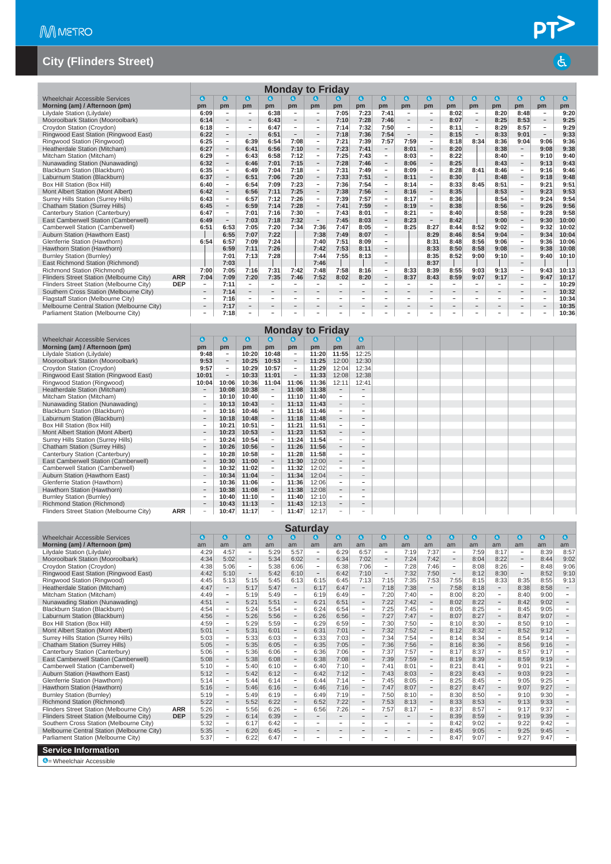|                                            |            |                          |                          |                          |                          |                          | <b>Monday to Friday</b>      |                          |                          |                          |                          |                          |                          |                          |                          |                          |                          |                 |
|--------------------------------------------|------------|--------------------------|--------------------------|--------------------------|--------------------------|--------------------------|------------------------------|--------------------------|--------------------------|--------------------------|--------------------------|--------------------------|--------------------------|--------------------------|--------------------------|--------------------------|--------------------------|-----------------|
| Wheelchair Accessible Services             |            | $\bullet$                | $\mathbf{G}$             | $\mathbf{a}$             | $\bullet$                | $\bullet$                | G                            | G                        | $\bullet$                | $\mathbf{G}$             | $\mathbf{G}$             | $\mathbf{a}$             | $\bullet$                | $\bullet$                | $\bullet$                | $\bullet$                | $\bullet$                | $\mathbf{a}$    |
| Morning (am) / Afternoon (pm)              |            | pm                       | pm                       | pm                       | $nm$                     | $nm$                     | pm                           | pm                       | pm                       | pm                       | pm                       | pm                       | pm                       | pm                       | pm                       | pm                       | pm                       | pm <sub>1</sub> |
| Lilydale Station (Lilydale)                |            | 6:09                     | ۰                        | $\qquad \qquad -$        | 6:38                     | $\overline{\phantom{a}}$ | $\overline{\phantom{m}}$     | 7:05                     | 7:23                     | 7:41                     | $\overline{\phantom{a}}$ | $\overline{\phantom{a}}$ | 8:02                     | $\overline{\phantom{a}}$ | 8:20                     | 8:48                     | $\overline{\phantom{a}}$ | 9:20            |
| Mooroolbark Station (Mooroolbark)          |            | 6:14                     | $\overline{\phantom{a}}$ | $\overline{\phantom{a}}$ | 6:43                     | $\sim$                   | $\overline{\phantom{a}}$     | 7:10                     | 7:28                     | 7:46                     | $\overline{\phantom{a}}$ | $\overline{\phantom{0}}$ | 8:07                     | $\sim$                   | 8:25                     | 8:53                     | $\overline{\phantom{a}}$ | 9:25            |
| Croydon Station (Croydon)                  |            | 6:18                     | $\overline{\phantom{0}}$ | $\overline{\phantom{a}}$ | 6:47                     | $\overline{\phantom{a}}$ | $\overline{\phantom{0}}$     | 7:14                     | 7:32                     | 7:50                     | $\overline{\phantom{a}}$ | ۰                        | 8:11                     | $\overline{\phantom{a}}$ | 8:29                     | 8:57                     | $\overline{\phantom{a}}$ | 9:29            |
| Ringwood East Station (Ringwood East)      |            | 6:22                     | $\overline{\phantom{a}}$ | $\overline{\phantom{a}}$ | 6:51                     | $\overline{\phantom{a}}$ | $\overline{\phantom{0}}$     | 7:18                     | 7:36                     | 7:54                     | $\overline{\phantom{a}}$ | $\overline{\phantom{0}}$ | 8:15                     | $\overline{\phantom{a}}$ | 8:33                     | 9:01                     | $-$                      | 9:33            |
| Ringwood Station (Ringwood)                |            | 6:25                     | $\sim$                   | 6:39                     | 6:54                     | 7:08                     | $\overline{\phantom{a}}$     | 7:21                     | 7:39                     | 7:57                     | 7:59                     | -                        | 8:18                     | 8:34                     | 8:36                     | 9:04                     | 9:06                     | 9:36            |
| Heatherdale Station (Mitcham)              |            | 6:27                     | $\overline{\phantom{a}}$ | 6:41                     | 6:56                     | 7:10                     | $-$                          | 7:23                     | 7:41                     | $\overline{\phantom{a}}$ | 8:01                     | $\overline{\phantom{0}}$ | 8:20                     |                          | 8:38                     | $\overline{\phantom{a}}$ | 9:08                     | 9:38            |
| Mitcham Station (Mitcham)                  |            | 6:29                     | $\sim$                   | 6:43                     | 6:58                     | 7:12                     | -                            | 7:25                     | 7:43                     | $\sim$                   | 8:03                     | -                        | 8:22                     |                          | 8:40                     | $\sim$                   | 9:10                     | 9:40            |
| Nunawading Station (Nunawading)            |            | 6:32                     | $\overline{\phantom{a}}$ | 6:46                     | 7:01                     | 7:15                     | $\qquad \qquad -$            | 7:28                     | 7:46                     | $\overline{\phantom{a}}$ | 8:06                     | $\overline{\phantom{a}}$ | 8:25                     |                          | 8:43                     | $\overline{\phantom{a}}$ | 9:13                     | 9:43            |
| Blackburn Station (Blackburn)              |            | 6:35                     | $\overline{\phantom{a}}$ | 6:49                     | 7:04                     | 7:18                     | $\sim$                       | 7:31                     | 7:49                     | $\overline{\phantom{a}}$ | 8:09                     | -                        | 8:28                     | 8:41                     | 8:46                     | $\sim$                   | 9:16                     | 9:46            |
| Laburnum Station (Blackburn)               |            | 6:37                     | $\overline{\phantom{a}}$ | 6:51                     | 7:06                     | 7:20                     | $\qquad \qquad -$            | 7:33                     | 7:51                     | -                        | 8:11                     | $\overline{\phantom{a}}$ | 8:30                     |                          | 8:48                     | $\overline{\phantom{a}}$ | 9:18                     | 9:48            |
| Box Hill Station (Box Hill)                |            | 6:40                     | $\sim$                   | 6:54                     | 7:09                     | 7:23                     | $\overline{\phantom{a}}$     | 7:36                     | 7:54                     | $\overline{\phantom{a}}$ | 8:14                     | $\overline{\phantom{a}}$ | 8:33                     | 8:45                     | 8:51                     | $\overline{\phantom{a}}$ | 9:21                     | 9:51            |
| Mont Albert Station (Mont Albert)          |            | 6:42                     | $\overline{\phantom{a}}$ | 6:56                     | 7:11                     | 7:25                     | $\overline{\phantom{a}}$     | 7:38                     | 7:56                     | $\overline{\phantom{a}}$ | 8:16                     | $\overline{\phantom{0}}$ | 8:35                     |                          | 8:53                     | $\overline{\phantom{a}}$ | 9:23                     | 9:53            |
| Surrey Hills Station (Surrey Hills)        |            | 6:43                     | $\overline{\phantom{a}}$ | 6:57                     | 7:12                     | 7:26                     | $\overline{\phantom{0}}$     | 7:39                     | 7:57                     | $-$                      | 8:17                     | $\overline{\phantom{0}}$ | 8:36                     |                          | 8:54                     | $\sim$                   | 9:24                     | 9:54            |
| <b>Chatham Station (Surrey Hills)</b>      |            | 6:45                     | $\overline{\phantom{a}}$ | 6:59                     | 7:14                     | 7:28                     | $\overline{\phantom{a}}$     | 7:41                     | 7:59                     | $\overline{\phantom{0}}$ | 8:19                     | $\overline{\phantom{a}}$ | 8:38                     |                          | 8:56                     | $\overline{\phantom{a}}$ | 9:26                     | 9:56            |
| Canterbury Station (Canterbury)            |            | 6:47                     | $\sim$                   | 7:01                     | 7:16                     | 7:30                     | $\overline{\phantom{a}}$     | 7:43                     | 8:01                     | $\equiv$                 | 8:21                     | $\equiv$                 | 8:40                     |                          | 8:58                     | $\sim$                   | 9:28                     | 9:58            |
| East Camberwell Station (Camberwell)       |            | 6:49                     | $\overline{\phantom{a}}$ | 7:03                     | 7:18                     | 7:32                     | $\overline{\phantom{a}}$     | 7:45                     | 8:03                     | $\overline{\phantom{a}}$ | 8:23                     | $\overline{\phantom{a}}$ | 8:42                     |                          | 9:00                     | $\overline{\phantom{a}}$ | 9:30                     | 10:00           |
| Camberwell Station (Camberwell)            |            | 6:51                     | 6:53                     | 7:05                     | 7:20                     | 7:34                     | 7:36                         | 7:47                     | 8:05                     | $\overline{\phantom{a}}$ | 8:25                     | 8:27                     | 8:44                     | 8:52                     | 9:02                     | $\overline{\phantom{a}}$ | 9:32                     | 10:02           |
| Auburn Station (Hawthorn East)             |            |                          | 6:55                     | 7:07                     | 7:22                     |                          | 7:38                         | 7:49                     | 8:07                     | $-$                      |                          | 8:29                     | 8:46                     | 8:54                     | 9:04                     | $\overline{\phantom{a}}$ | 9:34                     | 10:04           |
| Glenferrie Station (Hawthorn)              |            | 6:54                     | 6:57                     | 7:09                     | 7:24                     |                          | 7:40                         | 7:51                     | 8:09                     | $\overline{\phantom{a}}$ |                          | 8:31                     | 8:48                     | 8:56                     | 9:06                     | $\overline{\phantom{a}}$ | 9:36                     | 10:06           |
| Hawthorn Station (Hawthorn)                |            |                          | 6:59                     | 7:11                     | 7:26                     |                          | 7:42                         | 7:53                     | 8:11                     | $\overline{\phantom{a}}$ |                          | 8:33                     | 8:50                     | 8:58                     | 9:08                     | $\overline{\phantom{a}}$ | 9:38                     | 10:08           |
| <b>Burnley Station (Burnley)</b>           |            |                          | 7:01                     | 7:13                     | 7:28                     |                          | 7:44                         | 7:55                     | 8:13                     | $\overline{\phantom{a}}$ |                          | 8:35                     | 8:52                     | 9:00                     | 9:10                     | $\sim$                   | 9:40                     | 10:10           |
| East Richmond Station (Richmond)           |            |                          | 7:03                     |                          |                          |                          | 7:46                         |                          |                          | $\overline{\phantom{a}}$ |                          | 8:37                     |                          |                          |                          | $\overline{\phantom{a}}$ |                          |                 |
| Richmond Station (Richmond)                |            | 7:00                     | 7:05                     | 7:16                     | 7:31                     | 7:42                     | 7:48                         | 7:58                     | 8:16                     | $\sim$                   | 8:33                     | 8:39                     | 8:55                     | 9:03                     | 9:13                     | $\sim$                   | 9:43                     | 10:13           |
| Flinders Street Station (Melbourne City)   | <b>ARR</b> | 7:04                     | 7:09                     | 7:20                     | 7:35                     | 7:46                     | 7:52                         | 8:02                     | 8:20                     | $\overline{\phantom{a}}$ | 8:37                     | 8:43                     | 8:59                     | 9:07                     | 9:17                     | $\overline{\phantom{a}}$ | 9:47                     | 10:17           |
| Flinders Street Station (Melbourne City)   | <b>DEP</b> | -                        | 7:11                     | $\sim$                   | $\overline{\phantom{a}}$ |                          |                              | ۰.                       | $\sim$                   | $\sim$                   | $\sim$                   |                          |                          | $\sim$                   | $\sim$                   | $\sim$                   | $\overline{\phantom{a}}$ | 10:29           |
| Southern Cross Station (Melbourne City)    |            | $-$                      | 7:14                     | $\overline{\phantom{a}}$ | $\overline{\phantom{0}}$ | $\overline{\phantom{a}}$ |                              |                          | $\overline{\phantom{a}}$ | $\overline{\phantom{a}}$ | $\qquad \qquad -$        | $\qquad \qquad -$        |                          |                          | $\overline{\phantom{m}}$ | $\overline{\phantom{a}}$ | $\qquad \qquad -$        | 10:32           |
| Flagstaff Station (Melbourne City)         |            | ÷                        | 7:16                     | $\overline{\phantom{0}}$ | $\overline{\phantom{0}}$ | $\overline{\phantom{a}}$ | $\overline{\phantom{a}}$     | $\overline{\phantom{a}}$ | $\sim$                   | $\overline{\phantom{a}}$ | $\overline{\phantom{a}}$ | $\overline{\phantom{0}}$ | $\overline{\phantom{0}}$ | $\overline{\phantom{a}}$ | $\overline{\phantom{a}}$ | $\overline{\phantom{a}}$ | $\overline{\phantom{a}}$ | 10:34           |
| Melbourne Central Station (Melbourne City) |            | $\overline{\phantom{0}}$ | 7:17                     | $\qquad \qquad -$        | $\qquad \qquad =$        | $\overline{\phantom{a}}$ | $\qquad \qquad \blacksquare$ | $\overline{\phantom{a}}$ | $\overline{\phantom{a}}$ | $\overline{\phantom{a}}$ | $\overline{\phantom{a}}$ | $\qquad \qquad -$        | $\qquad \qquad -$        | $\overline{\phantom{a}}$ | $\overline{\phantom{a}}$ | $\overline{\phantom{a}}$ | $\overline{\phantom{a}}$ | 10:35           |
| Parliament Station (Melbourne City)        |            | ۰                        | 7:18                     | $\qquad \qquad -$        | ÷                        | $\overline{\phantom{a}}$ |                              |                          |                          | $\overline{\phantom{0}}$ | ۰                        | ۰                        | $\overline{\phantom{0}}$ | $\overline{\phantom{a}}$ | $\overline{\phantom{0}}$ | $\overline{\phantom{a}}$ | $\overline{\phantom{a}}$ | 10:36           |

|                                                        |                                 |                          |       |                          |                          | <b>Monday to Friday</b> |                          |                          |  |  |
|--------------------------------------------------------|---------------------------------|--------------------------|-------|--------------------------|--------------------------|-------------------------|--------------------------|--------------------------|--|--|
| <b>Wheelchair Accessible Services</b>                  | G                               | $\mathbf{G}$             | O     | ω                        | G.                       | a                       | G.                       | $\bullet$                |  |  |
| Morning (am) / Afternoon (pm)                          | pm                              | pm                       | pm    | pm                       | pm                       | pm                      | pm                       | am                       |  |  |
| Lilydale Station (Lilydale)                            | 9:48                            | $\overline{\phantom{a}}$ | 10:20 | 10:48                    | $\overline{\phantom{a}}$ | 11:20                   | 11:55                    | 12:25                    |  |  |
| Mooroolbark Station (Mooroolbark)                      | 9:53                            | $\overline{\phantom{a}}$ | 10:25 | 10:53                    | $\overline{\phantom{0}}$ | 11:25                   | 12:00                    | 12:30                    |  |  |
| Croydon Station (Croydon)                              | 9:57                            | $\qquad \qquad -$        | 10:29 | 10:57                    | $\overline{\phantom{a}}$ | 11:29                   | 12:04                    | 12:34                    |  |  |
| Ringwood East Station (Ringwood East)                  | 10:01                           | $\overline{\phantom{m}}$ | 10:33 | 11:01                    | $\overline{\phantom{m}}$ | 11:33                   | 12:08                    | 12:38                    |  |  |
| Ringwood Station (Ringwood)                            | 10:04                           | 10:06                    | 10:36 | 11:04                    | 11:06                    | 11:36                   | 12:11                    | 12:41                    |  |  |
| Heatherdale Station (Mitcham)                          |                                 | 10:08                    | 10:38 | $\overline{\phantom{a}}$ | 11:08                    | 11:38                   |                          |                          |  |  |
| Mitcham Station (Mitcham)                              |                                 | 10:10                    | 10:40 | $\overline{\phantom{a}}$ | 11:10                    | 11:40                   | $\sim$                   |                          |  |  |
| Nunawading Station (Nunawading)                        | $\qquad \qquad -$               | 10:13                    | 10:43 | $\overline{\phantom{a}}$ | 11:13                    | 11:43                   | $\overline{\phantom{a}}$ |                          |  |  |
| Blackburn Station (Blackburn)                          |                                 | 10:16                    | 10:46 | $\overline{\phantom{a}}$ | 11:16                    | 11:46                   |                          |                          |  |  |
| Laburnum Station (Blackburn)                           | $\overline{\phantom{a}}$        | 10:18                    | 10:48 | $\overline{\phantom{a}}$ | 11:18                    | 11:48                   | $\overline{\phantom{a}}$ | $\overline{\phantom{a}}$ |  |  |
| Box Hill Station (Box Hill)                            |                                 | 10:21                    | 10:51 | $\overline{\phantom{a}}$ | 11:21                    | 11:51                   |                          |                          |  |  |
| Mont Albert Station (Mont Albert)                      |                                 | 10:23                    | 10:53 | $\overline{\phantom{a}}$ | 11:23                    | 11:53                   |                          | $\overline{\phantom{a}}$ |  |  |
| Surrey Hills Station (Surrey Hills)                    |                                 | 10:24                    | 10:54 | $\equiv$                 | 11:24                    | 11:54                   |                          |                          |  |  |
| Chatham Station (Surrey Hills)                         |                                 | 10:26                    | 10:56 | $\overline{\phantom{a}}$ | 11:26                    | 11:56                   |                          |                          |  |  |
| Canterbury Station (Canterbury)                        |                                 | 10:28                    | 10:58 | $\equiv$                 | 11:28                    | 11:58                   | $\overline{\phantom{m}}$ |                          |  |  |
| East Camberwell Station (Camberwell)                   | $\hspace{0.1mm}-\hspace{0.1mm}$ | 10:30                    | 11:00 | $\overline{\phantom{a}}$ | 11:30                    | 12:00                   | $\overline{\phantom{m}}$ |                          |  |  |
| Camberwell Station (Camberwell)                        |                                 | 10:32                    | 11:02 | $\overline{\phantom{a}}$ | 11:32                    | 12:02                   |                          |                          |  |  |
| Auburn Station (Hawthorn East)                         | $\overline{\phantom{a}}$        | 10:34                    | 11:04 | $\overline{\phantom{a}}$ | 11:34                    | 12:04                   |                          |                          |  |  |
| Glenferrie Station (Hawthorn)                          |                                 | 10:36                    | 11:06 | $\overline{\phantom{a}}$ | 11:36                    | 12:06                   | $\overline{\phantom{a}}$ |                          |  |  |
| Hawthorn Station (Hawthorn)                            | $-$                             | 10:38                    | 11:08 | $\overline{\phantom{a}}$ | 11:38                    | 12:08                   | $\overline{\phantom{a}}$ | -                        |  |  |
| <b>Burnley Station (Burnley)</b>                       |                                 | 10:40                    | 11:10 | $\overline{\phantom{a}}$ | 11:40                    | 12:10                   |                          | $\sim$                   |  |  |
| Richmond Station (Richmond)                            | $\qquad \qquad -$               | 10:43                    | 11:13 | $\equiv$                 | 11:43                    | 12:13                   | $\qquad \qquad =$        | -                        |  |  |
| <b>ARR</b><br>Flinders Street Station (Melbourne City) |                                 | 10:47                    | 11:17 | $\qquad \qquad =$        | 11:47                    | 12:17                   |                          |                          |  |  |

|                                            |            |            |                                |                          |           |                          | <b>Saturday</b>          |                          |                          |                          |                          |                          |                          |           |                          |                          |           |                          |
|--------------------------------------------|------------|------------|--------------------------------|--------------------------|-----------|--------------------------|--------------------------|--------------------------|--------------------------|--------------------------|--------------------------|--------------------------|--------------------------|-----------|--------------------------|--------------------------|-----------|--------------------------|
| <b>Wheelchair Accessible Services</b>      |            | $\epsilon$ | $\left( \mathbf{d}_{i}\right)$ | $\mathbf{G}$             | $\bullet$ | $\mathbf{a}$             | a                        | $\bullet$                | $\bullet$                | $\bullet$                | $\bullet$                | $\bullet$                | $\mathbf a$              | $\bullet$ | $\bullet$                | O                        | $\bullet$ | $\bullet$                |
| Morning (am) / Afternoon (pm)              |            | am         | am                             | am                       | am        | am                       | am                       | am                       | am                       | am                       | am                       | am                       | am                       | am        | am                       | am                       | am        | am                       |
| Lilydale Station (Lilydale)                |            | 4:29       | 4:57                           | $\overline{\phantom{a}}$ | 5:29      | 5:57                     | $\overline{\phantom{a}}$ | 6:29                     | 6:57                     | $\overline{\phantom{a}}$ | 7:19                     | 7:37                     | ۰                        | 7:59      | 8:17                     | $\overline{\phantom{m}}$ | 8:39      | 8:57                     |
| Mooroolbark Station (Mooroolbark)          |            | 4:34       | 5:02                           | $\overline{\phantom{a}}$ | 5:34      | 6:02                     | $\overline{\phantom{a}}$ | 6:34                     | 7:02                     | $\overline{\phantom{a}}$ | 7:24                     | 7:42                     | $\overline{\phantom{a}}$ | 8:04      | 8:22                     | $\overline{\phantom{a}}$ | 8:44      | 9:02                     |
| Croydon Station (Croydon)                  |            | 4:38       | 5:06                           | $\equiv$                 | 5:38      | 6:06                     | $\sim$                   | 6:38                     | 7:06                     | $\overline{\phantom{a}}$ | 7:28                     | 7:46                     | -                        | 8:08      | 8:26                     | $\overline{\phantom{0}}$ | 8:48      | 9:06                     |
| Ringwood East Station (Ringwood East)      |            | 4:42       | 5:10                           | $\qquad \qquad -$        | 5:42      | 6:10                     | $\overline{\phantom{a}}$ | 6:42                     | 7:10                     | $\overline{\phantom{a}}$ | 7:32                     | 7:50                     | $\qquad \qquad =$        | 8:12      | 8:30                     | $\overline{\phantom{0}}$ | 8:52      | 9:10                     |
| Ringwood Station (Ringwood)                |            | 4:45       | 5:13                           | 5:15                     | 5:45      | 6:13                     | 6:15                     | 6:45                     | 7:13                     | 7:15                     | 7:35                     | 7:53                     | 7:55                     | 8:15      | 8:33                     | 8:35                     | 8:55      | 9:13                     |
| Heatherdale Station (Mitcham)              |            | 4:47       | $\overline{\phantom{a}}$       | 5:17                     | 5:47      | $\overline{\phantom{a}}$ | 6:17                     | 6:47                     | $\overline{\phantom{a}}$ | 7:18                     | 7:38                     | $\overline{\phantom{a}}$ | 7:58                     | 8:18      | $\overline{\phantom{a}}$ | 8:38                     | 8:58      | $\overline{\phantom{a}}$ |
| Mitcham Station (Mitcham)                  |            | 4:49       | $\overline{\phantom{0}}$       | 5:19                     | 5:49      | $\overline{\phantom{a}}$ | 6:19                     | 6:49                     | $\overline{\phantom{a}}$ | 7:20                     | 7:40                     | $\overline{\phantom{a}}$ | 8:00                     | 8:20      | $\overline{\phantom{a}}$ | 8:40                     | 9:00      | $\overline{\phantom{a}}$ |
| Nunawading Station (Nunawading)            |            | 4:51       | $-$                            | 5:21                     | 5:51      | $\overline{\phantom{a}}$ | 6:21                     | 6:51                     | $\overline{\phantom{a}}$ | 7:22                     | 7:42                     | $\overline{\phantom{a}}$ | 8:02                     | 8:22      | $\overline{\phantom{a}}$ | 8:42                     | 9:02      | $-$                      |
| Blackburn Station (Blackburn)              |            | 4:54       | Ξ.                             | 5:24                     | 5:54      | $\sim$                   | 6:24                     | 6:54                     | $\sim$                   | 7:25                     | 7:45                     | $\sim$                   | 8:05                     | 8:25      | $\sim$                   | 8:45                     | 9:05      | $\sim$                   |
| Laburnum Station (Blackburn)               |            | 4:56       | $\overline{\phantom{a}}$       | 5:26                     | 5:56      | $\sim$                   | 6:26                     | 6:56                     | $\overline{\phantom{a}}$ | 7:27                     | 7:47                     | $\overline{\phantom{a}}$ | 8:07                     | 8:27      | $\overline{\phantom{a}}$ | 8:47                     | 9:07      |                          |
| Box Hill Station (Box Hill)                |            | 4:59       | Ξ.                             | 5:29                     | 5:59      | $\sim$                   | 6:29                     | 6:59                     | $\sim$                   | 7:30                     | 7:50                     | $\overline{\phantom{a}}$ | 8:10                     | 8:30      | $\sim$                   | 8:50                     | 9:10      | $\sim$                   |
| Mont Albert Station (Mont Albert)          |            | 5:01       | $\overline{\phantom{a}}$       | 5:31                     | 6:01      | $\overline{\phantom{a}}$ | 6:31                     | 7:01                     | $\overline{\phantom{a}}$ | 7:32                     | 7:52                     | $\overline{\phantom{a}}$ | 8:12                     | 8:32      | $\overline{\phantom{a}}$ | 8:52                     | 9:12      | $\qquad \qquad -$        |
| Surrey Hills Station (Surrey Hills)        |            | 5:03       | $\overline{\phantom{a}}$       | 5:33                     | 6:03      | $\overline{\phantom{a}}$ | 6:33                     | 7:03                     | $\overline{\phantom{a}}$ | 7:34                     | 7:54                     | $\overline{\phantom{a}}$ | 8:14                     | 8:34      | $\overline{\phantom{a}}$ | 8:54                     | 9:14      |                          |
| <b>Chatham Station (Surrey Hills)</b>      |            | 5:05       | $\overline{\phantom{a}}$       | 5:35                     | 6:05      | $\qquad \qquad -$        | 6:35                     | 7:05                     | $\overline{\phantom{a}}$ | 7:36                     | 7:56                     | $\overline{\phantom{a}}$ | 8:16                     | 8:36      | $\overline{\phantom{a}}$ | 8:56                     | 9:16      |                          |
| Canterbury Station (Canterbury)            |            | 5:06       | $\overline{\phantom{a}}$       | 5:36                     | 6:06      | $\overline{\phantom{a}}$ | 6:36                     | 7:06                     | $\overline{\phantom{a}}$ | 7:37                     | 7:57                     | $\overline{\phantom{a}}$ | 8:17                     | 8:37      | $\overline{\phantom{a}}$ | 8:57                     | 9:17      | $\sim$                   |
| East Camberwell Station (Camberwell)       |            | 5:08       | $\overline{\phantom{a}}$       | 5:38                     | 6:08      | $\overline{\phantom{m}}$ | 6:38                     | 7:08                     | $\overline{\phantom{a}}$ | 7:39                     | 7:59                     | $\overline{\phantom{a}}$ | 8:19                     | 8:39      | $\overline{\phantom{a}}$ | 8:59                     | 9:19      |                          |
| Camberwell Station (Camberwell)            |            | 5:10       | $-$                            | 5:40                     | 6:10      | $\overline{\phantom{0}}$ | 6:40                     | 7:10                     | $\sim$                   | 7:41                     | 8:01                     | $\overline{\phantom{a}}$ | 8:21                     | 8:41      | $\overline{\phantom{a}}$ | 9:01                     | 9:21      | $\sim$                   |
| Auburn Station (Hawthorn East)             |            | 5:12       | $\overline{\phantom{a}}$       | 5:42                     | 6:12      | $\overline{\phantom{a}}$ | 6:42                     | 7:12                     | $\overline{\phantom{a}}$ | 7:43                     | 8:03                     | $\overline{\phantom{a}}$ | 8:23                     | 8:43      | $\overline{\phantom{a}}$ | 9:03                     | 9:23      | $\sim$                   |
| Glenferrie Station (Hawthorn)              |            | 5:14       | $\sim$                         | 5:44                     | 6:14      | $\overline{\phantom{a}}$ | 6:44                     | 7:14                     | $\equiv$                 | 7:45                     | 8:05                     | $\overline{\phantom{a}}$ | 8:25                     | 8:45      | $\overline{\phantom{a}}$ | 9:05                     | 9:25      |                          |
| Hawthorn Station (Hawthorn)                |            | 5:16       | $\overline{\phantom{a}}$       | 5:46                     | 6:16      | $\overline{\phantom{a}}$ | 6:46                     | 7:16                     | $\overline{\phantom{a}}$ | 7:47                     | 8:07                     | $\overline{\phantom{a}}$ | 8:27                     | 8:47      | $\overline{\phantom{a}}$ | 9:07                     | 9:27      |                          |
| <b>Burnley Station (Burnley)</b>           |            | 5:19       | $\overline{\phantom{a}}$       | 5:49                     | 6:19      | $\overline{\phantom{a}}$ | 6:49                     | 7:19                     | $\sim$                   | 7:50                     | 8:10                     | $\overline{\phantom{a}}$ | 8:30                     | 8:50      | $\overline{\phantom{a}}$ | 9:10                     | 9:30      |                          |
| Richmond Station (Richmond)                |            | 5:22       | $\overline{\phantom{a}}$       | 5:52                     | 6:22      | $\overline{\phantom{a}}$ | 6:52                     | 7:22                     | $\overline{\phantom{a}}$ | 7:53                     | 8:13                     | $\overline{\phantom{a}}$ | 8:33                     | 8:53      | $\overline{\phantom{a}}$ | 9:13                     | 9:33      | $\overline{\phantom{a}}$ |
| Flinders Street Station (Melbourne City)   | <b>ARR</b> | 5:26       | $\overline{\phantom{0}}$       | 5:56                     | 6:26      | $\overline{\phantom{a}}$ | 6:56                     | 7:26                     | $\overline{\phantom{a}}$ | 7:57                     | 8:17                     | $\overline{\phantom{a}}$ | 8:37                     | 8:57      | $\overline{\phantom{a}}$ | 9:17                     | 9:37      |                          |
| Flinders Street Station (Melbourne City)   | <b>DEP</b> | 5:29       | -                              | 6:14                     | 6:39      | $\overline{\phantom{a}}$ | $\overline{\phantom{a}}$ | $\overline{\phantom{a}}$ | $\overline{\phantom{a}}$ | $\overline{\phantom{a}}$ | $\overline{\phantom{a}}$ | $\overline{\phantom{0}}$ | 8:39                     | 8:59      | $\overline{\phantom{a}}$ | 9:19                     | 9:39      |                          |
| Southern Cross Station (Melbourne City)    |            | 5:32       | ÷                              | 6:17                     | 6:42      | $\sim$                   | $\sim$                   | ×.                       | $\sim$                   | $\sim$                   | ٠                        | $\sim$                   | 8:42                     | 9:02      | $\sim$                   | 9:22                     | 9:42      |                          |
| Melbourne Central Station (Melbourne City) |            | 5:35       | $\equiv$                       | 6:20                     | 6:45      | $\overline{\phantom{m}}$ | $\qquad \qquad -$        | $\overline{\phantom{0}}$ | $\overline{\phantom{a}}$ | $\qquad \qquad -$        | $\qquad \qquad =$        | $\overline{\phantom{a}}$ | 8:45                     | 9:05      | $\overline{\phantom{a}}$ | 9:25                     | 9:45      |                          |
| Parliament Station (Melbourne City)        |            | 5:37       | -                              | 6:22                     | 6:47      | $\overline{a}$           | $\sim$                   | $\sim$                   | ٠                        | $\sim$                   | -                        | $\overline{\phantom{a}}$ | 8:47                     | 9:07      | $\sim$                   | 9:27                     | 9:47      |                          |
| <b>Service Information</b>                 |            |            |                                |                          |           |                          |                          |                          |                          |                          |                          |                          |                          |           |                          |                          |           |                          |
| $\bigcirc$ = Wheelchair Accessible         |            |            |                                |                          |           |                          |                          |                          |                          |                          |                          |                          |                          |           |                          |                          |           |                          |

PT<sup>></sup>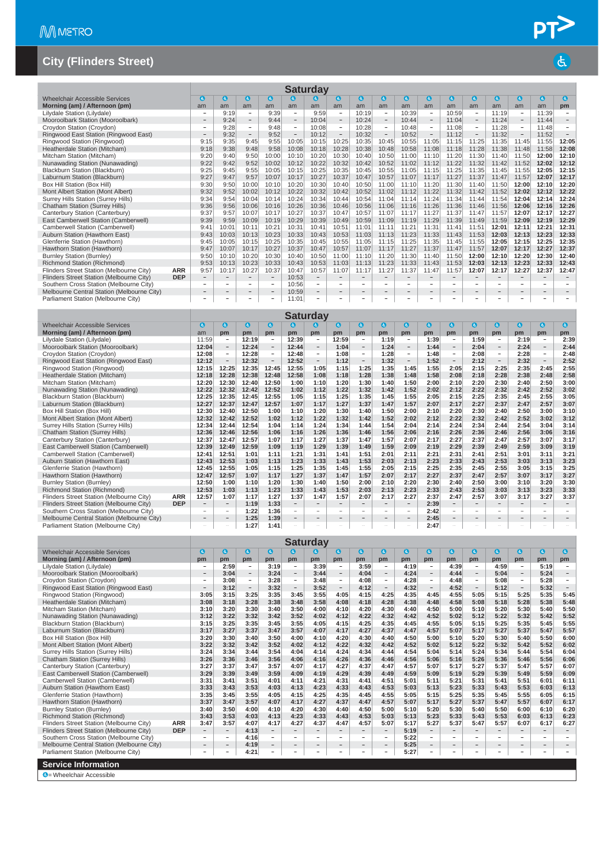|                                            |            |                                                                                                                                                                                                                                                                      |                          |                            |                          |                          | <b>Saturday</b>          |                          |                          |                          |                          |                                 |                          |                          |                          |                          |                          |                          |
|--------------------------------------------|------------|----------------------------------------------------------------------------------------------------------------------------------------------------------------------------------------------------------------------------------------------------------------------|--------------------------|----------------------------|--------------------------|--------------------------|--------------------------|--------------------------|--------------------------|--------------------------|--------------------------|---------------------------------|--------------------------|--------------------------|--------------------------|--------------------------|--------------------------|--------------------------|
| Wheelchair Accessible Services             |            | a                                                                                                                                                                                                                                                                    | $\mathbf{G}$             | $\left( \mathbf{d}\right)$ | $\mathbf{a}$             | $\mathbf{a}$             | a                        | G                        | $\bullet$                | $\mathbf{G}$             | $\bullet$                | $\bullet$                       | $\bullet$                | $\mathbf a$              | G.                       | $\bullet$                | 0                        | $\epsilon$               |
| Morning (am) / Afternoon (pm)              |            | am                                                                                                                                                                                                                                                                   | am                       | am                         | am                       | am                       | am                       | am                       | am                       | am                       | am                       | am                              | am                       | am                       | am                       | am                       | am                       | pm                       |
| Lilydale Station (Lilydale)                |            |                                                                                                                                                                                                                                                                      | 9:19                     | $\overline{\phantom{a}}$   | 9:39                     | $\overline{\phantom{a}}$ | 9:59                     | $\overline{\phantom{a}}$ | 10:19                    | $\overline{\phantom{0}}$ | 10:39                    | $\overline{\phantom{0}}$        | 10:59                    | $\overline{\phantom{a}}$ | 11:19                    | $\overline{\phantom{a}}$ | 11:39                    | $\overline{\phantom{a}}$ |
| Mooroolbark Station (Mooroolbark)          |            | $\qquad \qquad$                                                                                                                                                                                                                                                      | 9:24                     | $\overline{\phantom{a}}$   | 9:44                     | $\overline{\phantom{a}}$ | 10:04                    | $\overline{\phantom{a}}$ | 10:24                    | $\overline{\phantom{a}}$ | 10:44                    | $\hspace{0.1mm}-\hspace{0.1mm}$ | 11:04                    | $\overline{\phantom{a}}$ | 11:24                    | $\overline{\phantom{a}}$ | 11:44                    | $\overline{\phantom{a}}$ |
| Croydon Station (Croydon)                  |            | $\overline{\phantom{a}}$                                                                                                                                                                                                                                             | 9:28                     | $\overline{\phantom{a}}$   | 9:48                     | $\sim$                   | 10:08                    | $\overline{\phantom{a}}$ | 10:28                    | $\overline{\phantom{a}}$ | 10:48                    | $\overline{\phantom{a}}$        | 11:08                    | $\overline{\phantom{a}}$ | 11:28                    | $\overline{\phantom{a}}$ | 11:48                    | $\overline{\phantom{a}}$ |
| Ringwood East Station (Ringwood East)      |            | $\qquad \qquad -$                                                                                                                                                                                                                                                    | 9:32                     | $\overline{\phantom{a}}$   | 9:52                     | $\overline{\phantom{a}}$ | 10:12                    | $-$                      | 10:32                    | $\overline{\phantom{a}}$ | 10:52                    | $\hspace{0.1mm}-\hspace{0.1mm}$ | 11:12                    | $\overline{\phantom{a}}$ | 11:32                    | $\overline{\phantom{a}}$ | 11:52                    | $\overline{\phantom{a}}$ |
| Ringwood Station (Ringwood)                |            | 9:15                                                                                                                                                                                                                                                                 | 9:35                     | 9:45                       | 9:55                     | 10:05                    | 10:15                    | 10:25                    | 10:35                    | 10:45                    | 10:55                    | 11:05                           | 11:15                    | 11:25                    | 11:35                    | 11:45                    | 11:55                    | 12:05                    |
| Heatherdale Station (Mitcham)              |            | 9:18                                                                                                                                                                                                                                                                 | 9:38                     | 9:48                       | 9:58                     | 10:08                    | 10:18                    | 10:28                    | 10:38                    | 10:48                    | 10:58                    | 11:08                           | 11:18                    | 11:28                    | 11:38                    | 11:48                    | 11:58                    | 12:08                    |
| Mitcham Station (Mitcham)                  |            | 9:20                                                                                                                                                                                                                                                                 | 9:40                     | 9:50                       | 10:00                    | 10:10                    | 10:20                    | 10:30                    | 10:40                    | 10:50                    | 11:00                    | 11:10                           | 11:20                    | 11:30                    | 11:40                    | 11:50                    | 12:00                    | 12:10                    |
| Nunawading Station (Nunawading)            |            | 9:22                                                                                                                                                                                                                                                                 | 9:42                     | 9:52                       | 10:02                    | 10:12                    | 10:22                    | 10:32                    | 10:42                    | 10:52                    | 11:02                    | 11:12                           | 11:22                    | 11:32                    | 11:42                    | 11:52                    | 12:02                    | 12:12                    |
| Blackburn Station (Blackburn)              |            | 9:25<br>9:45<br>9:55<br>10:15<br>10:25<br>10:35<br>11:25<br>11:35<br>10:05<br>10:45<br>10:55<br>11:05<br>11:15<br>11:45<br>11:55<br>9:27<br>9:47<br>9:57<br>10:07<br>10:17<br>10:27<br>10:37<br>10:57<br>11:07<br>11:17<br>11:27<br>11:37<br>11:47<br>10:47<br>11:57 |                          |                            |                          |                          |                          |                          |                          |                          |                          |                                 |                          |                          |                          |                          | 12:05                    | 12:15                    |
| Laburnum Station (Blackburn)               |            |                                                                                                                                                                                                                                                                      |                          |                            |                          |                          |                          |                          |                          |                          |                          |                                 |                          |                          |                          |                          | 12:07                    | 12:17                    |
| Box Hill Station (Box Hill)                |            | 9:30                                                                                                                                                                                                                                                                 | 9:50                     | 10:00                      | 10:10                    | 10:20                    | 10:30                    | 10:40                    | 10:50                    | 11:00                    | 11:10                    | 11:20                           | 11:30                    | 11:40                    | 11:50                    | 12:00                    | 12:10                    | 12:20                    |
| Mont Albert Station (Mont Albert)          |            | 9:32                                                                                                                                                                                                                                                                 | 9:52                     | 10:02                      | 10:12                    | 10:22                    | 10:32                    | 10:42                    | 10:52                    | 11:02                    | 11:12                    | 11:22                           | 11:32                    | 11:42                    | 11:52                    | 12:02                    | 12:12                    | 12:22                    |
| Surrey Hills Station (Surrey Hills)        |            | 9:34                                                                                                                                                                                                                                                                 | 9:54                     | 10:04                      | 10:14                    | 10:24                    | 10:34                    | 10:44                    | 10:54                    | 11:04                    | 11:14                    | 11:24                           | 11:34                    | 11:44                    | 11:54                    | 12:04                    | 12:14                    | 12:24                    |
| <b>Chatham Station (Surrey Hills)</b>      |            | 9:36                                                                                                                                                                                                                                                                 | 9:56                     | 10:06                      | 10:16                    | 10:26                    | 10:36                    | 10:46                    | 10:56                    | 11:06                    | 11:16                    | 11:26                           | 11:36                    | 11:46                    | 11:56                    | 12:06                    | 12:16                    | 12:26                    |
| Canterbury Station (Canterbury)            |            | 9:37                                                                                                                                                                                                                                                                 | 9:57                     | 10:07                      | 10:17                    | 10:27                    | 10:37                    | 10:47                    | 10:57                    | 11:07                    | 11:17                    | 11:27                           | 11:37                    | 11:47                    | 11:57                    | 12:07                    | 12:17                    | 12:27                    |
| East Camberwell Station (Camberwell)       |            | 9:39                                                                                                                                                                                                                                                                 | 9:59                     | 10:09                      | 10:19                    | 10:29                    | 10:39                    | 10:49                    | 10:59                    | 11:09                    | 11:19                    | 11:29                           | 11:39                    | 11:49                    | 11:59                    | 12:09                    | 12:19                    | 12:29                    |
| Camberwell Station (Camberwell)            |            | 9:41                                                                                                                                                                                                                                                                 | 10:01                    | 10:11                      | 10:21                    | 10:31                    | 10:41                    | 10:5'                    | 11:01                    | 11:11                    | 11:21                    | 11:31                           | 11:41                    | 11:51                    | 12:01                    | 12:11                    | 12:21                    | 12:31                    |
| Auburn Station (Hawthorn East)             |            | 9:43                                                                                                                                                                                                                                                                 | 10:03                    | 10:13                      | 10:23                    | 10:33                    | 10:43                    | 10:53                    | 11:03                    | 11:13                    | 11:23                    | 11:33                           | 11:43                    | 11:53                    | 12:03                    | 12:13                    | 12:23                    | 12:33                    |
| Glenferrie Station (Hawthorn)              |            | 9:45                                                                                                                                                                                                                                                                 | 10:05                    | 10:15                      | 10:25                    | 10:35                    | 10:45                    | 10:55                    | 11:05                    | 11:15                    | 11:25                    | 11:35                           | 11:45                    | 11:55                    | 12:05                    | 12:15                    | 12:25                    | 12:35                    |
| Hawthorn Station (Hawthorn)                |            | 9:47                                                                                                                                                                                                                                                                 | 10:07                    | 10:17                      | 10:27                    | 10:37                    | 10:47                    | 10:57                    | 11:07                    | 11:17                    | 11:27                    | 11:37                           | 11:47                    | 11:57                    | 12:07                    | 12:17                    | 12:27                    | 12:37                    |
| <b>Burnley Station (Burnley)</b>           |            | 9:50                                                                                                                                                                                                                                                                 | 10:10                    | 10:20                      | 10:30                    | 10:40                    | 10:50                    | 11:00                    | 11:10                    | 11:20                    | 11:30                    | 11:40                           | 11:50                    | 12:00                    | 12:10                    | 12:20                    | 12:30                    | 12:40                    |
| Richmond Station (Richmond)                |            | 9:53                                                                                                                                                                                                                                                                 | 10:13                    | 10:23                      | 10:33                    | 10:43                    | 10:53                    | 11:03                    | 11:13                    | 11:23                    | 11:33                    | 11:43                           | 11:53                    | 12:03                    | 12:13                    | 12:23                    | 12:33                    | 12:43                    |
| Flinders Street Station (Melbourne City)   | <b>ARR</b> | 9:57                                                                                                                                                                                                                                                                 | 10:17                    | 10:27                      | 10:37                    | 10:47                    | 10:57                    | 11:07                    | 11:17                    | 11:27                    | 11:37                    | 11:47                           | 11:57                    | 12:07                    | 12:17                    | 12:27                    | 12:37                    | 12:47                    |
| Flinders Street Station (Melbourne City)   | <b>DEP</b> | $\qquad \qquad =$                                                                                                                                                                                                                                                    | $\equiv$                 | $-$                        | $\qquad \qquad -$        | 10:53                    |                          | ۰,                       | $\overline{\phantom{a}}$ | $\equiv$                 | $\overline{\phantom{a}}$ | $=$                             |                          | -                        | $\overline{\phantom{a}}$ | $=$                      | $\sim$                   |                          |
| Southern Cross Station (Melbourne City)    |            | $\equiv$                                                                                                                                                                                                                                                             | $\equiv$                 | $\overline{\phantom{a}}$   | $\overline{\phantom{a}}$ | 10:56                    | $\overline{\phantom{a}}$ | $\sim$                   | $\sim$                   | $\overline{\phantom{a}}$ | $\equiv$                 | $\overline{\phantom{a}}$        | $\sim$                   | $\sim$                   | $\sim$                   | $\sim$                   | $\sim$                   |                          |
| Melbourne Central Station (Melbourne City) |            | $\overline{\phantom{a}}$                                                                                                                                                                                                                                             | $\overline{\phantom{a}}$ | $\qquad \qquad -$          | $\qquad \qquad -$        | 10:59                    | $\overline{\phantom{a}}$ | $\overline{\phantom{a}}$ | $\overline{\phantom{a}}$ | $\qquad \qquad -$        | $\qquad \qquad -$        | $\overline{\phantom{a}}$        | $\overline{\phantom{0}}$ | $-$                      | $\overline{\phantom{a}}$ | $\overline{\phantom{a}}$ | $\overline{\phantom{a}}$ |                          |
| Parliament Station (Melbourne City)        |            | $\overline{\phantom{a}}$                                                                                                                                                                                                                                             | $\overline{\phantom{0}}$ | $\overline{\phantom{a}}$   | $\overline{\phantom{0}}$ | 11:01                    | $\overline{\phantom{a}}$ | -                        | $\overline{\phantom{a}}$ | $\overline{\phantom{a}}$ | -                        | $\overline{\phantom{a}}$        | $\overline{\phantom{0}}$ | -                        | $\overline{\phantom{a}}$ | $\overline{\phantom{0}}$ | $\overline{\phantom{a}}$ |                          |
|                                            |            |                                                                                                                                                                                                                                                                      |                          |                            |                          | $\sim$ $\sim$            |                          |                          |                          |                          |                          |                                 |                          |                          |                          |                          |                          |                          |

|                                            |            |           |                          |              |                          |                          | <b>Saturday</b>          |                          |                          |                          |                          |              |                                 |                          |                          |                          |                          |                          |
|--------------------------------------------|------------|-----------|--------------------------|--------------|--------------------------|--------------------------|--------------------------|--------------------------|--------------------------|--------------------------|--------------------------|--------------|---------------------------------|--------------------------|--------------------------|--------------------------|--------------------------|--------------------------|
| Wheelchair Accessible Services             |            | $\bullet$ | G                        | $\mathbf{a}$ | $\bullet$                | G.                       | a.                       | $\bullet$                | G                        | $\bullet$                | $\mathbf{G}$             | $\mathbf{G}$ | $\bullet$                       | $\bullet$                | $\bullet$                | $\bullet$                | $\bullet$                | $\bullet$                |
| Morning (am) / Afternoon (pm)              |            | am        | pm                       | pm           | pm                       | pm                       | pm                       | pm                       | pm                       | pm                       | pm                       | pm           | pm                              | pm                       | pm                       | pm                       | pm                       | pm                       |
| Lilydale Station (Lilydale)                |            | 11:59     | $\overline{\phantom{0}}$ | 12:19        | $\overline{\phantom{a}}$ | 12:39                    | $\overline{\phantom{a}}$ | 12:59                    | $\qquad \qquad -$        | 1:19                     | $\overline{\phantom{a}}$ | 1:39         | $\overline{\phantom{a}}$        | 1:59                     | $\overline{\phantom{a}}$ | 2:19                     | $\overline{\phantom{0}}$ | 2:39                     |
| Mooroolbark Station (Mooroolbark)          |            | 12:04     | $\overline{\phantom{a}}$ | 12:24        | $\overline{\phantom{a}}$ | 12:44                    | $\overline{\phantom{a}}$ | 1:04                     | $\overline{\phantom{a}}$ | 1:24                     | $\overline{\phantom{a}}$ | 1:44         | $\overline{\phantom{a}}$        | 2:04                     | $\overline{\phantom{0}}$ | 2:24                     | $\overline{\phantom{a}}$ | 2:44                     |
| Croydon Station (Croydon)                  |            | 12:08     | $\overline{\phantom{a}}$ | 12:28        | $\overline{\phantom{a}}$ | 12:48                    | $\overline{\phantom{a}}$ | 1:08                     | $\overline{\phantom{a}}$ | 1:28                     | $\overline{\phantom{a}}$ | 1:48         | $\overline{\phantom{a}}$        | 2:08                     | $\overline{\phantom{a}}$ | 2:28                     | $\overline{\phantom{a}}$ | 2:48                     |
| Ringwood East Station (Ringwood East)      |            | 12:12     | $\overline{\phantom{m}}$ | 12:32        | $\overline{\phantom{a}}$ | 12:52                    | $\overline{\phantom{a}}$ | 1:12                     | $\overline{\phantom{a}}$ | 1:32                     | $\overline{\phantom{a}}$ | 1:52         | $\hspace{0.1mm}-\hspace{0.1mm}$ | 2:12                     | $\overline{\phantom{a}}$ | 2:32                     | $\overline{\phantom{a}}$ | 2:52                     |
| Ringwood Station (Ringwood)                |            | 12:15     | 12:25                    | 12:35        | 12:45                    | 12:55                    | 1:05                     | 1:15                     | 1:25                     | 1:35                     | 1:45                     | 1:55         | 2:05                            | 2:15                     | 2:25                     | 2:35                     | 2:45                     | 2:55                     |
| Heatherdale Station (Mitcham)              |            | 12:18     | 12:28                    | 12:38        | 12:48                    | 12:58                    | 1:08                     | 1:18                     | 1:28                     | 1:38                     | 1:48                     | 1:58         | 2:08                            | 2:18                     | 2:28                     | 2:38                     | 2:48                     | 2:58                     |
| Mitcham Station (Mitcham)                  |            | 12:20     | 12:30                    | 12:40        | 12:50                    | 1:00                     | 1:10                     | 1:20                     | 1:30                     | 1:40                     | 1:50                     | 2:00         | 2:10                            | 2:20                     | 2:30                     | 2:40                     | 2:50                     | 3:00                     |
| Nunawading Station (Nunawading)            |            | 12:22     | 12:32                    | 12:42        | 12:52                    | 1:02                     | 1:12                     | 1:22                     | 1:32                     | 1:42                     | 1:52                     | 2:02         | 2:12                            | 2:22                     | 2:32                     | 2:42                     | 2:52                     | 3:02                     |
| Blackburn Station (Blackburn)              |            | 12:25     | 12:35                    | 12:45        | 12:55                    | 1:05                     | 1:15                     | 1:25                     | 1:35                     | 1:45                     | 1:55                     | 2:05         | 2:15                            | 2:25                     | 2:35                     | 2:45                     | 2:55                     | 3:05                     |
| Laburnum Station (Blackburn)               |            | 12:27     | 12:37                    | 12:47        | 12:57                    | 1:07                     | 1:17                     | 1:27                     | 1:37                     | 1:47                     | 1:57                     | 2:07         | 2:17                            | 2:27                     | 2:37                     | 2:47                     | 2:57                     | 3:07                     |
| Box Hill Station (Box Hill)                |            | 12:30     | 12:40                    | 12:50        | 1:00                     | 1:10                     | 1:20                     | 1:30                     | 1:40                     | 1:50                     | 2:00                     | 2:10         | 2:20                            | 2:30                     | 2:40                     | 2:50                     | 3:00                     | 3:10                     |
| Mont Albert Station (Mont Albert)          |            | 12:32     | 12:42                    | 12:52        | 1:02                     | 1:12                     | 1:22                     | 1:32                     | 1:42                     | 1:52                     | 2:02                     | 2:12         | 2:22                            | 2:32                     | 2:42                     | 2:52                     | 3:02                     | 3:12                     |
| Surrey Hills Station (Surrey Hills)        |            | 12:34     | 12:44                    | 12:54        | 1:04                     | 1:14                     | 1:24                     | 1:34                     | 1:44                     | 1:54                     | 2:04                     | 2:14         | 2:24                            | 2:34                     | 2:44                     | 2:54                     | 3:04                     | 3:14                     |
| Chatham Station (Surrey Hills)             |            | 12:36     | 12:46                    | 12:56        | 1:06                     | 1:16                     | 1:26                     | 1:36                     | 1:46                     | 1:56                     | 2:06                     | 2:16         | 2:26                            | 2:36                     | 2:46                     | 2:56                     | 3:06                     | 3:16                     |
| Canterbury Station (Canterbury)            |            | 12:37     | 12:47                    | 12:57        | 1:07                     | 1:17                     | 1:27                     | 1:37                     | 1:47                     | 1:57                     | 2:07                     | 2:17         | 2:27                            | 2:37                     | 2:47                     | 2:57                     | 3:07                     | 3:17                     |
| East Camberwell Station (Camberwell)       |            | 12:39     | 12:49                    | 12:59        | 1:09                     | 1:19                     | 1:29                     | 1:39                     | 1:49                     | 1:59                     | 2:09                     | 2:19         | 2:29                            | 2:39                     | 2:49                     | 2:59                     | 3:09                     | 3:19                     |
| Camberwell Station (Camberwell)            |            | 12:41     | 12:51                    | 1:01         | 1:11                     | 1:21                     | 1:31                     | 1:41                     | 1:51                     | 2:01                     | 2:11                     | 2:21         | 2:31                            | 2:41                     | 2:51                     | 3:01                     | 3:11                     | 3:21                     |
| Auburn Station (Hawthorn East)             |            | 12:43     | 12:53                    | 1:03         | 1:13                     | 1:23                     | 1:33                     | 1:43                     | 1:53                     | 2:03                     | 2:13                     | 2:23         | 2:33                            | 2:43                     | 2:53                     | 3:03                     | 3:13                     | 3:23                     |
| Glenferrie Station (Hawthorn)              |            | 12:45     | 12:55                    | 1:05         | 1:15                     | 1:25                     | 1:35                     | 1:45                     | 1:55                     | 2:05                     | 2:15                     | 2:25         | 2:35                            | 2:45                     | 2:55                     | 3:05                     | 3:15                     | 3:25                     |
| Hawthorn Station (Hawthorn)                |            | 12:47     | 12:57                    | 1:07         | 1:17                     | 1:27                     | 1:37                     | 1:47                     | 1:57                     | 2:07                     | 2:17                     | 2:27         | 2:37                            | 2:47                     | 2:57                     | 3:07                     | 3:17                     | 3:27                     |
| <b>Burnley Station (Burnley)</b>           |            | 12:50     | 1:00                     | 1:10         | 1:20                     | 1:30                     | 1:40                     | 1:50                     | 2:00                     | 2:10                     | 2:20                     | 2:30         | 2:40                            | 2:50                     | 3:00                     | 3:10                     | 3:20                     | 3:30                     |
| Richmond Station (Richmond)                |            | 12:53     | 1:03                     | 1:13         | 1:23                     | 1:33                     | 1:43                     | 1:53                     | 2:03                     | 2:13                     | 2:23                     | 2:33         | 2:43                            | 2:53                     | 3:03                     | 3:13                     | 3:23                     | 3:33                     |
| Flinders Street Station (Melbourne City)   | <b>ARR</b> | 12:57     | 1:07                     | 1:17         | 1:27                     | 1:37                     | 1:47                     | 1:57                     | 2:07                     | 2:17                     | 2:27                     | 2:37         | 2:47                            | 2:57                     | 3:07                     | 3:17                     | 3:27                     | 3:37                     |
| Flinders Street Station (Melbourne City)   | <b>DEP</b> | $-$       | $\overline{\phantom{a}}$ | 1:19         | 1:33                     | $\overline{\phantom{a}}$ | $\qquad \qquad -$        | $-$                      | $\equiv$                 | $\sim$                   | $\overline{\phantom{a}}$ | 2:39         | $\overline{\phantom{a}}$        |                          | $\overline{\phantom{a}}$ | $-$                      | $\overline{\phantom{a}}$ | $\sim$                   |
| Southern Cross Station (Melbourne City)    |            | -         | $\overline{\phantom{a}}$ | 1:22         | 1:36                     | $\overline{\phantom{a}}$ | $\sim$                   | $\sim$                   | $\sim$                   | $\sim$                   | $\overline{\phantom{a}}$ | 2:42         | $\sim$                          |                          | $\sim$                   | $\sim$                   | $\overline{\phantom{a}}$ | $\sim$                   |
| Melbourne Central Station (Melbourne City) |            | -         | $\overline{\phantom{a}}$ | 1:25         | 1:39                     | $\overline{\phantom{a}}$ | $\qquad \qquad -$        | $\overline{\phantom{m}}$ | $\qquad \qquad -$        | $\overline{\phantom{a}}$ | $\overline{\phantom{a}}$ | 2:45         | $\overline{\phantom{a}}$        | $\overline{\phantom{a}}$ | $\overline{\phantom{m}}$ | $\overline{\phantom{a}}$ | $\overline{\phantom{a}}$ | $\overline{\phantom{a}}$ |
| Parliament Station (Melbourne City)        |            |           | $\overline{a}$           | 1:27         | 1:41                     |                          | $\overline{\phantom{a}}$ |                          |                          | $\overline{\phantom{0}}$ | $\overline{\phantom{a}}$ | 2:47         |                                 |                          | $\overline{\phantom{0}}$ |                          | $\overline{\phantom{a}}$ |                          |

|                                            |            |                          |                          |                          |                          |                          | Saturday                 |                          |                          |                          |           |                          |                          |                          |                          |                          |                          |                          |
|--------------------------------------------|------------|--------------------------|--------------------------|--------------------------|--------------------------|--------------------------|--------------------------|--------------------------|--------------------------|--------------------------|-----------|--------------------------|--------------------------|--------------------------|--------------------------|--------------------------|--------------------------|--------------------------|
| Wheelchair Accessible Services             |            | $\epsilon$               | $\bullet$                | $\bullet$                | $\bullet$                | $\bullet$                | G.                       | $\bullet$                | $\bullet$                | $\bullet$                | $\bullet$ | $\bullet$                | $\bullet$                | $\bullet$                | $\bullet$                | $\bullet$                | $\bullet$                | $\bullet$                |
| Morning (am) / Afternoon (pm)              |            | pm                       | pm                       | pm                       | pm                       | pm                       | pm                       | pm                       | pm                       | pm                       | pm        | pm                       | pm                       | pm                       | pm                       | pm                       | pm                       | pm                       |
| Lilydale Station (Lilydale)                |            | $\overline{\phantom{a}}$ | 2:59                     | $\overline{\phantom{a}}$ | 3:19                     | $\overline{\phantom{a}}$ | 3:39                     | $\overline{\phantom{a}}$ | 3:59                     | $\qquad \qquad -$        | 4:19      | $\overline{\phantom{0}}$ | 4:39                     | $\qquad \qquad =$        | 4:59                     | $\overline{\phantom{a}}$ | 5:19                     | $\qquad \qquad -$        |
| Mooroolbark Station (Mooroolbark)          |            | $\overline{\phantom{a}}$ | 3:04                     | $\overline{\phantom{a}}$ | 3:24                     | $\overline{\phantom{a}}$ | 3:44                     | $\overline{\phantom{a}}$ | 4:04                     | -                        | 4:24      | $\overline{\phantom{a}}$ | 4:44                     | $\overline{\phantom{a}}$ | 5:04                     | $\overline{\phantom{a}}$ | 5:24                     |                          |
| Croydon Station (Croydon)                  |            | ٠                        | 3:08                     | $\overline{\phantom{a}}$ | 3:28                     | $\overline{\phantom{a}}$ | 3:48                     | $\overline{\phantom{a}}$ | 4:08                     | $\overline{\phantom{a}}$ | 4:28      | $\overline{\phantom{a}}$ | 4:48                     | $\overline{\phantom{a}}$ | 5:08                     | $\equiv$                 | 5:28                     | $\equiv$                 |
| Ringwood East Station (Ringwood East)      |            | $\overline{\phantom{a}}$ | 3:12                     | $\sim$                   | 3:32                     | $\overline{\phantom{a}}$ | 3:52                     | $\overline{\phantom{a}}$ | 4:12                     | $\overline{\phantom{a}}$ | 4:32      | $\overline{\phantom{a}}$ | 4:52                     | $\overline{\phantom{a}}$ | 5:12                     | $\overline{\phantom{a}}$ | 5:32                     | $\overline{\phantom{a}}$ |
| Ringwood Station (Ringwood)                |            | 3:05                     | 3:15                     | 3:25                     | 3:35                     | 3:45                     | 3:55                     | 4:05                     | 4:15                     | 4:25                     | 4:35      | 4:45                     | 4:55                     | 5:05                     | 5:15                     | 5:25                     | 5:35                     | 5:45                     |
| Heatherdale Station (Mitcham)              |            | 3:08                     | 3:18                     | 3:28                     | 3:38                     | 3:48                     | 3:58                     | 4:08                     | 4:18                     | 4:28                     | 4:38      | 4:48                     | 4:58                     | 5:08                     | 5:18                     | 5:28                     | 5:38                     | 5:48                     |
| Mitcham Station (Mitcham)                  |            | 3:10                     | 3:20                     | 3:30                     | 3:40                     | 3:50                     | 4:00                     | 4:10                     | 4:20                     | 4:30                     | 4:40      | 4:50                     | 5:00                     | 5:10                     | 5:20                     | 5:30                     | 5:40                     | 5:50                     |
| Nunawading Station (Nunawading)            |            | 3:12                     | 3:22                     | 3:32                     | 3:42                     | 3:52                     | 4:02                     | 4:12                     | 4:22                     | 4:32                     | 4:42      | 4:52                     | 5:02                     | 5:12                     | 5:22                     | 5:32                     | 5:42                     | 5:52                     |
| Blackburn Station (Blackburn)              |            | 3:15                     | 3:25                     | 3:35                     | 3:45                     | 3:55                     | 4:05                     | 4:15                     | 4:25                     | 4:35                     | 4:45      | 4:55                     | 5:05                     | 5:15                     | 5:25                     | 5:35                     | 5:45                     | 5:55                     |
| Laburnum Station (Blackburn)               |            | 3:17                     | 3:27                     | 3:37                     | 3:47                     | 3:57                     | 4:07                     | 4:17                     | 4:27                     | 4:37                     | 4:47      | 4:57                     | 5:07                     | 5:17                     | 5:27                     | 5:37                     | 5:47                     | 5:57                     |
| Box Hill Station (Box Hill)                |            | 3:20                     | 3:30                     | 3:40                     | 3:50                     | 4:00                     | 4:10                     | 4:20                     | 4:30                     | 4:40                     | 4:50      | 5:00                     | 5:10                     | 5:20                     | 5:30                     | 5:40                     | 5:50                     | 6:00                     |
| Mont Albert Station (Mont Albert)          |            | 3:22                     | 3:32                     | 3:42                     | 3:52                     | 4:02                     | 4:12                     | 4:22                     | 4:32                     | 4:42                     | 4:52      | 5:02                     | 5:12                     | 5:22                     | 5:32                     | 5:42                     | 5:52                     | 6:02                     |
| Surrey Hills Station (Surrey Hills)        |            | 3:24                     | 3:34                     | 3:44                     | 3:54                     | 4:04                     | 4:14                     | 4:24                     | 4:34                     | 4:44                     | 4:54      | 5:04                     | 5:14                     | 5:24                     | 5:34                     | 5:44                     | 5:54                     | 6:04                     |
| Chatham Station (Surrey Hills)             |            | 3:26                     | 3:36                     | 3:46                     | 3:56                     | 4:06                     | 4:16                     | 4:26                     | 4:36                     | 4:46                     | 4:56      | 5:06                     | 5:16                     | 5:26                     | 5:36                     | 5:46                     | 5:56                     | 6:06                     |
| Canterbury Station (Canterbury)            |            | 3:27                     | 3:37                     | 3:47                     | 3:57                     | 4:07                     | 4:17                     | 4:27                     | 4:37                     | 4:47                     | 4:57      | 5:07                     | 5:17                     | 5:27                     | 5:37                     | 5:47                     | 5:57                     | 6:07                     |
| East Camberwell Station (Camberwell)       |            | 3:29                     | 3:39                     | 3:49                     | 3:59                     | 4:09                     | 4:19                     | 4:29                     | 4:39                     | 4:49                     | 4:59      | 5:09                     | 5:19                     | 5:29                     | 5:39                     | 5:49                     | 5:59                     | 6:09                     |
| Camberwell Station (Camberwell)            |            | 3:31                     | 3:41                     | 3:51                     | 4:01                     | 4:11                     | 4:21                     | 4:31                     | 4:41                     | 4:51                     | 5:01      | 5:11                     | 5:21                     | 5:31                     | 5:41                     | 5:51                     | 6:01                     | 6:11                     |
| Auburn Station (Hawthorn East)             |            | 3:33                     | 3:43                     | 3:53                     | 4:03                     | 4:13                     | 4:23                     | 4:33                     | 4:43                     | 4:53                     | 5:03      | 5:13                     | 5:23                     | 5:33                     | 5:43                     | 5:53                     | 6:03                     | 6:13                     |
| Glenferrie Station (Hawthorn)              |            | 3:35                     | 3:45                     | 3:55                     | 4:05                     | 4:15                     | 4:25                     | 4:35                     | 4:45                     | 4:55                     | 5:05      | 5:15                     | 5:25                     | 5:35                     | 5:45                     | 5:55                     | 6:05                     | 6:15                     |
| Hawthorn Station (Hawthorn)                |            | 3:37                     | 3:47                     | 3:57                     | 4:07                     | 4:17                     | 4:27                     | 4:37                     | 4:47                     | 4:57                     | 5:07      | 5:17                     | 5:27                     | 5:37                     | 5:47                     | 5:57                     | 6:07                     | 6:17                     |
| <b>Burnley Station (Burnley)</b>           |            | 3:40                     | 3:50                     | 4:00                     | 4:10                     | 4:20                     | 4:30                     | 4:40                     | 4:50                     | 5:00                     | 5:10      | 5:20                     | 5:30                     | 5:40                     | 5:50                     | 6:00                     | 6:10                     | 6:20                     |
| Richmond Station (Richmond)                |            | 3:43                     | 3:53                     | 4:03                     | 4:13                     | 4:23                     | 4:33                     | 4:43                     | 4:53                     | 5:03                     | 5:13      | 5:23                     | 5:33                     | 5:43                     | 5:53                     | 6:03                     | 6:13                     | 6:23                     |
| Flinders Street Station (Melbourne City)   | <b>ARR</b> | 3:47                     | 3:57                     | 4:07                     | 4:17                     | 4:27                     | 4:37                     | 4:47                     | 4:57                     | 5:07                     | 5:17      | 5:27                     | 5:37                     | 5:47                     | 5:57                     | 6:07                     | 6:17                     | 6:27                     |
| Flinders Street Station (Melbourne City)   | <b>DEP</b> | $\qquad \qquad -$        | $\qquad \qquad -$        | 4:13                     | $\overline{\phantom{0}}$ |                          |                          | $\overline{\phantom{m}}$ | $\overline{\phantom{m}}$ | $\overline{\phantom{0}}$ | 5:19      | $\qquad \qquad -$        |                          |                          | $\qquad \qquad -$        | $\overline{\phantom{0}}$ | $\overline{\phantom{a}}$ |                          |
| Southern Cross Station (Melbourne City)    |            | $\overline{\phantom{a}}$ | $\sim$                   | 4:16                     | $\overline{\phantom{a}}$ | $\sim$                   | $\overline{\phantom{a}}$ | $\overline{\phantom{a}}$ | $\sim$                   | $\overline{\phantom{a}}$ | 5:22      | $\overline{\phantom{a}}$ | $\overline{\phantom{a}}$ | $\overline{\phantom{a}}$ | $\overline{\phantom{a}}$ | $\overline{\phantom{a}}$ | $\sim$                   | $\overline{\phantom{a}}$ |
| Melbourne Central Station (Melbourne City) |            | $\qquad \qquad -$        | $\overline{\phantom{a}}$ | 4:19                     | $\overline{\phantom{0}}$ | $\overline{\phantom{a}}$ | $\overline{\phantom{m}}$ | $\overline{\phantom{a}}$ | $\overline{\phantom{a}}$ | $\overline{\phantom{a}}$ | 5:25      | $\qquad \qquad -$        | $\qquad \qquad =$        | $\qquad \qquad -$        | $\overline{\phantom{a}}$ | $\overline{\phantom{a}}$ | $\overline{\phantom{a}}$ | $\overline{\phantom{a}}$ |
| Parliament Station (Melbourne City)        |            | $\overline{\phantom{a}}$ | $\overline{\phantom{a}}$ | 4:21                     | $\overline{\phantom{0}}$ | $\overline{\phantom{a}}$ | $\overline{\phantom{a}}$ | $\overline{\phantom{a}}$ | $\overline{\phantom{a}}$ | $\overline{\phantom{0}}$ | 5:27      | $\overline{\phantom{a}}$ | $\overline{\phantom{0}}$ | $\overline{\phantom{0}}$ | $\overline{\phantom{a}}$ | $\overline{\phantom{0}}$ | $\overline{\phantom{a}}$ |                          |
| <b>Service Information</b>                 |            |                          |                          |                          |                          |                          |                          |                          |                          |                          |           |                          |                          |                          |                          |                          |                          |                          |
| $\bigcirc$ = Wheelchair Accessible         |            |                          |                          |                          |                          |                          |                          |                          |                          |                          |           |                          |                          |                          |                          |                          |                          |                          |

= Wheelchair Accessible

 $\overline{d}$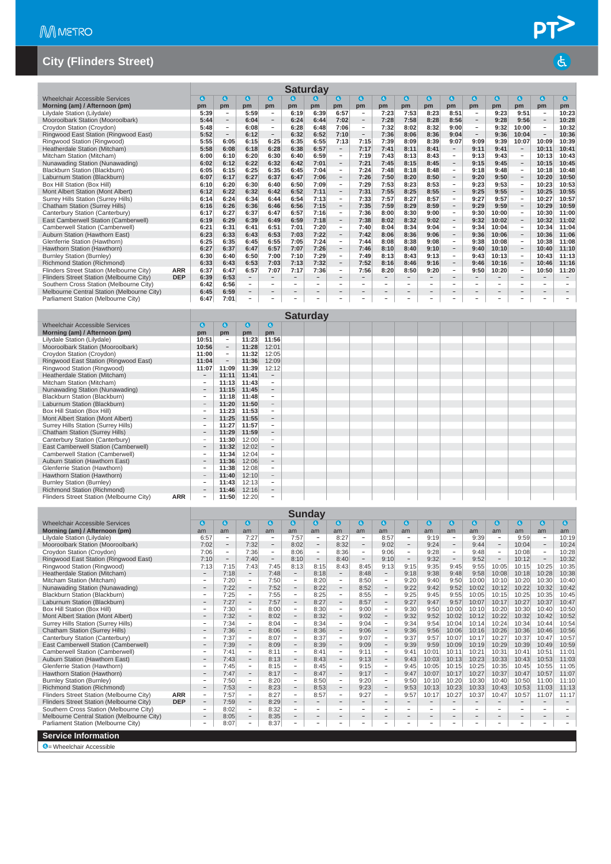|                                            | <b>Saturday</b> |              |                          |                          |                          |                          |                          |                          |                          |                          |                          |                          |                          |                          |                          |                          |                          |                          |
|--------------------------------------------|-----------------|--------------|--------------------------|--------------------------|--------------------------|--------------------------|--------------------------|--------------------------|--------------------------|--------------------------|--------------------------|--------------------------|--------------------------|--------------------------|--------------------------|--------------------------|--------------------------|--------------------------|
| Wheelchair Accessible Services             |                 | $\mathbf{a}$ | $\mathbf{G}$             | $\mathbf{G}$             | $\mathbf{a}$             | $\mathbf{a}$             | G                        | $\bullet$                | $\bullet$                | $\bullet$                | $\bullet$                | $\bullet$                | $\bullet$                | $\bullet$                | $\boldsymbol{a}$         | $\bullet$                | $\bullet$                | $\bullet$                |
| Morning (am) / Afternoon (pm)              |                 | pm           | pm                       | pm                       | pm                       | pm                       | pm                       | pm                       | pm                       | pm                       | pm                       | pm                       | pm                       | pm                       | pm                       | pm                       | pm                       | pm                       |
| Lilydale Station (Lilydale)                |                 | 5:39         | $\overline{\phantom{a}}$ | 5:59                     | $\overline{\phantom{a}}$ | 6:19                     | 6:39                     | 6:57                     | $\overline{\phantom{a}}$ | 7:23                     | 7:53                     | 8:23                     | 8:51                     | $\overline{\phantom{a}}$ | 9:23                     | 9:51                     | $\overline{\phantom{a}}$ | 10:23                    |
| Mooroolbark Station (Mooroolbark)          |                 | 5:44         | $\overline{\phantom{a}}$ | 6:04                     | $\overline{\phantom{a}}$ | 6:24                     | 6:44                     | 7:02                     | $\overline{\phantom{m}}$ | 7:28                     | 7:58                     | 8:28                     | 8:56                     | $\sim$                   | 9:28                     | 9:56                     | $\overline{\phantom{a}}$ | 10:28                    |
| Croydon Station (Croydon)                  |                 | 5:48         | $\overline{\phantom{a}}$ | 6:08                     | $\overline{\phantom{a}}$ | 6:28                     | 6:48                     | 7:06                     | $\overline{\phantom{a}}$ | 7:32                     | 8:02                     | 8:32                     | 9:00                     | $\overline{\phantom{a}}$ | 9:32                     | 10:00                    | $\overline{\phantom{a}}$ | 10:32                    |
| Ringwood East Station (Ringwood East)      |                 | 5:52         | $\overline{\phantom{a}}$ | 6:12                     | $\overline{\phantom{a}}$ | 6:32                     | 6:52                     | 7:10                     | $\overline{\phantom{a}}$ | 7:36                     | 8:06                     | 8:36                     | 9:04                     | $\sim$                   | 9:36                     | 10:04                    | $\overline{\phantom{a}}$ | 10:36                    |
| Ringwood Station (Ringwood)                |                 | 5:55         | 6:05                     | 6:15                     | 6:25                     | 6:35                     | 6:55                     | 7:13                     | 7:15                     | 7:39                     | 8:09                     | 8:39                     | 9:07                     | 9:09                     | 9:39                     | 10:07                    | 10:09                    | 10:39                    |
| Heatherdale Station (Mitcham)              |                 | 5:58         | 6:08                     | 6:18                     | 6:28                     | 6:38                     | 6:57                     | $ \,$                    | 7:17                     | 7:41                     | 8:11                     | 8:41                     | $\overline{\phantom{a}}$ | 9:11                     | 9:41                     | $\overline{\phantom{a}}$ | 10:11                    | 10:41                    |
| Mitcham Station (Mitcham)                  |                 | 6:00         | 6:10                     | 6:20                     | 6:30                     | 6:40                     | 6:59                     | $\overline{\phantom{a}}$ | 7:19                     | 7:43                     | 8:13                     | 8:43                     | $\sim$                   | 9:13                     | 9:43                     | $\sim$                   | 10:13                    | 10:43                    |
| Nunawading Station (Nunawading)            |                 | 6:02         | 6:12                     | 6:22                     | 6:32                     | 6:42                     | 7:01                     | $\overline{\phantom{a}}$ | 7:21                     | 7:45                     | 8:15                     | 8:45                     | $\overline{\phantom{a}}$ | 9:15                     | 9:45                     | $\overline{\phantom{a}}$ | 10:15                    | 10:45                    |
| Blackburn Station (Blackburn)              |                 | 6:05         | 6:15                     | 6:25                     | 6:35                     | 6:45                     | 7:04                     | $\sim$                   | 7:24                     | 7:48                     | 8:18                     | 8:48                     | $\sim$                   | 9:18                     | 9:48                     | $\overline{\phantom{a}}$ | 10:18                    | 10:48                    |
| Laburnum Station (Blackburn)               |                 | 6:07         | 6:17                     | 6:27                     | 6:37                     | 6:47                     | 7:06                     | $\overline{\phantom{a}}$ | 7:26                     | 7:50                     | 8:20                     | 8:50                     | $\overline{\phantom{a}}$ | 9:20                     | 9:50                     | $\overline{\phantom{a}}$ | 10:20                    | 10:50                    |
| Box Hill Station (Box Hill)                |                 | 6:10         | 6:20                     | 6:30                     | 6:40                     | 6:50                     | 7:09                     | $\overline{\phantom{a}}$ | 7:29                     | 7:53                     | 8:23                     | 8:53                     | $\overline{\phantom{a}}$ | 9:23                     | 9:53                     | $\overline{\phantom{a}}$ | 10:23                    | 10:53                    |
| Mont Albert Station (Mont Albert)          |                 | 6:12         | 6:22                     | 6:32                     | 6:42                     | 6:52                     | 7:11                     | $\overline{\phantom{a}}$ | 7:31                     | 7:55                     | 8:25                     | 8:55                     | $\overline{\phantom{a}}$ | 9:25                     | 9:55                     | $\overline{\phantom{a}}$ | 10:25                    | 10:55                    |
| Surrey Hills Station (Surrey Hills)        |                 | 6:14         | 6:24                     | 6:34                     | 6:44                     | 6:54                     | 7:13                     | $\sim$                   | 7:33                     | 7:57                     | 8:27                     | 8:57                     | $\sim$                   | 9:27                     | 9:57                     | $\sim$                   | 10:27                    | 10:57                    |
| <b>Chatham Station (Surrey Hills)</b>      |                 | 6:16         | 6:26                     | 6:36                     | 6:46                     | 6:56                     | 7:15                     | $\overline{\phantom{a}}$ | 7:35                     | 7:59                     | 8:29                     | 8:59                     | $\overline{\phantom{a}}$ | 9:29                     | 9:59                     | $\overline{\phantom{a}}$ | 10:29                    | 10:59                    |
| Canterbury Station (Canterbury)            |                 | 6:17         | 6:27                     | 6:37                     | 6:47                     | 6:57                     | 7:16                     | $\sim$                   | 7:36                     | 8:00                     | 8:30                     | 9:00                     | $\overline{\phantom{a}}$ | 9:30                     | 10:00                    | $\equiv$                 | 10:30                    | 11:00                    |
| East Camberwell Station (Camberwell)       |                 | 6:19         | 6:29                     | 6:39                     | 6:49                     | 6:59                     | 7:18                     | $\overline{\phantom{a}}$ | 7:38                     | 8:02                     | 8:32                     | 9:02                     | $\qquad \qquad -$        | 9:32                     | 10:02                    | $\overline{\phantom{a}}$ | 10:32                    | 11:02                    |
| Camberwell Station (Camberwell)            |                 | 6:21         | 6:31                     | 6:41                     | 6:51                     | 7:01                     | 7:20                     | $\overline{\phantom{a}}$ | 7:40                     | 8:04                     | 8:34                     | 9:04                     | $\overline{\phantom{a}}$ | 9:34                     | 10:04                    | $\overline{\phantom{a}}$ | 10:34                    | 11:04                    |
| Auburn Station (Hawthorn East)             |                 | 6:23         | 6:33                     | 6:43                     | 6:53                     | 7:03                     | 7:22                     | $\overline{\phantom{a}}$ | 7:42                     | 8:06                     | 8:36                     | 9:06                     | $\overline{\phantom{a}}$ | 9:36                     | 10:06                    | $\overline{\phantom{a}}$ | 10:36                    | 11:06                    |
| Glenferrie Station (Hawthorn)              |                 | 6:25         | 6:35                     | 6:45                     | 6:55                     | 7:05                     | 7:24                     | $\overline{\phantom{a}}$ | 7:44                     | 8:08                     | 8:38                     | 9:08                     | $\overline{\phantom{a}}$ | 9:38                     | 10:08                    | $\overline{\phantom{a}}$ | 10:38                    | 11:08                    |
| Hawthorn Station (Hawthorn)                |                 | 6:27         | 6:37                     | 6:47                     | 6:57                     | 7:07                     | 7:26                     | $\overline{\phantom{a}}$ | 7:46                     | 8:10                     | 8:40                     | 9:10                     | $\overline{\phantom{a}}$ | 9:40                     | 10:10                    | $\overline{\phantom{a}}$ | 10:40                    | 11:10                    |
| <b>Burnley Station (Burnley)</b>           |                 | 6:30         | 6:40                     | 6:50                     | 7:00                     | 7:10                     | 7:29                     | $\sim$                   | 7:49                     | 8:13                     | 8:43                     | 9:13                     | $\sim$                   | 9:43                     | 10:13                    | $\overline{\phantom{a}}$ | 10:43                    | 11:13                    |
| Richmond Station (Richmond)                |                 | 6:33         | 6:43                     | 6:53                     | 7:03                     | 7:13                     | 7:32                     | $\overline{\phantom{a}}$ | 7:52                     | 8:16                     | 8:46                     | 9:16                     | $\overline{\phantom{a}}$ | 9:46                     | 10:16                    | $\overline{\phantom{a}}$ | 10:46                    | 11:16                    |
| Flinders Street Station (Melbourne City)   | <b>ARR</b>      | 6:37         | 6:47                     | 6:57                     | 7:07                     | 7:17                     | 7:36                     | $\sim$                   | 7:56                     | 8:20                     | 8:50                     | 9:20                     | $\overline{\phantom{a}}$ | 9:50                     | 10:20                    | $\sim$                   | 10:50                    | 11:20                    |
| Flinders Street Station (Melbourne City)   | <b>DEP</b>      | 6:39         | 6:53                     | $\overline{\phantom{a}}$ | $\qquad \qquad -$        | $\overline{\phantom{a}}$ | $\qquad \qquad -$        | $\overline{\phantom{m}}$ | $\overline{\phantom{a}}$ | $-$                      | $\qquad \qquad -$        | $\qquad \qquad -$        | $\qquad \qquad$          |                          | $\qquad \qquad -$        | $\overline{\phantom{a}}$ | $\qquad \qquad$          | $\overline{\phantom{a}}$ |
| Southern Cross Station (Melbourne City)    |                 | 6:42         | 6:56                     | $\overline{\phantom{a}}$ | $\overline{\phantom{a}}$ | $\sim$                   | $\overline{\phantom{a}}$ | $\sim$                   | $\overline{\phantom{a}}$ | $\overline{\phantom{a}}$ | $\overline{\phantom{a}}$ | $\overline{\phantom{a}}$ | $\overline{\phantom{a}}$ | $\overline{\phantom{a}}$ | ۰                        | $\sim$                   | $\overline{\phantom{a}}$ | $\sim$                   |
| Melbourne Central Station (Melbourne City) |                 | 6:45         | 6:59                     | $\overline{\phantom{a}}$ | $\overline{\phantom{0}}$ | $\overline{\phantom{a}}$ | $\qquad \qquad -$        | $\overline{\phantom{m}}$ | $\overline{\phantom{a}}$ | $\qquad \qquad -$        | $\qquad \qquad -$        | $\qquad \qquad -$        | $\overline{\phantom{0}}$ | $-$                      | $\overline{\phantom{0}}$ | $\overline{\phantom{a}}$ | $\overline{\phantom{a}}$ | $\overline{\phantom{a}}$ |
| Parliament Station (Melbourne City)        |                 | 6:47         | 7:01                     | $\overline{\phantom{0}}$ | $\overline{\phantom{0}}$ |                          | $\overline{\phantom{0}}$ |                          |                          | $\overline{\phantom{0}}$ | $\overline{\phantom{a}}$ | $\overline{\phantom{0}}$ | $\overline{\phantom{0}}$ |                          | $\overline{\phantom{0}}$ |                          | $\overline{\phantom{a}}$ |                          |
|                                            |                 |              |                          |                          |                          |                          | Saturday                 |                          |                          |                          |                          |                          |                          |                          |                          |                          |                          |                          |

|                                                 |                                 |                          |          |                          | Vatul ua y |  |  |  |  |
|-------------------------------------------------|---------------------------------|--------------------------|----------|--------------------------|------------|--|--|--|--|
| <b>Wheelchair Accessible Services</b>           | $\bullet$                       | G                        | <b>G</b> | $\bullet$                |            |  |  |  |  |
| Morning (am) / Afternoon (pm)                   | pm                              | pm                       | pm       | pm                       |            |  |  |  |  |
| Lilydale Station (Lilydale)                     | 10:51                           | $\overline{\phantom{0}}$ | 11:23    | 11:56                    |            |  |  |  |  |
| Mooroolbark Station (Mooroolbark)               | 10:56                           | $\overline{\phantom{0}}$ | 11:28    | 12:01                    |            |  |  |  |  |
| Croydon Station (Croydon)                       | 11:00                           | $\overline{\phantom{0}}$ | 11:32    | 12:05                    |            |  |  |  |  |
| Ringwood East Station (Ringwood East)           | 11:04                           | $\overline{\phantom{0}}$ | 11:36    | 12:09                    |            |  |  |  |  |
| Ringwood Station (Ringwood)                     | 11:07                           | 11:09                    | 11:39    | 12:12                    |            |  |  |  |  |
| Heatherdale Station (Mitcham)                   | $\qquad \qquad =$               | 11:11                    | 11:41    | $\overline{\phantom{a}}$ |            |  |  |  |  |
| Mitcham Station (Mitcham)                       | $\overline{\phantom{a}}$        | 11:13                    | 11:43    | $\overline{\phantom{a}}$ |            |  |  |  |  |
| Nunawading Station (Nunawading)                 | $\overline{\phantom{a}}$        | 11:15                    | 11:45    | $\overline{\phantom{a}}$ |            |  |  |  |  |
| Blackburn Station (Blackburn)                   | $\overline{\phantom{a}}$        | 11:18                    | 11:48    | $\sim$                   |            |  |  |  |  |
| Laburnum Station (Blackburn)                    | $\hspace{0.1mm}-\hspace{0.1mm}$ | 11:20                    | 11:50    | $\overline{\phantom{a}}$ |            |  |  |  |  |
| Box Hill Station (Box Hill)                     |                                 | 11:23                    | 11:53    | $\overline{\phantom{a}}$ |            |  |  |  |  |
| Mont Albert Station (Mont Albert)               |                                 | 11:25                    | 11:55    | -                        |            |  |  |  |  |
| Surrey Hills Station (Surrey Hills)             |                                 | 11:27                    | 11:57    | $\overline{\phantom{a}}$ |            |  |  |  |  |
| <b>Chatham Station (Surrey Hills)</b>           | $\overline{\phantom{a}}$        | 11:29                    | 11:59    | $\overline{\phantom{a}}$ |            |  |  |  |  |
| Canterbury Station (Canterbury)                 |                                 | 11:30                    | 12:00    | $\equiv$                 |            |  |  |  |  |
| East Camberwell Station (Camberwell)            | $\overline{\phantom{a}}$        | 11:32                    | 12:02    | $\overline{\phantom{a}}$ |            |  |  |  |  |
| Camberwell Station (Camberwell)                 |                                 | 11:34                    | 12:04    | $\overline{\phantom{a}}$ |            |  |  |  |  |
| Auburn Station (Hawthorn East)                  | $\sim$                          | 11:36                    | 12:06    | $\sim$                   |            |  |  |  |  |
| Glenferrie Station (Hawthorn)                   |                                 | 11:38                    | 12:08    | $\overline{\phantom{a}}$ |            |  |  |  |  |
| Hawthorn Station (Hawthorn)                     | $\sim$                          | 11:40                    | 12:10    | $\overline{\phantom{a}}$ |            |  |  |  |  |
| <b>Burnley Station (Burnley)</b>                |                                 | 11:43                    | 12:13    | $\qquad \qquad =$        |            |  |  |  |  |
| Richmond Station (Richmond)                     |                                 | 11:46                    | 12:16    | $\overline{\phantom{a}}$ |            |  |  |  |  |
| Flinders Street Station (Melbourne City)<br>ARR |                                 | 11:50                    | 12:20    | -                        |            |  |  |  |  |

|                                            |            |                          |                          |                          |                          |                          | <b>Sunday</b>            |                          |                          |                          |                          |                          |                          |                          |                          |                          |                          |           |
|--------------------------------------------|------------|--------------------------|--------------------------|--------------------------|--------------------------|--------------------------|--------------------------|--------------------------|--------------------------|--------------------------|--------------------------|--------------------------|--------------------------|--------------------------|--------------------------|--------------------------|--------------------------|-----------|
| Wheelchair Accessible Services             |            | $\mathbf{G}$             | $\mathbf{G}$             | $\bullet$                | $\mathbf{a}$             | $\mathbf{c}$             | G.                       | Q                        | $\bullet$                | $\bullet$                | $\mathbf{a}$             | $\bullet$                | $\mathbf a$              | $\mathbf{c}$             | a                        | G                        | 0                        | $\bullet$ |
| Morning (am) / Afternoon (pm)              |            | am                       | am                       | am                       | am                       | am                       | am                       | am                       | am                       | am                       | am                       | am                       | am                       | am                       | am                       | am                       | am                       | am        |
| Lilydale Station (Lilydale)                |            | 6:57                     | $\overline{\phantom{a}}$ | 7:27                     | $\overline{\phantom{a}}$ | 7:57                     | $\overline{\phantom{a}}$ | 8:27                     | $\overline{\phantom{a}}$ | 8:57                     | $\overline{\phantom{a}}$ | 9:19                     | $\overline{\phantom{a}}$ | 9:39                     | $\overline{\phantom{a}}$ | 9:59                     | $\overline{\phantom{a}}$ | 10:19     |
| Mooroolbark Station (Mooroolbark)          |            | 7:02                     | $\overline{\phantom{a}}$ | 7:32                     | $\overline{\phantom{a}}$ | 8:02                     | $\overline{\phantom{a}}$ | 8:32                     | $\overline{\phantom{a}}$ | 9:02                     | $\overline{\phantom{a}}$ | 9:24                     | $\qquad \qquad -$        | 9:44                     | $\overline{\phantom{a}}$ | 10:04                    | $\overline{\phantom{a}}$ | 10:24     |
| Croydon Station (Croydon)                  |            | 7:06                     | $\overline{\phantom{a}}$ | 7:36                     | $\overline{\phantom{a}}$ | 8:06                     | $\overline{\phantom{m}}$ | 8:36                     | $\sim$                   | 9:06                     | $\overline{\phantom{a}}$ | 9:28                     | $\overline{\phantom{m}}$ | 9:48                     | $\overline{\phantom{a}}$ | 10:08                    | $\overline{\phantom{a}}$ | 10:28     |
| Ringwood East Station (Ringwood East)      |            | 7:10                     | $\overline{\phantom{a}}$ | 7:40                     | $\overline{\phantom{a}}$ | 8:10                     | $\overline{\phantom{m}}$ | 8:40                     | $\overline{\phantom{a}}$ | 9:10                     | $\overline{\phantom{a}}$ | 9:32                     | $\qquad \qquad -$        | 9:52                     | $\overline{\phantom{a}}$ | 10:12                    | $\overline{\phantom{a}}$ | 10:32     |
| Ringwood Station (Ringwood)                |            | 7:13                     | 7:15                     | 7:43                     | 7:45                     | 8:13                     | 8:15                     | 8:43                     | 8:45                     | 9:13                     | 9:15                     | 9:35                     | 9:45                     | 9:55                     | 10:05                    | 10:15                    | 10:25                    | 10:35     |
| Heatherdale Station (Mitcham)              |            | $-$                      | 7:18                     | $\overline{\phantom{a}}$ | 7:48                     | $\overline{\phantom{a}}$ | 8:18                     | $\overline{\phantom{a}}$ | 8:48                     | $\overline{\phantom{a}}$ | 9:18                     | 9:38                     | 9:48                     | 9:58                     | 10:08                    | 10:18                    | 10:28                    | 10:38     |
| Mitcham Station (Mitcham)                  |            | $\overline{\phantom{a}}$ | 7:20                     | $\overline{\phantom{a}}$ | 7:50                     | $\overline{\phantom{a}}$ | 8:20                     | $\overline{\phantom{a}}$ | 8:50                     | $\overline{\phantom{a}}$ | 9:20                     | 9:40                     | 9:50                     | 10:00                    | 10:10                    | 10:20                    | 10:30                    | 10:40     |
| Nunawading Station (Nunawading)            |            | $\overline{\phantom{a}}$ | 7:22                     | $\overline{\phantom{a}}$ | 7:52                     | $\overline{\phantom{a}}$ | 8:22                     | $\overline{\phantom{a}}$ | 8:52                     | $\overline{\phantom{a}}$ | 9:22                     | 9:42                     | 9:52                     | 10:02                    | 10:12                    | 10:22                    | 10:32                    | 10:42     |
| Blackburn Station (Blackburn)              |            | $\overline{\phantom{a}}$ | 7:25                     | $\sim$                   | 7:55                     | $\overline{\phantom{a}}$ | 8:25                     | $\overline{\phantom{a}}$ | 8:55                     | $\overline{\phantom{a}}$ | 9:25                     | 9:45                     | 9:55                     | 10:05                    | 10:15                    | 10:25                    | 10:35                    | 10:45     |
| Laburnum Station (Blackburn)               |            | $\overline{\phantom{a}}$ | 7:27                     | $\qquad \qquad -$        | 7:57                     | $\overline{\phantom{a}}$ | 8:27                     | $\overline{\phantom{0}}$ | 8:57                     | $ \,$                    | 9:27                     | 9:47                     | 9:57                     | 10:07                    | 10:17                    | 10:27                    | 10:37                    | 10:47     |
| Box Hill Station (Box Hill)                |            | $\overline{\phantom{a}}$ | 7:30                     | $\overline{\phantom{a}}$ | 8:00                     | $\sim$                   | 8:30                     | $\sim$                   | 9:00                     | $\sim$                   | 9:30                     | 9:50                     | 10:00                    | 10:10                    | 10:20                    | 10:30                    | 10:40                    | 10:50     |
| Mont Albert Station (Mont Albert)          |            | $\qquad \qquad =$        | 7:32                     | $\qquad \qquad =$        | 8:02                     | $\overline{\phantom{a}}$ | 8:32                     | $\overline{\phantom{0}}$ | 9:02                     | -                        | 9:32                     | 9:52                     | 10:02                    | 10:12                    | 10:22                    | 10:32                    | 10:42                    | 10:52     |
| Surrey Hills Station (Surrey Hills)        |            | $\sim$                   | 7:34                     | $\overline{\phantom{a}}$ | 8:04                     | $\sim$                   | 8:34                     | $\sim$                   | 9:04                     | $\sim$                   | 9:34                     | 9:54                     | 10:04                    | 10:14                    | 10:24                    | 10:34                    | 10:44                    | 10:54     |
| <b>Chatham Station (Surrey Hills)</b>      |            | $\qquad \qquad =$        | 7:36                     | $\qquad \qquad =$        | 8:06                     | $\overline{\phantom{a}}$ | 8:36                     | $-$                      | 9:06                     | $\overline{\phantom{a}}$ | 9:36                     | 9:56                     | 10:06                    | 10:16                    | 10:26                    | 10:36                    | 10:46                    | 10:56     |
| Canterbury Station (Canterbury)            |            | $\overline{\phantom{a}}$ | 7:37                     | $\sim$                   | 8:07                     | $\overline{\phantom{a}}$ | 8:37                     | $\overline{\phantom{a}}$ | 9:07                     | $\sim$                   | 9:37                     | 9:57                     | 10:07                    | 10:17                    | 10:27                    | 10:37                    | 10:47                    | 10:57     |
| East Camberwell Station (Camberwell)       |            | $\overline{\phantom{a}}$ | 7:39                     | $\overline{\phantom{a}}$ | 8:09                     | $\overline{\phantom{a}}$ | 8:39                     | $\overline{\phantom{a}}$ | 9:09                     | Ξ.                       | 9:39                     | 9:59                     | 10:09                    | 10:19                    | 10:29                    | 10:39                    | 10:49                    | 10:59     |
| Camberwell Station (Camberwell)            |            | $\overline{\phantom{a}}$ | 7:41                     | $\overline{\phantom{a}}$ | 8:11                     | $\overline{\phantom{a}}$ | 8:41                     | $\overline{\phantom{a}}$ | 9:11                     | $\overline{\phantom{a}}$ | 9:41                     | 10:01                    | 10:11                    | 10:21                    | 10:31                    | 10:41                    | 10:51                    | 11:01     |
| Auburn Station (Hawthorn East)             |            | $\qquad \qquad -$        | 7:43                     | $\overline{\phantom{0}}$ | 8:13                     | $\overline{\phantom{a}}$ | 8:43                     | $\overline{\phantom{a}}$ | 9:13                     | $\overline{\phantom{a}}$ | 9:43                     | 10:03                    | 10:13                    | 10:23                    | 10:33                    | 10:43                    | 10:53                    | 11:03     |
| Glenferrie Station (Hawthorn)              |            | $\overline{\phantom{a}}$ | 7:45                     | $\overline{\phantom{a}}$ | 8:15                     | $\sim$                   | 8:45                     | $\overline{\phantom{a}}$ | 9:15                     | $\overline{\phantom{a}}$ | 9:45                     | 10:05                    | 10:15                    | 10:25                    | 10:35                    | 10:45                    | 10:55                    | 11:05     |
| Hawthorn Station (Hawthorn)                |            |                          | 7:47                     | $\qquad \qquad -$        | 8:17                     | $\overline{\phantom{m}}$ | 8:47                     | $\overline{\phantom{a}}$ | 9:17                     | $\overline{\phantom{a}}$ | 9:47                     | 10:07                    | 10:17                    | 10:27                    | 10:37                    | 10:47                    | 10:57                    | 11:07     |
| <b>Burnley Station (Burnley)</b>           |            | $\overline{\phantom{a}}$ | 7:50                     | $\sim$                   | 8:20                     | $\overline{\phantom{a}}$ | 8:50                     | $\overline{\phantom{a}}$ | 9:20                     | $\sim$                   | 9:50                     | 10:10                    | 10:20                    | 10:30                    | 10:40                    | 10:50                    | 11:00                    | 11:10     |
| Richmond Station (Richmond)                |            |                          | 7:53                     | $\overline{\phantom{a}}$ | 8:23                     | $\overline{\phantom{m}}$ | 8:53                     | $\overline{\phantom{a}}$ | 9:23                     | $\overline{\phantom{a}}$ | 9:53                     | 10:13                    | 10:23                    | 10:33                    | 10:43                    | 10:53                    | 11:03                    | 11:13     |
| Flinders Street Station (Melbourne City)   | <b>ARR</b> | $\equiv$                 | 7:57                     | $\equiv$                 | 8:27                     | $\overline{\phantom{a}}$ | 8:57                     | $\overline{\phantom{a}}$ | 9:27                     | $\overline{\phantom{a}}$ | 9:57                     | 10:17                    | 10:27                    | 10:37                    | 10:47                    | 10:57                    | 11:07                    | 11:17     |
| Flinders Street Station (Melbourne City)   | <b>DEP</b> | $\overline{\phantom{0}}$ | 7:59                     | $\overline{\phantom{a}}$ | 8:29                     |                          |                          | $\overline{\phantom{0}}$ | $\sim$                   | $\overline{\phantom{a}}$ | $\overline{\phantom{0}}$ |                          |                          |                          | $\overline{\phantom{a}}$ |                          |                          |           |
| Southern Cross Station (Melbourne City)    |            | $\overline{\phantom{a}}$ | 8:02                     | $\sim$                   | 8:32                     | $\overline{\phantom{a}}$ | $\overline{\phantom{a}}$ | $\overline{\phantom{a}}$ | $\sim$                   | $\overline{\phantom{a}}$ | $\equiv$                 | $\overline{\phantom{a}}$ |                          | $=$                      | $\sim$                   | $\overline{\phantom{a}}$ | $\overline{\phantom{a}}$ |           |
| Melbourne Central Station (Melbourne City) |            | $\qquad \qquad -$        | 8:05                     | $\overline{\phantom{a}}$ | 8:35                     | $\overline{\phantom{a}}$ | $\overline{\phantom{0}}$ | $\qquad \qquad -$        | $\overline{\phantom{m}}$ | $\qquad \qquad -$        | $\overline{\phantom{a}}$ | $\qquad \qquad -$        | $\overline{\phantom{0}}$ | $\overline{\phantom{0}}$ | $\overline{\phantom{m}}$ | $\overline{\phantom{0}}$ | $\overline{\phantom{a}}$ |           |
| Parliament Station (Melbourne City)        |            | $\overline{\phantom{a}}$ | 8:07                     | $\overline{\phantom{a}}$ | 8:37                     |                          |                          | $\sim$                   | $\sim$                   | $\overline{\phantom{a}}$ | $\overline{\phantom{a}}$ | $\overline{\phantom{a}}$ |                          | ÷                        | ×.                       | $\overline{\phantom{a}}$ | a.                       |           |
| <b>Service Information</b>                 |            |                          |                          |                          |                          |                          |                          |                          |                          |                          |                          |                          |                          |                          |                          |                          |                          |           |
| $\bullet$ = Wheelchair Accessible          |            |                          |                          |                          |                          |                          |                          |                          |                          |                          |                          |                          |                          |                          |                          |                          |                          |           |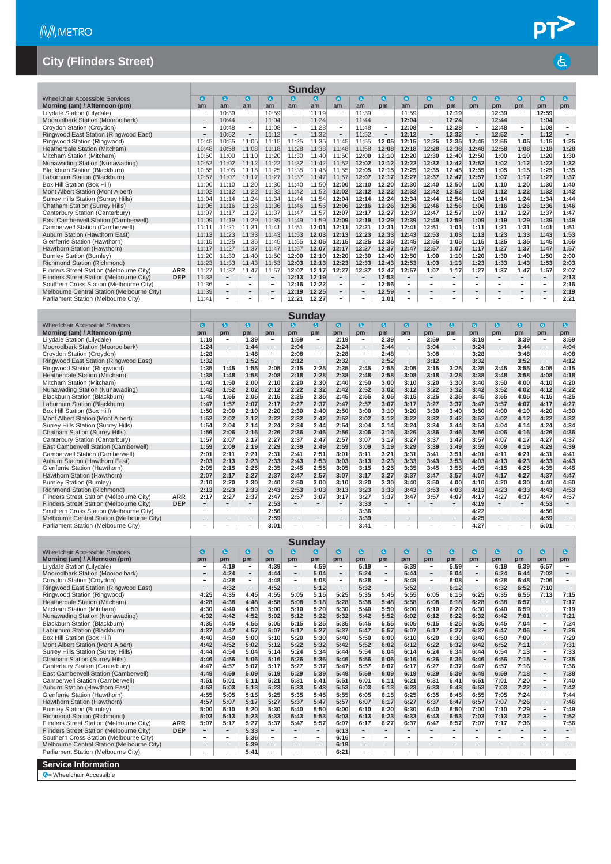| <b>Sunday</b>                              |            |                          |                          |                          |                          |                          |           |                          |                          |                          |                          |                                 |                          |                          |                          |                          |                          |                          |
|--------------------------------------------|------------|--------------------------|--------------------------|--------------------------|--------------------------|--------------------------|-----------|--------------------------|--------------------------|--------------------------|--------------------------|---------------------------------|--------------------------|--------------------------|--------------------------|--------------------------|--------------------------|--------------------------|
| Wheelchair Accessible Services             |            | a                        | $\mathbf{d}$             | $\bullet$                | $\boldsymbol{a}$         | $\mathbf a$              | $\bullet$ | $\bullet$                | $\bullet$                | $\bullet$                | $\bullet$                | $\bullet$                       | G                        | <sup>3</sup>             | $\bullet$                | O                        | $\bullet$                | $\bullet$                |
| Morning (am) / Afternoon (pm)              |            | am                       | am                       | am                       | am                       | am                       | am        | am                       | am                       | pm                       | am                       | pm                              | pm                       | pm                       | pm                       | pm                       | pm                       | pm                       |
| Lilydale Station (Lilydale)                |            | -                        | 10:39                    | $\overline{\phantom{a}}$ | 10:59                    | $\overline{\phantom{a}}$ | 11:19     | $\overline{\phantom{a}}$ | 11:39                    | $\overline{\phantom{a}}$ | 11:59                    | $\overline{\phantom{a}}$        | 12:19                    | $\qquad \qquad -$        | 12:39                    | $\overline{\phantom{0}}$ | 12:59                    | $\overline{\phantom{a}}$ |
| Mooroolbark Station (Mooroolbark)          |            | $\qquad \qquad$          | 10:44                    | $\overline{\phantom{a}}$ | 11:04                    | $\overline{\phantom{m}}$ | 11:24     | $\overline{\phantom{a}}$ | 11:44                    | $\overline{\phantom{a}}$ | 12:04                    | $\hspace{0.1mm}-\hspace{0.1mm}$ | 12:24                    | $\overline{\phantom{a}}$ | 12:44                    | $\overline{\phantom{a}}$ | 1:04                     | $\overline{\phantom{a}}$ |
| Croydon Station (Croydon)                  |            | ٠                        | 10:48                    | $\overline{\phantom{a}}$ | 11:08                    | $\overline{\phantom{a}}$ | 11:28     | $\overline{\phantom{a}}$ | 11:48                    | $\overline{\phantom{a}}$ | 12:08                    | $\overline{\phantom{a}}$        | 12:28                    | $\overline{\phantom{a}}$ | 12:48                    | $\overline{\phantom{a}}$ | 1:08                     | $\overline{\phantom{a}}$ |
| Ringwood East Station (Ringwood East)      |            | $\overline{\phantom{a}}$ | 10:52                    | $\overline{\phantom{a}}$ | 11:12                    | $\overline{\phantom{a}}$ | 11:32     | $\overline{\phantom{a}}$ | 11:52                    | $\overline{\phantom{a}}$ | 12:12                    | $\hspace{0.1mm}-\hspace{0.1mm}$ | 12:32                    | $\overline{\phantom{a}}$ | 12:52                    | $\overline{\phantom{a}}$ | 1:12                     | $\overline{\phantom{a}}$ |
| Ringwood Station (Ringwood)                |            | 10:45                    | 10:55                    | 11:05                    | 11:15                    | 11:25                    | 11:35     | 11:45                    | 11:55                    | 12:05                    | 12:15                    | 12:25                           | 12:35                    | 12:45                    | 12:55                    | 1:05                     | 1:15                     | 1:25                     |
| Heatherdale Station (Mitcham)              |            | 10:48                    | 10:58                    | 11:08                    | 11:18                    | 11:28                    | 11:38     | 11:48                    | 11:58                    | 12:08                    | 12:18                    | 12:28                           | 12:38                    | 12:48                    | 12:58                    | 1:08                     | 1:18                     | 1:28                     |
| Mitcham Station (Mitcham)                  |            | 10:50                    | 11:00                    | 11:10                    | 11:20                    | 11:30                    | 11:40     | 11:50                    | 12:00                    | 12:10                    | 12:20                    | 12:30                           | 12:40                    | 12:50                    | 1:00                     | 1:10                     | 1:20                     | 1:30                     |
| Nunawading Station (Nunawading)            |            | 10:52                    | 11:02                    | 11:12                    | 11:22                    | 11:32                    | 11:42     | 11:52                    | 12:02                    | 12:12                    | 12:22                    | 12:32                           | 12:42                    | 12:52                    | 1:02                     | 1:12                     | 1:22                     | 1:32                     |
| Blackburn Station (Blackburn)              |            | 10:55                    | 11:05                    | 11:15                    | 11:25                    | 11:35                    | 11:45     | 11:55                    | 12:05                    | 12:15                    | 12:25                    | 12:35                           | 12:45                    | 12:55                    | 1:05                     | 1:15                     | 1:25                     | 1:35                     |
| Laburnum Station (Blackburn)               |            | 10:57                    | 11:07                    | 11:17                    | 11:27                    | 11:37                    | 11:47     | 11:57                    | 12:07                    | 12:17                    | 12:27                    | 12:37                           | 12:47                    | 12:57                    | 1:07                     | 1:17                     | 1:27                     | 1:37                     |
| Box Hill Station (Box Hill)                |            | 11:00                    | 11:10                    | 11:20                    | 11:30                    | 11:40                    | 11:50     | 12:00                    | 12:10                    | 12:20                    | 12:30                    | 12:40                           | 12:50                    | 1:00                     | 1:10                     | 1:20                     | 1:30                     | 1:40                     |
| Mont Albert Station (Mont Albert)          |            | 11:02                    | 11:12                    | 11:22                    | 11:32                    | 11:42                    | 11:52     | 12:02                    | 12:12                    | 12:22                    | 12:32                    | 12:42                           | 12:52                    | 1:02                     | 1:12                     | 1:22                     | 1:32                     | 1:42                     |
| Surrey Hills Station (Surrey Hills)        |            | 11:04                    | 11:14                    | 11:24                    | 11:34                    | 11:44                    | 11:54     | 12:04                    | 12:14                    | 12:24                    | 12:34                    | 12:44                           | 12:54                    | 1:04                     | 1:14                     | 1:24                     | 1:34                     | 1:44                     |
| <b>Chatham Station (Surrey Hills)</b>      |            | 11:06                    | 11:16                    | 11:26                    | 11:36                    | 11:46                    | 11:56     | 12:06                    | 12:16                    | 12:26                    | 12:36                    | 12:46                           | 12:56                    | 1:06                     | 1:16                     | 1:26                     | 1:36                     | 1:46                     |
| Canterbury Station (Canterbury)            |            | 11:07                    | 11:17                    | 11:27                    | 11:37                    | 11:47                    | 11:57     | 12:07                    | 12:17                    | 12:27                    | 12:37                    | 12:47                           | 12:57                    | 1:07                     | 1:17                     | 1:27                     | 1:37                     | 1:47                     |
| East Camberwell Station (Camberwell)       |            | 11:09                    | 11:19                    | 11:29                    | 11:39                    | 11:49                    | 11:59     | 12:09                    | 12:19                    | 12:29                    | 12:39                    | 12:49                           | 12:59                    | 1:09                     | 1:19                     | 1:29                     | 1:39                     | 1:49                     |
| Camberwell Station (Camberwell)            |            | 11:11                    | 11:21                    | 11:31                    | 11:41                    | 11:51                    | 12:01     | 12:11                    | 12:21                    | 12:31                    | 12:41                    | 12:51                           | 1:01                     | 1:11                     | 1:21                     | 1:31                     | 1:41                     | 1:51                     |
| Auburn Station (Hawthorn East)             |            | 11:13                    | 11:23                    | 11:33                    | 11:43                    | 11:53                    | 12:03     | 12:13                    | 12:23                    | 12:33                    | 12:43                    | 12:53                           | 1:03                     | 1:13                     | 1:23                     | 1:33                     | 1:43                     | 1:53                     |
| Glenferrie Station (Hawthorn)              |            | 11:15                    | 11:25                    | 11:35                    | 11:45                    | 11:55                    | 12:05     | 12:15                    | 12:25                    | 12:35                    | 12:45                    | 12:55                           | 1:05                     | 1:15                     | 1:25                     | 1:35                     | 1:45                     | 1:55                     |
| Hawthorn Station (Hawthorn)                |            | 11:17                    | 11:27                    | 11:37                    | 11:47                    | 11:57                    | 12:07     | 12:17                    | 12:27                    | 12:37                    | 12:47                    | 12:57                           | 1:07                     | 1:17                     | 1:27                     | 1:37                     | 1:47                     | 1:57                     |
| <b>Burnley Station (Burnley)</b>           |            | 11:20                    | 11:30                    | 11:40                    | 11:50                    | 12:00                    | 12:10     | 12:20                    | 12:30                    | 12:40                    | 12:50                    | 1:00                            | 1:10                     | 1:20                     | 1:30                     | 1:40                     | 1:50                     | 2:00                     |
| Richmond Station (Richmond)                |            | 11:23                    | 11:33                    | 11:43                    | 11:53                    | 12:03                    | 12:13     | 12:23                    | 12:33                    | 12:43                    | 12:53                    | 1:03                            | 1:13                     | 1:23                     | 1:33                     | 1:43                     | 1:53                     | 2:03                     |
| Flinders Street Station (Melbourne City)   | <b>ARR</b> | 11:27                    | 11:37                    | 11:47                    | 11:57                    | 12:07                    | 12:17     | 12:27                    | 12:37                    | 12:47                    | 12:57                    | 1:07                            | 1:17                     | 1:27                     | 1:37                     | 1:47                     | 1:57                     | 2:07                     |
| Flinders Street Station (Melbourne City)   | <b>DEP</b> | 11:33                    | $\overline{\phantom{a}}$ | $\overline{\phantom{a}}$ | $\qquad \qquad -$        | 12:13                    | 12:19     | $\overline{\phantom{0}}$ | $\overline{\phantom{a}}$ | 12:53                    | $\equiv$                 | $=$                             | $-$                      | -                        | $\equiv$                 | $\overline{\phantom{a}}$ | $\overline{\phantom{a}}$ | 2:13                     |
| Southern Cross Station (Melbourne City)    |            | 11:36                    | $\overline{\phantom{a}}$ | $\sim$                   | $\overline{\phantom{a}}$ | 12:16                    | 12:22     | -                        | $\sim$                   | 12:56                    | $\overline{\phantom{a}}$ | $\overline{\phantom{a}}$        | $\overline{\phantom{a}}$ | ÷.                       | $\sim$                   | $\sim$                   | $\sim$                   | 2:16                     |
| Melbourne Central Station (Melbourne City) |            | 11:39                    | $\overline{\phantom{a}}$ | $\overline{\phantom{a}}$ | $\overline{\phantom{a}}$ | 12:19                    | 12:25     | $\overline{\phantom{a}}$ | $\overline{\phantom{a}}$ | 12:59                    | $\overline{\phantom{a}}$ | $\overline{\phantom{m}}$        | $\overline{\phantom{a}}$ | -                        |                          | $\overline{\phantom{a}}$ | $\overline{\phantom{a}}$ | 2:19                     |
| Parliament Station (Melbourne City)        |            | 11:41                    | $\overline{\phantom{0}}$ | -                        | $\overline{a}$           | 12:21                    | 12:27     | $\overline{\phantom{0}}$ | $\overline{\phantom{a}}$ | 1:01                     | $\overline{\phantom{0}}$ | $\overline{\phantom{0}}$        |                          | $\overline{a}$           | $\overline{\phantom{a}}$ | $\sim$                   | $\overline{\phantom{a}}$ | 2:21                     |
|                                            |            |                          |                          |                          |                          |                          | Sunday    |                          |                          |                          |                          |                                 |                          |                          |                          |                          |                          |                          |

| vunuay                                     |            |              |                          |                          |                          |                          |                          |                          |                          |                          |                            |                          |                          |           |                          |                          |                          |            |
|--------------------------------------------|------------|--------------|--------------------------|--------------------------|--------------------------|--------------------------|--------------------------|--------------------------|--------------------------|--------------------------|----------------------------|--------------------------|--------------------------|-----------|--------------------------|--------------------------|--------------------------|------------|
| <b>Wheelchair Accessible Services</b>      |            | $\mathbf{G}$ | G.                       | $\mathbf{a}$             | $\bullet$                | $\mathbf{a}$             | $\bullet$                | $\bullet$                | $\mathbf{G}$             | $\bullet$                | $\left( \mathbf{d}\right)$ | $\mathbf{G}$             | $\mathbf a$              | $\bullet$ | O                        | $\bullet$                | ◎                        | $\epsilon$ |
| Morning (am) / Afternoon (pm)              |            | pm           | pm                       | pm                       | pm                       | pm                       | pm                       | pm                       | pm                       | pm                       | pm                         | pm                       | pm                       | pm        | pm                       | pm                       | pm                       | pm         |
| Lilydale Station (Lilydale)                |            | 1:19         | ۰                        | 1:39                     | $\qquad \qquad =$        | 1:59                     | $\overline{\phantom{a}}$ | 2:19                     | $\sim$                   | 2:39                     | $\overline{\phantom{a}}$   | 2:59                     | $\qquad \qquad =$        | 3:19      | $\overline{\phantom{a}}$ | 3:39                     | $\overline{\phantom{a}}$ | 3:59       |
| Mooroolbark Station (Mooroolbark)          |            | 1:24         | $\overline{\phantom{a}}$ | 1:44                     | $\overline{\phantom{0}}$ | 2:04                     | $\overline{\phantom{a}}$ | 2:24                     | $\overline{\phantom{a}}$ | 2:44                     | $\overline{\phantom{a}}$   | 3:04                     | $\overline{\phantom{a}}$ | 3:24      | $\overline{\phantom{a}}$ | 3:44                     | $\overline{\phantom{a}}$ | 4:04       |
| Croydon Station (Croydon)                  |            | 1:28         | $\overline{\phantom{m}}$ | 1:48                     | $\overline{\phantom{0}}$ | 2:08                     | $\overline{\phantom{0}}$ | 2:28                     | $\overline{\phantom{a}}$ | 2:48                     | $\overline{\phantom{a}}$   | 3:08                     | $\overline{\phantom{a}}$ | 3:28      | $\overline{\phantom{m}}$ | 3:48                     | $\overline{\phantom{a}}$ | 4:08       |
| Ringwood East Station (Ringwood East)      |            | 1:32         | $\overline{\phantom{a}}$ | 1:52                     | $\overline{\phantom{0}}$ | 2:12                     | $\overline{\phantom{a}}$ | 2:32                     | $\sim$                   | 2:52                     | $\overline{\phantom{a}}$   | 3:12                     | $\overline{\phantom{a}}$ | 3:32      | $\overline{\phantom{a}}$ | 3:52                     | $\overline{\phantom{a}}$ | 4:12       |
| Ringwood Station (Ringwood)                |            | 1:35         | 1:45                     | 1:55                     | 2:05                     | 2:15                     | 2:25                     | 2:35                     | 2:45                     | 2:55                     | 3:05                       | 3:15                     | 3:25                     | 3:35      | 3:45                     | 3:55                     | 4:05                     | 4:15       |
| Heatherdale Station (Mitcham)              |            | 1:38         | 1:48                     | 1:58                     | 2:08                     | 2:18                     | 2:28                     | 2:38                     | 2:48                     | 2:58                     | 3:08                       | 3:18                     | 3:28                     | 3:38      | 3:48                     | 3:58                     | 4:08                     | 4:18       |
| Mitcham Station (Mitcham)                  |            | 1:40         | 1:50                     | 2:00                     | 2:10                     | 2:20                     | 2:30                     | 2:40                     | 2:50                     | 3:00                     | 3:10                       | 3:20                     | 3:30                     | 3:40      | 3:50                     | 4:00                     | 4:10                     | 4:20       |
| Nunawading Station (Nunawading)            |            | 1:42         | 1:52                     | 2:02                     | 2:12                     | 2:22                     | 2:32                     | 2:42                     | 2:52                     | 3:02                     | 3:12                       | 3:22                     | 3:32                     | 3:42      | 3:52                     | 4:02                     | 4:12                     | 4:22       |
| Blackburn Station (Blackburn)              |            | 1:45         | 1:55                     | 2:05                     | 2:15                     | 2:25                     | 2:35                     | 2:45                     | 2:55                     | 3:05                     | 3:15                       | 3:25                     | 3:35                     | 3:45      | 3:55                     | 4:05                     | 4:15                     | 4:25       |
| Laburnum Station (Blackburn)               |            | 1:47         | 1:57                     | 2:07                     | 2:17                     | 2:27                     | 2:37                     | 2:47                     | 2:57                     | 3:07                     | 3:17                       | 3:27                     | 3:37                     | 3:47      | 3:57                     | 4:07                     | 4:17                     | 4:27       |
| Box Hill Station (Box Hill)                |            | 1:50         | 2:00                     | 2:10                     | 2:20                     | 2:30                     | 2:40                     | 2:50                     | 3:00                     | 3:10                     | 3:20                       | 3:30                     | 3:40                     | 3:50      | 4:00                     | 4:10                     | 4:20                     | 4:30       |
| Mont Albert Station (Mont Albert)          |            | 1:52         | 2:02                     | 2:12                     | 2:22                     | 2:32                     | 2:42                     | 2:52                     | 3:02                     | 3:12                     | 3:22                       | 3:32                     | 3:42                     | 3:52      | 4:02                     | 4:12                     | 4:22                     | 4:32       |
| Surrey Hills Station (Surrey Hills)        |            | 1:54         | 2:04                     | 2:14                     | 2:24                     | 2:34                     | 2:44                     | 2:54                     | 3:04                     | 3:14                     | 3:24                       | 3:34                     | 3:44                     | 3:54      | 4:04                     | 4:14                     | 4:24                     | 4:34       |
| Chatham Station (Surrey Hills)             |            | 1:56         | 2:06                     | 2:16                     | 2:26                     | 2:36                     | 2:46                     | 2:56                     | 3:06                     | 3:16                     | 3:26                       | 3:36                     | 3:46                     | 3:56      | 4:06                     | 4:16                     | 4:26                     | 4:36       |
| Canterbury Station (Canterbury)            |            | 1:57         | 2:07                     | 2:17                     | 2:27                     | 2:37                     | 2:47                     | 2:57                     | 3:07                     | 3:17                     | 3:27                       | 3:37                     | 3:47                     | 3:57      | 4:07                     | 4:17                     | 4:27                     | 4:37       |
| East Camberwell Station (Camberwell)       |            | 1:59         | 2:09                     | 2:19                     | 2:29                     | 2:39                     | 2:49                     | 2:59                     | 3:09                     | 3:19                     | 3:29                       | 3:39                     | 3:49                     | 3:59      | 4:09                     | 4:19                     | 4:29                     | 4:39       |
| Camberwell Station (Camberwell)            |            | 2:01         | 2:11                     | 2:21                     | 2:31                     | 2:41                     | 2:51                     | 3:01                     | 3:11                     | 3:21                     | 3:31                       | 3:41                     | 3:51                     | 4:01      | 4:11                     | 4:21                     | 4:31                     | 4:41       |
| Auburn Station (Hawthorn East)             |            | 2:03         | 2:13                     | 2:23                     | 2:33                     | 2:43                     | 2:53                     | 3:03                     | 3:13                     | 3:23                     | 3:33                       | 3:43                     | 3:53                     | 4:03      | 4:13                     | 4:23                     | 4:33                     | 4:43       |
| Glenferrie Station (Hawthorn)              |            | 2:05         | 2:15                     | 2:25                     | 2:35                     | 2:45                     | 2:55                     | 3:05                     | 3:15                     | 3:25                     | 3:35                       | 3:45                     | 3:55                     | 4:05      | 4:15                     | 4:25                     | 4:35                     | 4:45       |
| Hawthorn Station (Hawthorn)                |            | 2:07         | 2:17                     | 2:27                     | 2:37                     | 2:47                     | 2:57                     | 3:07                     | 3:17                     | 3:27                     | 3:37                       | 3:47                     | 3:57                     | 4:07      | 4:17                     | 4:27                     | 4:37                     | 4:47       |
| <b>Burnley Station (Burnley)</b>           |            | 2:10         | 2:20                     | 2:30                     | 2:40                     | 2:50                     | 3:00                     | 3:10                     | 3:20                     | 3:30                     | 3:40                       | 3:50                     | 4:00                     | 4:10      | 4:20                     | 4:30                     | 4:40                     | 4:50       |
| Richmond Station (Richmond)                |            | 2:13         | 2:23                     | 2:33                     | 2:43                     | 2:53                     | 3:03                     | 3:13                     | 3:23                     | 3:33                     | 3:43                       | 3:53                     | 4:03                     | 4:13      | 4:23                     | 4:33                     | 4:43                     | 4:53       |
| Flinders Street Station (Melbourne City)   | <b>ARR</b> | 2:17         | 2:27                     | 2:37                     | 2:47                     | 2:57                     | 3:07                     | 3:17                     | 3:27                     | 3:37                     | 3:47                       | 3:57                     | 4:07                     | 4:17      | 4:27                     | 4:37                     | 4:47                     | 4:57       |
| Flinders Street Station (Melbourne City)   | <b>DEP</b> | Ξ.           | $\overline{\phantom{a}}$ | -                        | 2:53                     | $\overline{\phantom{m}}$ | $\overline{\phantom{0}}$ | $\overline{\phantom{m}}$ | 3:33                     | $\overline{\phantom{m}}$ | $\overline{\phantom{a}}$   | $\qquad \qquad -$        | $-$                      | 4:19      | $\overline{\phantom{m}}$ | $\overline{\phantom{m}}$ | 4:53                     |            |
| Southern Cross Station (Melbourne City)    |            |              | $\equiv$                 | $\overline{\phantom{a}}$ | 2:56                     | $\sim$                   | $\sim$                   | $\overline{\phantom{a}}$ | 3:36                     | -                        | $\overline{\phantom{a}}$   | $\overline{\phantom{a}}$ | $\overline{\phantom{a}}$ | 4:22      | $\overline{\phantom{a}}$ | $\overline{\phantom{a}}$ | 4:56                     | $\sim$     |
| Melbourne Central Station (Melbourne City) |            |              | $\overline{\phantom{a}}$ | $\qquad \qquad -$        | 2:59                     | $\overline{\phantom{a}}$ | $\qquad \qquad$          | $\overline{\phantom{a}}$ | 3:39                     | -                        | $\qquad \qquad -$          | $\qquad \qquad$          | $\qquad \qquad$          | 4:25      | $\overline{\phantom{a}}$ | $\overline{\phantom{m}}$ | 4:59                     |            |
| Parliament Station (Melbourne City)        |            |              | $\overline{\phantom{a}}$ | $\overline{\phantom{0}}$ | 3:01                     |                          |                          |                          | 3:41                     |                          |                            |                          |                          | 4:27      |                          | $\overline{\phantom{a}}$ | 5:01                     |            |

|                                            |            |                          |                          |                          |                          |                          | <b>Sunday</b>            |                          |                          |                          |                          |                          |                          |                          |                          |                          |                          |                          |
|--------------------------------------------|------------|--------------------------|--------------------------|--------------------------|--------------------------|--------------------------|--------------------------|--------------------------|--------------------------|--------------------------|--------------------------|--------------------------|--------------------------|--------------------------|--------------------------|--------------------------|--------------------------|--------------------------|
| <b>Wheelchair Accessible Services</b>      |            | $\epsilon$               | $\bullet$                | $\bullet$                | $\bullet$                | $\bullet$                | $\bullet$                | $\bullet$                | $\bullet$                | $\mathbf{G}$             | 0                        | $\bullet$                | $\mathbf a$              | $\bullet$                | $\bullet$                | O                        | $\bullet$                | $\bullet$                |
| Morning (am) / Afternoon (pm)              |            | pm                       | pm                       | pm                       | pm                       | pm                       | pm                       | pm                       | pm                       | pm                       | pm                       | pm                       | pm                       | pm                       | pm                       | pm                       | pm                       | pm                       |
| Lilydale Station (Lilydale)                |            | $\overline{\phantom{a}}$ | 4:19                     | $\overline{\phantom{a}}$ | 4:39                     | $\overline{\phantom{a}}$ | 4:59                     | $\overline{\phantom{m}}$ | 5:19                     | $\overline{\phantom{a}}$ | 5:39                     | $\overline{\phantom{a}}$ | 5:59                     | $\overline{\phantom{a}}$ | 6:19                     | 6:39                     | 6:57                     | $\overline{\phantom{a}}$ |
| Mooroolbark Station (Mooroolbark)          |            | $\qquad \qquad$          | 4:24                     | $\overline{\phantom{a}}$ | 4:44                     | $\qquad \qquad -$        | 5:04                     | $\overline{\phantom{a}}$ | 5:24                     | $\overline{\phantom{a}}$ | 5:44                     | $\overline{\phantom{a}}$ | 6:04                     | $\overline{\phantom{0}}$ | 6:24                     | 6:44                     | 7:02                     |                          |
| Croydon Station (Croydon)                  |            | $\overline{\phantom{a}}$ | 4:28                     | $\overline{\phantom{a}}$ | 4:48                     | $\overline{\phantom{a}}$ | 5:08                     | $\overline{\phantom{a}}$ | 5:28                     | $\overline{\phantom{a}}$ | 5:48                     | $\overline{\phantom{a}}$ | 6:08                     | $\overline{\phantom{a}}$ | 6:28                     | 6:48                     | 7:06                     |                          |
| Ringwood East Station (Ringwood East)      |            | $\sim$                   | 4:32                     | $\overline{\phantom{a}}$ | 4:52                     | $\sim$                   | 5:12                     | $\overline{\phantom{a}}$ | 5:32                     | $\overline{\phantom{a}}$ | 5:52                     | $\overline{\phantom{a}}$ | 6:12                     | $\overline{\phantom{0}}$ | 6:32                     | 6:52                     | 7:10                     | $\overline{\phantom{a}}$ |
| Ringwood Station (Ringwood)                |            | 4:25                     | 4:35                     | 4:45                     | 4:55                     | 5:05                     | 5:15                     | 5:25                     | 5:35                     | 5:45                     | 5:55                     | 6:05                     | 6:15                     | 6:25                     | 6:35                     | 6:55                     | 7:13                     | 7:15                     |
| Heatherdale Station (Mitcham)              |            | 4:28                     | 4:38                     | 4:48                     | 4:58                     | 5:08                     | 5:18                     | 5:28                     | 5:38                     | 5:48                     | 5:58                     | 6:08                     | 6:18                     | 6:28                     | 6:38                     | 6:57                     | $\overline{\phantom{a}}$ | 7:17                     |
| Mitcham Station (Mitcham)                  |            | 4:30                     | 4:40                     | 4:50                     | 5:00                     | 5:10                     | 5:20                     | 5:30                     | 5:40                     | 5:50                     | 6:00                     | 6:10                     | 6:20                     | 6:30                     | 6:40                     | 6:59                     | $\overline{\phantom{a}}$ | 7:19                     |
| Nunawading Station (Nunawading)            |            | 4:32                     | 4:42                     | 4:52                     | 5:02                     | 5:12                     | 5:22                     | 5:32                     | 5:42                     | 5:52                     | 6:02                     | 6:12                     | 6:22                     | 6:32                     | 6:42                     | 7:01                     | $\overline{\phantom{a}}$ | 7:21                     |
| Blackburn Station (Blackburn)              |            | 4:35                     | 4:45                     | 4:55                     | 5:05                     | 5:15                     | 5:25                     | 5:35                     | 5:45                     | 5:55                     | 6:05                     | 6:15                     | 6:25                     | 6:35                     | 6:45                     | 7:04                     | $\sim$                   | 7:24                     |
| Laburnum Station (Blackburn)               |            | 4:37                     | 4:47                     | 4:57                     | 5:07                     | 5:17                     | 5:27                     | 5:37                     | 5:47                     | 5:57                     | 6:07                     | 6:17                     | 6:27                     | 6:37                     | 6:47                     | 7:06                     | $\overline{\phantom{a}}$ | 7:26                     |
| Box Hill Station (Box Hill)                |            | 4:40                     | 4:50                     | 5:00                     | 5:10                     | 5:20                     | 5:30                     | 5:40                     | 5:50                     | 6:00                     | 6:10                     | 6:20                     | 6:30                     | 6:40                     | 6:50                     | 7:09                     | $\overline{\phantom{a}}$ | 7:29                     |
| Mont Albert Station (Mont Albert)          |            | 4:42                     | 4:52                     | 5:02                     | 5:12                     | 5:22                     | 5:32                     | 5:42                     | 5:52                     | 6:02                     | 6:12                     | 6:22                     | 6:32                     | 6:42                     | 6:52                     | 7:11                     | $\overline{\phantom{a}}$ | 7:31                     |
| Surrey Hills Station (Surrey Hills)        |            | 4:44                     | 4:54                     | 5:04                     | 5:14                     | 5:24                     | 5:34                     | 5:44                     | 5:54                     | 6:04                     | 6:14                     | 6:24                     | 6:34                     | 6:44                     | 6:54                     | 7:13                     | $\overline{\phantom{a}}$ | 7:33                     |
| <b>Chatham Station (Surrey Hills)</b>      |            | 4:46                     | 4:56                     | 5:06                     | 5:16                     | 5:26                     | 5:36                     | 5:46                     | 5:56                     | 6:06                     | 6:16                     | 6:26                     | 6:36                     | 6:46                     | 6:56                     | 7:15                     | $\overline{\phantom{a}}$ | 7:35                     |
| Canterbury Station (Canterbury)            |            | 4:47                     | 4:57                     | 5:07                     | 5:17                     | 5:27                     | 5:37                     | 5:47                     | 5:57                     | 6:07                     | 6:17                     | 6:27                     | 6:37                     | 6:47                     | 6:57                     | 7:16                     | $\sim$                   | 7:36                     |
| East Camberwell Station (Camberwell)       |            | 4:49                     | 4:59                     | 5:09                     | 5:19                     | 5:29                     | 5:39                     | 5:49                     | 5:59                     | 6:09                     | 6:19                     | 6:29                     | 6:39                     | 6:49                     | 6:59                     | 7:18                     | $\overline{\phantom{a}}$ | 7:38                     |
| Camberwell Station (Camberwell)            |            | 4:51                     | 5:01                     | 5:11                     | 5:21                     | 5:31                     | 5:41                     | 5:51                     | 6:01                     | 6:11                     | 6:21                     | 6:31                     | 6:41                     | 6:51                     | 7:01                     | 7:20                     | $\overline{\phantom{a}}$ | 7:40                     |
| Auburn Station (Hawthorn East)             |            | 4:53                     | 5:03                     | 5:13                     | 5:23                     | 5:33                     | 5:43                     | 5:53                     | 6:03                     | 6:13                     | 6:23                     | 6:33                     | 6:43                     | 6:53                     | 7:03                     | 7:22                     | $\overline{\phantom{a}}$ | 7:42                     |
| Glenferrie Station (Hawthorn)              |            | 4:55                     | 5:05                     | 5:15                     | 5:25                     | 5:35                     | 5:45                     | 5:55                     | 6:05                     | 6:15                     | 6:25                     | 6:35                     | 6:45                     | 6:55                     | 7:05                     | 7:24                     | $\overline{\phantom{a}}$ | 7:44                     |
| Hawthorn Station (Hawthorn)                |            | 4:57                     | 5:07                     | 5:17                     | 5:27                     | 5:37                     | 5:47                     | 5:57                     | 6:07                     | 6:17                     | 6:27                     | 6:37                     | 6:47                     | 6:57                     | 7:07                     | 7:26                     | $\overline{\phantom{a}}$ | 7:46                     |
| <b>Burnley Station (Burnley)</b>           |            | 5:00                     | 5:10                     | 5:20                     | 5:30                     | 5:40                     | 5:50                     | 6:00                     | 6:10                     | 6:20                     | 6:30                     | 6:40                     | 6:50                     | 7:00                     | 7:10                     | 7:29                     | $\sim$                   | 7:49                     |
| Richmond Station (Richmond)                |            | 5:03                     | 5:13                     | 5:23                     | 5:33                     | 5:43                     | 5:53                     | 6:03                     | 6:13                     | 6:23                     | 6:33                     | 6:43                     | 6:53                     | 7:03                     | 7:13                     | 7:32                     | $\overline{\phantom{a}}$ | 7:52                     |
| Flinders Street Station (Melbourne City)   | <b>ARR</b> | 5:07                     | 5:17                     | 5:27                     | 5:37                     | 5:47                     | 5:57                     | 6:07                     | 6:17                     | 6:27                     | 6:37                     | 6:47                     | 6:57                     | 7:07                     | 7:17                     | 7:36                     | $\sim$                   | 7:56                     |
| Flinders Street Station (Melbourne City)   | <b>DEP</b> | $\overline{\phantom{a}}$ | $-$                      | 5:33                     | Ξ.                       | $=$                      | $\equiv$                 | 6:13                     | $\overline{\phantom{a}}$ | $\sim$                   | Ξ.                       | $=$                      | $=$                      | Ξ.                       | $\sim$                   | $\overline{\phantom{a}}$ | $\overline{\phantom{a}}$ |                          |
| Southern Cross Station (Melbourne City)    |            | $\sim$                   | $\overline{\phantom{a}}$ | 5:36                     | $\overline{\phantom{a}}$ | $\sim$                   | $\sim$                   | 6:16                     | $\sim$                   | $\sim$                   | $\overline{\phantom{a}}$ | $\overline{\phantom{a}}$ | $\overline{\phantom{a}}$ | ÷.                       | $\sim$                   | $\overline{\phantom{a}}$ | $\sim$                   |                          |
| Melbourne Central Station (Melbourne City) |            | $\qquad \qquad -$        | $\overline{\phantom{0}}$ | 5:39                     | $\overline{\phantom{0}}$ | $\overline{\phantom{m}}$ | $\overline{\phantom{m}}$ | 6:19                     | $\overline{\phantom{a}}$ | $\overline{\phantom{a}}$ | $\overline{\phantom{0}}$ | $\overline{\phantom{m}}$ |                          | -                        | $\overline{\phantom{a}}$ | $\overline{\phantom{0}}$ | $\overline{\phantom{a}}$ |                          |
| Parliament Station (Melbourne City)        |            | $\sim$                   | $\overline{\phantom{0}}$ | 5:41                     | $\overline{\phantom{a}}$ | $\overline{a}$           | $\overline{\phantom{a}}$ | 6:21                     | -                        | $\sim$                   | $\overline{\phantom{0}}$ | $\overline{\phantom{a}}$ |                          | $\overline{\phantom{a}}$ | $\overline{\phantom{a}}$ | $\overline{\phantom{0}}$ | -                        |                          |
| <b>Service Information</b>                 |            |                          |                          |                          |                          |                          |                          |                          |                          |                          |                          |                          |                          |                          |                          |                          |                          |                          |
| $\bigcirc$ = Wheelchair Accessible         |            |                          |                          |                          |                          |                          |                          |                          |                          |                          |                          |                          |                          |                          |                          |                          |                          |                          |